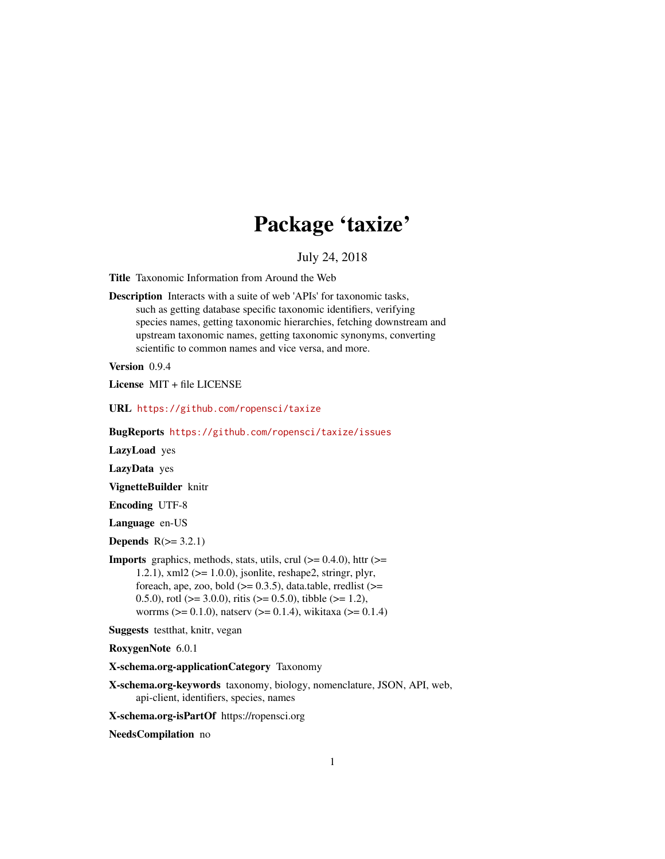# Package 'taxize'

July 24, 2018

<span id="page-0-0"></span>Title Taxonomic Information from Around the Web

Description Interacts with a suite of web 'APIs' for taxonomic tasks, such as getting database specific taxonomic identifiers, verifying species names, getting taxonomic hierarchies, fetching downstream and upstream taxonomic names, getting taxonomic synonyms, converting scientific to common names and vice versa, and more.

Version 0.9.4

License MIT + file LICENSE

URL <https://github.com/ropensci/taxize>

BugReports <https://github.com/ropensci/taxize/issues>

LazyLoad yes

LazyData yes

VignetteBuilder knitr

Encoding UTF-8

Language en-US

Depends  $R(>= 3.2.1)$ 

**Imports** graphics, methods, stats, utils, crul  $(>= 0.4.0)$ , httr  $(>= 0.4.0)$ 1.2.1), xml2 (>= 1.0.0), jsonlite, reshape2, stringr, plyr, foreach, ape, zoo, bold  $(>= 0.3.5)$ , data.table, rredlist  $(>=$ 0.5.0), rotl ( $>= 3.0.0$ ), ritis ( $>= 0.5.0$ ), tibble ( $>= 1.2$ ), worrms ( $> = 0.1.0$ ), natserv ( $> = 0.1.4$ ), wikitaxa ( $> = 0.1.4$ )

Suggests testthat, knitr, vegan

RoxygenNote 6.0.1

X-schema.org-applicationCategory Taxonomy

X-schema.org-keywords taxonomy, biology, nomenclature, JSON, API, web, api-client, identifiers, species, names

X-schema.org-isPartOf https://ropensci.org

NeedsCompilation no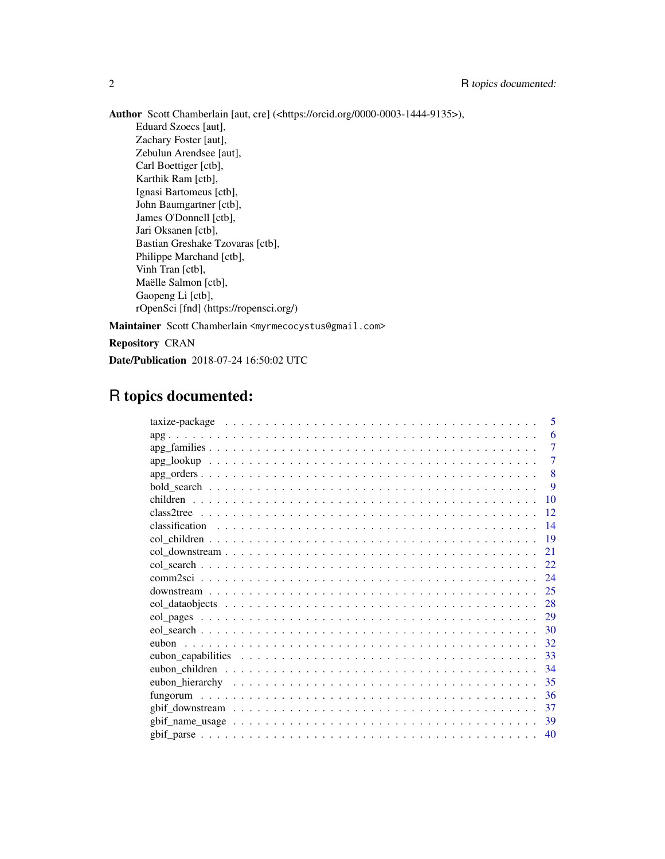Author Scott Chamberlain [aut, cre] (<https://orcid.org/0000-0003-1444-9135>), Eduard Szoecs [aut], Zachary Foster [aut], Zebulun Arendsee [aut], Carl Boettiger [ctb], Karthik Ram [ctb], Ignasi Bartomeus [ctb], John Baumgartner [ctb], James O'Donnell [ctb], Jari Oksanen [ctb], Bastian Greshake Tzovaras [ctb], Philippe Marchand [ctb], Vinh Tran [ctb], Maëlle Salmon [ctb], Gaopeng Li [ctb], rOpenSci [fnd] (https://ropensci.org/) Maintainer Scott Chamberlain <myrmecocystus@gmail.com>

Repository CRAN

Date/Publication 2018-07-24 16:50:02 UTC

# R topics documented:

|  |  |  | 5              |
|--|--|--|----------------|
|  |  |  | 6              |
|  |  |  | $\tau$         |
|  |  |  | $\overline{7}$ |
|  |  |  | 8              |
|  |  |  | 9              |
|  |  |  | 10             |
|  |  |  | 12             |
|  |  |  | 14             |
|  |  |  | 19             |
|  |  |  | 21             |
|  |  |  | 22             |
|  |  |  | 24             |
|  |  |  | 25             |
|  |  |  | 28             |
|  |  |  | 29             |
|  |  |  | 30             |
|  |  |  | 32             |
|  |  |  | 33             |
|  |  |  | 34             |
|  |  |  | 35             |
|  |  |  | 36             |
|  |  |  | 37             |
|  |  |  | 39             |
|  |  |  | 40             |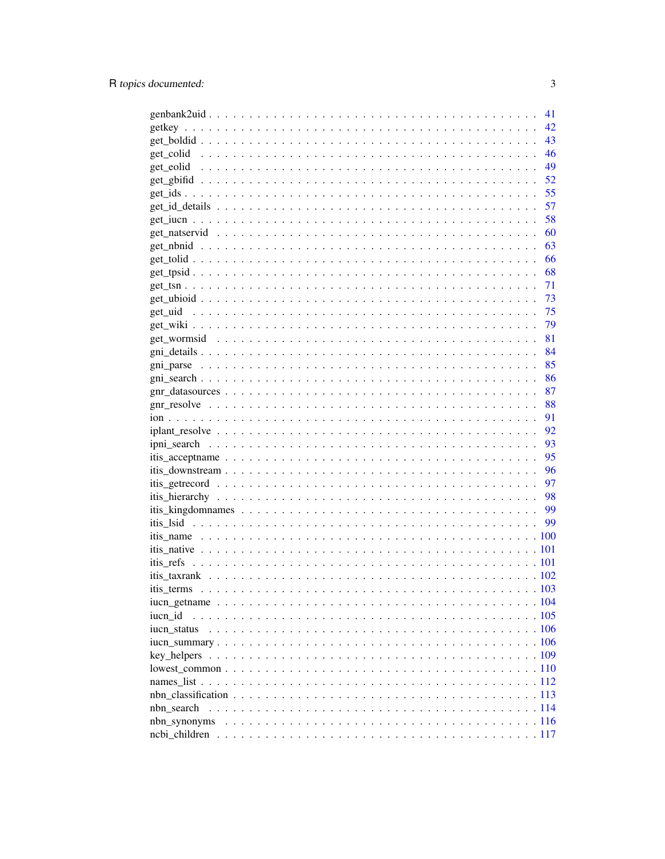|                                                                                                                 | 41 |
|-----------------------------------------------------------------------------------------------------------------|----|
|                                                                                                                 | 42 |
|                                                                                                                 | 43 |
|                                                                                                                 | 46 |
|                                                                                                                 | 49 |
|                                                                                                                 | 52 |
|                                                                                                                 | 55 |
|                                                                                                                 | 57 |
|                                                                                                                 | 58 |
|                                                                                                                 | 60 |
|                                                                                                                 | 63 |
|                                                                                                                 | 66 |
|                                                                                                                 | 68 |
|                                                                                                                 | 71 |
|                                                                                                                 | 73 |
|                                                                                                                 | 75 |
|                                                                                                                 | 79 |
|                                                                                                                 | 81 |
|                                                                                                                 | 84 |
|                                                                                                                 | 85 |
|                                                                                                                 | 86 |
|                                                                                                                 | 87 |
|                                                                                                                 | 88 |
|                                                                                                                 | 91 |
|                                                                                                                 | 92 |
|                                                                                                                 | 93 |
|                                                                                                                 | 95 |
|                                                                                                                 | 96 |
|                                                                                                                 | 97 |
|                                                                                                                 | 98 |
|                                                                                                                 | 99 |
|                                                                                                                 | 99 |
|                                                                                                                 |    |
|                                                                                                                 |    |
|                                                                                                                 |    |
|                                                                                                                 |    |
|                                                                                                                 |    |
|                                                                                                                 |    |
| iucn id                                                                                                         |    |
| iucn status                                                                                                     |    |
|                                                                                                                 |    |
|                                                                                                                 |    |
| $lowest\_common \ldots \ldots \ldots \ldots \ldots \ldots \ldots \ldots \ldots \ldots \ldots \ldots \ldots 110$ |    |
|                                                                                                                 |    |
|                                                                                                                 |    |
| nbn search                                                                                                      |    |
|                                                                                                                 |    |
|                                                                                                                 |    |
|                                                                                                                 |    |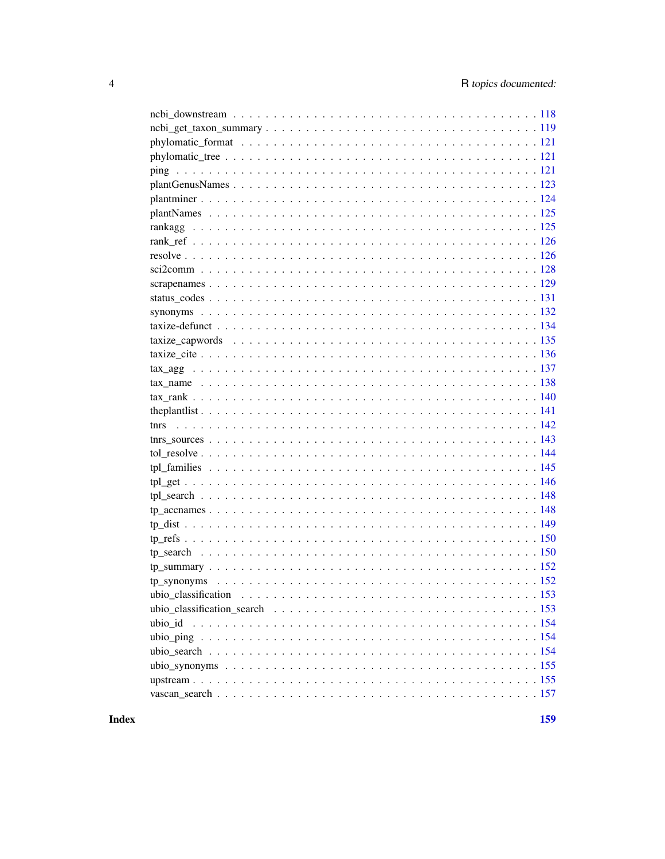| tnrs |
|------|
|      |
|      |
|      |
|      |
|      |
|      |
|      |
|      |
|      |
|      |
|      |
|      |
|      |
|      |
|      |
|      |
|      |
|      |
|      |

**Index**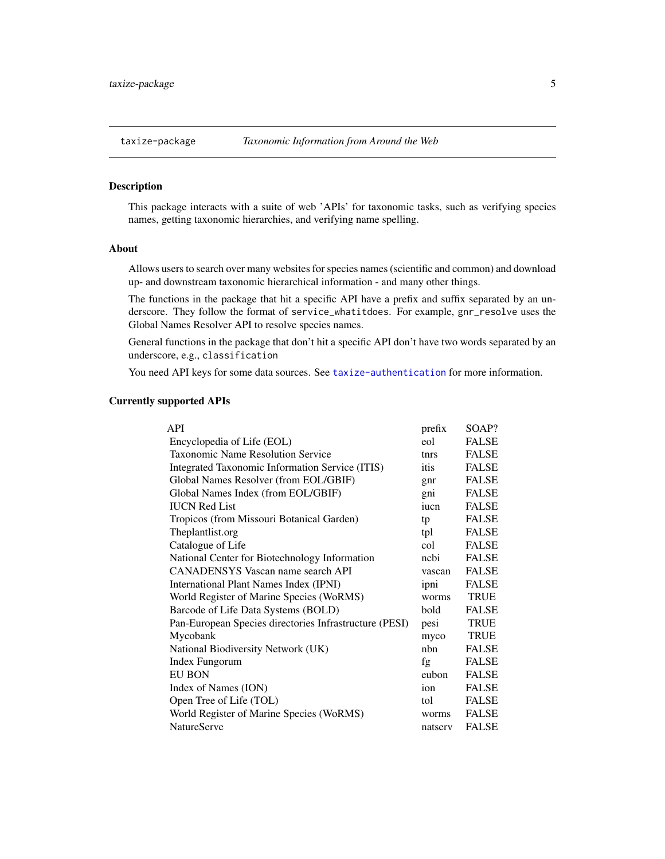# <span id="page-4-0"></span>Description

This package interacts with a suite of web 'APIs' for taxonomic tasks, such as verifying species names, getting taxonomic hierarchies, and verifying name spelling.

### About

Allows users to search over many websites for species names (scientific and common) and download up- and downstream taxonomic hierarchical information - and many other things.

The functions in the package that hit a specific API have a prefix and suffix separated by an underscore. They follow the format of service\_whatitdoes. For example, gnr\_resolve uses the Global Names Resolver API to resolve species names.

General functions in the package that don't hit a specific API don't have two words separated by an underscore, e.g., classification

You need API keys for some data sources. See [taxize-authentication](#page-41-1) for more information.

# Currently supported APIs

| API                                                    | prefix  | SOAP?        |
|--------------------------------------------------------|---------|--------------|
| Encyclopedia of Life (EOL)                             | eol     | <b>FALSE</b> |
| <b>Taxonomic Name Resolution Service</b>               | tnrs    | <b>FALSE</b> |
| Integrated Taxonomic Information Service (ITIS)        | itis    | <b>FALSE</b> |
| Global Names Resolver (from EOL/GBIF)                  | gnr     | <b>FALSE</b> |
| Global Names Index (from EOL/GBIF)                     | gni     | <b>FALSE</b> |
| <b>IUCN Red List</b>                                   | iucn    | <b>FALSE</b> |
| Tropicos (from Missouri Botanical Garden)              | tp      | <b>FALSE</b> |
| Theplantlist.org                                       | tpl     | <b>FALSE</b> |
| Catalogue of Life                                      | col     | <b>FALSE</b> |
| National Center for Biotechnology Information          | nchi    | <b>FALSE</b> |
| <b>CANADENSYS</b> Vascan name search API               | vascan  | <b>FALSE</b> |
| International Plant Names Index (IPNI)                 | ipni    | <b>FALSE</b> |
| World Register of Marine Species (WoRMS)               | worms   | <b>TRUE</b>  |
| Barcode of Life Data Systems (BOLD)                    | bold    | <b>FALSE</b> |
| Pan-European Species directories Infrastructure (PESI) | pesi    | <b>TRUE</b>  |
| Mycobank                                               | myco    | <b>TRUE</b>  |
| National Biodiversity Network (UK)                     | nhn     | <b>FALSE</b> |
| Index Fungorum                                         | fg      | <b>FALSE</b> |
| <b>EU BON</b>                                          | eubon   | <b>FALSE</b> |
| Index of Names (ION)                                   | ion     | <b>FALSE</b> |
| Open Tree of Life (TOL)                                | tol     | <b>FALSE</b> |
| World Register of Marine Species (WoRMS)               | worms   | <b>FALSE</b> |
| <b>NatureServe</b>                                     | natserv | <b>FALSE</b> |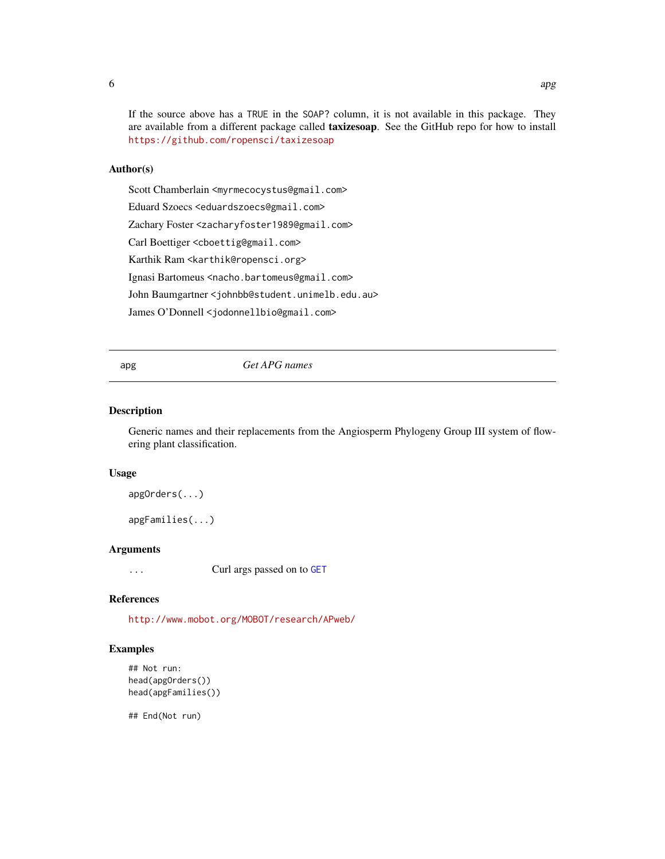<span id="page-5-0"></span>If the source above has a TRUE in the SOAP? column, it is not available in this package. They are available from a different package called taxizesoap. See the GitHub repo for how to install <https://github.com/ropensci/taxizesoap>

### Author(s)

Scott Chamberlain <myrmecocystus@gmail.com>

Eduard Szoecs <eduardszoecs@gmail.com>

Zachary Foster <zacharyfoster1989@gmail.com>

Carl Boettiger <cboettig@gmail.com>

Karthik Ram <karthik@ropensci.org>

Ignasi Bartomeus <nacho.bartomeus@gmail.com>

John Baumgartner <johnbb@student.unimelb.edu.au>

James O'Donnell <jodonnellbio@gmail.com>

apg *Get APG names*

# <span id="page-5-1"></span>Description

Generic names and their replacements from the Angiosperm Phylogeny Group III system of flowering plant classification.

### Usage

apgOrders(...)

apgFamilies(...)

# Arguments

... Curl args passed on to [GET](#page-0-0)

# References

<http://www.mobot.org/MOBOT/research/APweb/>

### Examples

```
## Not run:
head(apgOrders())
head(apgFamilies())
```
## End(Not run)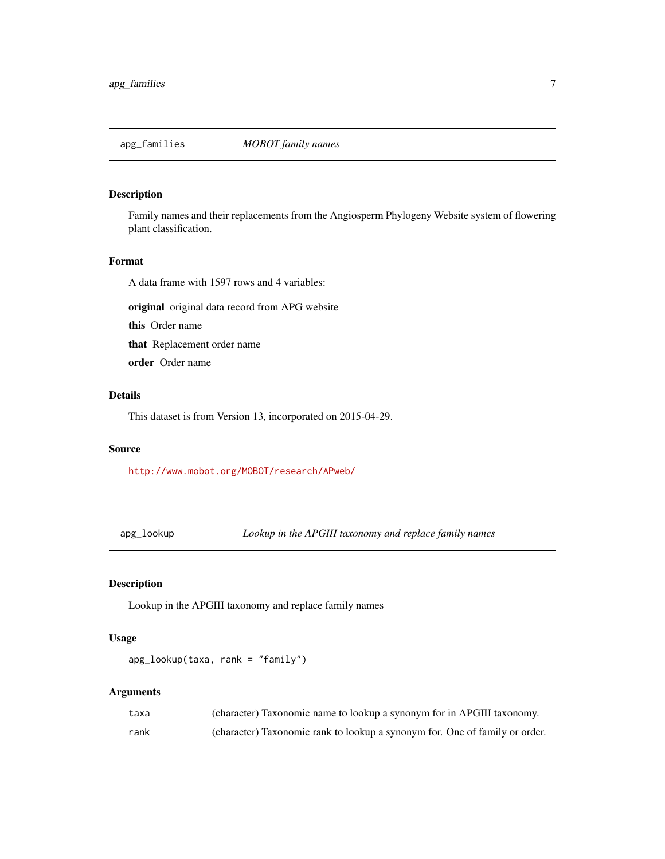<span id="page-6-1"></span><span id="page-6-0"></span>

# Description

Family names and their replacements from the Angiosperm Phylogeny Website system of flowering plant classification.

# Format

A data frame with 1597 rows and 4 variables:

original original data record from APG website

this Order name

that Replacement order name

order Order name

# Details

This dataset is from Version 13, incorporated on 2015-04-29.

### Source

<http://www.mobot.org/MOBOT/research/APweb/>

apg\_lookup *Lookup in the APGIII taxonomy and replace family names*

# Description

Lookup in the APGIII taxonomy and replace family names

# Usage

```
apg_lookup(taxa, rank = "family")
```

| taxa | (character) Taxonomic name to lookup a synonym for in APGIII taxonomy.      |
|------|-----------------------------------------------------------------------------|
| rank | (character) Taxonomic rank to lookup a synonym for. One of family or order. |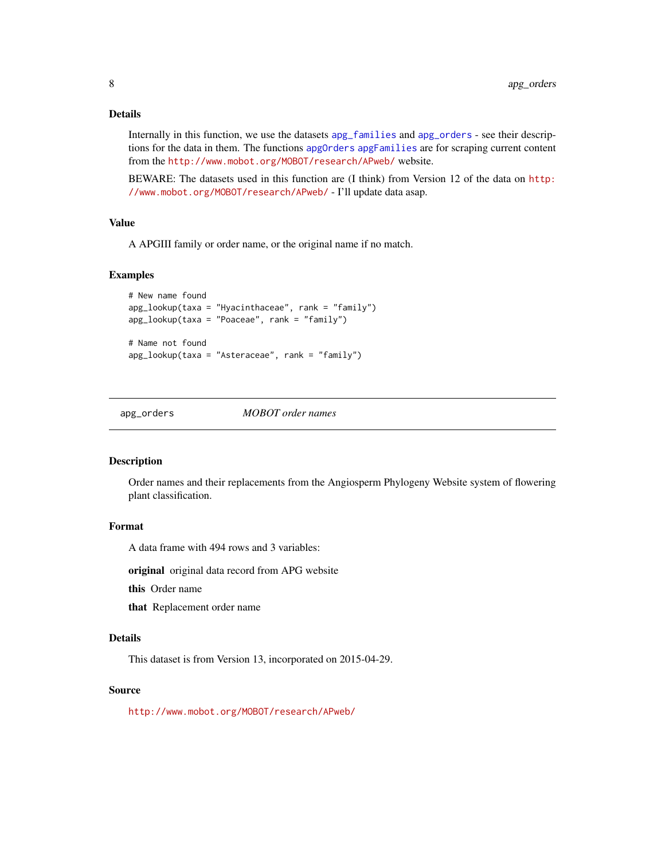# <span id="page-7-0"></span>Details

Internally in this function, we use the datasets [apg\\_families](#page-6-1) and [apg\\_orders](#page-7-1) - see their descriptions for the data in them. The functions [apgOrders](#page-5-1) [apgFamilies](#page-5-1) are for scraping current content from the <http://www.mobot.org/MOBOT/research/APweb/> website.

BEWARE: The datasets used in this function are (I think) from Version 12 of the data on [http:](http://www.mobot.org/MOBOT/research/APweb/) [//www.mobot.org/MOBOT/research/APweb/](http://www.mobot.org/MOBOT/research/APweb/) - I'll update data asap.

### Value

A APGIII family or order name, or the original name if no match.

### Examples

```
# New name found
apg_lookup(taxa = "Hyacinthaceae", rank = "family")
apg_lookup(taxa = "Poaceae", rank = "family")
# Name not found
apg_lookup(taxa = "Asteraceae", rank = "family")
```
<span id="page-7-1"></span>apg\_orders *MOBOT order names*

#### Description

Order names and their replacements from the Angiosperm Phylogeny Website system of flowering plant classification.

### Format

A data frame with 494 rows and 3 variables:

original original data record from APG website

this Order name

that Replacement order name

# Details

This dataset is from Version 13, incorporated on 2015-04-29.

### Source

<http://www.mobot.org/MOBOT/research/APweb/>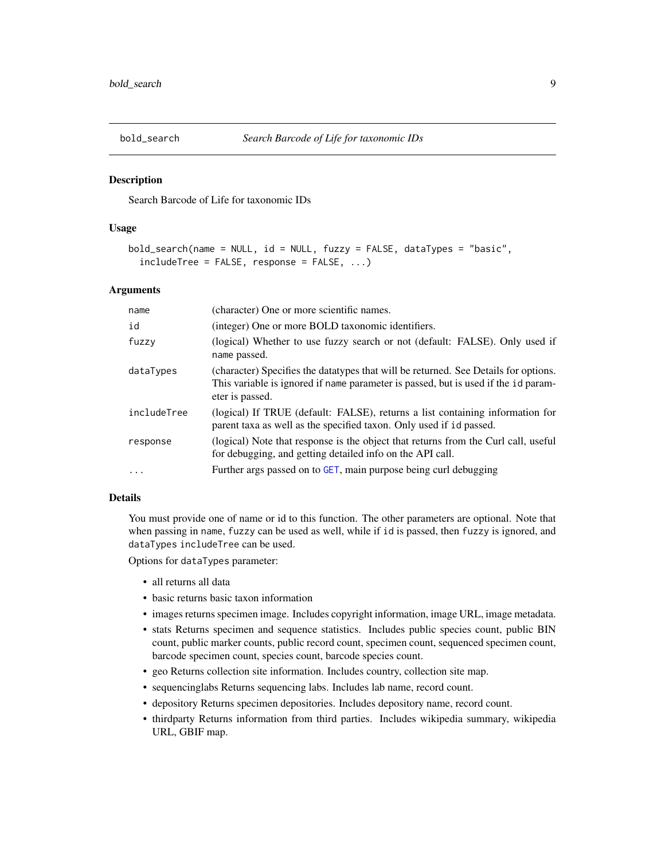<span id="page-8-0"></span>

### Description

Search Barcode of Life for taxonomic IDs

### Usage

```
bold_search(name = NULL, id = NULL, fuzzy = FALSE, dataTypes = "basic",
  includeTree = FALSE, response = FALSE, ...)
```
### Arguments

| name        | (character) One or more scientific names.                                                                                                                                                    |
|-------------|----------------------------------------------------------------------------------------------------------------------------------------------------------------------------------------------|
| id          | (integer) One or more BOLD taxonomic identifiers.                                                                                                                                            |
| fuzzy       | (logical) Whether to use fuzzy search or not (default: FALSE). Only used if<br>name passed.                                                                                                  |
| dataTypes   | (character) Specifies the datatypes that will be returned. See Details for options.<br>This variable is ignored if name parameter is passed, but is used if the id param-<br>eter is passed. |
| includeTree | (logical) If TRUE (default: FALSE), returns a list containing information for<br>parent taxa as well as the specified taxon. Only used if id passed.                                         |
| response    | (logical) Note that response is the object that returns from the Curl call, useful<br>for debugging, and getting detailed info on the API call.                                              |
| $\ddots$    | Further args passed on to GET, main purpose being curl debugging                                                                                                                             |

### Details

You must provide one of name or id to this function. The other parameters are optional. Note that when passing in name, fuzzy can be used as well, while if id is passed, then fuzzy is ignored, and dataTypes includeTree can be used.

Options for dataTypes parameter:

- all returns all data
- basic returns basic taxon information
- images returns specimen image. Includes copyright information, image URL, image metadata.
- stats Returns specimen and sequence statistics. Includes public species count, public BIN count, public marker counts, public record count, specimen count, sequenced specimen count, barcode specimen count, species count, barcode species count.
- geo Returns collection site information. Includes country, collection site map.
- sequencinglabs Returns sequencing labs. Includes lab name, record count.
- depository Returns specimen depositories. Includes depository name, record count.
- thirdparty Returns information from third parties. Includes wikipedia summary, wikipedia URL, GBIF map.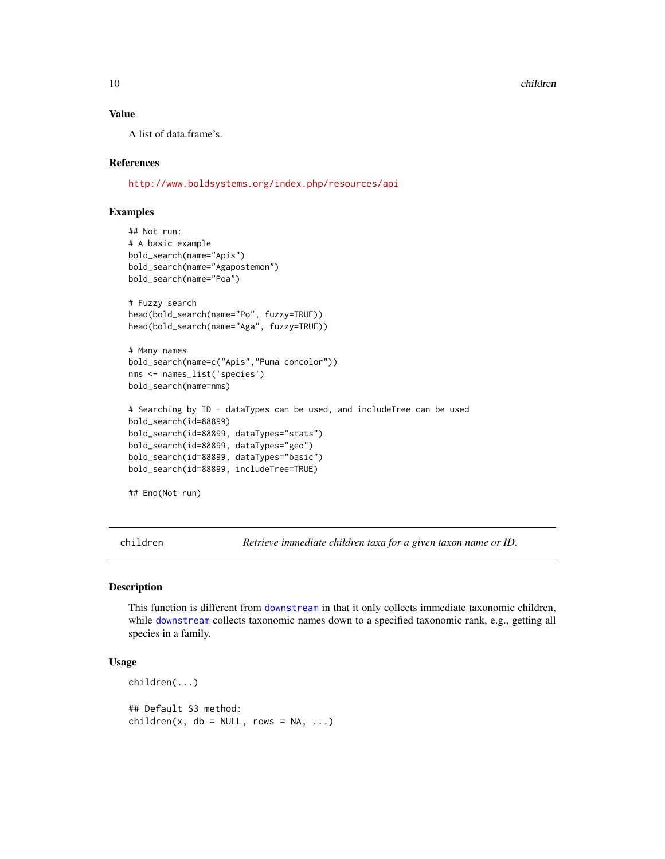### 10 children children children children children children children children children children children children

### Value

A list of data.frame's.

### References

<http://www.boldsystems.org/index.php/resources/api>

# Examples

```
## Not run:
# A basic example
bold_search(name="Apis")
bold_search(name="Agapostemon")
bold_search(name="Poa")
# Fuzzy search
head(bold_search(name="Po", fuzzy=TRUE))
head(bold_search(name="Aga", fuzzy=TRUE))
# Many names
bold_search(name=c("Apis","Puma concolor"))
nms <- names_list('species')
bold_search(name=nms)
# Searching by ID - dataTypes can be used, and includeTree can be used
bold_search(id=88899)
bold_search(id=88899, dataTypes="stats")
bold_search(id=88899, dataTypes="geo")
bold_search(id=88899, dataTypes="basic")
bold_search(id=88899, includeTree=TRUE)
## End(Not run)
```
children *Retrieve immediate children taxa for a given taxon name or ID.*

### Description

This function is different from [downstream](#page-24-1) in that it only collects immediate taxonomic children, while [downstream](#page-24-1) collects taxonomic names down to a specified taxonomic rank, e.g., getting all species in a family.

# Usage

```
children(...)
## Default S3 method:
children(x, db = NULL, rows = NA, ...)
```
<span id="page-9-0"></span>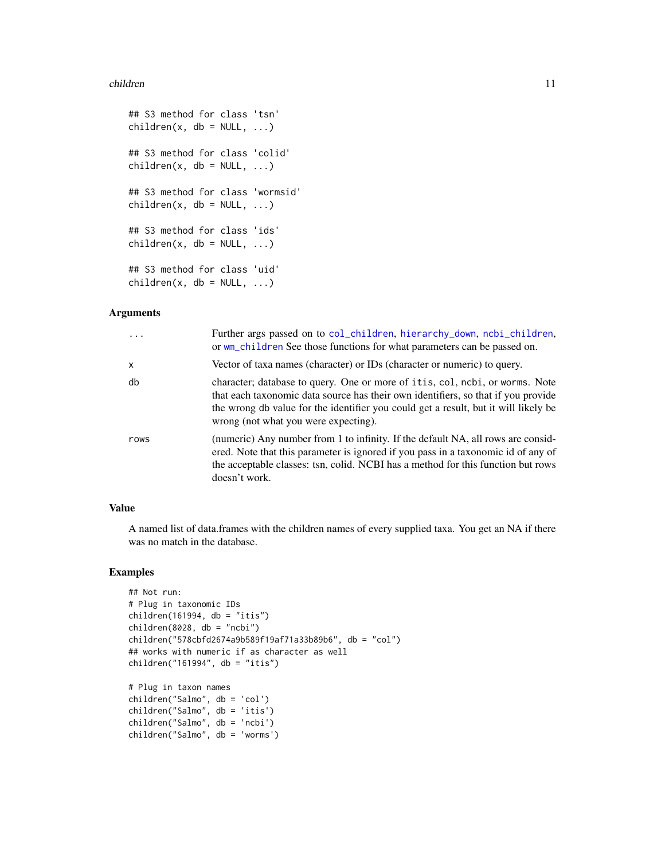### children 11

```
## S3 method for class 'tsn'
children(x, db = NULL, ...)## S3 method for class 'colid'
children(x, db = NULL, ...)## S3 method for class 'wormsid'
children(x, db = NULL, ...)## S3 method for class 'ids'
children(x, db = NULL, ...)## S3 method for class 'uid'
children(x, db = NULL, ...)
```
# Arguments

| .            | Further args passed on to col_children, hierarchy_down, ncbi_children,<br>or wm_children See those functions for what parameters can be passed on.                                                                                                                                               |
|--------------|--------------------------------------------------------------------------------------------------------------------------------------------------------------------------------------------------------------------------------------------------------------------------------------------------|
| $\mathsf{x}$ | Vector of taxa names (character) or IDs (character or numeric) to query.                                                                                                                                                                                                                         |
| db           | character; database to query. One or more of itis, col, ncbi, or worms. Note<br>that each taxonomic data source has their own identifiers, so that if you provide<br>the wrong db value for the identifier you could get a result, but it will likely be<br>wrong (not what you were expecting). |
| rows         | (numeric) Any number from 1 to infinity. If the default NA, all rows are consid-<br>ered. Note that this parameter is ignored if you pass in a taxonomic id of any of<br>the acceptable classes: tsn, colid. NCBI has a method for this function but rows<br>doesn't work.                       |

# Value

A named list of data.frames with the children names of every supplied taxa. You get an NA if there was no match in the database.

# Examples

```
## Not run:
# Plug in taxonomic IDs
children(161994, db = "itis")children(8028, db = "ncbi")
children("578cbfd2674a9b589f19af71a33b89b6", db = "col")
## works with numeric if as character as well
children("161994", db = "itis")
# Plug in taxon names
children("Salmo", db = 'col')
children("Salmo", db = 'itis')
children("Salmo", db = 'ncbi')
children("Salmo", db = 'worms')
```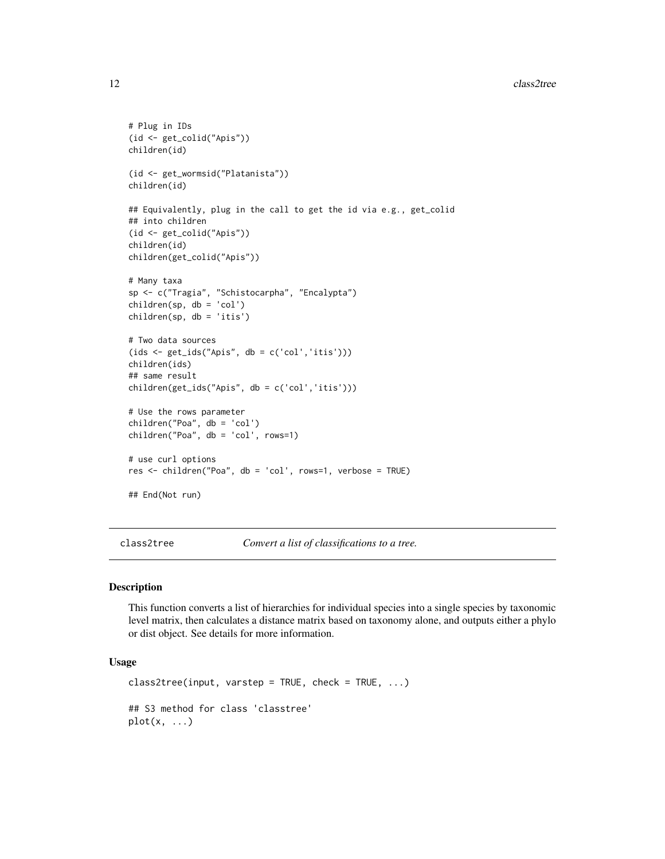```
# Plug in IDs
(id <- get_colid("Apis"))
children(id)
(id <- get_wormsid("Platanista"))
children(id)
## Equivalently, plug in the call to get the id via e.g., get_colid
## into children
(id <- get_colid("Apis"))
children(id)
children(get_colid("Apis"))
# Many taxa
sp <- c("Tragia", "Schistocarpha", "Encalypta")
children(sp, db = 'col')
children(sp, db = 'itis')
# Two data sources
(ids <- get_ids("Apis", db = c('col','itis')))
children(ids)
## same result
children(get_ids("Apis", db = c('col','itis')))
# Use the rows parameter
children("Poa", db = 'col')
children("Poa", db = 'col', rows=1)
# use curl options
res <- children("Poa", db = 'col', rows=1, verbose = TRUE)
## End(Not run)
```
class2tree *Convert a list of classifications to a tree.*

### Description

This function converts a list of hierarchies for individual species into a single species by taxonomic level matrix, then calculates a distance matrix based on taxonomy alone, and outputs either a phylo or dist object. See details for more information.

# Usage

```
class2tree(input, varstep = TRUE, check = TRUE, \ldots)
## S3 method for class 'classtree'
plot(x, \ldots)
```
<span id="page-11-0"></span>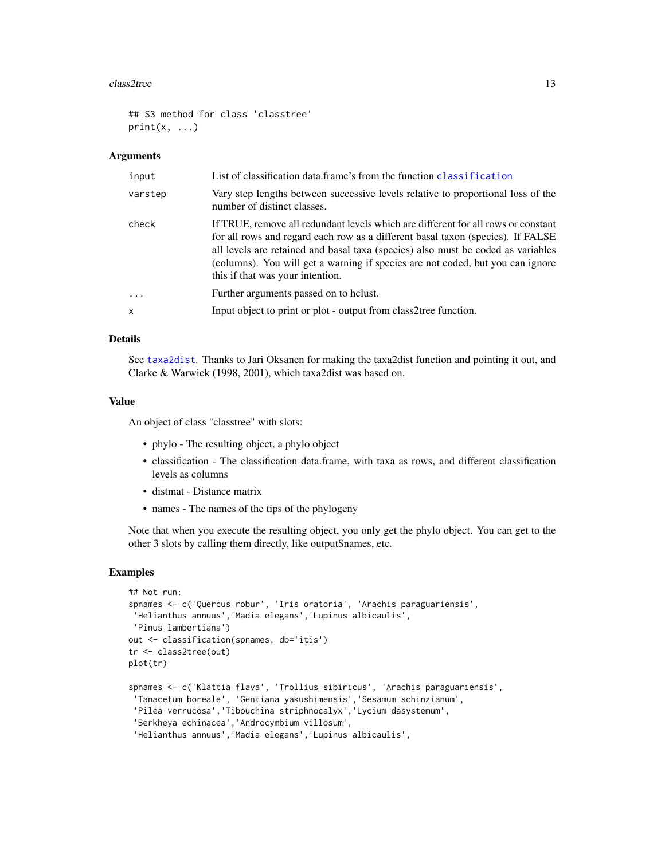### $\frac{13}{2}$  class2tree 13

```
## S3 method for class 'classtree'
print(x, \ldots)
```
### Arguments

| input                   | List of classification data frame's from the function classification                                                                                                                                                                                                                                                                                                           |
|-------------------------|--------------------------------------------------------------------------------------------------------------------------------------------------------------------------------------------------------------------------------------------------------------------------------------------------------------------------------------------------------------------------------|
| varstep                 | Vary step lengths between successive levels relative to proportional loss of the<br>number of distinct classes.                                                                                                                                                                                                                                                                |
| check                   | If TRUE, remove all redundant levels which are different for all rows or constant<br>for all rows and regard each row as a different basal taxon (species). If FALSE<br>all levels are retained and basal taxa (species) also must be coded as variables<br>(columns). You will get a warning if species are not coded, but you can ignore<br>this if that was your intention. |
| $\cdot$ $\cdot$ $\cdot$ | Further arguments passed on to holust.                                                                                                                                                                                                                                                                                                                                         |
| $\mathsf{x}$            | Input object to print or plot - output from class2tree function.                                                                                                                                                                                                                                                                                                               |

# Details

See [taxa2dist](#page-0-0). Thanks to Jari Oksanen for making the taxa2dist function and pointing it out, and Clarke & Warwick (1998, 2001), which taxa2dist was based on.

# Value

An object of class "classtree" with slots:

- phylo The resulting object, a phylo object
- classification The classification data.frame, with taxa as rows, and different classification levels as columns
- distmat Distance matrix
- names The names of the tips of the phylogeny

Note that when you execute the resulting object, you only get the phylo object. You can get to the other 3 slots by calling them directly, like output\$names, etc.

# Examples

```
## Not run:
spnames <- c('Quercus robur', 'Iris oratoria', 'Arachis paraguariensis',
'Helianthus annuus','Madia elegans','Lupinus albicaulis',
'Pinus lambertiana')
out <- classification(spnames, db='itis')
tr <- class2tree(out)
plot(tr)
spnames <- c('Klattia flava', 'Trollius sibiricus', 'Arachis paraguariensis',
 'Tanacetum boreale', 'Gentiana yakushimensis','Sesamum schinzianum',
 'Pilea verrucosa','Tibouchina striphnocalyx','Lycium dasystemum',
 'Berkheya echinacea','Androcymbium villosum',
 'Helianthus annuus','Madia elegans','Lupinus albicaulis',
```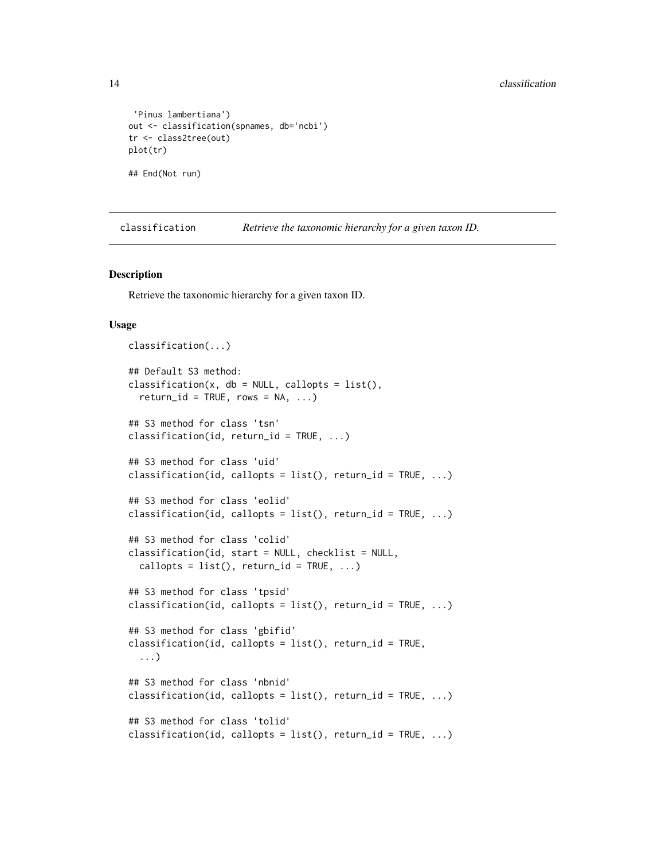```
'Pinus lambertiana')
out <- classification(spnames, db='ncbi')
tr <- class2tree(out)
plot(tr)
## End(Not run)
```
<span id="page-13-1"></span>classification *Retrieve the taxonomic hierarchy for a given taxon ID.*

### Description

Retrieve the taxonomic hierarchy for a given taxon ID.

### Usage

```
classification(...)
## Default S3 method:
classification(x, db = NULL, callopts = list(),
  return_id = TRUE, rows = NA, ...)## S3 method for class 'tsn'
classification(id, return_id = TRUE, \ldots)
## S3 method for class 'uid'
classification(id, callopts = list(), return_id = TRUE, \dots)
## S3 method for class 'eolid'
classification(id, callopts = list(), return_id = TRUE, \dots)
## S3 method for class 'colid'
classification(id, start = NULL, checklist = NULL,
  callopts = list(), return_id = TRUE, ...)
## S3 method for class 'tpsid'
classification(id, callopts = list(), return_id = TRUE, \ldots)
## S3 method for class 'gbifid'
classification(id, callopts = list(), return_id = TRUE,
  ...)
## S3 method for class 'nbnid'
classification(id, callopts = list(), return_id = TRUE, \ldots)
## S3 method for class 'tolid'
classification(id, callopts = list(), return_id = TRUE, \dots)
```
<span id="page-13-0"></span>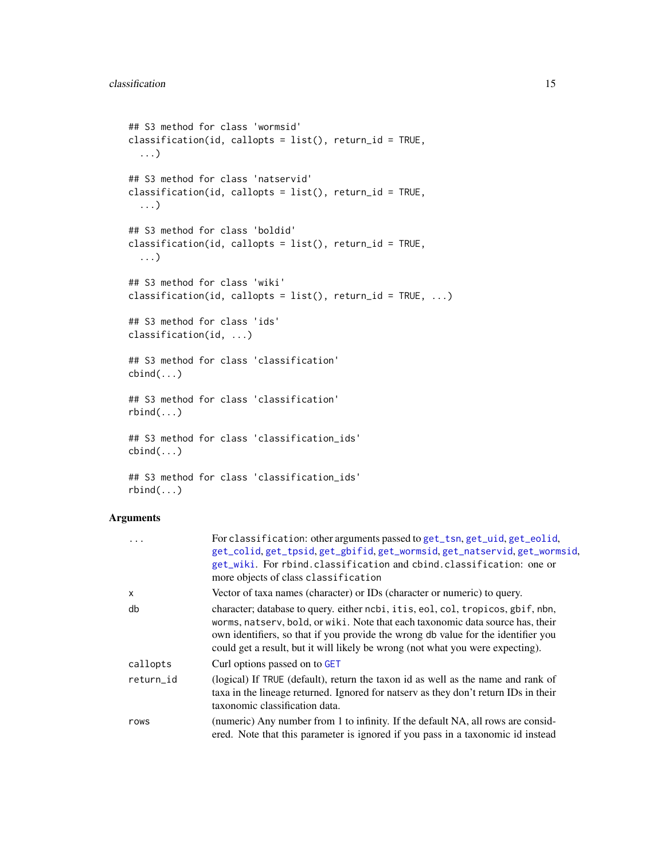```
## S3 method for class 'wormsid'
classification(id, callopts = list(), return_id = TRUE,
  ...)
## S3 method for class 'natservid'
classification(id, callopts = list(), return_id = TRUE,
  ...)
## S3 method for class 'boldid'
classification(id, callopts = list(), return_id = TRUE,
  ...)
## S3 method for class 'wiki'
classification(id, callopts = list(), return_id = TRUE, \dots)
## S3 method for class 'ids'
classification(id, ...)
## S3 method for class 'classification'
cbind(...)## S3 method for class 'classification'
rbind(...)
## S3 method for class 'classification_ids'
cbind(...)## S3 method for class 'classification_ids'
```
# rbind(...)

| $\ddots$     | For classification: other arguments passed to get_tsn, get_uid, get_eolid,<br>get_colid, get_tpsid, get_gbifid, get_wormsid, get_natservid, get_wormsid,<br>get_wiki. For rbind.classification and cbind.classification: one or<br>more objects of class classification                                                                   |
|--------------|-------------------------------------------------------------------------------------------------------------------------------------------------------------------------------------------------------------------------------------------------------------------------------------------------------------------------------------------|
| $\mathsf{x}$ | Vector of taxa names (character) or IDs (character or numeric) to query.                                                                                                                                                                                                                                                                  |
| db           | character; database to query. either ncbi, it is, eol, col, tropicos, gbif, nbn,<br>worms, natsery, bold, or wiki. Note that each taxonomic data source has, their<br>own identifiers, so that if you provide the wrong db value for the identifier you<br>could get a result, but it will likely be wrong (not what you were expecting). |
| callopts     | Curl options passed on to GET                                                                                                                                                                                                                                                                                                             |
| return id    | (logical) If TRUE (default), return the taxon id as well as the name and rank of<br>taxa in the lineage returned. Ignored for natserv as they don't return IDs in their<br>taxonomic classification data.                                                                                                                                 |
| rows         | (numeric) Any number from 1 to infinity. If the default NA, all rows are consid-<br>ered. Note that this parameter is ignored if you pass in a taxonomic id instead                                                                                                                                                                       |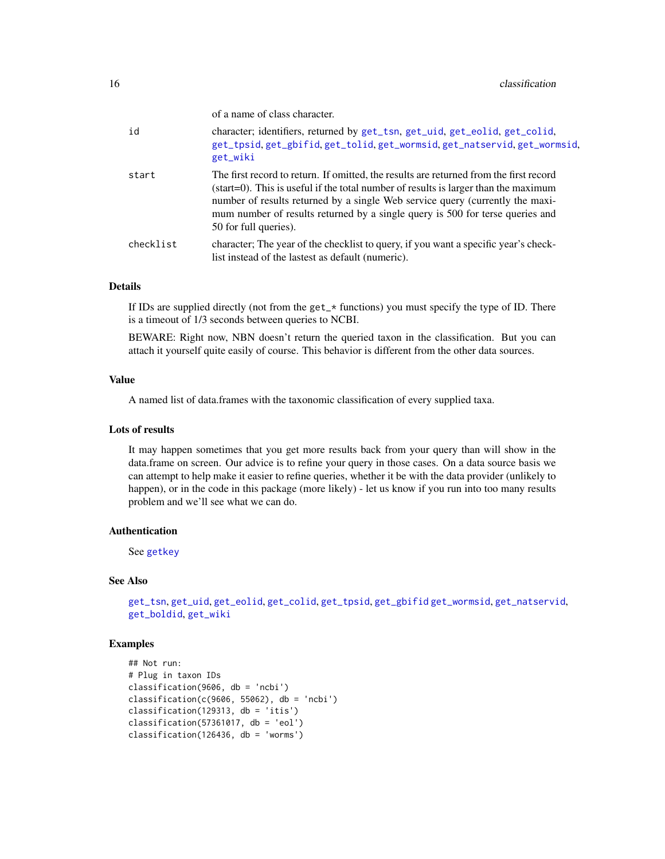of a name of class character.

| id        | character; identifiers, returned by get_tsn, get_uid, get_eolid, get_colid,<br>get_tpsid, get_gbifid, get_tolid, get_wormsid, get_natservid, get_wormsid,<br>get_wiki                                                                                                                                                                                                              |
|-----------|------------------------------------------------------------------------------------------------------------------------------------------------------------------------------------------------------------------------------------------------------------------------------------------------------------------------------------------------------------------------------------|
| start     | The first record to return. If omitted, the results are returned from the first record<br>$(\text{start}=0)$ . This is useful if the total number of results is larger than the maximum<br>number of results returned by a single Web service query (currently the maxi-<br>mum number of results returned by a single query is 500 for terse queries and<br>50 for full queries). |
| checklist | character; The year of the checklist to query, if you want a specific year's check-<br>list instead of the lastest as default (numeric).                                                                                                                                                                                                                                           |

# Details

If IDs are supplied directly (not from the get\_\* functions) you must specify the type of ID. There is a timeout of 1/3 seconds between queries to NCBI.

BEWARE: Right now, NBN doesn't return the queried taxon in the classification. But you can attach it yourself quite easily of course. This behavior is different from the other data sources.

# Value

A named list of data.frames with the taxonomic classification of every supplied taxa.

### Lots of results

It may happen sometimes that you get more results back from your query than will show in the data.frame on screen. Our advice is to refine your query in those cases. On a data source basis we can attempt to help make it easier to refine queries, whether it be with the data provider (unlikely to happen), or in the code in this package (more likely) - let us know if you run into too many results problem and we'll see what we can do.

# Authentication

See [getkey](#page-41-2)

# See Also

[get\\_tsn](#page-70-1), [get\\_uid](#page-74-1), [get\\_eolid](#page-48-1), [get\\_colid](#page-45-1), [get\\_tpsid](#page-67-1), [get\\_gbifid](#page-51-1) [get\\_wormsid](#page-80-1), [get\\_natservid](#page-59-1), [get\\_boldid](#page-42-1), [get\\_wiki](#page-78-1)

### Examples

```
## Not run:
# Plug in taxon IDs
classification(9606, db = 'ncbi')
classification(c(9606, 55062), db = 'ncbi')classification(129313, db = 'itis')classification(57361017, db = 'eol')classification(126436, db = 'worms')
```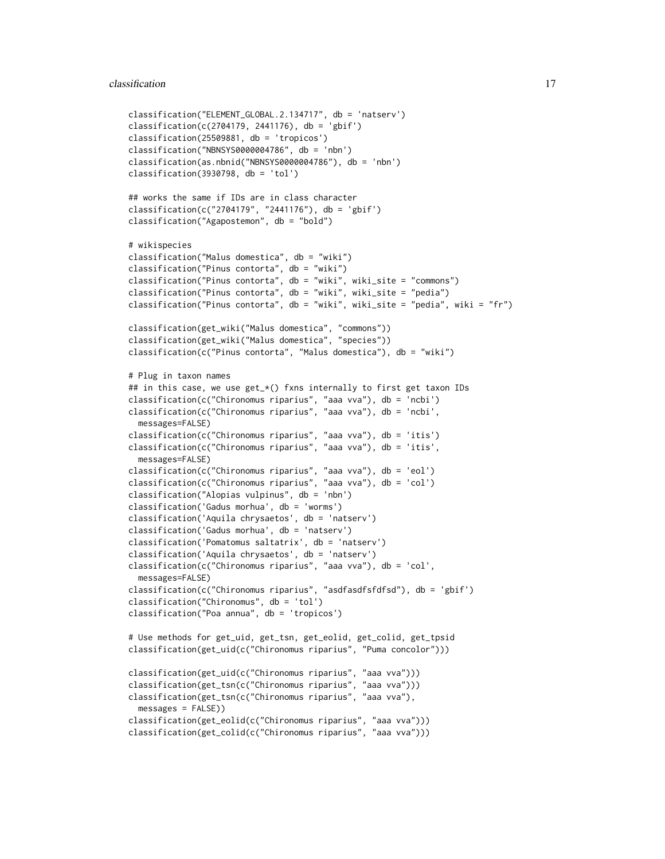### classification 17

```
classification("ELEMENT_GLOBAL.2.134717", db = 'natserv')
classification(c(2704179, 2441176), db = 'gbif')
classification(25509881, db = 'tropicos')
classification("NBNSYS0000004786", db = 'nbn')
classification(as.nbnid("NBNSYS0000004786"), db = 'nbn')
classification(3930798, db = 'tol')## works the same if IDs are in class character
classification(c("2704179", "2441176"), db = 'gbif')
classification("Agapostemon", db = "bold")
# wikispecies
classification("Malus domestica", db = "wiki")
classification("Pinus contorta", db = "wiki")
classification("Pinus contorta", db = "wiki", wiki_site = "commons")
classification("Pinus contorta", db = "wiki", wiki_site = "pedia")
classification("Pinus contorta", db = "wiki", wiki_site = "pedia", wiki = "fr")
classification(get_wiki("Malus domestica", "commons"))
classification(get_wiki("Malus domestica", "species"))
classification(c("Pinus contorta", "Malus domestica"), db = "wiki")
# Plug in taxon names
## in this case, we use get_*() fxns internally to first get taxon IDs
classification(c("Chironomus riparius", "aaa vva"), db = 'ncbi')
classification(c("Chironomus riparius", "aaa vva"), db = 'ncbi',
 messages=FALSE)
classification(c("Chironomus riparius", "aaa vva"), db = 'itis')
classification(c("Chironomus riparius", "aaa vva"), db = 'itis',
 messages=FALSE)
classification(c("Chironomus riparius", "aaa vva"), db = 'eol')
classification(c("Chironomus riparius", "aaa vva"), db = 'col')
classification("Alopias vulpinus", db = 'nbn')
classification('Gadus morhua', db = 'worms')
classification('Aquila chrysaetos', db = 'natserv')
classification('Gadus morhua', db = 'natserv')
classification('Pomatomus saltatrix', db = 'natserv')
classification('Aquila chrysaetos', db = 'natserv')
classification(c("Chironomus riparius", "aaa vva"), db = 'col',
 messages=FALSE)
classification(c("Chironomus riparius", "asdfasdfsfdfsd"), db = 'gbif')
classification("Chironomus", db = 'tol')
classification("Poa annua", db = 'tropicos')
# Use methods for get_uid, get_tsn, get_eolid, get_colid, get_tpsid
classification(get_uid(c("Chironomus riparius", "Puma concolor")))
classification(get_uid(c("Chironomus riparius", "aaa vva")))
classification(get_tsn(c("Chironomus riparius", "aaa vva")))
classification(get_tsn(c("Chironomus riparius", "aaa vva"),
 messages = FALSE))
classification(get_eolid(c("Chironomus riparius", "aaa vva")))
classification(get_colid(c("Chironomus riparius", "aaa vva")))
```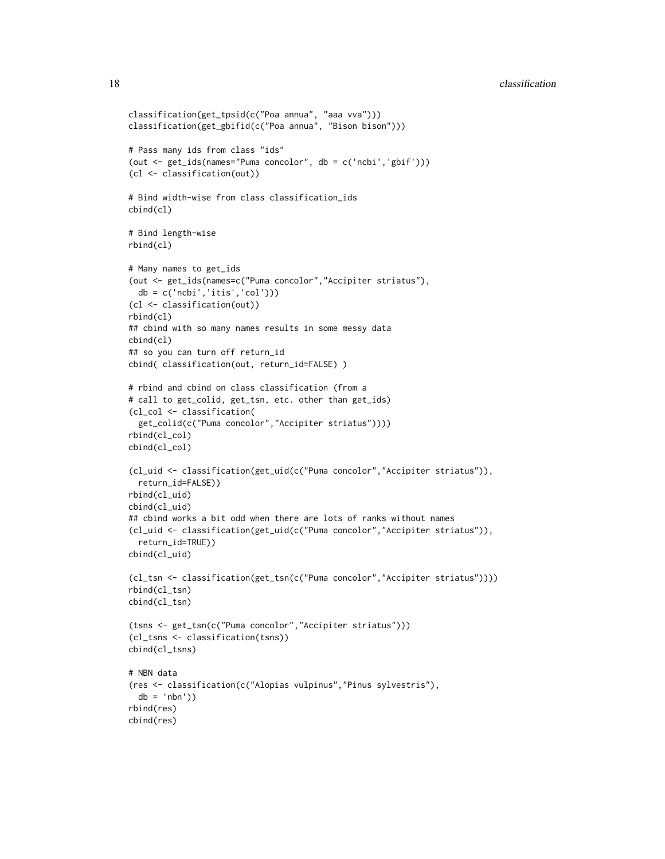```
classification(get_tpsid(c("Poa annua", "aaa vva")))
classification(get_gbifid(c("Poa annua", "Bison bison")))
# Pass many ids from class "ids"
(out <- get_ids(names="Puma concolor", db = c('ncbi','gbif')))
(cl <- classification(out))
# Bind width-wise from class classification_ids
cbind(cl)
# Bind length-wise
rbind(cl)
# Many names to get_ids
(out <- get_ids(names=c("Puma concolor","Accipiter striatus"),
  db = c('ncbi','itis','col')))
(cl <- classification(out))
rbind(cl)
## cbind with so many names results in some messy data
cbind(cl)
## so you can turn off return_id
cbind( classification(out, return_id=FALSE) )
# rbind and cbind on class classification (from a
# call to get_colid, get_tsn, etc. other than get_ids)
(cl_col <- classification(
  get_colid(c("Puma concolor","Accipiter striatus"))))
rbind(cl_col)
cbind(cl_col)
(cl_uid <- classification(get_uid(c("Puma concolor","Accipiter striatus")),
  return_id=FALSE))
rbind(cl_uid)
cbind(cl_uid)
## cbind works a bit odd when there are lots of ranks without names
(cl_uid <- classification(get_uid(c("Puma concolor","Accipiter striatus")),
  return_id=TRUE))
cbind(cl_uid)
(cl_tsn <- classification(get_tsn(c("Puma concolor","Accipiter striatus"))))
rbind(cl_tsn)
cbind(cl_tsn)
(tsns <- get_tsn(c("Puma concolor","Accipiter striatus")))
(cl_tsns <- classification(tsns))
cbind(cl_tsns)
# NBN data
(res <- classification(c("Alopias vulpinus","Pinus sylvestris"),
  db = 'nbn')rbind(res)
cbind(res)
```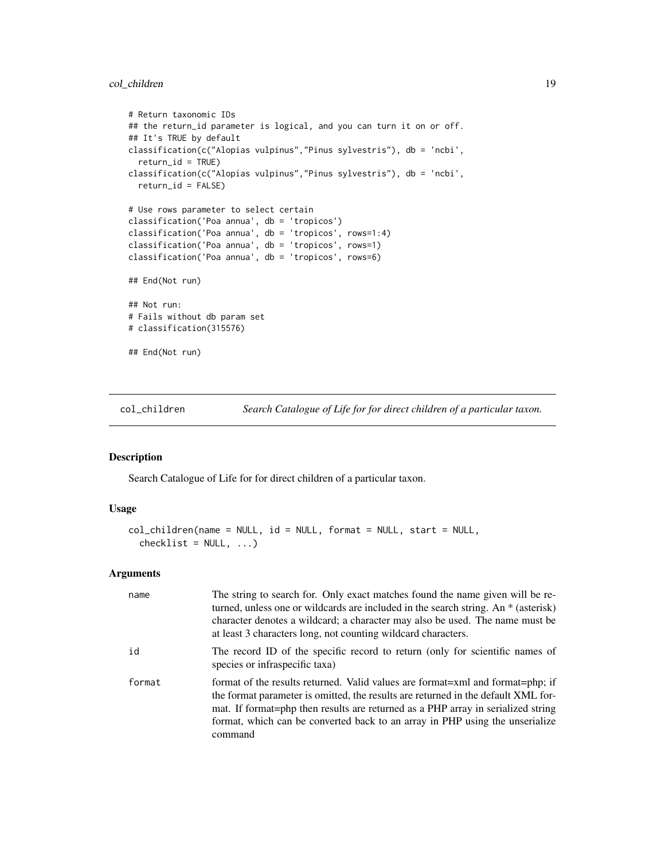# <span id="page-18-0"></span>col\_children 19

```
# Return taxonomic IDs
## the return_id parameter is logical, and you can turn it on or off.
## It's TRUE by default
classification(c("Alopias vulpinus","Pinus sylvestris"), db = 'ncbi',
  return_id = TRUE)
classification(c("Alopias vulpinus","Pinus sylvestris"), db = 'ncbi',
  return_id = FALSE)
# Use rows parameter to select certain
classification('Poa annua', db = 'tropicos')
classification('Poa annua', db = 'tropicos', rows=1:4)
classification('Poa annua', db = 'tropicos', rows=1)
classification('Poa annua', db = 'tropicos', rows=6)
## End(Not run)
## Not run:
# Fails without db param set
# classification(315576)
## End(Not run)
```
<span id="page-18-1"></span>col\_children *Search Catalogue of Life for for direct children of a particular taxon.*

### Description

Search Catalogue of Life for for direct children of a particular taxon.

### Usage

```
col_children(name = NULL, id = NULL, format = NULL, start = NULL,
  checklist = NULL, ...)
```

| name   | The string to search for. Only exact matches found the name given will be re-<br>turned, unless one or wildcards are included in the search string. An * (asterisk)<br>character denotes a wildcard; a character may also be used. The name must be<br>at least 3 characters long, not counting wildcard characters.                               |
|--------|----------------------------------------------------------------------------------------------------------------------------------------------------------------------------------------------------------------------------------------------------------------------------------------------------------------------------------------------------|
| id     | The record ID of the specific record to return (only for scientific names of<br>species or infraspecific taxa)                                                                                                                                                                                                                                     |
| format | format of the results returned. Valid values are format=xml and format=php; if<br>the format parameter is omitted, the results are returned in the default XML for-<br>mat. If format=php then results are returned as a PHP array in serialized string<br>format, which can be converted back to an array in PHP using the unserialize<br>command |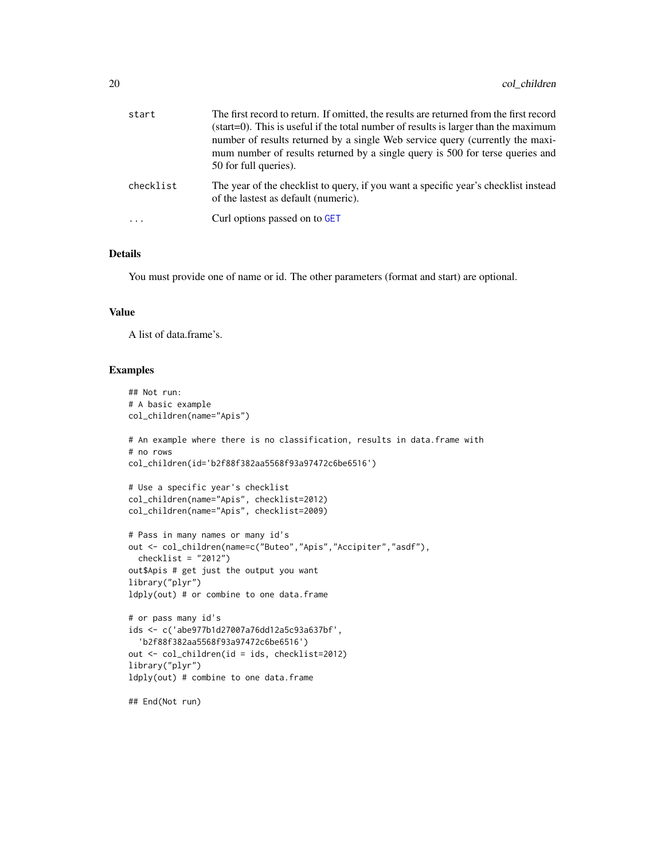| start     | The first record to return. If omitted, the results are returned from the first record<br>(start=0). This is useful if the total number of results is larger than the maximum<br>number of results returned by a single Web service query (currently the maxi-<br>mum number of results returned by a single query is 500 for terse queries and<br>50 for full queries). |
|-----------|--------------------------------------------------------------------------------------------------------------------------------------------------------------------------------------------------------------------------------------------------------------------------------------------------------------------------------------------------------------------------|
| checklist | The year of the checklist to query, if you want a specific year's checklist instead<br>of the lastest as default (numeric).                                                                                                                                                                                                                                              |
|           | Curl options passed on to GET                                                                                                                                                                                                                                                                                                                                            |

# Details

You must provide one of name or id. The other parameters (format and start) are optional.

### Value

A list of data.frame's.

# Examples

```
## Not run:
# A basic example
col_children(name="Apis")
# An example where there is no classification, results in data.frame with
# no rows
col_children(id='b2f88f382aa5568f93a97472c6be6516')
# Use a specific year's checklist
col_children(name="Apis", checklist=2012)
col_children(name="Apis", checklist=2009)
# Pass in many names or many id's
out <- col_children(name=c("Buteo","Apis","Accipiter","asdf"),
  checklist = "2012")
out$Apis # get just the output you want
library("plyr")
ldply(out) # or combine to one data.frame
# or pass many id's
ids <- c('abe977b1d27007a76dd12a5c93a637bf',
  'b2f88f382aa5568f93a97472c6be6516')
out <- col_children(id = ids, checklist=2012)
library("plyr")
ldply(out) # combine to one data.frame
```
## End(Not run)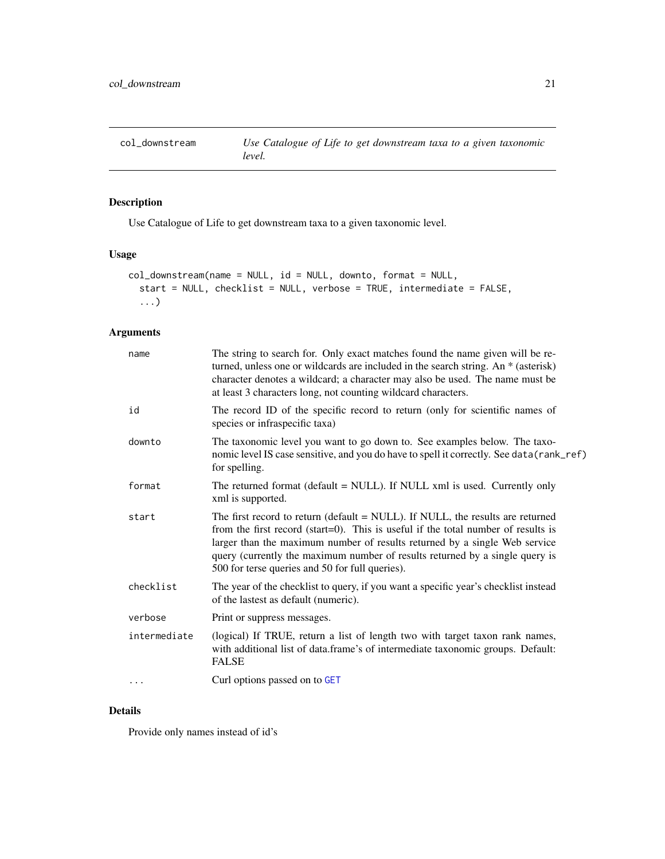<span id="page-20-0"></span>col\_downstream *Use Catalogue of Life to get downstream taxa to a given taxonomic level.*

# Description

Use Catalogue of Life to get downstream taxa to a given taxonomic level.

# Usage

```
col_downstream(name = NULL, id = NULL, downto, format = NULL,
  start = NULL, checklist = NULL, verbose = TRUE, intermediate = FALSE,
  ...)
```
# Arguments

| name         | The string to search for. Only exact matches found the name given will be re-<br>turned, unless one or wildcards are included in the search string. An * (asterisk)<br>character denotes a wildcard; a character may also be used. The name must be<br>at least 3 characters long, not counting wildcard characters.                                                                 |
|--------------|--------------------------------------------------------------------------------------------------------------------------------------------------------------------------------------------------------------------------------------------------------------------------------------------------------------------------------------------------------------------------------------|
| id           | The record ID of the specific record to return (only for scientific names of<br>species or infraspecific taxa)                                                                                                                                                                                                                                                                       |
| downto       | The taxonomic level you want to go down to. See examples below. The taxo-<br>nomic level IS case sensitive, and you do have to spell it correctly. See data (rank_ref)<br>for spelling.                                                                                                                                                                                              |
| format       | The returned format (default = NULL). If NULL xml is used. Currently only<br>xml is supported.                                                                                                                                                                                                                                                                                       |
| start        | The first record to return (default = NULL). If NULL, the results are returned<br>from the first record (start=0). This is useful if the total number of results is<br>larger than the maximum number of results returned by a single Web service<br>query (currently the maximum number of results returned by a single query is<br>500 for terse queries and 50 for full queries). |
| checklist    | The year of the checklist to query, if you want a specific year's checklist instead<br>of the lastest as default (numeric).                                                                                                                                                                                                                                                          |
| verbose      | Print or suppress messages.                                                                                                                                                                                                                                                                                                                                                          |
| intermediate | (logical) If TRUE, return a list of length two with target taxon rank names,<br>with additional list of data.frame's of intermediate taxonomic groups. Default:<br><b>FALSE</b>                                                                                                                                                                                                      |
| .            | Curl options passed on to GET                                                                                                                                                                                                                                                                                                                                                        |
|              |                                                                                                                                                                                                                                                                                                                                                                                      |

# Details

Provide only names instead of id's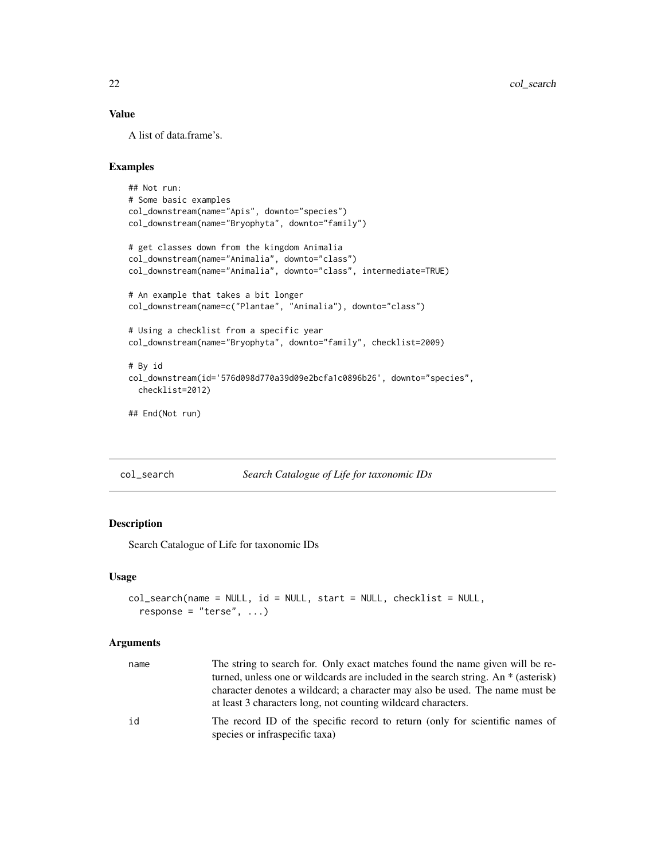# <span id="page-21-0"></span>Value

A list of data.frame's.

# Examples

```
## Not run:
# Some basic examples
col_downstream(name="Apis", downto="species")
col_downstream(name="Bryophyta", downto="family")
# get classes down from the kingdom Animalia
col_downstream(name="Animalia", downto="class")
col_downstream(name="Animalia", downto="class", intermediate=TRUE)
# An example that takes a bit longer
col_downstream(name=c("Plantae", "Animalia"), downto="class")
# Using a checklist from a specific year
col_downstream(name="Bryophyta", downto="family", checklist=2009)
# By id
col_downstream(id='576d098d770a39d09e2bcfa1c0896b26', downto="species",
  checklist=2012)
```
## End(Not run)

#### col\_search *Search Catalogue of Life for taxonomic IDs*

### Description

Search Catalogue of Life for taxonomic IDs

### Usage

```
col_search(name = NULL, id = NULL, start = NULL, checklist = NULL,
  response = "terse", \ldots)
```

| name | The string to search for. Only exact matches found the name given will be re-<br>turned, unless one or wildcards are included in the search string. An * (asterisk) |
|------|---------------------------------------------------------------------------------------------------------------------------------------------------------------------|
|      | character denotes a wildcard; a character may also be used. The name must be<br>at least 3 characters long, not counting wildcard characters.                       |
| id   | The record ID of the specific record to return (only for scientific names of<br>species or infraspecific taxa)                                                      |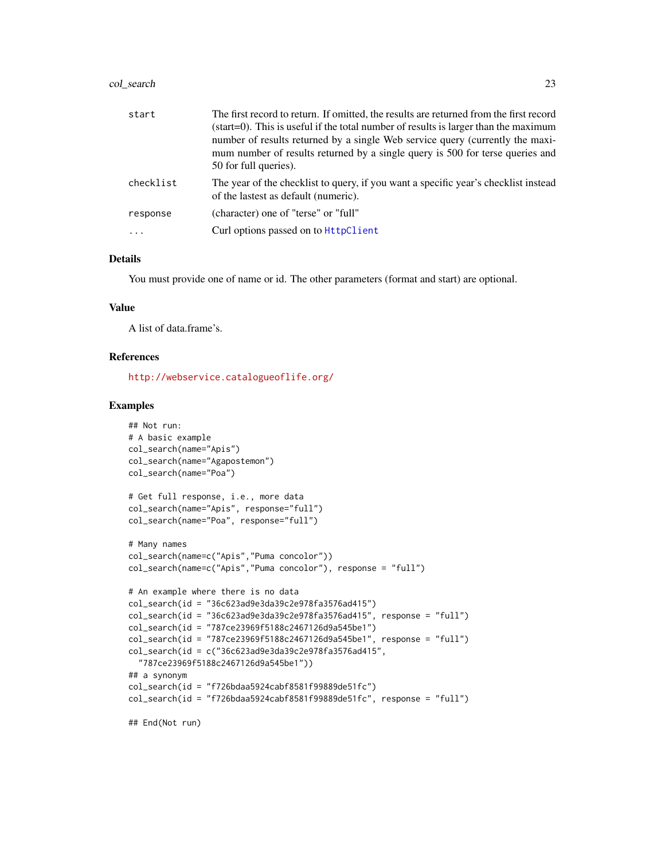### col\_search 23

| start     | The first record to return. If omitted, the results are returned from the first record<br>(start=0). This is useful if the total number of results is larger than the maximum<br>number of results returned by a single Web service query (currently the maxi-<br>mum number of results returned by a single query is 500 for terse queries and |
|-----------|-------------------------------------------------------------------------------------------------------------------------------------------------------------------------------------------------------------------------------------------------------------------------------------------------------------------------------------------------|
|           | 50 for full queries).                                                                                                                                                                                                                                                                                                                           |
| checklist | The year of the checklist to query, if you want a specific year's checklist instead<br>of the lastest as default (numeric).                                                                                                                                                                                                                     |
| response  | (character) one of "terse" or "full"                                                                                                                                                                                                                                                                                                            |
| $\cdot$   | Curl options passed on to HttpClient                                                                                                                                                                                                                                                                                                            |

# Details

You must provide one of name or id. The other parameters (format and start) are optional.

# Value

A list of data.frame's.

# References

<http://webservice.catalogueoflife.org/>

### Examples

```
## Not run:
# A basic example
col_search(name="Apis")
col_search(name="Agapostemon")
col_search(name="Poa")
# Get full response, i.e., more data
col_search(name="Apis", response="full")
col_search(name="Poa", response="full")
# Many names
col_search(name=c("Apis","Puma concolor"))
col_search(name=c("Apis","Puma concolor"), response = "full")
# An example where there is no data
col_search(id = "36c623ad9e3da39c2e978fa3576ad415")
col_search(id = "36c623ad9e3da39c2e978fa3576ad415", response = "full")
col_search(id = "787ce23969f5188c2467126d9a545be1")
col_search(id = "787ce23969f5188c2467126d9a545be1", response = "full")
col\_search(id = c("36c623ad9e3da39c2e978fa3576ad415","787ce23969f5188c2467126d9a545be1"))
## a synonym
col\_search(id = "f726bdaa5924cabf8581f99889de51fc")col_search(id = "f726bdaa5924cabf8581f99889de51fc", response = "full")
## End(Not run)
```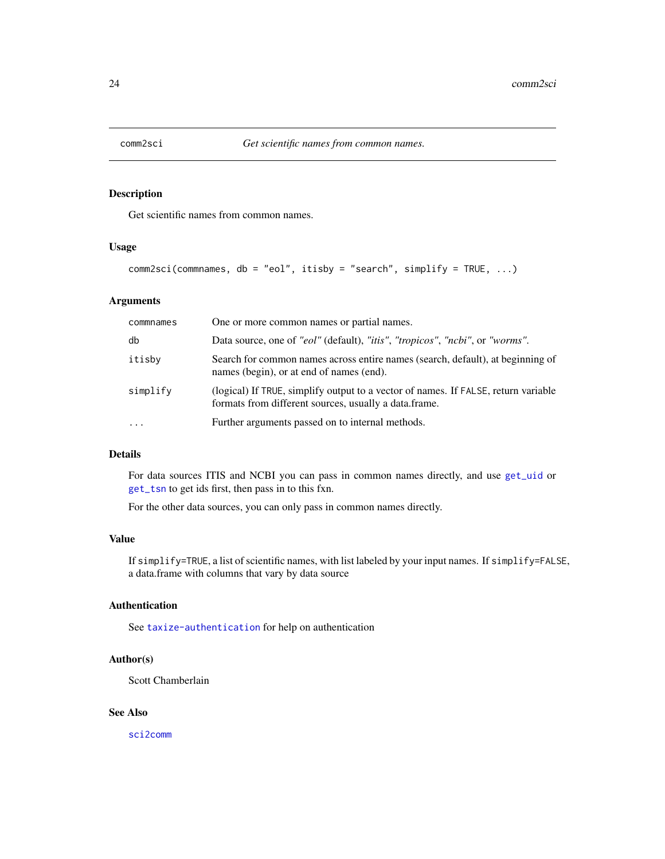<span id="page-23-0"></span>

# Description

Get scientific names from common names.

# Usage

```
comm2sci(commnames, db = "eol", itisby = "search", simplify = TRUE, ...)
```
# Arguments

| commnames | One or more common names or partial names.                                                                                                  |
|-----------|---------------------------------------------------------------------------------------------------------------------------------------------|
| db        | Data source, one of "eol" (default), "itis", "tropicos", "ncbi", or "worms".                                                                |
| itisby    | Search for common names across entire names (search, default), at beginning of<br>names (begin), or at end of names (end).                  |
| simplify  | (logical) If TRUE, simplify output to a vector of names. If FALSE, return variable<br>formats from different sources, usually a data.frame. |
| $\ddotsc$ | Further arguments passed on to internal methods.                                                                                            |

# Details

For data sources ITIS and NCBI you can pass in common names directly, and use [get\\_uid](#page-74-1) or [get\\_tsn](#page-70-1) to get ids first, then pass in to this fxn.

For the other data sources, you can only pass in common names directly.

### Value

If simplify=TRUE, a list of scientific names, with list labeled by your input names. If simplify=FALSE, a data.frame with columns that vary by data source

# Authentication

See [taxize-authentication](#page-41-1) for help on authentication

# Author(s)

Scott Chamberlain

### See Also

[sci2comm](#page-127-1)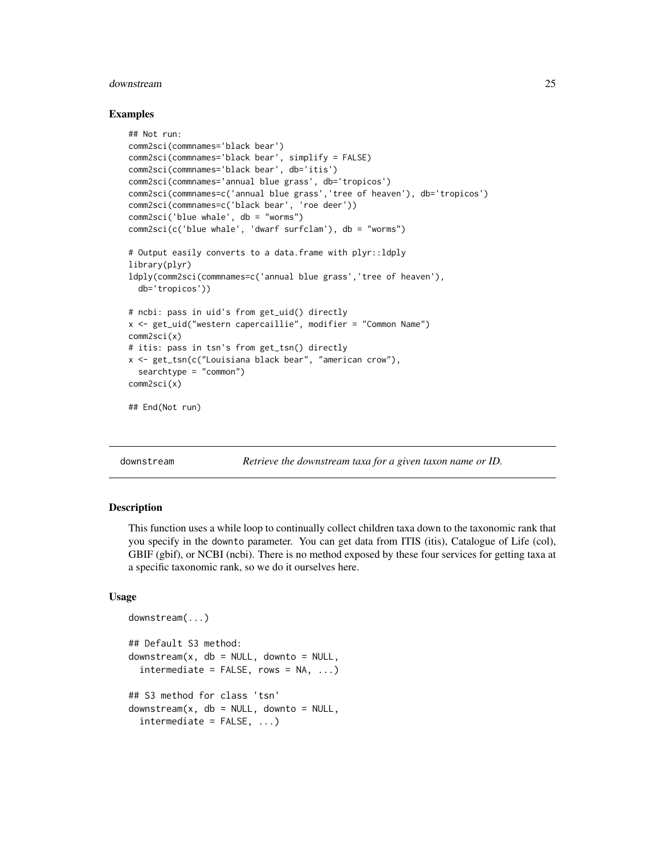### <span id="page-24-0"></span>downstream 25

### Examples

```
## Not run:
comm2sci(commnames='black bear')
comm2sci(commnames='black bear', simplify = FALSE)
comm2sci(commnames='black bear', db='itis')
comm2sci(commnames='annual blue grass', db='tropicos')
comm2sci(commnames=c('annual blue grass','tree of heaven'), db='tropicos')
comm2sci(commnames=c('black bear', 'roe deer'))
comm2sci('blue whale', db = "worms")
comm2sci(c('blue whale', 'dwarf surfclam'), db = "worms")
# Output easily converts to a data.frame with plyr::ldply
library(plyr)
ldply(comm2sci(commnames=c('annual blue grass','tree of heaven'),
  db='tropicos'))
# ncbi: pass in uid's from get_uid() directly
x <- get_uid("western capercaillie", modifier = "Common Name")
comm2sci(x)
# itis: pass in tsn's from get_tsn() directly
x <- get_tsn(c("Louisiana black bear", "american crow"),
  searchtype = "common")
comm2sci(x)
## End(Not run)
```
<span id="page-24-1"></span>

downstream *Retrieve the downstream taxa for a given taxon name or ID.*

### Description

This function uses a while loop to continually collect children taxa down to the taxonomic rank that you specify in the downto parameter. You can get data from ITIS (itis), Catalogue of Life (col), GBIF (gbif), or NCBI (ncbi). There is no method exposed by these four services for getting taxa at a specific taxonomic rank, so we do it ourselves here.

### Usage

```
downstream(...)
## Default S3 method:
downstream(x, db = NULL, downto = NULL,intermediate = FALSE, rows = NA, ...)## S3 method for class 'tsn'
downstream(x, db = NULL, downto = NULL,intermediate = FALSE, ...)
```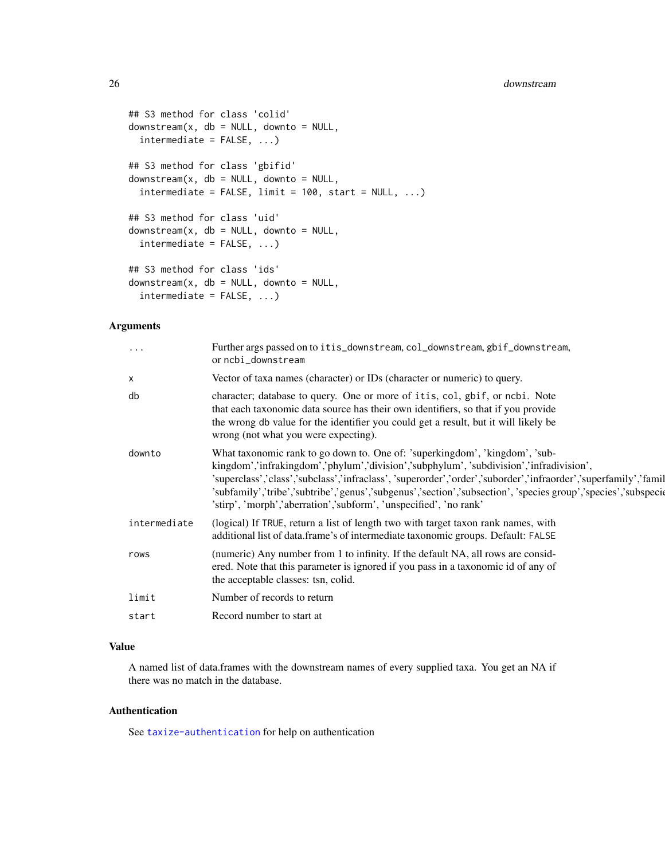```
## S3 method for class 'colid'
downstream(x, db = NULL, downto = NULL,
  intermediate = FALSE, ...)
## S3 method for class 'gbifid'
downstream(x, db = NULL, downto = NULL,intermediate = FALSE, limit = 100, start = NULL, ...)## S3 method for class 'uid'
downstream(x, db = NULL, downto = NULL,intermediate = FALSE, ...)
## S3 method for class 'ids'
downstream(x, db = NULL, downto = NULL,intermediate = FALSE, ...)
```
# Arguments

| $\cdots$     | Further args passed on to itis_downstream, col_downstream, gbif_downstream,<br>or ncbi_downstream                                                                                                                                                                                                                                                                                                                                                                                |
|--------------|----------------------------------------------------------------------------------------------------------------------------------------------------------------------------------------------------------------------------------------------------------------------------------------------------------------------------------------------------------------------------------------------------------------------------------------------------------------------------------|
| х            | Vector of taxa names (character) or IDs (character or numeric) to query.                                                                                                                                                                                                                                                                                                                                                                                                         |
| db           | character; database to query. One or more of itis, col, gbif, or ncbi. Note<br>that each taxonomic data source has their own identifiers, so that if you provide<br>the wrong db value for the identifier you could get a result, but it will likely be<br>wrong (not what you were expecting).                                                                                                                                                                                  |
| downto       | What taxonomic rank to go down to. One of: 'superkingdom', 'kingdom', 'sub-<br>kingdom','infrakingdom','phylum','division','subphylum', 'subdivision','infradivision',<br>'superclass','class','subclass','infraclass', 'superorder','order','suborder','infraorder','superfamily','famil<br>'subfamily','tribe','subtribe','genus','subgenus','section','subsection', 'species group','species','subspecie<br>'stirp', 'morph','aberration','subform', 'unspecified', 'no rank' |
| intermediate | (logical) If TRUE, return a list of length two with target taxon rank names, with<br>additional list of data.frame's of intermediate taxonomic groups. Default: FALSE                                                                                                                                                                                                                                                                                                            |
| rows         | (numeric) Any number from 1 to infinity. If the default NA, all rows are consid-<br>ered. Note that this parameter is ignored if you pass in a taxonomic id of any of<br>the acceptable classes: tsn, colid.                                                                                                                                                                                                                                                                     |
| limit        | Number of records to return                                                                                                                                                                                                                                                                                                                                                                                                                                                      |
| start        | Record number to start at                                                                                                                                                                                                                                                                                                                                                                                                                                                        |

# Value

A named list of data.frames with the downstream names of every supplied taxa. You get an NA if there was no match in the database.

# Authentication

See [taxize-authentication](#page-41-1) for help on authentication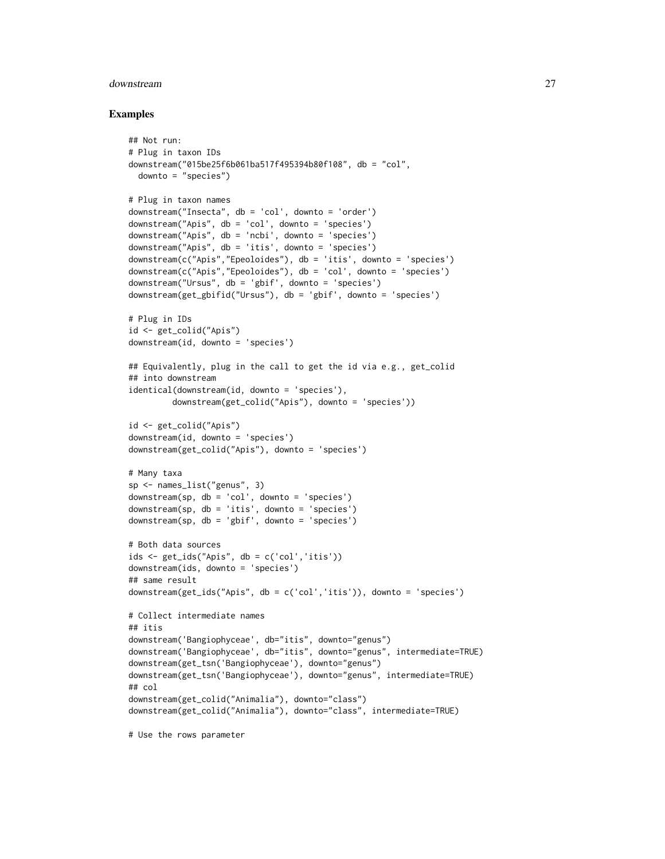### downstream 27

### Examples

```
## Not run:
# Plug in taxon IDs
downstream("015be25f6b061ba517f495394b80f108", db = "col",
 downto = "species")
# Plug in taxon names
downstream("Insecta", db = 'col', downto = 'order')
downstream("Apis", db = 'col', downto = 'species')
downstream("Apis", db = 'ncbi', downto = 'species')
downstream("Apis", db = 'itis', downto = 'species')
downstream(c("Apis","Epeoloides"), db = 'itis', downto = 'species')
downstream(c("Apis","Epeoloides"), db = 'col', downto = 'species')
downstream("Ursus", db = 'gbif', downto = 'species')
downstream(get_gbifid("Ursus"), db = 'gbif', downto = 'species')
# Plug in IDs
id <- get_colid("Apis")
downstream(id, downto = 'species')
## Equivalently, plug in the call to get the id via e.g., get_colid
## into downstream
identical(downstream(id, downto = 'species'),
        downstream(get_colid("Apis"), downto = 'species'))
id <- get_colid("Apis")
downstream(id, downto = 'species')
downstream(get_colid("Apis"), downto = 'species')
# Many taxa
sp <- names_list("genus", 3)
downstream(sp, db = 'col', downto = 'species')
downstream(sp, db = 'itis', downto = 'species')
downstream(sp, db = 'gbit', downto = 'species')
# Both data sources
ids <- get_ids("Apis", db = c('col','itis'))
downstream(ids, downto = 'species')
## same result
downstream(get_ids("Apis", db = c('col','itis')), downto = 'species')
# Collect intermediate names
## itis
downstream('Bangiophyceae', db="itis", downto="genus")
downstream('Bangiophyceae', db="itis", downto="genus", intermediate=TRUE)
downstream(get_tsn('Bangiophyceae'), downto="genus")
downstream(get_tsn('Bangiophyceae'), downto="genus", intermediate=TRUE)
## col
downstream(get_colid("Animalia"), downto="class")
downstream(get_colid("Animalia"), downto="class", intermediate=TRUE)
```
# Use the rows parameter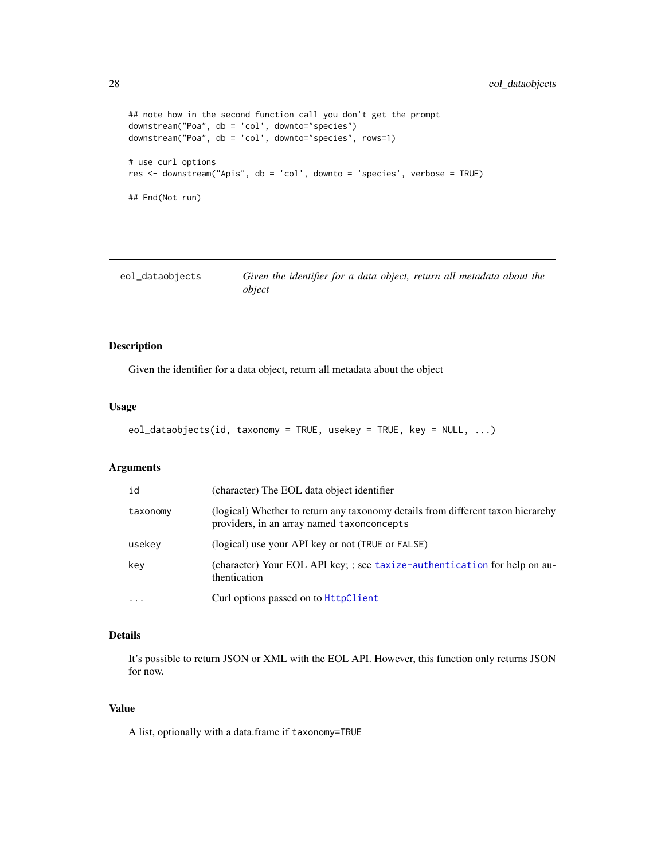```
## note how in the second function call you don't get the prompt
downstream("Poa", db = 'col', downto="species")
downstream("Poa", db = 'col', downto="species", rows=1)
# use curl options
res <- downstream("Apis", db = 'col', downto = 'species', verbose = TRUE)
## End(Not run)
```

| eol_dataobjects | Given the identifier for a data object, return all metadata about the |
|-----------------|-----------------------------------------------------------------------|
|                 | object                                                                |

# Description

Given the identifier for a data object, return all metadata about the object

### Usage

```
eol_dataobjects(id, taxonomy = TRUE, usekey = TRUE, key = NULL, ...)
```
### Arguments

| id       | (character) The EOL data object identifier                                                                                    |
|----------|-------------------------------------------------------------------------------------------------------------------------------|
| taxonomy | (logical) Whether to return any taxonomy details from different taxon hierarchy<br>providers, in an array named taxonconcepts |
| usekey   | (logical) use your API key or not (TRUE or FALSE)                                                                             |
| key      | (character) Your EOL API key; ; see taxize-authentication for help on au-<br>thentication                                     |
| $\cdot$  | Curl options passed on to HttpClient                                                                                          |

### Details

It's possible to return JSON or XML with the EOL API. However, this function only returns JSON for now.

# Value

A list, optionally with a data.frame if taxonomy=TRUE

<span id="page-27-0"></span>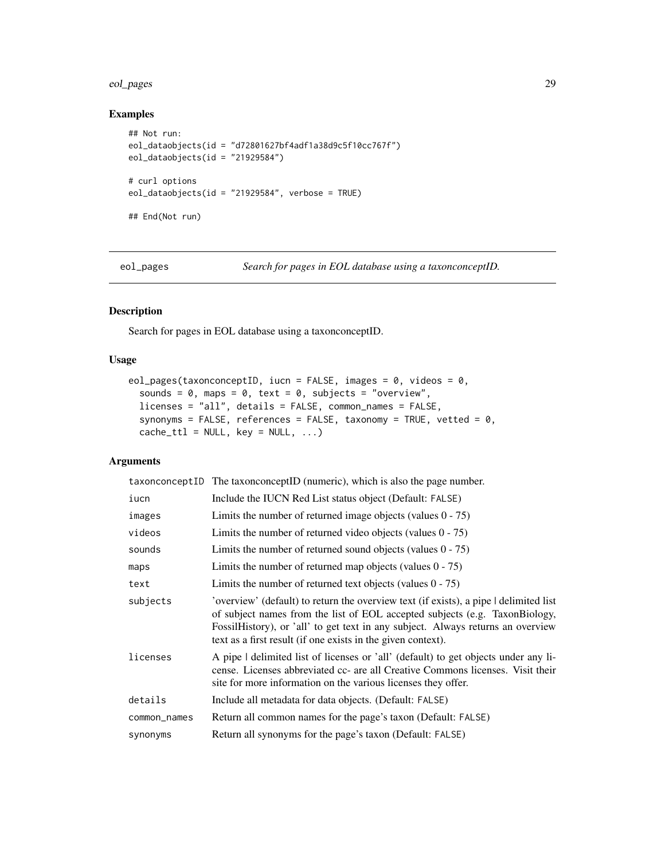### <span id="page-28-0"></span>eol\_pages 29

# Examples

```
## Not run:
eol_dataobjects(id = "d72801627bf4adf1a38d9c5f10cc767f")
eol_dataobjects(id = "21929584")
# curl options
eol_dataobjects(id = "21929584", verbose = TRUE)
## End(Not run)
```
eol\_pages *Search for pages in EOL database using a taxonconceptID.*

# Description

Search for pages in EOL database using a taxonconceptID.

### Usage

```
eol_pages(taxonconceptID, iucn = FALSE, images = 0, videos = 0,
  sounds = 0, maps = 0, text = 0, subjects = "overview",
  licenses = "all", details = FALSE, common_names = FALSE,
  synonyms = FALSE, references = FALSE, taxonomy = TRUE, vetted = 0,
  cache_ttl = NULL, key = NULL, ...
```

|              | taxonconceptID The taxonconceptID (numeric), which is also the page number.                                                                                                                                                                                                                                              |
|--------------|--------------------------------------------------------------------------------------------------------------------------------------------------------------------------------------------------------------------------------------------------------------------------------------------------------------------------|
| iucn         | Include the IUCN Red List status object (Default: FALSE)                                                                                                                                                                                                                                                                 |
| images       | Limits the number of returned image objects (values $0 - 75$ )                                                                                                                                                                                                                                                           |
| videos       | Limits the number of returned video objects (values $0 - 75$ )                                                                                                                                                                                                                                                           |
| sounds       | Limits the number of returned sound objects (values $0 - 75$ )                                                                                                                                                                                                                                                           |
| maps         | Limits the number of returned map objects (values $0 - 75$ )                                                                                                                                                                                                                                                             |
| text         | Limits the number of returned text objects (values $0 - 75$ )                                                                                                                                                                                                                                                            |
| subjects     | 'overview' (default) to return the overview text (if exists), a pipe I delimited list<br>of subject names from the list of EOL accepted subjects (e.g. TaxonBiology,<br>Fossil History), or 'all' to get text in any subject. Always returns an overview<br>text as a first result (if one exists in the given context). |
| licenses     | A pipe I delimited list of licenses or 'all' (default) to get objects under any li-<br>cense. Licenses abbreviated cc- are all Creative Commons licenses. Visit their<br>site for more information on the various licenses they offer.                                                                                   |
| details      | Include all metadata for data objects. (Default: FALSE)                                                                                                                                                                                                                                                                  |
| common_names | Return all common names for the page's taxon (Default: FALSE)                                                                                                                                                                                                                                                            |
| synonyms     | Return all synonyms for the page's taxon (Default: FALSE)                                                                                                                                                                                                                                                                |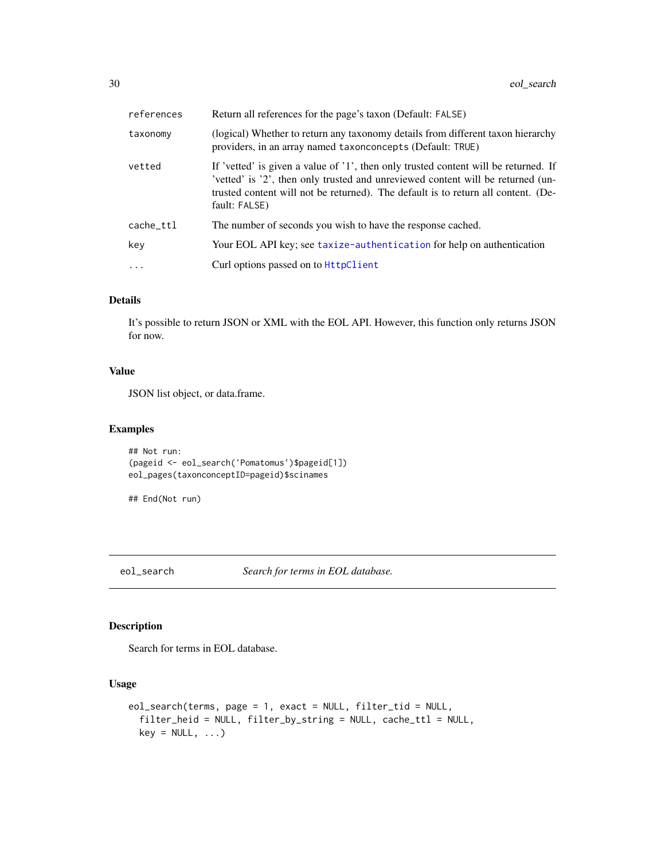<span id="page-29-0"></span>

| references | Return all references for the page's taxon (Default: FALSE)                                                                                                                                                                                                                  |
|------------|------------------------------------------------------------------------------------------------------------------------------------------------------------------------------------------------------------------------------------------------------------------------------|
| taxonomy   | (logical) Whether to return any taxonomy details from different taxon hierarchy<br>providers, in an array named taxonconcepts (Default: TRUE)                                                                                                                                |
| vetted     | If 'vetted' is given a value of '1', then only trusted content will be returned. If<br>'vetted' is '2', then only trusted and unreviewed content will be returned (un-<br>trusted content will not be returned). The default is to return all content. (De-<br>fault: FALSE) |
| cache_ttl  | The number of seconds you wish to have the response cached.                                                                                                                                                                                                                  |
| key        | Your EOL API key; see taxize-authentication for help on authentication                                                                                                                                                                                                       |
| $\cdot$    | Curl options passed on to HttpClient                                                                                                                                                                                                                                         |

# Details

It's possible to return JSON or XML with the EOL API. However, this function only returns JSON for now.

# Value

JSON list object, or data.frame.

# Examples

## Not run: (pageid <- eol\_search('Pomatomus')\$pageid[1]) eol\_pages(taxonconceptID=pageid)\$scinames

```
## End(Not run)
```
eol\_search *Search for terms in EOL database.*

# Description

Search for terms in EOL database.

### Usage

```
eol_search(terms, page = 1, exact = NULL, filter_tid = NULL,
  filter_heid = NULL, filter_by_string = NULL, cache_ttl = NULL,
 key = NULL, ...)
```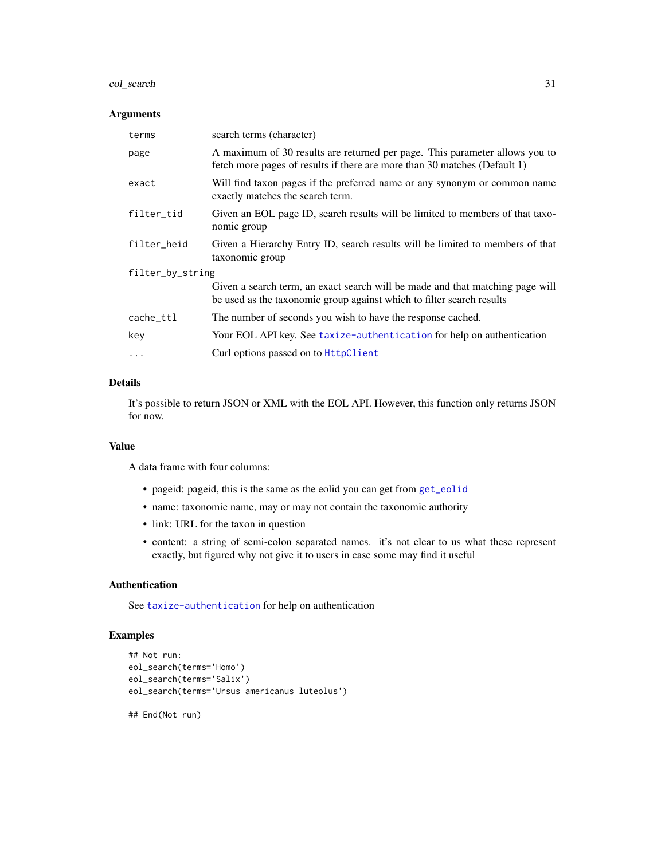# eol\_search 31

### Arguments

| terms            | search terms (character)                                                                                                                                 |  |
|------------------|----------------------------------------------------------------------------------------------------------------------------------------------------------|--|
| page             | A maximum of 30 results are returned per page. This parameter allows you to<br>fetch more pages of results if there are more than 30 matches (Default 1) |  |
| exact            | Will find taxon pages if the preferred name or any synonym or common name<br>exactly matches the search term.                                            |  |
| filter_tid       | Given an EOL page ID, search results will be limited to members of that taxo-<br>nomic group                                                             |  |
| filter_heid      | Given a Hierarchy Entry ID, search results will be limited to members of that<br>taxonomic group                                                         |  |
| filter_by_string |                                                                                                                                                          |  |
|                  | Given a search term, an exact search will be made and that matching page will<br>be used as the taxonomic group against which to filter search results   |  |
| cache_ttl        | The number of seconds you wish to have the response cached.                                                                                              |  |
| key              | Your EOL API key. See taxize-authentication for help on authentication                                                                                   |  |
| $\ddotsc$        | Curl options passed on to <b>HttpClient</b>                                                                                                              |  |

# Details

It's possible to return JSON or XML with the EOL API. However, this function only returns JSON for now.

### Value

A data frame with four columns:

- pageid: pageid, this is the same as the eolid you can get from [get\\_eolid](#page-48-1)
- name: taxonomic name, may or may not contain the taxonomic authority
- link: URL for the taxon in question
- content: a string of semi-colon separated names. it's not clear to us what these represent exactly, but figured why not give it to users in case some may find it useful

# Authentication

See [taxize-authentication](#page-41-1) for help on authentication

### Examples

```
## Not run:
eol_search(terms='Homo')
eol_search(terms='Salix')
eol_search(terms='Ursus americanus luteolus')
```
## End(Not run)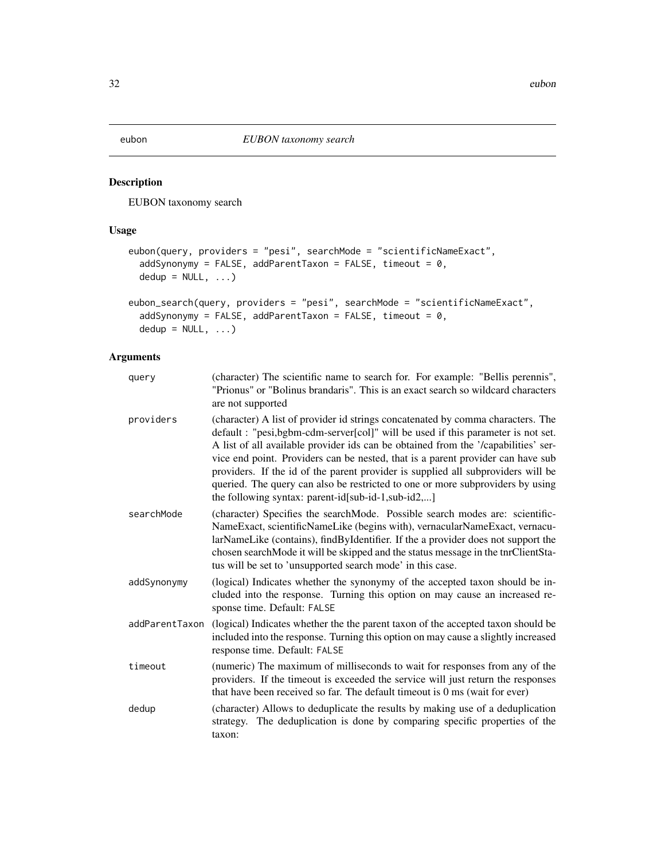<span id="page-31-1"></span><span id="page-31-0"></span>

# Description

EUBON taxonomy search

# Usage

```
eubon(query, providers = "pesi", searchMode = "scientificNameExact",
  addSynonymy = FALSE, addParentTaxon = FALSE, timeout = 0,
 dedup = NULL, ...)
```

```
eubon_search(query, providers = "pesi", searchMode = "scientificNameExact",
  addSynonymy = FALSE, addParentTaxon = FALSE, timeout = 0,
  dedup = NULL, ...
```

| query          | (character) The scientific name to search for. For example: "Bellis perennis",<br>"Prionus" or "Bolinus brandaris". This is an exact search so wildcard characters<br>are not supported                                                                                                                                                                                                                                                                                                                                                                                   |
|----------------|---------------------------------------------------------------------------------------------------------------------------------------------------------------------------------------------------------------------------------------------------------------------------------------------------------------------------------------------------------------------------------------------------------------------------------------------------------------------------------------------------------------------------------------------------------------------------|
| providers      | (character) A list of provider id strings concatenated by comma characters. The<br>default : "pesi, bgbm-cdm-server[col]" will be used if this parameter is not set.<br>A list of all available provider ids can be obtained from the '/capabilities' ser-<br>vice end point. Providers can be nested, that is a parent provider can have sub<br>providers. If the id of the parent provider is supplied all subproviders will be<br>queried. The query can also be restricted to one or more subproviders by using<br>the following syntax: parent-id[sub-id-1,sub-id2,] |
| searchMode     | (character) Specifies the searchMode. Possible search modes are: scientific-<br>NameExact, scientificNameLike (begins with), vernacularNameExact, vernacu-<br>larNameLike (contains), findByIdentifier. If the a provider does not support the<br>chosen searchMode it will be skipped and the status message in the tnrClientSta-<br>tus will be set to 'unsupported search mode' in this case.                                                                                                                                                                          |
| addSynonymy    | (logical) Indicates whether the synonymy of the accepted taxon should be in-<br>cluded into the response. Turning this option on may cause an increased re-<br>sponse time. Default: FALSE                                                                                                                                                                                                                                                                                                                                                                                |
| addParentTaxon | (logical) Indicates whether the the parent taxon of the accepted taxon should be<br>included into the response. Turning this option on may cause a slightly increased<br>response time. Default: FALSE                                                                                                                                                                                                                                                                                                                                                                    |
| timeout        | (numeric) The maximum of milliseconds to wait for responses from any of the<br>providers. If the timeout is exceeded the service will just return the responses<br>that have been received so far. The default timeout is $0 \text{ ms}$ (wait for ever)                                                                                                                                                                                                                                                                                                                  |
| dedup          | (character) Allows to deduplicate the results by making use of a deduplication<br>strategy. The deduplication is done by comparing specific properties of the<br>taxon:                                                                                                                                                                                                                                                                                                                                                                                                   |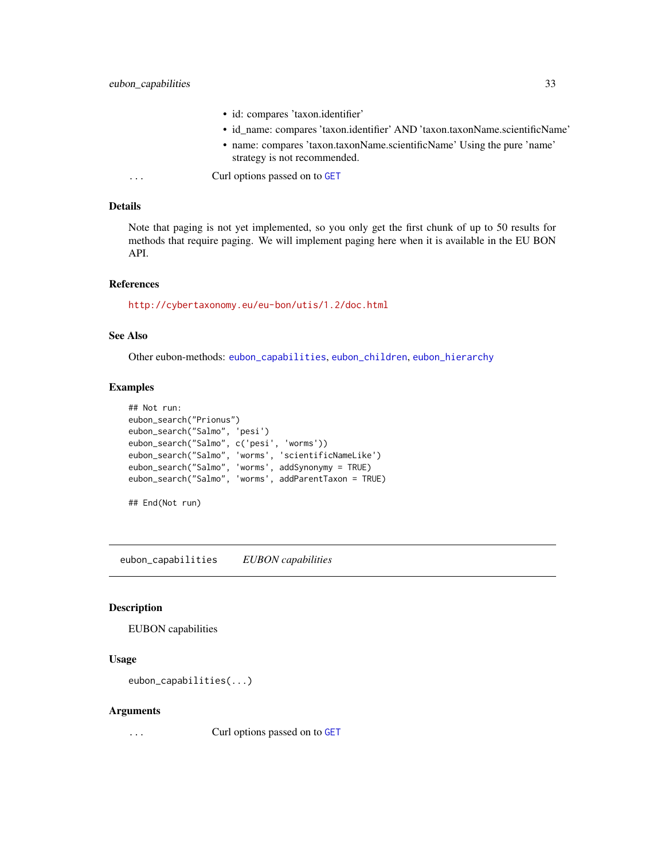- id: compares 'taxon.identifier'
- id\_name: compares 'taxon.identifier' AND 'taxon.taxonName.scientificName'
- name: compares 'taxon.taxonName.scientificName' Using the pure 'name' strategy is not recommended.

<span id="page-32-0"></span>... Curl options passed on to [GET](#page-0-0)

### Details

Note that paging is not yet implemented, so you only get the first chunk of up to 50 results for methods that require paging. We will implement paging here when it is available in the EU BON API.

# References

<http://cybertaxonomy.eu/eu-bon/utis/1.2/doc.html>

# See Also

Other eubon-methods: [eubon\\_capabilities](#page-32-1), [eubon\\_children](#page-33-1), [eubon\\_hierarchy](#page-34-1)

# Examples

```
## Not run:
eubon_search("Prionus")
eubon_search("Salmo", 'pesi')
eubon_search("Salmo", c('pesi', 'worms'))
eubon_search("Salmo", 'worms', 'scientificNameLike')
eubon_search("Salmo", 'worms', addSynonymy = TRUE)
eubon_search("Salmo", 'worms', addParentTaxon = TRUE)
```
## End(Not run)

<span id="page-32-1"></span>eubon\_capabilities *EUBON capabilities*

### Description

EUBON capabilities

### Usage

```
eubon_capabilities(...)
```
### **Arguments**

... Curl options passed on to [GET](#page-0-0)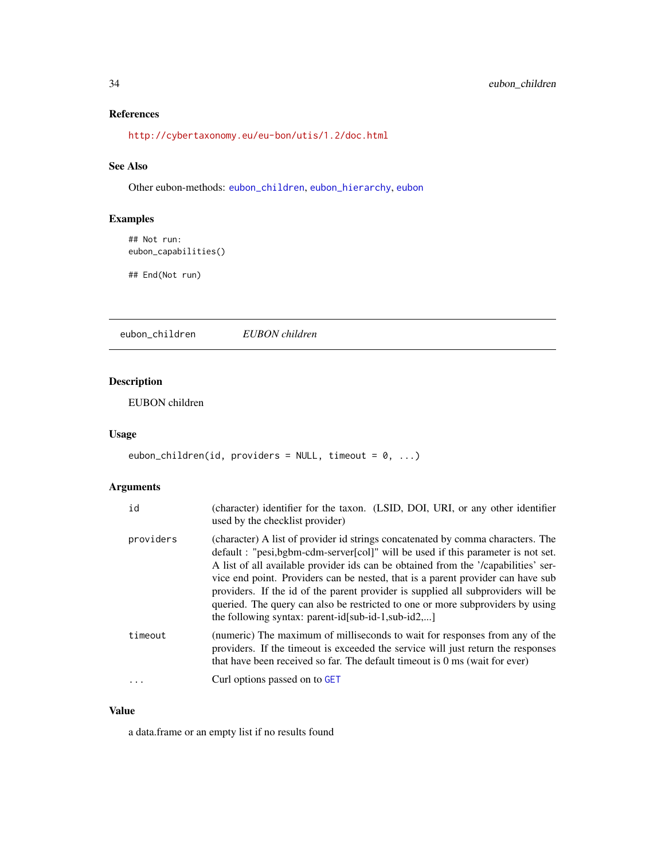# References

<http://cybertaxonomy.eu/eu-bon/utis/1.2/doc.html>

# See Also

Other eubon-methods: [eubon\\_children](#page-33-1), [eubon\\_hierarchy](#page-34-1), [eubon](#page-31-1)

# Examples

```
## Not run:
eubon_capabilities()
```
## End(Not run)

<span id="page-33-1"></span>eubon\_children *EUBON children*

# Description

EUBON children

# Usage

```
eubon_children(id, providers = NULL, timeout = 0, ...)
```
# Arguments

| id        | (character) identifier for the taxon. (LSID, DOI, URI, or any other identifier<br>used by the checklist provider)                                                                                                                                                                                                                                                                                                                                                                                                                                                       |
|-----------|-------------------------------------------------------------------------------------------------------------------------------------------------------------------------------------------------------------------------------------------------------------------------------------------------------------------------------------------------------------------------------------------------------------------------------------------------------------------------------------------------------------------------------------------------------------------------|
| providers | (character) A list of provider id strings concatenated by comma characters. The<br>default: "pesi,bgbm-cdm-server[col]" will be used if this parameter is not set.<br>A list of all available provider ids can be obtained from the '/capabilities' ser-<br>vice end point. Providers can be nested, that is a parent provider can have sub<br>providers. If the id of the parent provider is supplied all subproviders will be<br>queried. The query can also be restricted to one or more subproviders by using<br>the following syntax: parent-id[sub-id-1,sub-id2,] |
| timeout   | (numeric) The maximum of milliseconds to wait for responses from any of the<br>providers. If the timeout is exceeded the service will just return the responses<br>that have been received so far. The default timeout is 0 ms (wait for ever)                                                                                                                                                                                                                                                                                                                          |
|           | Curl options passed on to GET                                                                                                                                                                                                                                                                                                                                                                                                                                                                                                                                           |

# Value

a data.frame or an empty list if no results found

<span id="page-33-0"></span>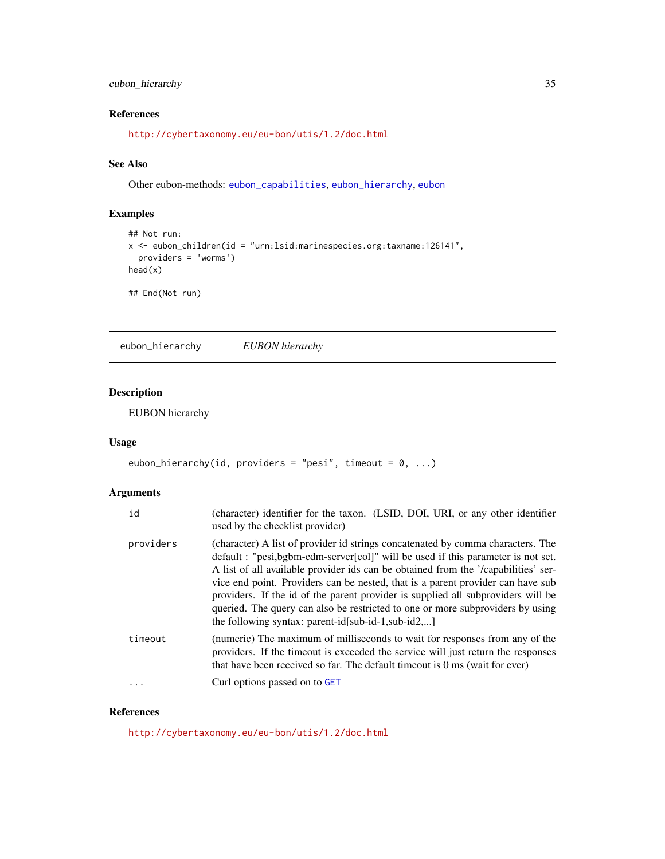# <span id="page-34-0"></span>eubon\_hierarchy 35

# References

<http://cybertaxonomy.eu/eu-bon/utis/1.2/doc.html>

# See Also

Other eubon-methods: [eubon\\_capabilities](#page-32-1), [eubon\\_hierarchy](#page-34-1), [eubon](#page-31-1)

# Examples

```
## Not run:
x <- eubon_children(id = "urn:lsid:marinespecies.org:taxname:126141",
  providers = 'worms')
head(x)
## End(Not run)
```
<span id="page-34-1"></span>eubon\_hierarchy *EUBON hierarchy*

# Description

EUBON hierarchy

### Usage

```
eubon_hierarchy(id, providers = "pesi", timeout = 0, ...)
```
# Arguments

| id        | (character) identifier for the taxon. (LSID, DOI, URI, or any other identifier<br>used by the checklist provider)                                                                                                                                                                                                                                                                                                                                                                                                                                                       |
|-----------|-------------------------------------------------------------------------------------------------------------------------------------------------------------------------------------------------------------------------------------------------------------------------------------------------------------------------------------------------------------------------------------------------------------------------------------------------------------------------------------------------------------------------------------------------------------------------|
| providers | (character) A list of provider id strings concatenated by comma characters. The<br>default: "pesi,bgbm-cdm-server[col]" will be used if this parameter is not set.<br>A list of all available provider ids can be obtained from the '/capabilities' ser-<br>vice end point. Providers can be nested, that is a parent provider can have sub<br>providers. If the id of the parent provider is supplied all subproviders will be<br>queried. The query can also be restricted to one or more subproviders by using<br>the following syntax: parent-id[sub-id-1,sub-id2,] |
| timeout   | (numeric) The maximum of milliseconds to wait for responses from any of the<br>providers. If the timeout is exceeded the service will just return the responses<br>that have been received so far. The default timeout is 0 ms (wait for ever)                                                                                                                                                                                                                                                                                                                          |
|           | Curl options passed on to GET                                                                                                                                                                                                                                                                                                                                                                                                                                                                                                                                           |

# References

<http://cybertaxonomy.eu/eu-bon/utis/1.2/doc.html>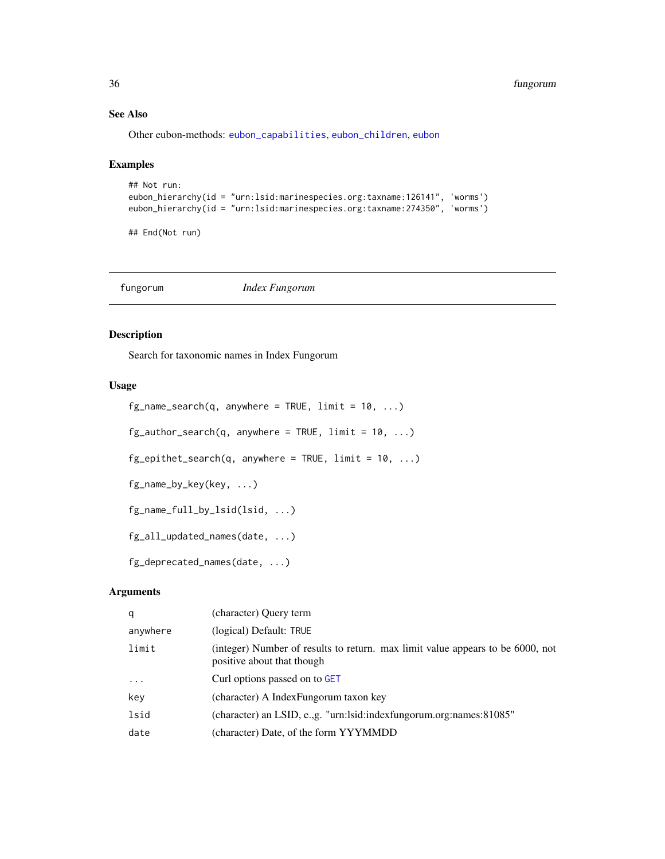# See Also

Other eubon-methods: [eubon\\_capabilities](#page-32-1), [eubon\\_children](#page-33-1), [eubon](#page-31-1)

### Examples

```
## Not run:
eubon_hierarchy(id = "urn:lsid:marinespecies.org:taxname:126141", 'worms')
eubon_hierarchy(id = "urn:lsid:marinespecies.org:taxname:274350", 'worms')
```
## End(Not run)

fungorum *Index Fungorum*

# Description

Search for taxonomic names in Index Fungorum

### Usage

```
fg_name\_search(q, anywhere = TRUE, limit = 10, ...)fg_author_search(q, anywhere = TRUE, limit = 10, ...)
fg_epithet_search(q, anywhere = TRUE, limit = 10, ...)
fg_name_by_key(key, ...)
fg_name_full_by_lsid(lsid, ...)
fg_all_updated_names(date, ...)
fg_deprecated_names(date, ...)
```

| q         | (character) Query term                                                                                       |
|-----------|--------------------------------------------------------------------------------------------------------------|
| anywhere  | (logical) Default: TRUE                                                                                      |
| limit     | (integer) Number of results to return. max limit value appears to be 6000, not<br>positive about that though |
| $\ddotsc$ | Curl options passed on to GET                                                                                |
| key       | (character) A Index Fungorum taxon key                                                                       |
| lsid      | (character) an LSID, e.,g. "urn:lsid:indexfungorum.org:names:81085"                                          |
| date      | (character) Date, of the form YYYMMDD                                                                        |

<span id="page-35-0"></span>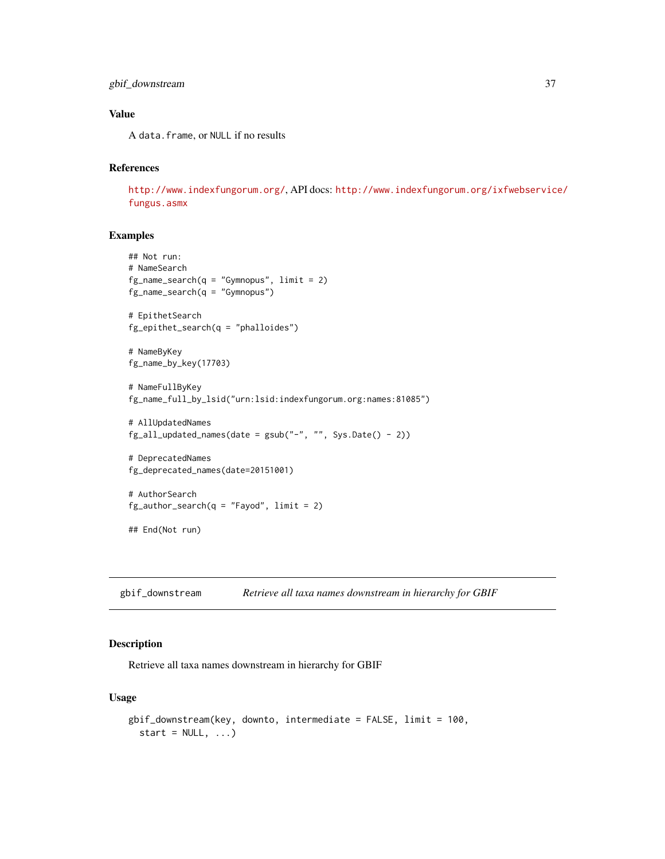```
gbif_downstream 37
```
# Value

A data.frame, or NULL if no results

# References

<http://www.indexfungorum.org/>, API docs: [http://www.indexfungorum.org/ixfwebservic](http://www.indexfungorum.org/ixfwebservice/fungus.asmx)e/ [fungus.asmx](http://www.indexfungorum.org/ixfwebservice/fungus.asmx)

# Examples

```
## Not run:
# NameSearch
fg_name\_search(q = "Gymnopus", limit = 2)fg_name_search(q = "Gymnopus")
# EpithetSearch
fg_epithet_search(q = "phalloides")
# NameByKey
fg_name_by_key(17703)
# NameFullByKey
fg_name_full_by_lsid("urn:lsid:indexfungorum.org:names:81085")
# AllUpdatedNames
fg\_all\_updated\_names(data = gsub("-"", "", Sys.Date() - 2))# DeprecatedNames
fg_deprecated_names(date=20151001)
# AuthorSearch
fg_-author_search(q = "Fayod", limit = 2)
```
## End(Not run)

gbif\_downstream *Retrieve all taxa names downstream in hierarchy for GBIF*

# Description

Retrieve all taxa names downstream in hierarchy for GBIF

```
gbif_downstream(key, downto, intermediate = FALSE, limit = 100,
  start = NULL, ...
```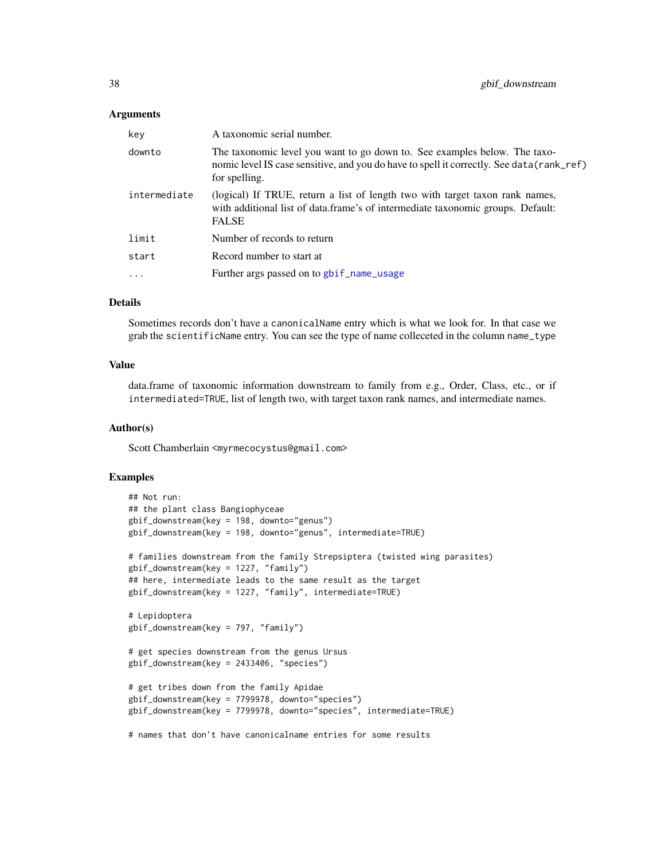## Arguments

| key          | A taxonomic serial number.                                                                                                                                                              |
|--------------|-----------------------------------------------------------------------------------------------------------------------------------------------------------------------------------------|
| downto       | The taxonomic level you want to go down to. See examples below. The taxo-<br>nomic level IS case sensitive, and you do have to spell it correctly. See data (rank_ref)<br>for spelling. |
| intermediate | (logical) If TRUE, return a list of length two with target taxon rank names,<br>with additional list of data.frame's of intermediate taxonomic groups. Default:<br><b>FALSE</b>         |
| limit        | Number of records to return                                                                                                                                                             |
| start        | Record number to start at                                                                                                                                                               |
| .            | Further args passed on to gbif_name_usage                                                                                                                                               |
|              |                                                                                                                                                                                         |

### Details

Sometimes records don't have a canonicalName entry which is what we look for. In that case we grab the scientificName entry. You can see the type of name colleceted in the column name\_type

## Value

data.frame of taxonomic information downstream to family from e.g., Order, Class, etc., or if intermediated=TRUE, list of length two, with target taxon rank names, and intermediate names.

## Author(s)

Scott Chamberlain <myrmecocystus@gmail.com>

```
## Not run:
## the plant class Bangiophyceae
gbif_downstream(key = 198, downto="genus")
gbif_downstream(key = 198, downto="genus", intermediate=TRUE)
# families downstream from the family Strepsiptera (twisted wing parasites)
gbif_downstream(key = 1227, "family")
## here, intermediate leads to the same result as the target
gbif_downstream(key = 1227, "family", intermediate=TRUE)
# Lepidoptera
gbif_downstream(key = 797, "family")
# get species downstream from the genus Ursus
gbif_downstream(key = 2433406, "species")
# get tribes down from the family Apidae
gbif_downstream(key = 7799978, downto="species")
gbif_downstream(key = 7799978, downto="species", intermediate=TRUE)
# names that don't have canonicalname entries for some results
```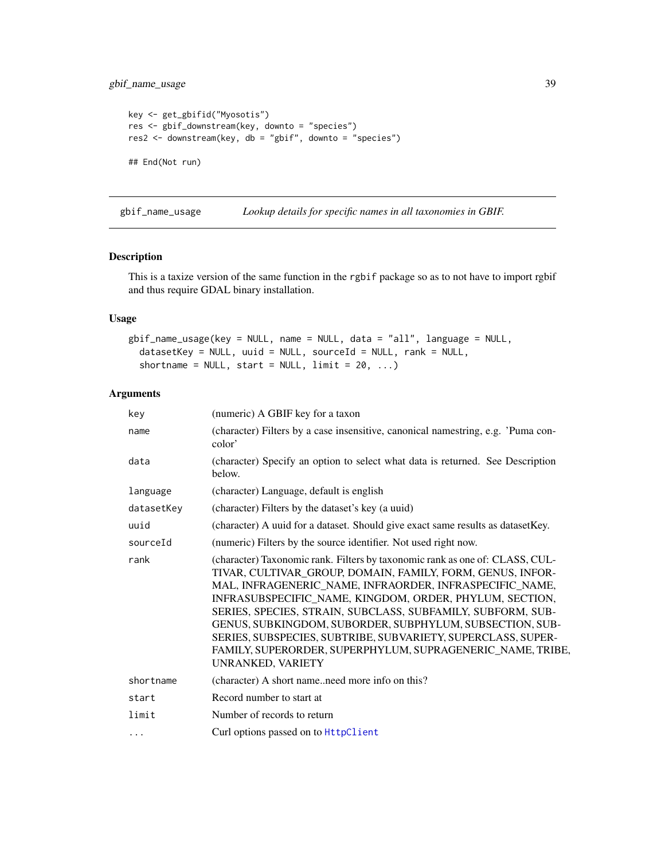# gbif\_name\_usage 39

```
key <- get_gbifid("Myosotis")
res <- gbif_downstream(key, downto = "species")
res2 <- downstream(key, db = "gbif", downto = "species")
## End(Not run)
```
<span id="page-38-0"></span>gbif\_name\_usage *Lookup details for specific names in all taxonomies in GBIF.*

## Description

This is a taxize version of the same function in the rgbif package so as to not have to import rgbif and thus require GDAL binary installation.

# Usage

```
gbif_name_usage(key = NULL, name = NULL, data = "all", language = NULL,
  datasetKey = NULL, uuid = NULL, sourceId = NULL, rank = NULL,
  shortname = NULL, start = NULL, limit = 20, ...)
```
# Arguments

| key        | (numeric) A GBIF key for a taxon                                                                                                                                                                                                                                                                                                                                                                                                                                                                                                               |
|------------|------------------------------------------------------------------------------------------------------------------------------------------------------------------------------------------------------------------------------------------------------------------------------------------------------------------------------------------------------------------------------------------------------------------------------------------------------------------------------------------------------------------------------------------------|
| name       | (character) Filters by a case insensitive, canonical namestring, e.g. 'Puma con-<br>color'                                                                                                                                                                                                                                                                                                                                                                                                                                                     |
| data       | (character) Specify an option to select what data is returned. See Description<br>below.                                                                                                                                                                                                                                                                                                                                                                                                                                                       |
| language   | (character) Language, default is english                                                                                                                                                                                                                                                                                                                                                                                                                                                                                                       |
| datasetKey | (character) Filters by the dataset's key (a uuid)                                                                                                                                                                                                                                                                                                                                                                                                                                                                                              |
| uuid       | (character) A uuid for a dataset. Should give exact same results as dataset Key.                                                                                                                                                                                                                                                                                                                                                                                                                                                               |
| sourceId   | (numeric) Filters by the source identifier. Not used right now.                                                                                                                                                                                                                                                                                                                                                                                                                                                                                |
| rank       | (character) Taxonomic rank. Filters by taxonomic rank as one of: CLASS, CUL-<br>TIVAR, CULTIVAR_GROUP, DOMAIN, FAMILY, FORM, GENUS, INFOR-<br>MAL, INFRAGENERIC_NAME, INFRAORDER, INFRASPECIFIC_NAME,<br>INFRASUBSPECIFIC_NAME, KINGDOM, ORDER, PHYLUM, SECTION,<br>SERIES, SPECIES, STRAIN, SUBCLASS, SUBFAMILY, SUBFORM, SUB-<br>GENUS, SUBKINGDOM, SUBORDER, SUBPHYLUM, SUBSECTION, SUB-<br>SERIES, SUBSPECIES, SUBTRIBE, SUBVARIETY, SUPERCLASS, SUPER-<br>FAMILY, SUPERORDER, SUPERPHYLUM, SUPRAGENERIC_NAME, TRIBE,<br>UNRANKED, VARIETY |
| shortname  | (character) A short nameneed more info on this?                                                                                                                                                                                                                                                                                                                                                                                                                                                                                                |
| start      | Record number to start at                                                                                                                                                                                                                                                                                                                                                                                                                                                                                                                      |
| limit      | Number of records to return                                                                                                                                                                                                                                                                                                                                                                                                                                                                                                                    |
| .          | Curl options passed on to HttpClient                                                                                                                                                                                                                                                                                                                                                                                                                                                                                                           |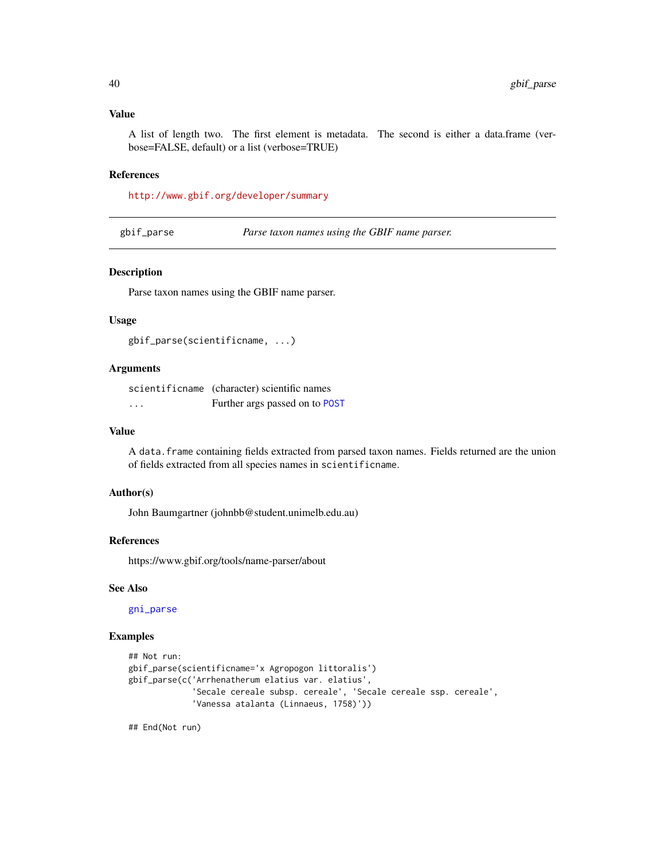## Value

A list of length two. The first element is metadata. The second is either a data.frame (verbose=FALSE, default) or a list (verbose=TRUE)

### References

<http://www.gbif.org/developer/summary>

gbif\_parse *Parse taxon names using the GBIF name parser.*

### Description

Parse taxon names using the GBIF name parser.

#### Usage

gbif\_parse(scientificname, ...)

## Arguments

scientificname (character) scientific names ... Further args passed on to [POST](#page-0-0)

#### Value

A data. frame containing fields extracted from parsed taxon names. Fields returned are the union of fields extracted from all species names in scientificname.

### Author(s)

John Baumgartner (johnbb@student.unimelb.edu.au)

#### References

https://www.gbif.org/tools/name-parser/about

## See Also

[gni\\_parse](#page-84-0)

## Examples

```
## Not run:
gbif_parse(scientificname='x Agropogon littoralis')
gbif_parse(c('Arrhenatherum elatius var. elatius',
             'Secale cereale subsp. cereale', 'Secale cereale ssp. cereale',
             'Vanessa atalanta (Linnaeus, 1758)'))
```
## End(Not run)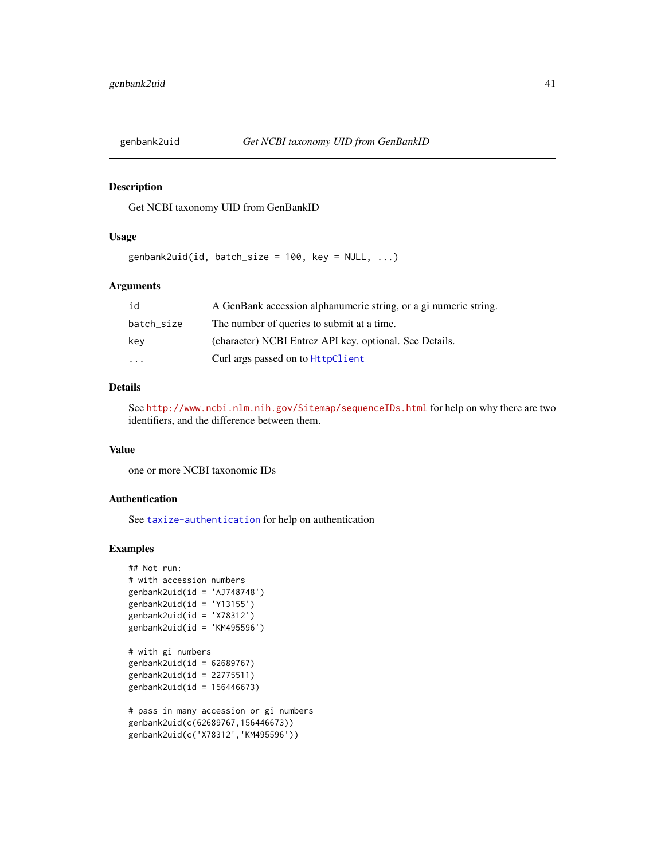# Description

Get NCBI taxonomy UID from GenBankID

## Usage

genbank2uid(id, batch\_size =  $100$ , key = NULL, ...)

# Arguments

| id         | A GenBank accession alphanumeric string, or a gi numeric string. |
|------------|------------------------------------------------------------------|
| batch_size | The number of queries to submit at a time.                       |
| kev        | (character) NCBI Entrez API key. optional. See Details.          |
| $\cdots$   | Curl args passed on to HttpClient                                |

# Details

See <http://www.ncbi.nlm.nih.gov/Sitemap/sequenceIDs.html> for help on why there are two identifiers, and the difference between them.

#### Value

one or more NCBI taxonomic IDs

### Authentication

See [taxize-authentication](#page-41-0) for help on authentication

```
## Not run:
# with accession numbers
genbank2uid(id = 'AJ748748')genbank2uid(id = 'Y13155')
genbank2uid(id = 'X78312')
genbank2uid(id = 'KM495596')
# with gi numbers
```

```
genbank2uid(id = 62689767)
genbank2uid(id = 22775511)
genbank2uid(id = 156446673)
```

```
# pass in many accession or gi numbers
genbank2uid(c(62689767,156446673))
genbank2uid(c('X78312','KM495596'))
```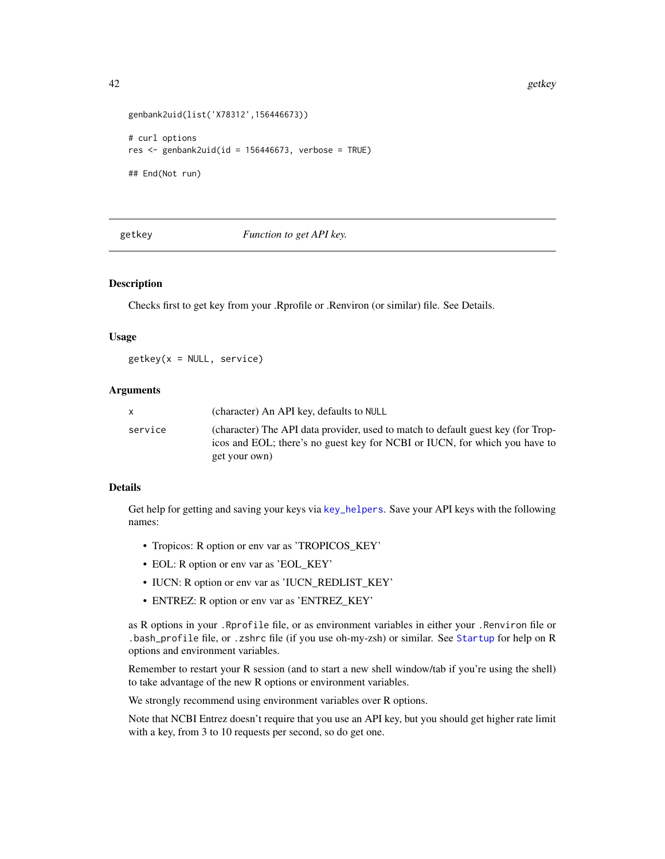```
genbank2uid(list('X78312',156446673))
# curl options
res \leq genbank2uid(id = 156446673, verbose = TRUE)
## End(Not run)
```
getkey *Function to get API key.*

### <span id="page-41-0"></span>Description

Checks first to get key from your .Rprofile or .Renviron (or similar) file. See Details.

### Usage

getkey(x = NULL, service)

### Arguments

|         | (character) An API key, defaults to NULL                                                                                                                                        |
|---------|---------------------------------------------------------------------------------------------------------------------------------------------------------------------------------|
| service | (character) The API data provider, used to match to default guest key (for Trop-<br>icos and EOL; there's no guest key for NCBI or IUCN, for which you have to<br>get your own) |

# Details

Get help for getting and saving your keys via [key\\_helpers](#page-108-0). Save your API keys with the following names:

- Tropicos: R option or env var as 'TROPICOS\_KEY'
- EOL: R option or env var as 'EOL\_KEY'
- IUCN: R option or env var as 'IUCN\_REDLIST\_KEY'
- ENTREZ: R option or env var as 'ENTREZ\_KEY'

as R options in your .Rprofile file, or as environment variables in either your .Renviron file or .bash\_profile file, or .zshrc file (if you use oh-my-zsh) or similar. See [Startup](#page-0-0) for help on R options and environment variables.

Remember to restart your R session (and to start a new shell window/tab if you're using the shell) to take advantage of the new R options or environment variables.

We strongly recommend using environment variables over R options.

Note that NCBI Entrez doesn't require that you use an API key, but you should get higher rate limit with a key, from 3 to 10 requests per second, so do get one.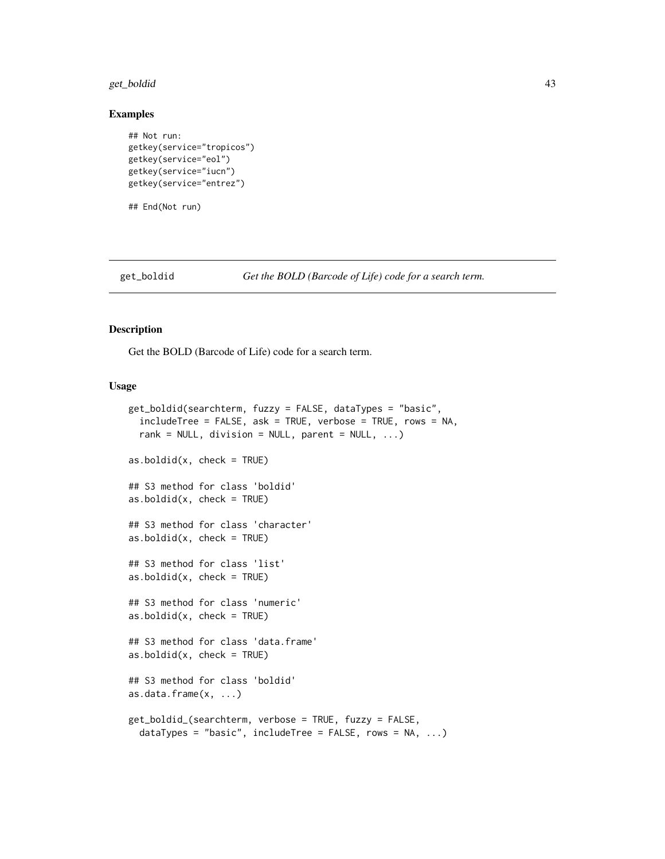# get\_boldid 43

### Examples

```
## Not run:
getkey(service="tropicos")
getkey(service="eol")
getkey(service="iucn")
getkey(service="entrez")
```
## End(Not run)

<span id="page-42-1"></span>

get\_boldid *Get the BOLD (Barcode of Life) code for a search term.*

## <span id="page-42-0"></span>Description

Get the BOLD (Barcode of Life) code for a search term.

```
get_boldid(searchterm, fuzzy = FALSE, dataTypes = "basic",
  includeTree = FALSE, ask = TRUE, verbose = TRUE, rows = NA,
  rank = NULL, division = NULL, parent = NULL, \ldots)
as.boldid(x, check = TRUE)## S3 method for class 'boldid'
as.boldid(x, check = TRUE)## S3 method for class 'character'
as.boldid(x, check = TRUE)## S3 method for class 'list'
as.boldid(x, check = TRUE)## S3 method for class 'numeric'
as.boldid(x, check = TRUE)## S3 method for class 'data.frame'
as.boldid(x, check = TRUE)## S3 method for class 'boldid'
as.data.frame(x, ...)
get_boldid_(searchterm, verbose = TRUE, fuzzy = FALSE,
 dataTypes = "basic", includeTree = FALSE, rows = NA, ...)
```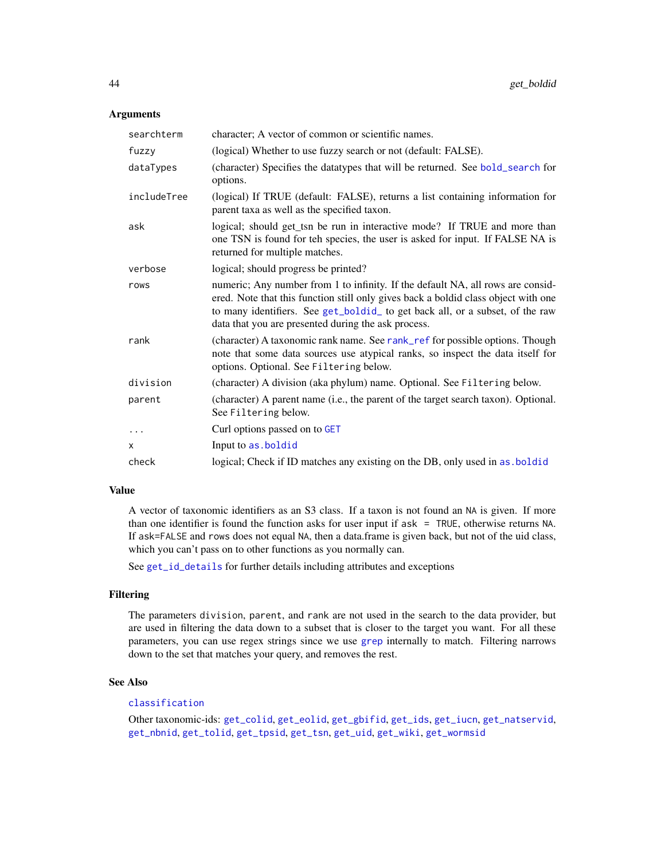## **Arguments**

| searchterm  | character; A vector of common or scientific names.                                                                                                                                                                                                                                                            |
|-------------|---------------------------------------------------------------------------------------------------------------------------------------------------------------------------------------------------------------------------------------------------------------------------------------------------------------|
| fuzzy       | (logical) Whether to use fuzzy search or not (default: FALSE).                                                                                                                                                                                                                                                |
| dataTypes   | (character) Specifies the datatypes that will be returned. See bold_search for<br>options.                                                                                                                                                                                                                    |
| includeTree | (logical) If TRUE (default: FALSE), returns a list containing information for<br>parent taxa as well as the specified taxon.                                                                                                                                                                                  |
| ask         | logical; should get_tsn be run in interactive mode? If TRUE and more than<br>one TSN is found for teh species, the user is asked for input. If FALSE NA is<br>returned for multiple matches.                                                                                                                  |
| verbose     | logical; should progress be printed?                                                                                                                                                                                                                                                                          |
| rows        | numeric; Any number from 1 to infinity. If the default NA, all rows are consid-<br>ered. Note that this function still only gives back a boldid class object with one<br>to many identifiers. See get_boldid_ to get back all, or a subset, of the raw<br>data that you are presented during the ask process. |
| rank        | (character) A taxonomic rank name. See rank_ref for possible options. Though<br>note that some data sources use atypical ranks, so inspect the data itself for<br>options. Optional. See Filtering below.                                                                                                     |
| division    | (character) A division (aka phylum) name. Optional. See Filtering below.                                                                                                                                                                                                                                      |
| parent      | (character) A parent name (i.e., the parent of the target search taxon). Optional.<br>See Filtering below.                                                                                                                                                                                                    |
|             | Curl options passed on to GET                                                                                                                                                                                                                                                                                 |
| X           | Input to as boldid                                                                                                                                                                                                                                                                                            |
| check       | logical; Check if ID matches any existing on the DB, only used in as boldid                                                                                                                                                                                                                                   |

## Value

A vector of taxonomic identifiers as an S3 class. If a taxon is not found an NA is given. If more than one identifier is found the function asks for user input if ask = TRUE, otherwise returns NA. If ask=FALSE and rows does not equal NA, then a data.frame is given back, but not of the uid class, which you can't pass on to other functions as you normally can.

See [get\\_id\\_details](#page-56-0) for further details including attributes and exceptions

## Filtering

The parameters division, parent, and rank are not used in the search to the data provider, but are used in filtering the data down to a subset that is closer to the target you want. For all these parameters, you can use regex strings since we use [grep](#page-0-0) internally to match. Filtering narrows down to the set that matches your query, and removes the rest.

## See Also

# [classification](#page-13-0)

Other taxonomic-ids: [get\\_colid](#page-45-0), [get\\_eolid](#page-48-0), [get\\_gbifid](#page-51-0), [get\\_ids](#page-54-0), [get\\_iucn](#page-57-0), [get\\_natservid](#page-59-0), [get\\_nbnid](#page-62-0), [get\\_tolid](#page-65-0), [get\\_tpsid](#page-67-0), [get\\_tsn](#page-70-0), [get\\_uid](#page-74-0), [get\\_wiki](#page-78-0), [get\\_wormsid](#page-80-0)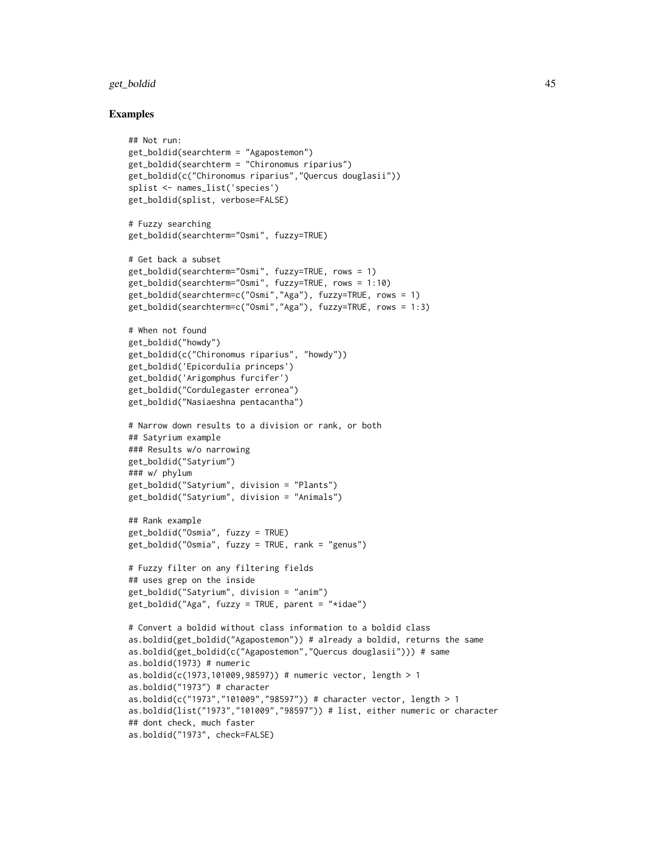### get\_boldid 45

```
## Not run:
get_boldid(searchterm = "Agapostemon")
get_boldid(searchterm = "Chironomus riparius")
get_boldid(c("Chironomus riparius","Quercus douglasii"))
splist <- names_list('species')
get_boldid(splist, verbose=FALSE)
# Fuzzy searching
get_boldid(searchterm="Osmi", fuzzy=TRUE)
# Get back a subset
get_boldid(searchterm="Osmi", fuzzy=TRUE, rows = 1)
get_boldid(searchterm="Osmi", fuzzy=TRUE, rows = 1:10)
get_boldid(searchterm=c("Osmi","Aga"), fuzzy=TRUE, rows = 1)
get_boldid(searchterm=c("Osmi","Aga"), fuzzy=TRUE, rows = 1:3)
# When not found
get_boldid("howdy")
get_boldid(c("Chironomus riparius", "howdy"))
get_boldid('Epicordulia princeps')
get_boldid('Arigomphus furcifer')
get_boldid("Cordulegaster erronea")
get_boldid("Nasiaeshna pentacantha")
# Narrow down results to a division or rank, or both
## Satyrium example
### Results w/o narrowing
get_boldid("Satyrium")
### w/ phylum
get_boldid("Satyrium", division = "Plants")
get_boldid("Satyrium", division = "Animals")
## Rank example
get_boldid("Osmia", fuzzy = TRUE)
get_boldid("Osmia", fuzzy = TRUE, rank = "genus")
# Fuzzy filter on any filtering fields
## uses grep on the inside
get_boldid("Satyrium", division = "anim")
get_boldid("Aga", fuzzy = TRUE, parent = "*idae")
# Convert a boldid without class information to a boldid class
as.boldid(get_boldid("Agapostemon")) # already a boldid, returns the same
as.boldid(get_boldid(c("Agapostemon","Quercus douglasii"))) # same
as.boldid(1973) # numeric
as.boldid(c(1973,101009,98597)) # numeric vector, length > 1
as.boldid("1973") # character
as.boldid(c("1973","101009","98597")) # character vector, length > 1
as.boldid(list("1973","101009","98597")) # list, either numeric or character
## dont check, much faster
as.boldid("1973", check=FALSE)
```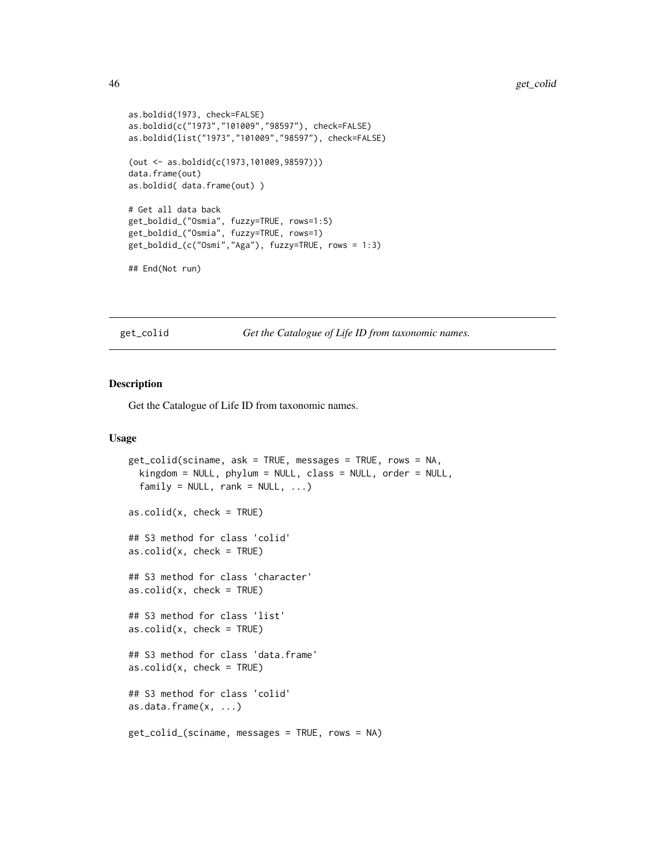```
as.boldid(1973, check=FALSE)
as.boldid(c("1973","101009","98597"), check=FALSE)
as.boldid(list("1973","101009","98597"), check=FALSE)
(out <- as.boldid(c(1973,101009,98597)))
data.frame(out)
as.boldid( data.frame(out) )
# Get all data back
get_boldid_("Osmia", fuzzy=TRUE, rows=1:5)
get_boldid_("Osmia", fuzzy=TRUE, rows=1)
get_boldid_(c("Osmi","Aga"), fuzzy=TRUE, rows = 1:3)
## End(Not run)
```
<span id="page-45-0"></span>get\_colid *Get the Catalogue of Life ID from taxonomic names.*

### <span id="page-45-1"></span>Description

Get the Catalogue of Life ID from taxonomic names.

```
get_colid(sciname, ask = TRUE, messages = TRUE, rows = NA,
 kingdom = NULL, phylum = NULL, class = NULL, order = NULL,
 family = NULL, rank = NULL, ...)as.colid(x, check = TRUE)## S3 method for class 'colid'
as.colid(x, check = TRUE)## S3 method for class 'character'
as.colid(x, check = TRUE)## S3 method for class 'list'
as.colid(x, check = TRUE)## S3 method for class 'data.frame'
as.colid(x, check = TRUE)## S3 method for class 'colid'
as.data.frame(x, ...)
get_colid_(sciname, messages = TRUE, rows = NA)
```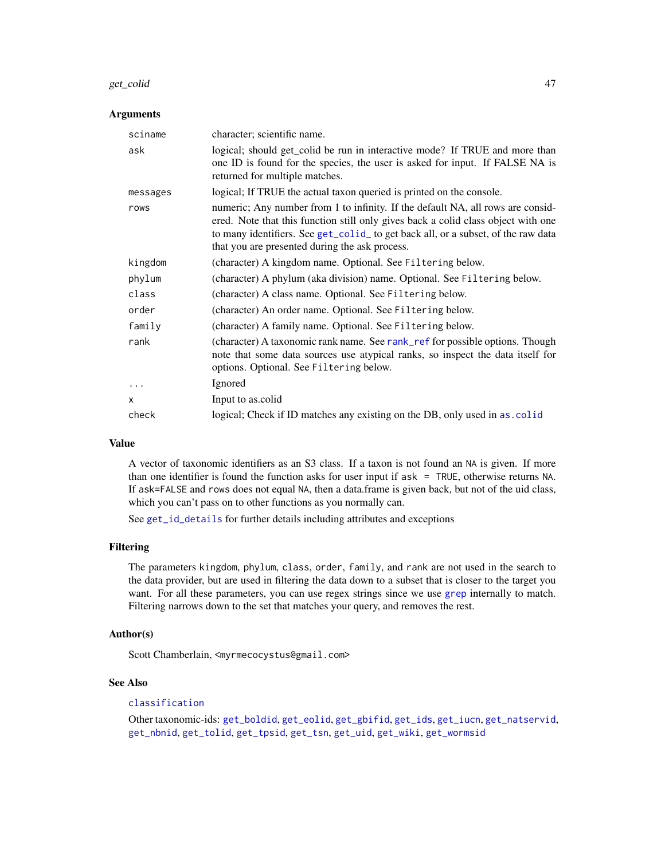#### get\_colid 47

### Arguments

| sciname  | character; scientific name.                                                                                                                                                                                                                                                                                 |
|----------|-------------------------------------------------------------------------------------------------------------------------------------------------------------------------------------------------------------------------------------------------------------------------------------------------------------|
| ask      | logical; should get_colid be run in interactive mode? If TRUE and more than<br>one ID is found for the species, the user is asked for input. If FALSE NA is<br>returned for multiple matches.                                                                                                               |
| messages | logical; If TRUE the actual taxon queried is printed on the console.                                                                                                                                                                                                                                        |
| rows     | numeric; Any number from 1 to infinity. If the default NA, all rows are consid-<br>ered. Note that this function still only gives back a colid class object with one<br>to many identifiers. See get_colid_ to get back all, or a subset, of the raw data<br>that you are presented during the ask process. |
| kingdom  | (character) A kingdom name. Optional. See Filtering below.                                                                                                                                                                                                                                                  |
| phylum   | (character) A phylum (aka division) name. Optional. See Filtering below.                                                                                                                                                                                                                                    |
| class    | (character) A class name. Optional. See Filtering below.                                                                                                                                                                                                                                                    |
| order    | (character) An order name. Optional. See Filtering below.                                                                                                                                                                                                                                                   |
| family   | (character) A family name. Optional. See Filtering below.                                                                                                                                                                                                                                                   |
| rank     | (character) A taxonomic rank name. See rank_ref for possible options. Though<br>note that some data sources use atypical ranks, so inspect the data itself for<br>options. Optional. See Filtering below.                                                                                                   |
| $\ddots$ | Ignored                                                                                                                                                                                                                                                                                                     |
| X        | Input to as.colid                                                                                                                                                                                                                                                                                           |
| check    | logical; Check if ID matches any existing on the DB, only used in as. colid                                                                                                                                                                                                                                 |

## Value

A vector of taxonomic identifiers as an S3 class. If a taxon is not found an NA is given. If more than one identifier is found the function asks for user input if ask = TRUE, otherwise returns NA. If ask=FALSE and rows does not equal NA, then a data.frame is given back, but not of the uid class, which you can't pass on to other functions as you normally can.

See [get\\_id\\_details](#page-56-0) for further details including attributes and exceptions

#### Filtering

The parameters kingdom, phylum, class, order, family, and rank are not used in the search to the data provider, but are used in filtering the data down to a subset that is closer to the target you want. For all these parameters, you can use regex strings since we use [grep](#page-0-0) internally to match. Filtering narrows down to the set that matches your query, and removes the rest.

## Author(s)

Scott Chamberlain, <myrmecocystus@gmail.com>

## See Also

# [classification](#page-13-0)

Other taxonomic-ids: [get\\_boldid](#page-42-1), [get\\_eolid](#page-48-0), [get\\_gbifid](#page-51-0), [get\\_ids](#page-54-0), [get\\_iucn](#page-57-0), [get\\_natservid](#page-59-0), [get\\_nbnid](#page-62-0), [get\\_tolid](#page-65-0), [get\\_tpsid](#page-67-0), [get\\_tsn](#page-70-0), [get\\_uid](#page-74-0), [get\\_wiki](#page-78-0), [get\\_wormsid](#page-80-0)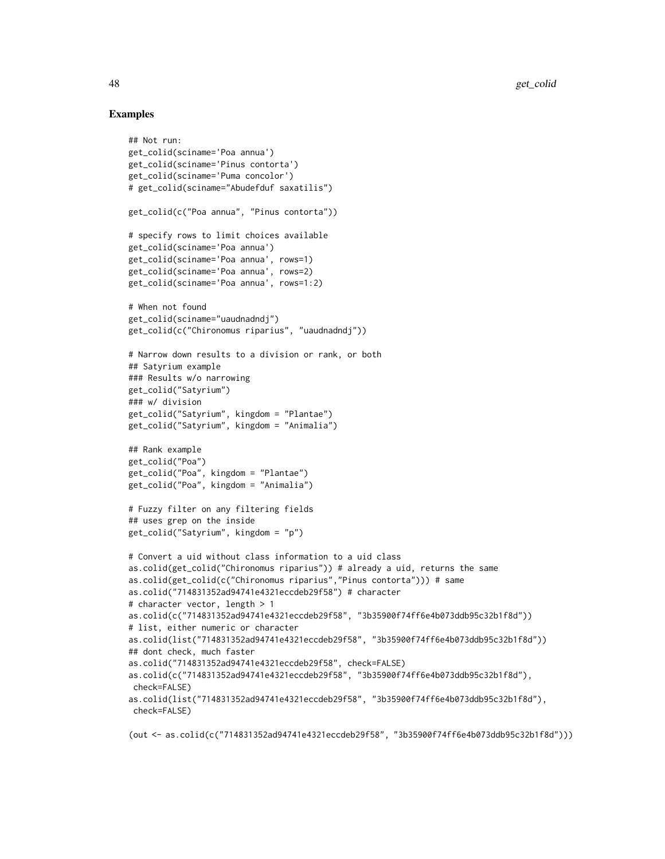## Examples

```
## Not run:
get_colid(sciname='Poa annua')
get_colid(sciname='Pinus contorta')
get_colid(sciname='Puma concolor')
# get_colid(sciname="Abudefduf saxatilis")
get_colid(c("Poa annua", "Pinus contorta"))
# specify rows to limit choices available
get_colid(sciname='Poa annua')
get_colid(sciname='Poa annua', rows=1)
get_colid(sciname='Poa annua', rows=2)
get_colid(sciname='Poa annua', rows=1:2)
# When not found
get_colid(sciname="uaudnadndj")
get_colid(c("Chironomus riparius", "uaudnadndj"))
# Narrow down results to a division or rank, or both
## Satyrium example
### Results w/o narrowing
get_colid("Satyrium")
### w/ division
get_colid("Satyrium", kingdom = "Plantae")
get_colid("Satyrium", kingdom = "Animalia")
## Rank example
get_colid("Poa")
get_colid("Poa", kingdom = "Plantae")
get_colid("Poa", kingdom = "Animalia")
# Fuzzy filter on any filtering fields
## uses grep on the inside
get_colid("Satyrium", kingdom = "p")
# Convert a uid without class information to a uid class
as.colid(get_colid("Chironomus riparius")) # already a uid, returns the same
as.colid(get_colid(c("Chironomus riparius","Pinus contorta"))) # same
as.colid("714831352ad94741e4321eccdeb29f58") # character
# character vector, length > 1
as.colid(c("714831352ad94741e4321eccdeb29f58", "3b35900f74ff6e4b073ddb95c32b1f8d"))
# list, either numeric or character
as.colid(list("714831352ad94741e4321eccdeb29f58", "3b35900f74ff6e4b073ddb95c32b1f8d"))
## dont check, much faster
as.colid("714831352ad94741e4321eccdeb29f58", check=FALSE)
as.colid(c("714831352ad94741e4321eccdeb29f58", "3b35900f74ff6e4b073ddb95c32b1f8d"),
 check=FALSE)
as.colid(list("714831352ad94741e4321eccdeb29f58", "3b35900f74ff6e4b073ddb95c32b1f8d"),
check=FALSE)
```
(out <- as.colid(c("714831352ad94741e4321eccdeb29f58", "3b35900f74ff6e4b073ddb95c32b1f8d")))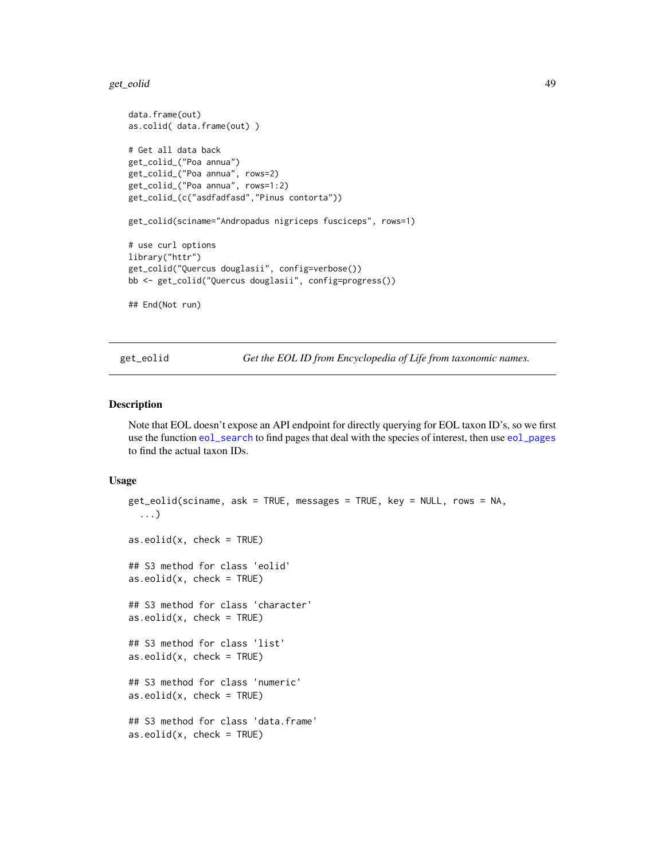#### get\_eolid 49

```
data.frame(out)
as.colid( data.frame(out) )
# Get all data back
get_colid_("Poa annua")
get_colid_("Poa annua", rows=2)
get_colid_("Poa annua", rows=1:2)
get_colid_(c("asdfadfasd","Pinus contorta"))
get_colid(sciname="Andropadus nigriceps fusciceps", rows=1)
# use curl options
library("httr")
get_colid("Quercus douglasii", config=verbose())
bb <- get_colid("Quercus douglasii", config=progress())
## End(Not run)
```
<span id="page-48-0"></span>get\_eolid *Get the EOL ID from Encyclopedia of Life from taxonomic names.*

### <span id="page-48-1"></span>Description

Note that EOL doesn't expose an API endpoint for directly querying for EOL taxon ID's, so we first use the function [eol\\_search](#page-29-0) to find pages that deal with the species of interest, then use [eol\\_pages](#page-28-0) to find the actual taxon IDs.

```
get_eolid(sciname, ask = TRUE, messages = TRUE, key = NULL, rows = NA,
  ...)
as.eolid(x, check = TRUE)## S3 method for class 'eolid'
as.eolid(x, check = TRUE)## S3 method for class 'character'
as.eolid(x, check = TRUE)## S3 method for class 'list'
as.eolid(x, check = TRUE)## S3 method for class 'numeric'
as.eolid(x, check = TRUE)## S3 method for class 'data.frame'
as.eolid(x, check = TRUE)
```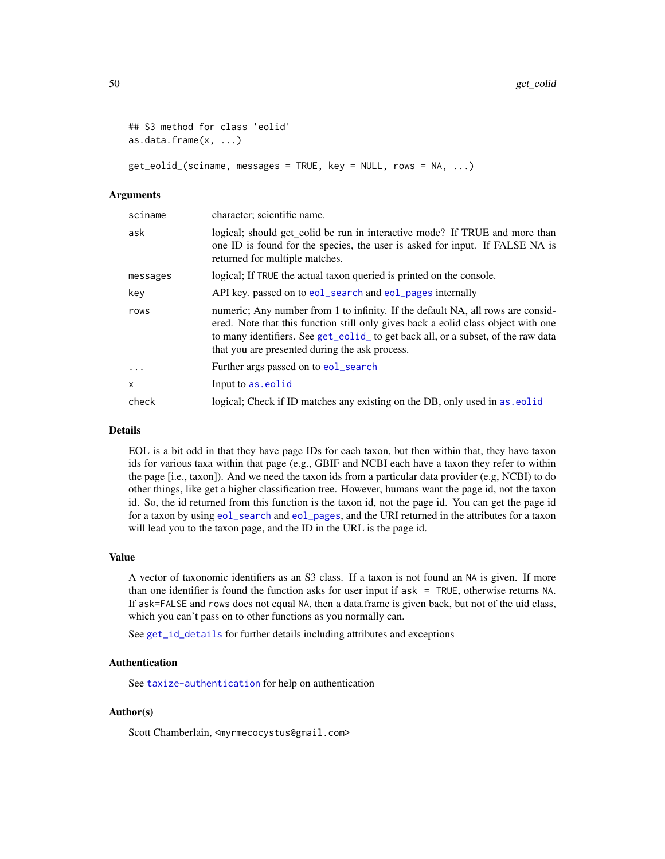```
## S3 method for class 'eolid'
as.data.frame(x, ...)
```
get\_eolid\_(sciname, messages = TRUE, key = NULL, rows = NA, ...)

#### Arguments

| sciname   | character; scientific name.                                                                                                                                                                                                                                                                                 |
|-----------|-------------------------------------------------------------------------------------------------------------------------------------------------------------------------------------------------------------------------------------------------------------------------------------------------------------|
| ask       | logical; should get_eolid be run in interactive mode? If TRUE and more than<br>one ID is found for the species, the user is asked for input. If FALSE NA is<br>returned for multiple matches.                                                                                                               |
| messages  | logical; If TRUE the actual taxon queried is printed on the console.                                                                                                                                                                                                                                        |
| key       | API key. passed on to eol_search and eol_pages internally                                                                                                                                                                                                                                                   |
| rows      | numeric; Any number from 1 to infinity. If the default NA, all rows are consid-<br>ered. Note that this function still only gives back a eolid class object with one<br>to many identifiers. See get_eolid_ to get back all, or a subset, of the raw data<br>that you are presented during the ask process. |
| $\ddotsc$ | Further args passed on to eol_search                                                                                                                                                                                                                                                                        |
| X         | Input to as eolid                                                                                                                                                                                                                                                                                           |
| check     | logical; Check if ID matches any existing on the DB, only used in as eolid                                                                                                                                                                                                                                  |

### Details

EOL is a bit odd in that they have page IDs for each taxon, but then within that, they have taxon ids for various taxa within that page (e.g., GBIF and NCBI each have a taxon they refer to within the page [i.e., taxon]). And we need the taxon ids from a particular data provider (e.g, NCBI) to do other things, like get a higher classification tree. However, humans want the page id, not the taxon id. So, the id returned from this function is the taxon id, not the page id. You can get the page id for a taxon by using [eol\\_search](#page-29-0) and [eol\\_pages](#page-28-0), and the URI returned in the attributes for a taxon will lead you to the taxon page, and the ID in the URL is the page id.

### Value

A vector of taxonomic identifiers as an S3 class. If a taxon is not found an NA is given. If more than one identifier is found the function asks for user input if ask = TRUE, otherwise returns NA. If ask=FALSE and rows does not equal NA, then a data.frame is given back, but not of the uid class, which you can't pass on to other functions as you normally can.

See [get\\_id\\_details](#page-56-0) for further details including attributes and exceptions

## Authentication

See [taxize-authentication](#page-41-0) for help on authentication

### Author(s)

Scott Chamberlain, <myrmecocystus@gmail.com>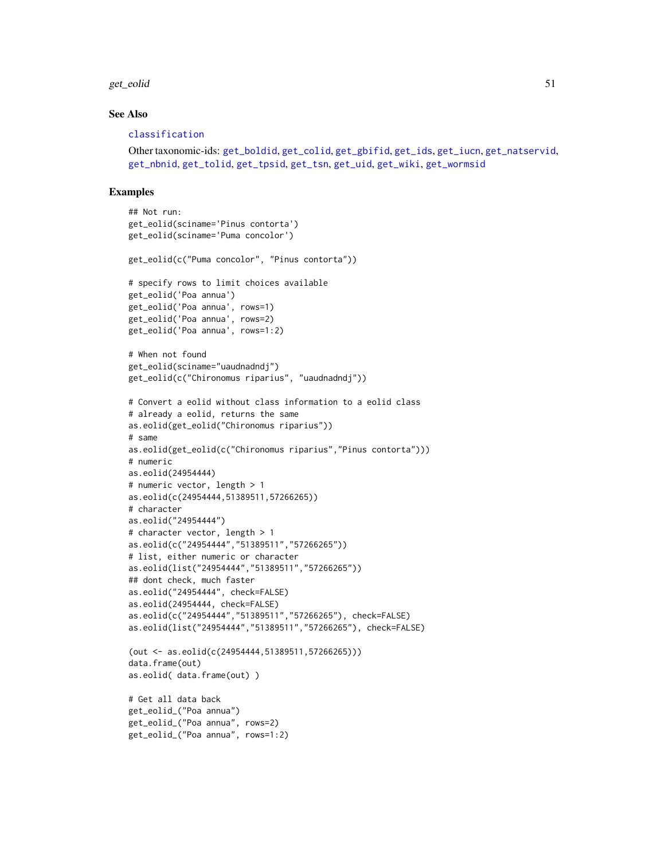#### get\_eolid 51

### See Also

#### [classification](#page-13-0)

```
Other taxonomic-ids: get_boldid, get_colid, get_gbifid, get_ids, get_iucn, get_natservid,
get_nbnid, get_tolid, get_tpsid, get_tsn, get_uid, get_wiki, get_wormsid
```

```
## Not run:
get_eolid(sciname='Pinus contorta')
get_eolid(sciname='Puma concolor')
get_eolid(c("Puma concolor", "Pinus contorta"))
# specify rows to limit choices available
get_eolid('Poa annua')
get_eolid('Poa annua', rows=1)
get_eolid('Poa annua', rows=2)
get_eolid('Poa annua', rows=1:2)
# When not found
get_eolid(sciname="uaudnadndj")
get_eolid(c("Chironomus riparius", "uaudnadndj"))
# Convert a eolid without class information to a eolid class
# already a eolid, returns the same
as.eolid(get_eolid("Chironomus riparius"))
# same
as.eolid(get_eolid(c("Chironomus riparius","Pinus contorta")))
# numeric
as.eolid(24954444)
# numeric vector, length > 1
as.eolid(c(24954444,51389511,57266265))
# character
as.eolid("24954444")
# character vector, length > 1
as.eolid(c("24954444","51389511","57266265"))
# list, either numeric or character
as.eolid(list("24954444","51389511","57266265"))
## dont check, much faster
as.eolid("24954444", check=FALSE)
as.eolid(24954444, check=FALSE)
as.eolid(c("24954444","51389511","57266265"), check=FALSE)
as.eolid(list("24954444","51389511","57266265"), check=FALSE)
(out <- as.eolid(c(24954444,51389511,57266265)))
data.frame(out)
as.eolid( data.frame(out) )
# Get all data back
get_eolid_("Poa annua")
get_eolid_("Poa annua", rows=2)
get_eolid_("Poa annua", rows=1:2)
```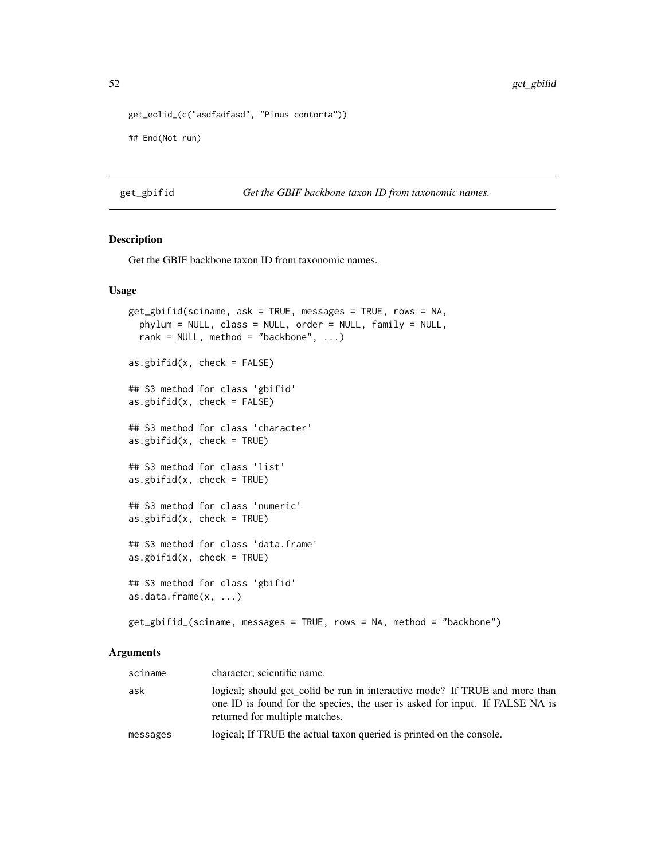```
get_eolid_(c("asdfadfasd", "Pinus contorta"))
```
## End(Not run)

<span id="page-51-0"></span>get\_gbifid *Get the GBIF backbone taxon ID from taxonomic names.*

# <span id="page-51-1"></span>Description

Get the GBIF backbone taxon ID from taxonomic names.

## Usage

```
get_gbifid(sciname, ask = TRUE, messages = TRUE, rows = NA,
  phylum = NULL, class = NULL, order = NULL, family = NULL,
  rank = NULL, method = "backbone", \dots)
as.gbifid(x, check = FALSE)
## S3 method for class 'gbifid'
as.gbifid(x, check = FALSE)
## S3 method for class 'character'
as.gbifid(x, check = TRUE)
## S3 method for class 'list'
as.gbifid(x, check = TRUE)
## S3 method for class 'numeric'
as.gbifid(x, check = TRUE)## S3 method for class 'data.frame'
as.gbifid(x, check = TRUE)
## S3 method for class 'gbifid'
as.data.frame(x, ...)
get_gbifid_(sciname, messages = TRUE, rows = NA, method = "backbone")
```
#### Arguments

| sciname  | character; scientific name.                                                                                                                                                                   |
|----------|-----------------------------------------------------------------------------------------------------------------------------------------------------------------------------------------------|
| ask      | logical; should get colid be run in interactive mode? If TRUE and more than<br>one ID is found for the species, the user is asked for input. If FALSE NA is<br>returned for multiple matches. |
| messages | logical; If TRUE the actual taxon queried is printed on the console.                                                                                                                          |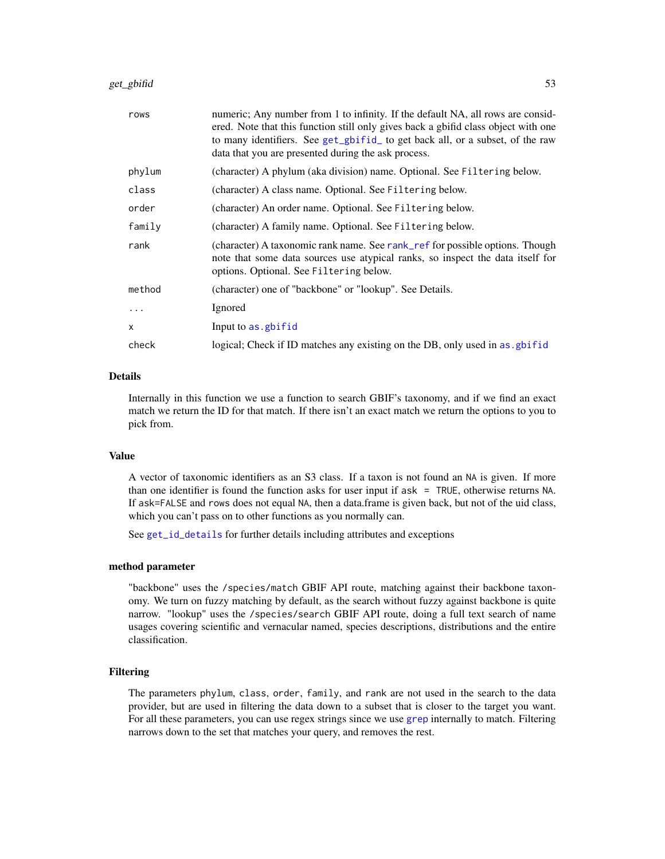| rows     | numeric; Any number from 1 to infinity. If the default NA, all rows are consid-<br>ered. Note that this function still only gives back a gbifid class object with one<br>to many identifiers. See get_gbifid_ to get back all, or a subset, of the raw<br>data that you are presented during the ask process. |
|----------|---------------------------------------------------------------------------------------------------------------------------------------------------------------------------------------------------------------------------------------------------------------------------------------------------------------|
| phylum   | (character) A phylum (aka division) name. Optional. See Filtering below.                                                                                                                                                                                                                                      |
| class    | (character) A class name. Optional. See Filtering below.                                                                                                                                                                                                                                                      |
| order    | (character) An order name. Optional. See Filtering below.                                                                                                                                                                                                                                                     |
| family   | (character) A family name. Optional. See Filtering below.                                                                                                                                                                                                                                                     |
| rank     | (character) A taxonomic rank name. See rank_ref for possible options. Though<br>note that some data sources use atypical ranks, so inspect the data itself for<br>options. Optional. See Filtering below.                                                                                                     |
| method   | (character) one of "backbone" or "lookup". See Details.                                                                                                                                                                                                                                                       |
| $\cdots$ | Ignored                                                                                                                                                                                                                                                                                                       |
| X        | Input to as . gbifid                                                                                                                                                                                                                                                                                          |
| check    | logical; Check if ID matches any existing on the DB, only used in as gbifid                                                                                                                                                                                                                                   |

# Details

Internally in this function we use a function to search GBIF's taxonomy, and if we find an exact match we return the ID for that match. If there isn't an exact match we return the options to you to pick from.

## Value

A vector of taxonomic identifiers as an S3 class. If a taxon is not found an NA is given. If more than one identifier is found the function asks for user input if ask = TRUE, otherwise returns NA. If ask=FALSE and rows does not equal NA, then a data.frame is given back, but not of the uid class, which you can't pass on to other functions as you normally can.

See [get\\_id\\_details](#page-56-0) for further details including attributes and exceptions

#### method parameter

"backbone" uses the /species/match GBIF API route, matching against their backbone taxonomy. We turn on fuzzy matching by default, as the search without fuzzy against backbone is quite narrow. "lookup" uses the /species/search GBIF API route, doing a full text search of name usages covering scientific and vernacular named, species descriptions, distributions and the entire classification.

#### Filtering

The parameters phylum, class, order, family, and rank are not used in the search to the data provider, but are used in filtering the data down to a subset that is closer to the target you want. For all these parameters, you can use regex strings since we use [grep](#page-0-0) internally to match. Filtering narrows down to the set that matches your query, and removes the rest.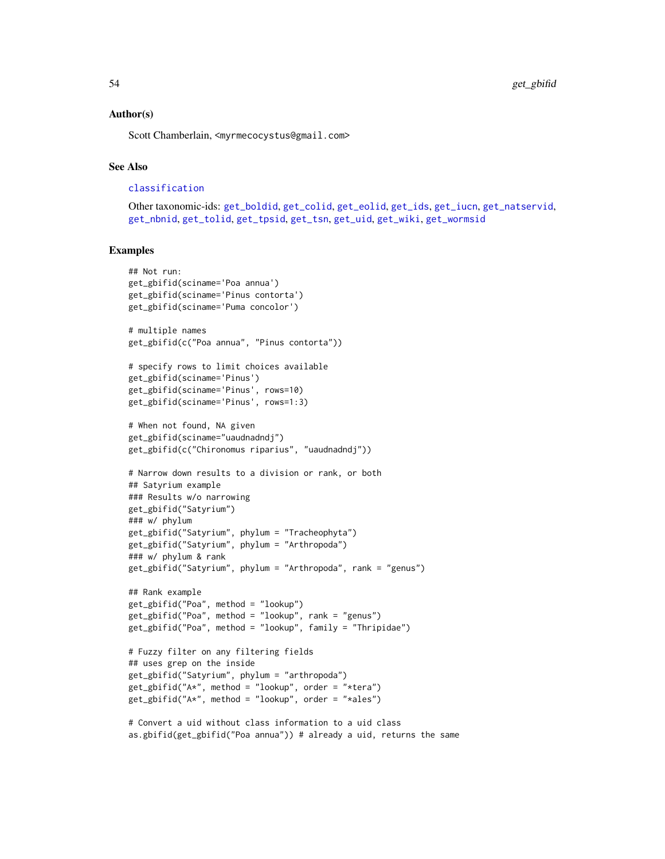## Author(s)

Scott Chamberlain, <myrmecocystus@gmail.com>

## See Also

```
classification
```

```
Other taxonomic-ids: get_boldid, get_colid, get_eolid, get_ids, get_iucn, get_natservid,
get_nbnid, get_tolid, get_tpsid, get_tsn, get_uid, get_wiki, get_wormsid
```
## Examples

```
## Not run:
get_gbifid(sciname='Poa annua')
get_gbifid(sciname='Pinus contorta')
get_gbifid(sciname='Puma concolor')
# multiple names
get_gbifid(c("Poa annua", "Pinus contorta"))
# specify rows to limit choices available
get_gbifid(sciname='Pinus')
get_gbifid(sciname='Pinus', rows=10)
get_gbifid(sciname='Pinus', rows=1:3)
# When not found, NA given
get_gbifid(sciname="uaudnadndj")
get_gbifid(c("Chironomus riparius", "uaudnadndj"))
# Narrow down results to a division or rank, or both
## Satyrium example
### Results w/o narrowing
get_gbifid("Satyrium")
### w/ phylum
get_gbifid("Satyrium", phylum = "Tracheophyta")
get_gbifid("Satyrium", phylum = "Arthropoda")
### w/ phylum & rank
get_gbifid("Satyrium", phylum = "Arthropoda", rank = "genus")
## Rank example
get_gbifid("Poa", method = "lookup")
get_gbifid("Poa", method = "lookup", rank = "genus")
get_gbifid("Poa", method = "lookup", family = "Thripidae")
# Fuzzy filter on any filtering fields
## uses grep on the inside
get_gbifid("Satyrium", phylum = "arthropoda")
get_gbitid("A*", method = "lookup", order = "*tera")get_gbifid("A*", method = "lookup", order = "*ales")
```
# Convert a uid without class information to a uid class as.gbifid(get\_gbifid("Poa annua")) # already a uid, returns the same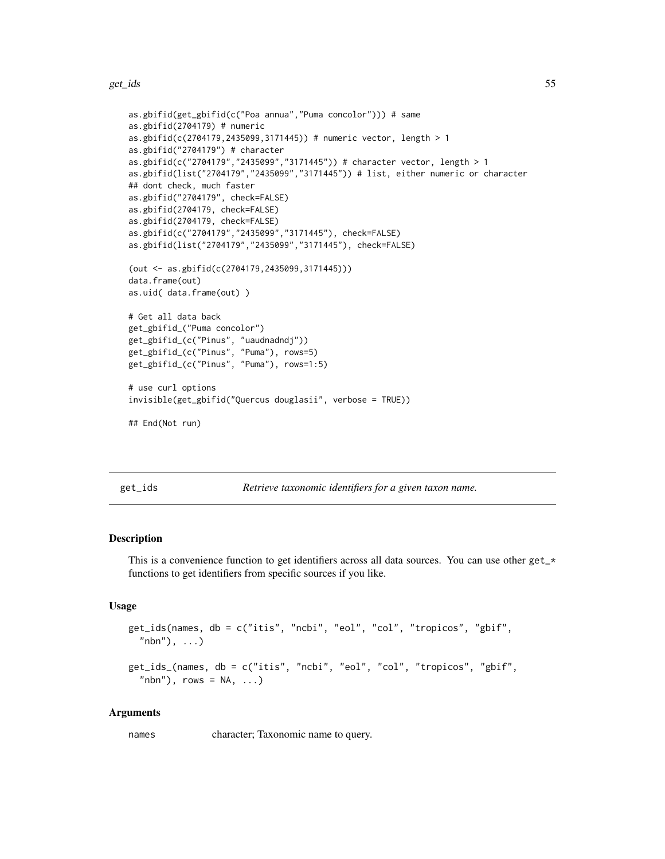```
as.gbifid(get_gbifid(c("Poa annua","Puma concolor"))) # same
as.gbifid(2704179) # numeric
as.gbifid(c(2704179,2435099,3171445)) # numeric vector, length > 1
as.gbifid("2704179") # character
as.gbifid(c("2704179","2435099","3171445")) # character vector, length > 1
as.gbifid(list("2704179","2435099","3171445")) # list, either numeric or character
## dont check, much faster
as.gbifid("2704179", check=FALSE)
as.gbifid(2704179, check=FALSE)
as.gbifid(2704179, check=FALSE)
as.gbifid(c("2704179","2435099","3171445"), check=FALSE)
as.gbifid(list("2704179","2435099","3171445"), check=FALSE)
(out <- as.gbifid(c(2704179,2435099,3171445)))
data.frame(out)
as.uid( data.frame(out) )
# Get all data back
get_gbifid_("Puma concolor")
get_gbifid_(c("Pinus", "uaudnadndj"))
get_gbifid_(c("Pinus", "Puma"), rows=5)
get_gbifid_(c("Pinus", "Puma"), rows=1:5)
# use curl options
invisible(get_gbifid("Quercus douglasii", verbose = TRUE))
## End(Not run)
```
<span id="page-54-0"></span>get\_ids *Retrieve taxonomic identifiers for a given taxon name.*

#### **Description**

This is a convenience function to get identifiers across all data sources. You can use other get\_\* functions to get identifiers from specific sources if you like.

### Usage

```
get_ids(names, db = c("itis", "ncbi", "eol", "col", "tropicos", "gbif",
  "nbn"), ...)
get_ids_(names, db = c("itis", "ncbi", "eol", "col", "tropicos", "gbif",
  "nbn"), rows = NA, ...)
```
#### Arguments

names character; Taxonomic name to query.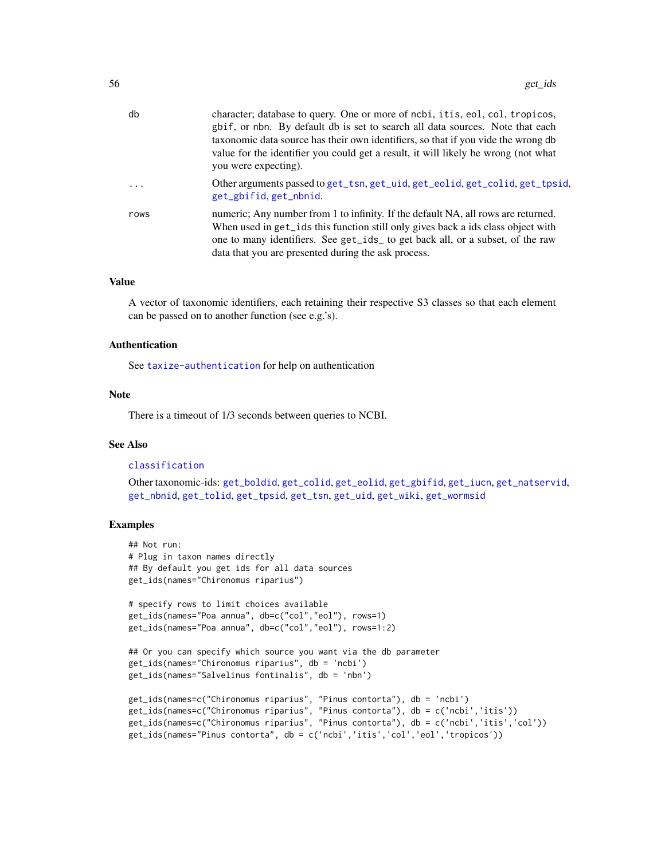| db   | character; database to query. One or more of ncbi, it is, eol, col, tropicos,<br>gbif, or nbn. By default db is set to search all data sources. Note that each<br>taxonomic data source has their own identifiers, so that if you vide the wrong db<br>value for the identifier you could get a result, it will likely be wrong (not what<br>you were expecting). |
|------|-------------------------------------------------------------------------------------------------------------------------------------------------------------------------------------------------------------------------------------------------------------------------------------------------------------------------------------------------------------------|
| .    | Other arguments passed to get_tsn, get_uid, get_eolid, get_colid, get_tpsid,<br>get_gbifid, get_nbnid.                                                                                                                                                                                                                                                            |
| rows | numeric; Any number from 1 to infinity. If the default NA, all rows are returned.<br>When used in get_ids this function still only gives back a ids class object with<br>one to many identifiers. See get_ids_ to get back all, or a subset, of the raw<br>data that you are presented during the ask process.                                                    |

## Value

A vector of taxonomic identifiers, each retaining their respective S3 classes so that each element can be passed on to another function (see e.g.'s).

### Authentication

See [taxize-authentication](#page-41-0) for help on authentication

### Note

There is a timeout of 1/3 seconds between queries to NCBI.

# See Also

## [classification](#page-13-0)

Other taxonomic-ids: [get\\_boldid](#page-42-1), [get\\_colid](#page-45-0), [get\\_eolid](#page-48-0), [get\\_gbifid](#page-51-0), [get\\_iucn](#page-57-0), [get\\_natservid](#page-59-0), [get\\_nbnid](#page-62-0), [get\\_tolid](#page-65-0), [get\\_tpsid](#page-67-0), [get\\_tsn](#page-70-0), [get\\_uid](#page-74-0), [get\\_wiki](#page-78-0), [get\\_wormsid](#page-80-0)

```
## Not run:
# Plug in taxon names directly
## By default you get ids for all data sources
get_ids(names="Chironomus riparius")
# specify rows to limit choices available
get_ids(names="Poa annua", db=c("col","eol"), rows=1)
get_ids(names="Poa annua", db=c("col","eol"), rows=1:2)
## Or you can specify which source you want via the db parameter
get_ids(names="Chironomus riparius", db = 'ncbi')
get_ids(names="Salvelinus fontinalis", db = 'nbn')
get_ids(names=c("Chironomus riparius", "Pinus contorta"), db = 'ncbi')
get_ids(names=c("Chironomus riparius", "Pinus contorta"), db = c('ncbi','itis'))
get_ids(names=c("Chironomus riparius", "Pinus contorta"), db = c('ncbi','itis','col'))
get_ids(names="Pinus contorta", db = c('ncbi','itis','col','eol','tropicos'))
```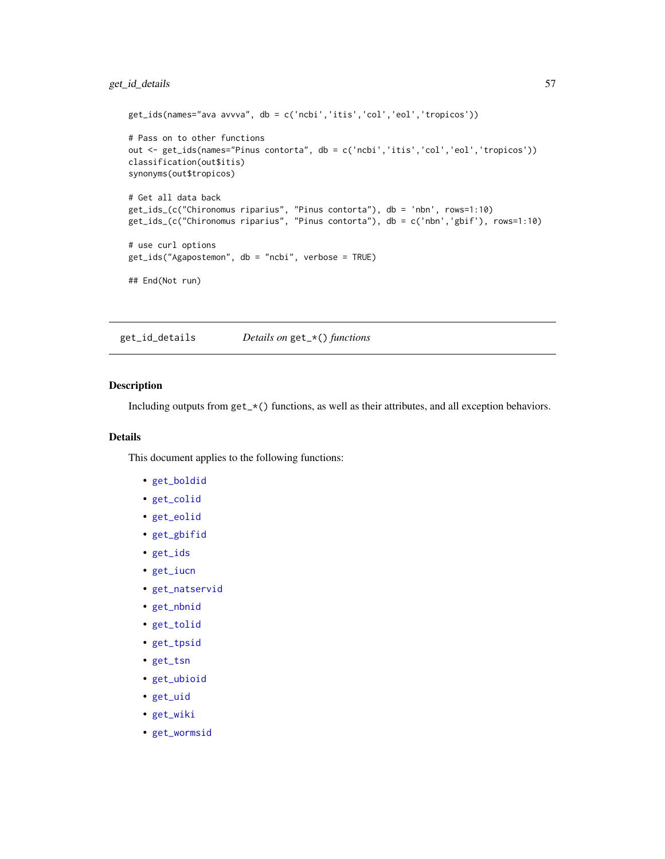```
get_ids(names="ava avvva", db = c('ncbi','itis','col','eol','tropicos'))
# Pass on to other functions
out <- get_ids(names="Pinus contorta", db = c('ncbi','itis','col','eol','tropicos'))
classification(out$itis)
synonyms(out$tropicos)
# Get all data back
get_ids_(c("Chironomus riparius", "Pinus contorta"), db = 'nbn', rows=1:10)
get_ids_(c("Chironomus riparius", "Pinus contorta"), db = c('nbn','gbif'), rows=1:10)
# use curl options
get_ids("Agapostemon", db = "ncbi", verbose = TRUE)
## End(Not run)
```
<span id="page-56-0"></span>get\_id\_details *Details on* get\_\*() *functions*

## Description

Including outputs from  $get_x \times ()$  functions, as well as their attributes, and all exception behaviors.

## Details

This document applies to the following functions:

- [get\\_boldid](#page-42-1)
- [get\\_colid](#page-45-0)
- [get\\_eolid](#page-48-0)
- [get\\_gbifid](#page-51-0)
- [get\\_ids](#page-54-0)
- [get\\_iucn](#page-57-0)
- [get\\_natservid](#page-59-0)
- [get\\_nbnid](#page-62-0)
- [get\\_tolid](#page-65-0)
- [get\\_tpsid](#page-67-0)
- [get\\_tsn](#page-70-0)
- [get\\_ubioid](#page-72-0)
- [get\\_uid](#page-74-0)
- [get\\_wiki](#page-78-0)
- [get\\_wormsid](#page-80-0)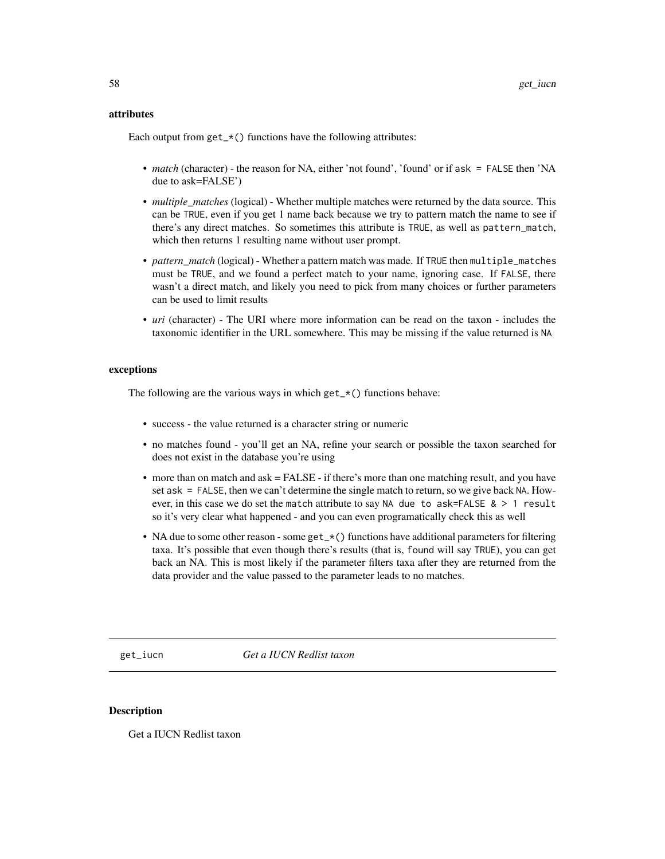## attributes

Each output from  $get_{\times}()$  functions have the following attributes:

- *match* (character) the reason for NA, either 'not found', 'found' or if ask = FALSE then 'NA due to ask=FALSE')
- *multiple\_matches* (logical) Whether multiple matches were returned by the data source. This can be TRUE, even if you get 1 name back because we try to pattern match the name to see if there's any direct matches. So sometimes this attribute is TRUE, as well as pattern\_match, which then returns 1 resulting name without user prompt.
- *pattern\_match* (logical) Whether a pattern match was made. If TRUE then multiple\_matches must be TRUE, and we found a perfect match to your name, ignoring case. If FALSE, there wasn't a direct match, and likely you need to pick from many choices or further parameters can be used to limit results
- *uri* (character) The URI where more information can be read on the taxon includes the taxonomic identifier in the URL somewhere. This may be missing if the value returned is NA

## exceptions

The following are the various ways in which  $get_\pm\$ () functions behave:

- success the value returned is a character string or numeric
- no matches found you'll get an NA, refine your search or possible the taxon searched for does not exist in the database you're using
- more than on match and ask = FALSE if there's more than one matching result, and you have set ask = FALSE, then we can't determine the single match to return, so we give back NA. However, in this case we do set the match attribute to say NA due to ask=FALSE  $\> 1$  result so it's very clear what happened - and you can even programatically check this as well
- NA due to some other reason some get\_ $\star$  () functions have additional parameters for filtering taxa. It's possible that even though there's results (that is, found will say TRUE), you can get back an NA. This is most likely if the parameter filters taxa after they are returned from the data provider and the value passed to the parameter leads to no matches.

<span id="page-57-0"></span>get\_iucn *Get a IUCN Redlist taxon*

#### <span id="page-57-1"></span>Description

Get a IUCN Redlist taxon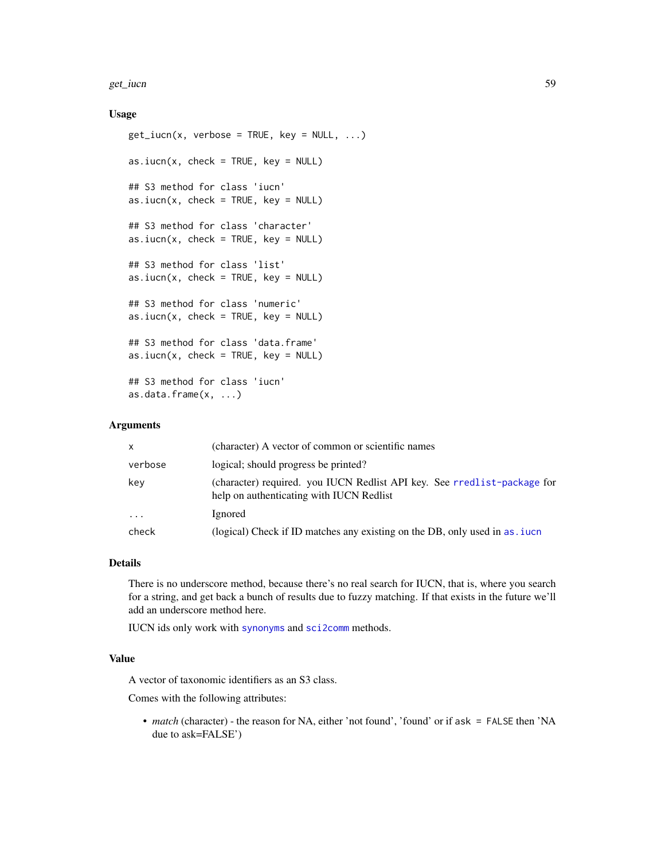#### get\_iucn 59

## Usage

```
get\_iucn(x, verbose = TRUE, key = NULL, ...)as.iucn(x, check = TRUE, key = NULL)
## S3 method for class 'iucn'
as.iucn(x, check = TRUE, key = NULL)
## S3 method for class 'character'
as.iucn(x, check = TRUE, key = NULL)
## S3 method for class 'list'
as.iucn(x, check = TRUE, key = NULL)
## S3 method for class 'numeric'
as.iucn(x, check = TRUE, key = NULL)
## S3 method for class 'data.frame'
as.iucn(x, check = TRUE, key = NULL)
## S3 method for class 'iucn'
as.data.frame(x, ...)
```
### Arguments

| X          | (character) A vector of common or scientific names                                                                   |
|------------|----------------------------------------------------------------------------------------------------------------------|
| verbose    | logical; should progress be printed?                                                                                 |
| key        | (character) required. you IUCN Redlist API key. See rredlist-package for<br>help on authenticating with IUCN Redlist |
| $\ddots$ . | Ignored                                                                                                              |
| check      | (logical) Check if ID matches any existing on the DB, only used in as <i>i</i> uch                                   |

## Details

There is no underscore method, because there's no real search for IUCN, that is, where you search for a string, and get back a bunch of results due to fuzzy matching. If that exists in the future we'll add an underscore method here.

IUCN ids only work with [synonyms](#page-131-0) and [sci2comm](#page-127-0) methods.

### Value

A vector of taxonomic identifiers as an S3 class.

Comes with the following attributes:

• *match* (character) - the reason for NA, either 'not found', 'found' or if ask = FALSE then 'NA due to ask=FALSE')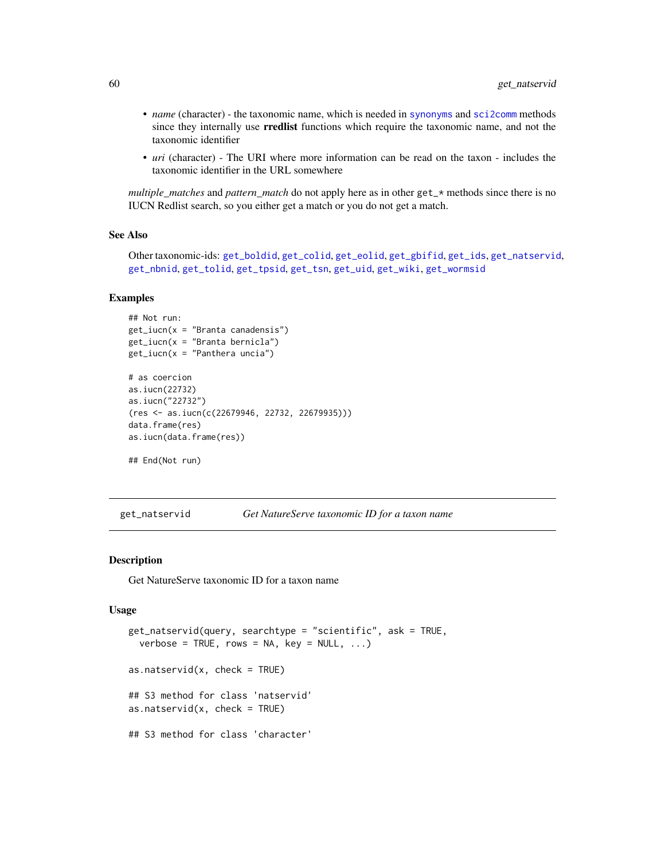- *name* (character) the taxonomic name, which is needed in [synonyms](#page-131-0) and [sci2comm](#page-127-0) methods since they internally use rredlist functions which require the taxonomic name, and not the taxonomic identifier
- *uri* (character) The URI where more information can be read on the taxon includes the taxonomic identifier in the URL somewhere

*multiple\_matches* and *pattern\_match* do not apply here as in other get\_\* methods since there is no IUCN Redlist search, so you either get a match or you do not get a match.

### See Also

Other taxonomic-ids: [get\\_boldid](#page-42-1), [get\\_colid](#page-45-0), [get\\_eolid](#page-48-0), [get\\_gbifid](#page-51-0), [get\\_ids](#page-54-0), [get\\_natservid](#page-59-0), [get\\_nbnid](#page-62-0), [get\\_tolid](#page-65-0), [get\\_tpsid](#page-67-0), [get\\_tsn](#page-70-0), [get\\_uid](#page-74-0), [get\\_wiki](#page-78-0), [get\\_wormsid](#page-80-0)

## Examples

```
## Not run:
get\_iucn(x = "Branta canadensis")get\_iucn(x = "Branta bernicla")get\_iucn(x = "Panthera uncia")# as coercion
as.iucn(22732)
as.iucn("22732")
(res <- as.iucn(c(22679946, 22732, 22679935)))
data.frame(res)
as.iucn(data.frame(res))
## End(Not run)
```
<span id="page-59-0"></span>get\_natservid *Get NatureServe taxonomic ID for a taxon name*

## <span id="page-59-1"></span>Description

Get NatureServe taxonomic ID for a taxon name

```
get_natservid(query, searchtype = "scientific", ask = TRUE,
  verbose = TRUE, rows = NA, key = NULL, \ldots)
as.natservid(x, check = TRUE)
## S3 method for class 'natservid'
as.natservid(x, check = TRUE)
## S3 method for class 'character'
```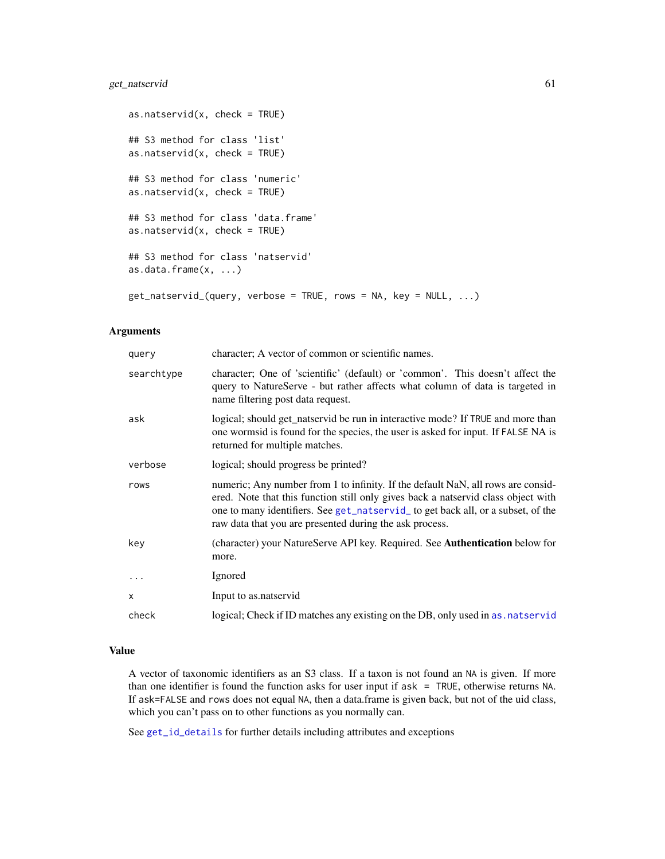# get\_natservid 61

```
as.natservid(x, check = TRUE)
## S3 method for class 'list'
as.natservid(x, check = TRUE)
## S3 method for class 'numeric'
as.natservid(x, check = TRUE)
## S3 method for class 'data.frame'
as.natservid(x, check = TRUE)
## S3 method for class 'natservid'
as.data.frame(x, ...)
get_natservid_(query, verbose = TRUE, rows = NA, key = NULL, ...)
```
# Arguments

| query      | character; A vector of common or scientific names.                                                                                                                                                                                                                                                                   |
|------------|----------------------------------------------------------------------------------------------------------------------------------------------------------------------------------------------------------------------------------------------------------------------------------------------------------------------|
| searchtype | character; One of 'scientific' (default) or 'common'. This doesn't affect the<br>query to NatureServe - but rather affects what column of data is targeted in<br>name filtering post data request.                                                                                                                   |
| ask        | logical; should get_natservid be run in interactive mode? If TRUE and more than<br>one wormsid is found for the species, the user is asked for input. If FALSE NA is<br>returned for multiple matches.                                                                                                               |
| verbose    | logical; should progress be printed?                                                                                                                                                                                                                                                                                 |
| rows       | numeric; Any number from 1 to infinity. If the default NaN, all rows are consid-<br>ered. Note that this function still only gives back a natservid class object with<br>one to many identifiers. See get_natservid_ to get back all, or a subset, of the<br>raw data that you are presented during the ask process. |
| key        | (character) your NatureServe API key. Required. See <b>Authentication</b> below for<br>more.                                                                                                                                                                                                                         |
|            | Ignored                                                                                                                                                                                                                                                                                                              |
| X          | Input to as natservid                                                                                                                                                                                                                                                                                                |
| check      | logical; Check if ID matches any existing on the DB, only used in as natservid                                                                                                                                                                                                                                       |

# Value

A vector of taxonomic identifiers as an S3 class. If a taxon is not found an NA is given. If more than one identifier is found the function asks for user input if ask = TRUE, otherwise returns NA. If ask=FALSE and rows does not equal NA, then a data.frame is given back, but not of the uid class, which you can't pass on to other functions as you normally can.

See [get\\_id\\_details](#page-56-0) for further details including attributes and exceptions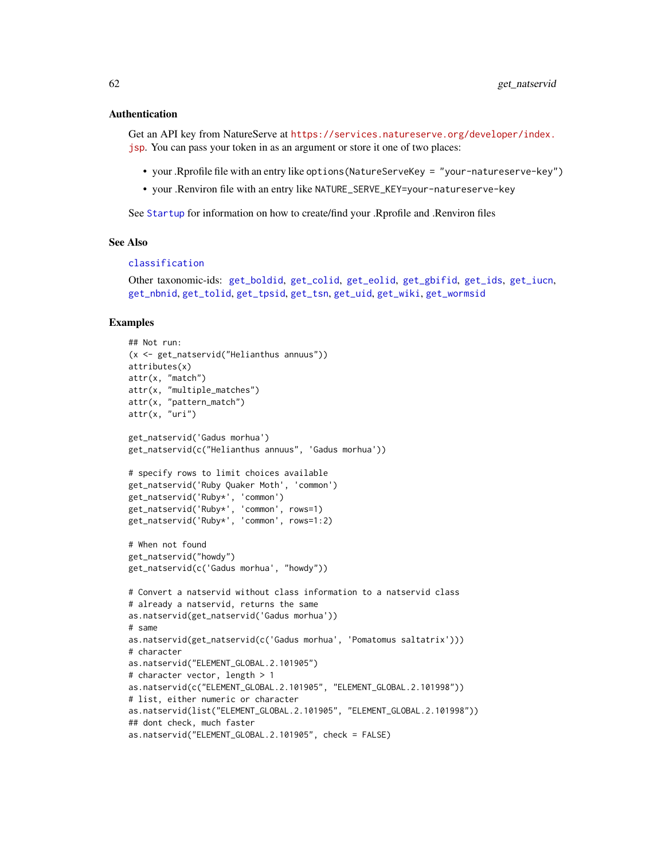### Authentication

Get an API key from NatureServe at [https://services.natureserve.org/developer/index.](https://services.natureserve.org/developer/index.jsp) [jsp](https://services.natureserve.org/developer/index.jsp). You can pass your token in as an argument or store it one of two places:

- your .Rprofile file with an entry like options(NatureServeKey = "your-natureserve-key")
- your .Renviron file with an entry like NATURE\_SERVE\_KEY=your-natureserve-key

See [Startup](#page-0-0) for information on how to create/find your .Rprofile and .Renviron files

#### See Also

#### [classification](#page-13-0)

Other taxonomic-ids: [get\\_boldid](#page-42-1), [get\\_colid](#page-45-0), [get\\_eolid](#page-48-0), [get\\_gbifid](#page-51-0), [get\\_ids](#page-54-0), [get\\_iucn](#page-57-0), [get\\_nbnid](#page-62-0), [get\\_tolid](#page-65-0), [get\\_tpsid](#page-67-0), [get\\_tsn](#page-70-0), [get\\_uid](#page-74-0), [get\\_wiki](#page-78-0), [get\\_wormsid](#page-80-0)

```
## Not run:
(x <- get_natservid("Helianthus annuus"))
attributes(x)
attr(x, "match")
attr(x, "multiple_matches")
attr(x, "pattern_match")
attr(x, "uri")
get_natservid('Gadus morhua')
get_natservid(c("Helianthus annuus", 'Gadus morhua'))
# specify rows to limit choices available
get_natservid('Ruby Quaker Moth', 'common')
get_natservid('Ruby*', 'common')
get_natservid('Ruby*', 'common', rows=1)
get_natservid('Ruby*', 'common', rows=1:2)
# When not found
get_natservid("howdy")
get_natservid(c('Gadus morhua', "howdy"))
# Convert a natservid without class information to a natservid class
# already a natservid, returns the same
as.natservid(get_natservid('Gadus morhua'))
# same
as.natservid(get_natservid(c('Gadus morhua', 'Pomatomus saltatrix')))
# character
as.natservid("ELEMENT_GLOBAL.2.101905")
# character vector, length > 1
as.natservid(c("ELEMENT_GLOBAL.2.101905", "ELEMENT_GLOBAL.2.101998"))
# list, either numeric or character
as.natservid(list("ELEMENT_GLOBAL.2.101905", "ELEMENT_GLOBAL.2.101998"))
## dont check, much faster
as.natservid("ELEMENT_GLOBAL.2.101905", check = FALSE)
```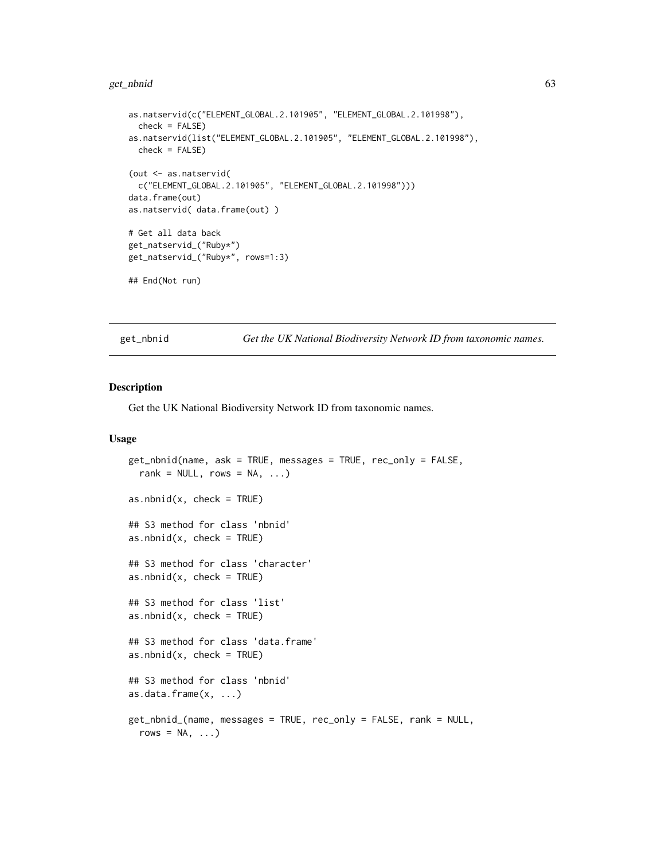#### get\_nbnid 63

```
as.natservid(c("ELEMENT_GLOBAL.2.101905", "ELEMENT_GLOBAL.2.101998"),
  check = FALSE)as.natservid(list("ELEMENT_GLOBAL.2.101905", "ELEMENT_GLOBAL.2.101998"),
  check = FALSE)(out <- as.natservid(
  c("ELEMENT_GLOBAL.2.101905", "ELEMENT_GLOBAL.2.101998")))
data.frame(out)
as.natservid( data.frame(out) )
# Get all data back
get_natservid_("Ruby*")
get_natservid_("Ruby*", rows=1:3)
## End(Not run)
```
<span id="page-62-0"></span>get\_nbnid *Get the UK National Biodiversity Network ID from taxonomic names.*

## <span id="page-62-1"></span>Description

Get the UK National Biodiversity Network ID from taxonomic names.

```
get_nbnid(name, ask = TRUE, messages = TRUE, rec_only = FALSE,
  rank = NULL, rows = NA, ...)
as.nbnid(x, check = TRUE)## S3 method for class 'nbnid'
as.nbnid(x, check = TRUE)
## S3 method for class 'character'
as.nbnid(x, check = TRUE)## S3 method for class 'list'
as.nbnid(x, check = TRUE)## S3 method for class 'data.frame'
as.nbnid(x, check = TRUE)## S3 method for class 'nbnid'
as.data.frame(x, ...)
get_nbnid_(name, messages = TRUE, rec_only = FALSE, rank = NULL,
  rows = NA, \ldots)
```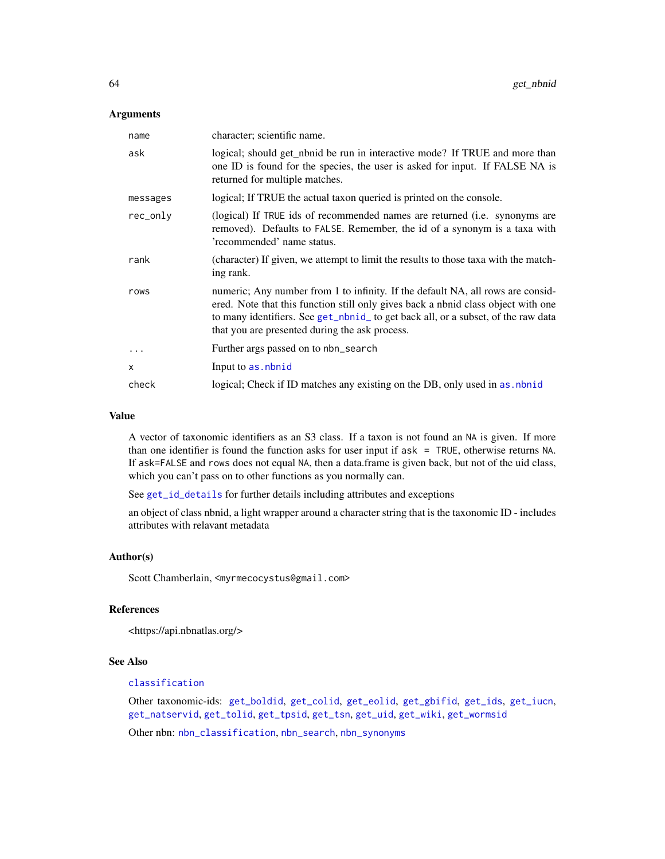### **Arguments**

| name     | character; scientific name.                                                                                                                                                                                                                                                                                 |
|----------|-------------------------------------------------------------------------------------------------------------------------------------------------------------------------------------------------------------------------------------------------------------------------------------------------------------|
| ask      | logical; should get_nbnid be run in interactive mode? If TRUE and more than<br>one ID is found for the species, the user is asked for input. If FALSE NA is<br>returned for multiple matches.                                                                                                               |
| messages | logical; If TRUE the actual taxon queried is printed on the console.                                                                                                                                                                                                                                        |
| rec_only | (logical) If TRUE ids of recommended names are returned ( <i>i.e.</i> synonyms are<br>removed). Defaults to FALSE. Remember, the id of a synonym is a taxa with<br>'recommended' name status.                                                                                                               |
| rank     | (character) If given, we attempt to limit the results to those taxa with the match-<br>ing rank.                                                                                                                                                                                                            |
| rows     | numeric; Any number from 1 to infinity. If the default NA, all rows are consid-<br>ered. Note that this function still only gives back a nbnid class object with one<br>to many identifiers. See get_nbnid_ to get back all, or a subset, of the raw data<br>that you are presented during the ask process. |
| $\cdots$ | Further args passed on to nbn_search                                                                                                                                                                                                                                                                        |
| X        | Input to as . nbnid                                                                                                                                                                                                                                                                                         |
| check    | logical; Check if ID matches any existing on the DB, only used in as nbnid                                                                                                                                                                                                                                  |

## Value

A vector of taxonomic identifiers as an S3 class. If a taxon is not found an NA is given. If more than one identifier is found the function asks for user input if ask = TRUE, otherwise returns NA. If ask=FALSE and rows does not equal NA, then a data.frame is given back, but not of the uid class, which you can't pass on to other functions as you normally can.

See [get\\_id\\_details](#page-56-0) for further details including attributes and exceptions

an object of class nbnid, a light wrapper around a character string that is the taxonomic ID - includes attributes with relavant metadata

## Author(s)

Scott Chamberlain, <myrmecocystus@gmail.com>

# References

<https://api.nbnatlas.org/>

## See Also

## [classification](#page-13-0)

Other taxonomic-ids: [get\\_boldid](#page-42-1), [get\\_colid](#page-45-0), [get\\_eolid](#page-48-0), [get\\_gbifid](#page-51-0), [get\\_ids](#page-54-0), [get\\_iucn](#page-57-0), [get\\_natservid](#page-59-0), [get\\_tolid](#page-65-0), [get\\_tpsid](#page-67-0), [get\\_tsn](#page-70-0), [get\\_uid](#page-74-0), [get\\_wiki](#page-78-0), [get\\_wormsid](#page-80-0)

Other nbn: [nbn\\_classification](#page-112-0), [nbn\\_search](#page-113-0), [nbn\\_synonyms](#page-115-0)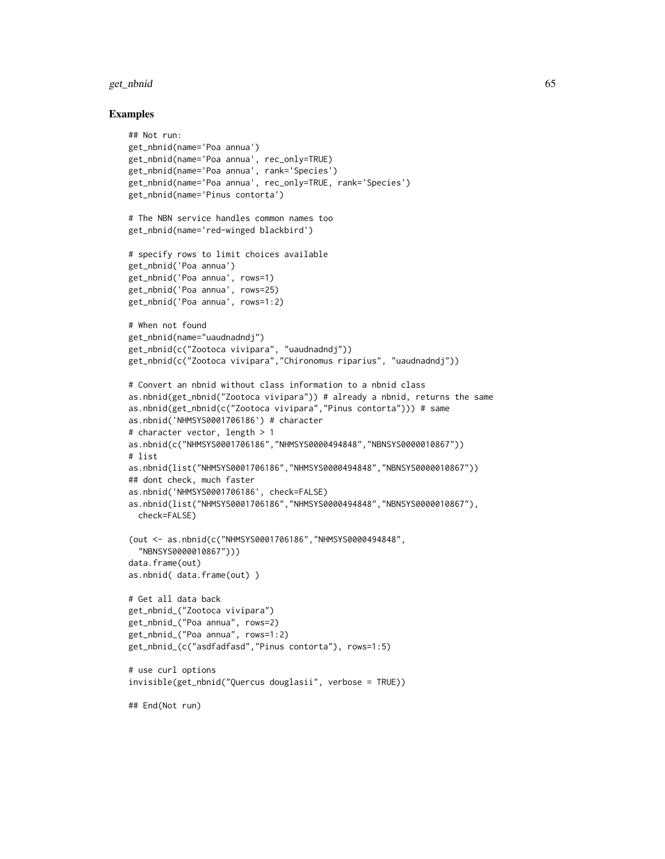#### get\_nbnid 65

```
## Not run:
get_nbnid(name='Poa annua')
get_nbnid(name='Poa annua', rec_only=TRUE)
get_nbnid(name='Poa annua', rank='Species')
get_nbnid(name='Poa annua', rec_only=TRUE, rank='Species')
get_nbnid(name='Pinus contorta')
# The NBN service handles common names too
get_nbnid(name='red-winged blackbird')
# specify rows to limit choices available
get_nbnid('Poa annua')
get_nbnid('Poa annua', rows=1)
get_nbnid('Poa annua', rows=25)
get_nbnid('Poa annua', rows=1:2)
# When not found
get_nbnid(name="uaudnadndj")
get_nbnid(c("Zootoca vivipara", "uaudnadndj"))
get_nbnid(c("Zootoca vivipara","Chironomus riparius", "uaudnadndj"))
# Convert an nbnid without class information to a nbnid class
as.nbnid(get_nbnid("Zootoca vivipara")) # already a nbnid, returns the same
as.nbnid(get_nbnid(c("Zootoca vivipara","Pinus contorta"))) # same
as.nbnid('NHMSYS0001706186') # character
# character vector, length > 1
as.nbnid(c("NHMSYS0001706186","NHMSYS0000494848","NBNSYS0000010867"))
# list
as.nbnid(list("NHMSYS0001706186","NHMSYS0000494848","NBNSYS0000010867"))
## dont check, much faster
as.nbnid('NHMSYS0001706186', check=FALSE)
as.nbnid(list("NHMSYS0001706186","NHMSYS0000494848","NBNSYS0000010867"),
  check=FALSE)
(out <- as.nbnid(c("NHMSYS0001706186","NHMSYS0000494848",
  "NBNSYS0000010867")))
data.frame(out)
as.nbnid( data.frame(out) )
# Get all data back
get_nbnid_("Zootoca vivipara")
get_nbnid_("Poa annua", rows=2)
get_nbnid_("Poa annua", rows=1:2)
get_nbnid_(c("asdfadfasd","Pinus contorta"), rows=1:5)
# use curl options
invisible(get_nbnid("Quercus douglasii", verbose = TRUE))
## End(Not run)
```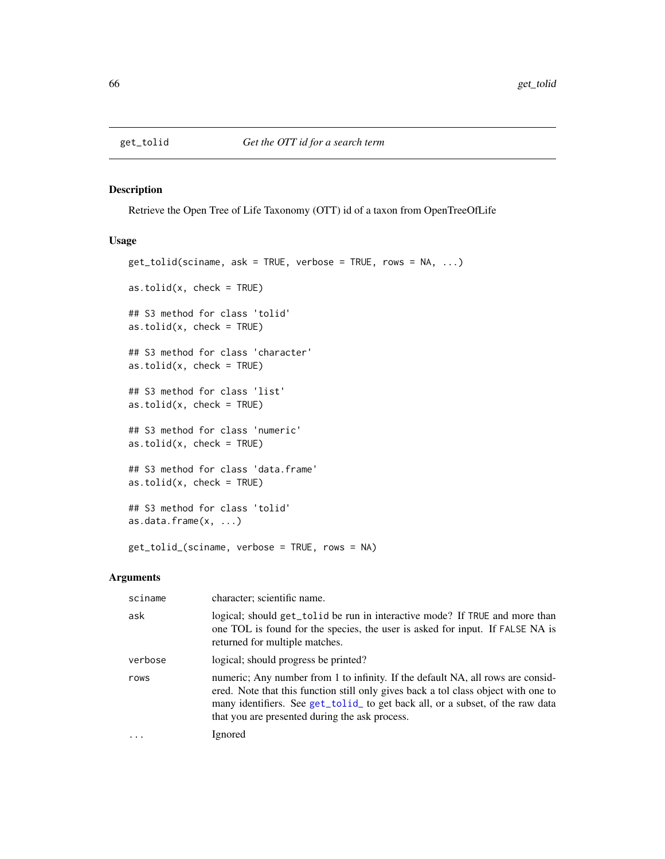<span id="page-65-0"></span>

# <span id="page-65-1"></span>Description

Retrieve the Open Tree of Life Taxonomy (OTT) id of a taxon from OpenTreeOfLife

## Usage

```
get_tolid(sciname, ask = TRUE, verbose = TRUE, rows = NA, ...)
as.tolid(x, check = TRUE)## S3 method for class 'tolid'
as.tolid(x, check = TRUE)## S3 method for class 'character'
as.tolid(x, check = TRUE)## S3 method for class 'list'
as.tolid(x, check = TRUE)## S3 method for class 'numeric'
as.tolid(x, check = TRUE)## S3 method for class 'data.frame'
as.tolid(x, check = TRUE)## S3 method for class 'tolid'
as.data.frame(x, ...)
get_tolid_(sciname, verbose = TRUE, rows = NA)
```
#### Arguments

| sciname | character; scientific name.                                                                                                                                                                                                                                                                               |
|---------|-----------------------------------------------------------------------------------------------------------------------------------------------------------------------------------------------------------------------------------------------------------------------------------------------------------|
| ask     | logical; should get_tolid be run in interactive mode? If TRUE and more than<br>one TOL is found for the species, the user is asked for input. If FALSE NA is<br>returned for multiple matches.                                                                                                            |
| verbose | logical; should progress be printed?                                                                                                                                                                                                                                                                      |
| rows    | numeric; Any number from 1 to infinity. If the default NA, all rows are consid-<br>ered. Note that this function still only gives back a tol class object with one to<br>many identifiers. See get_tolid_ to get back all, or a subset, of the raw data<br>that you are presented during the ask process. |
|         | Ignored                                                                                                                                                                                                                                                                                                   |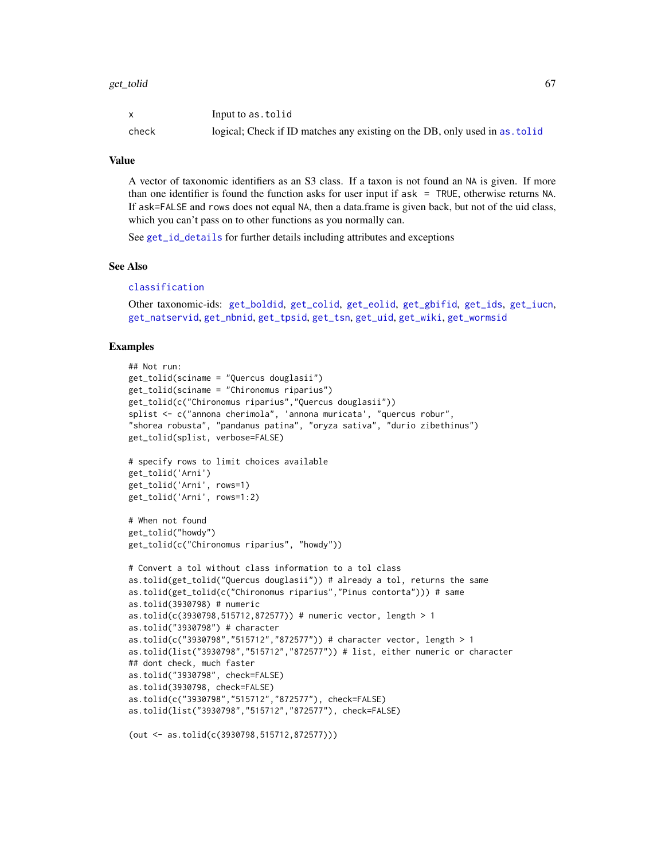|       | Input to as.tolid                                                          |
|-------|----------------------------------------------------------------------------|
| check | logical; Check if ID matches any existing on the DB, only used in as tolid |

## Value

A vector of taxonomic identifiers as an S3 class. If a taxon is not found an NA is given. If more than one identifier is found the function asks for user input if ask = TRUE, otherwise returns NA. If ask=FALSE and rows does not equal NA, then a data.frame is given back, but not of the uid class, which you can't pass on to other functions as you normally can.

See [get\\_id\\_details](#page-56-0) for further details including attributes and exceptions

## See Also

#### [classification](#page-13-0)

```
Other taxonomic-ids: get_boldid, get_colid, get_eolid, get_gbifid, get_ids, get_iucn,
get_natservid, get_nbnid, get_tpsid, get_tsn, get_uid, get_wiki, get_wormsid
```
## Examples

```
## Not run:
get_tolid(sciname = "Quercus douglasii")
get_tolid(sciname = "Chironomus riparius")
get_tolid(c("Chironomus riparius","Quercus douglasii"))
splist <- c("annona cherimola", 'annona muricata', "quercus robur",
"shorea robusta", "pandanus patina", "oryza sativa", "durio zibethinus")
get_tolid(splist, verbose=FALSE)
# specify rows to limit choices available
get_tolid('Arni')
get_tolid('Arni', rows=1)
get_tolid('Arni', rows=1:2)
# When not found
get_tolid("howdy")
get_tolid(c("Chironomus riparius", "howdy"))
# Convert a tol without class information to a tol class
as.tolid(get_tolid("Quercus douglasii")) # already a tol, returns the same
as.tolid(get_tolid(c("Chironomus riparius","Pinus contorta"))) # same
as.tolid(3930798) # numeric
as.tolid(c(3930798,515712,872577)) # numeric vector, length > 1
as.tolid("3930798") # character
as.tolid(c("3930798","515712","872577")) # character vector, length > 1
as.tolid(list("3930798","515712","872577")) # list, either numeric or character
## dont check, much faster
as.tolid("3930798", check=FALSE)
as.tolid(3930798, check=FALSE)
as.tolid(c("3930798","515712","872577"), check=FALSE)
as.tolid(list("3930798","515712","872577"), check=FALSE)
```
(out <- as.tolid(c(3930798,515712,872577)))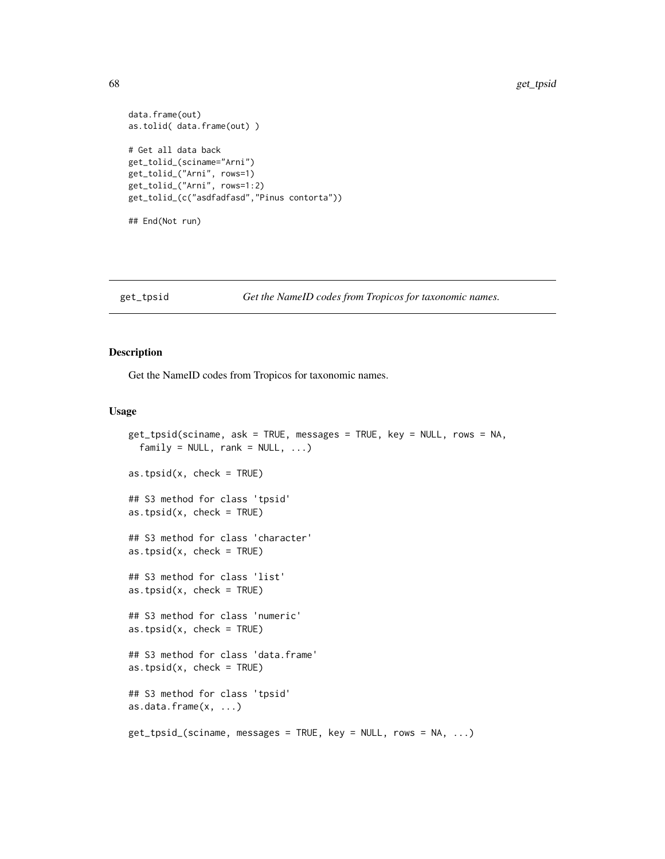```
data.frame(out)
as.tolid( data.frame(out) )
# Get all data back
get_tolid_(sciname="Arni")
get_tolid_("Arni", rows=1)
get_tolid_("Arni", rows=1:2)
get_tolid_(c("asdfadfasd","Pinus contorta"))
## End(Not run)
```
### <span id="page-67-0"></span>get\_tpsid *Get the NameID codes from Tropicos for taxonomic names.*

# <span id="page-67-1"></span>Description

Get the NameID codes from Tropicos for taxonomic names.

```
get_tpsid(sciname, ask = TRUE, messages = TRUE, key = NULL, rows = NA,
  family = NULL, rank = NULL, ...)as.tpsid(x, check = TRUE)
## S3 method for class 'tpsid'
as.tpsid(x, check = TRUE)
## S3 method for class 'character'
as.tpsid(x, check = TRUE)## S3 method for class 'list'
as.tpsid(x, check = TRUE)## S3 method for class 'numeric'
as.tpsid(x, check = TRUE)## S3 method for class 'data.frame'
as.tpsid(x, check = TRUE)## S3 method for class 'tpsid'
as.data.frame(x, ...)
get_tpsid_(sciname, messages = TRUE, key = NULL, rows = NA, ...)
```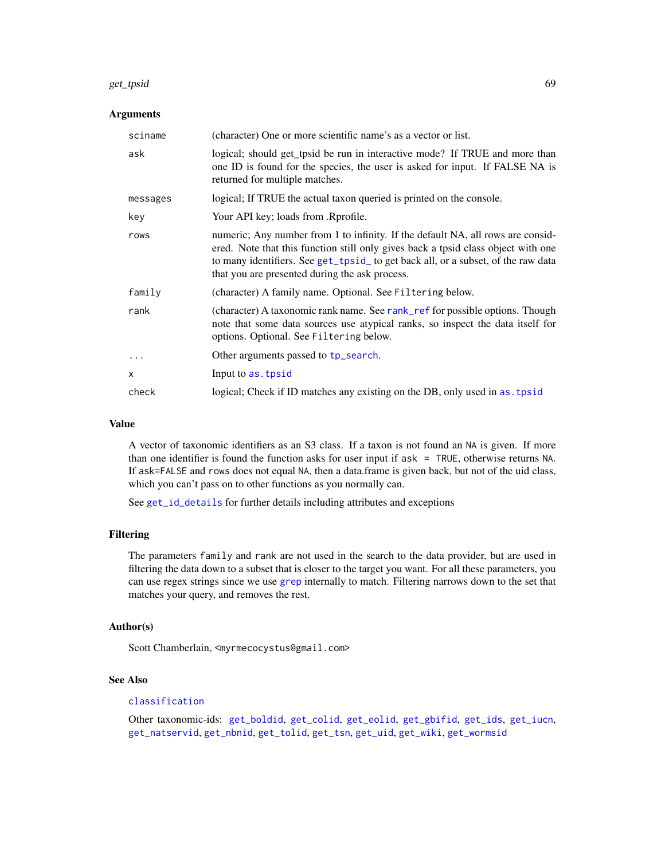#### get\_tpsid 69

### **Arguments**

| sciname  | (character) One or more scientific name's as a vector or list.                                                                                                                                                                                                                                             |
|----------|------------------------------------------------------------------------------------------------------------------------------------------------------------------------------------------------------------------------------------------------------------------------------------------------------------|
| ask      | logical; should get_tpsid be run in interactive mode? If TRUE and more than<br>one ID is found for the species, the user is asked for input. If FALSE NA is<br>returned for multiple matches.                                                                                                              |
| messages | logical; If TRUE the actual taxon queried is printed on the console.                                                                                                                                                                                                                                       |
| key      | Your API key; loads from .Rprofile.                                                                                                                                                                                                                                                                        |
| rows     | numeric; Any number from 1 to infinity. If the default NA, all rows are consid-<br>ered. Note that this function still only gives back a tpsid class object with one<br>to many identifiers. See get_tpsid_to get back all, or a subset, of the raw data<br>that you are presented during the ask process. |
| family   | (character) A family name. Optional. See Filtering below.                                                                                                                                                                                                                                                  |
| rank     | (character) A taxonomic rank name. See rank_ref for possible options. Though<br>note that some data sources use atypical ranks, so inspect the data itself for<br>options. Optional. See Filtering below.                                                                                                  |
| $\cdots$ | Other arguments passed to tp_search.                                                                                                                                                                                                                                                                       |
| x        | Input to as. tpsid                                                                                                                                                                                                                                                                                         |
| check    | logical; Check if ID matches any existing on the DB, only used in as. tpsid                                                                                                                                                                                                                                |

## Value

A vector of taxonomic identifiers as an S3 class. If a taxon is not found an NA is given. If more than one identifier is found the function asks for user input if ask = TRUE, otherwise returns NA. If ask=FALSE and rows does not equal NA, then a data.frame is given back, but not of the uid class, which you can't pass on to other functions as you normally can.

See [get\\_id\\_details](#page-56-0) for further details including attributes and exceptions

## Filtering

The parameters family and rank are not used in the search to the data provider, but are used in filtering the data down to a subset that is closer to the target you want. For all these parameters, you can use regex strings since we use [grep](#page-0-0) internally to match. Filtering narrows down to the set that matches your query, and removes the rest.

## Author(s)

Scott Chamberlain, <myrmecocystus@gmail.com>

# See Also

## [classification](#page-13-0)

Other taxonomic-ids: [get\\_boldid](#page-42-1), [get\\_colid](#page-45-0), [get\\_eolid](#page-48-0), [get\\_gbifid](#page-51-0), [get\\_ids](#page-54-0), [get\\_iucn](#page-57-0), [get\\_natservid](#page-59-0), [get\\_nbnid](#page-62-0), [get\\_tolid](#page-65-0), [get\\_tsn](#page-70-0), [get\\_uid](#page-74-0), [get\\_wiki](#page-78-0), [get\\_wormsid](#page-80-0)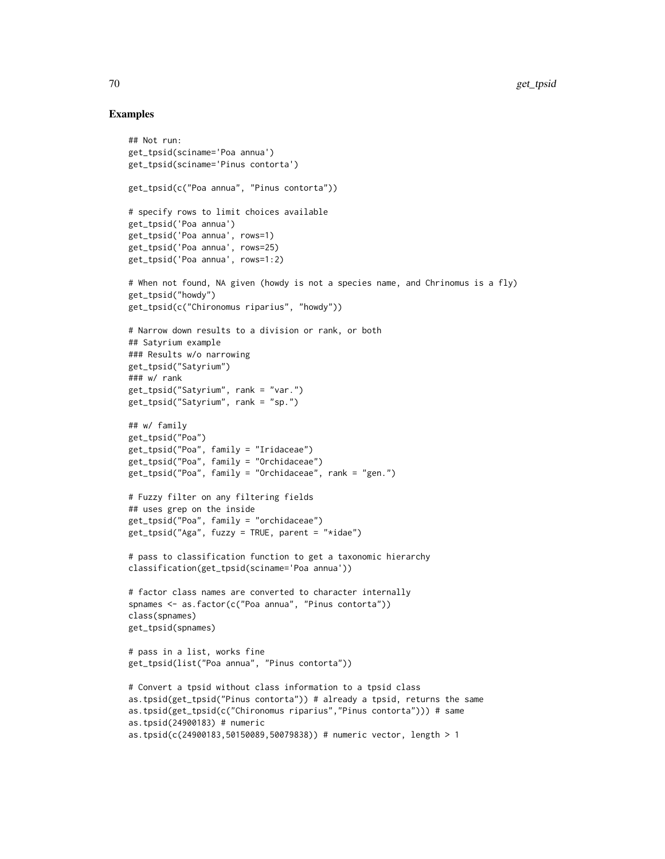```
## Not run:
get_tpsid(sciname='Poa annua')
get_tpsid(sciname='Pinus contorta')
get_tpsid(c("Poa annua", "Pinus contorta"))
# specify rows to limit choices available
get_tpsid('Poa annua')
get_tpsid('Poa annua', rows=1)
get_tpsid('Poa annua', rows=25)
get_tpsid('Poa annua', rows=1:2)
# When not found, NA given (howdy is not a species name, and Chrinomus is a fly)
get_tpsid("howdy")
get_tpsid(c("Chironomus riparius", "howdy"))
# Narrow down results to a division or rank, or both
## Satyrium example
### Results w/o narrowing
get_tpsid("Satyrium")
### w/ rank
get_tpsid("Satyrium", rank = "var.")
get_tpsid("Satyrium", rank = "sp.")
## w/ family
get_tpsid("Poa")
get_tpsid("Poa", family = "Iridaceae")
get_tpsid("Poa", family = "Orchidaceae")
get_tpsid("Poa", family = "Orchidaceae", rank = "gen.")
# Fuzzy filter on any filtering fields
## uses grep on the inside
get_tpsid("Poa", family = "orchidaceae")
get_tpsid("Aga", fuzzy = TRUE, parent = "*idae")
# pass to classification function to get a taxonomic hierarchy
classification(get_tpsid(sciname='Poa annua'))
# factor class names are converted to character internally
spnames <- as.factor(c("Poa annua", "Pinus contorta"))
class(spnames)
get_tpsid(spnames)
# pass in a list, works fine
get_tpsid(list("Poa annua", "Pinus contorta"))
# Convert a tpsid without class information to a tpsid class
as.tpsid(get_tpsid("Pinus contorta")) # already a tpsid, returns the same
as.tpsid(get_tpsid(c("Chironomus riparius","Pinus contorta"))) # same
as.tpsid(24900183) # numeric
as.tpsid(c(24900183,50150089,50079838)) # numeric vector, length > 1
```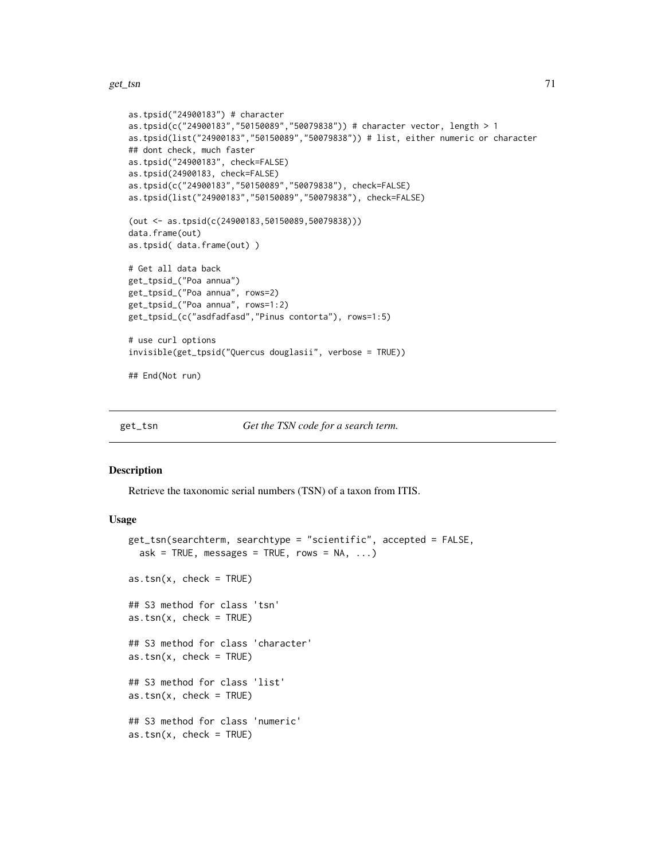```
as.tpsid("24900183") # character
as.tpsid(c("24900183","50150089","50079838")) # character vector, length > 1
as.tpsid(list("24900183","50150089","50079838")) # list, either numeric or character
## dont check, much faster
as.tpsid("24900183", check=FALSE)
as.tpsid(24900183, check=FALSE)
as.tpsid(c("24900183","50150089","50079838"), check=FALSE)
as.tpsid(list("24900183","50150089","50079838"), check=FALSE)
(out <- as.tpsid(c(24900183,50150089,50079838)))
data.frame(out)
as.tpsid( data.frame(out) )
# Get all data back
get_tpsid_("Poa annua")
get_tpsid_("Poa annua", rows=2)
get_tpsid_("Poa annua", rows=1:2)
get_tpsid_(c("asdfadfasd","Pinus contorta"), rows=1:5)
# use curl options
invisible(get_tpsid("Quercus douglasii", verbose = TRUE))
## End(Not run)
```
<span id="page-70-0"></span>get\_tsn *Get the TSN code for a search term.*

## <span id="page-70-1"></span>Description

Retrieve the taxonomic serial numbers (TSN) of a taxon from ITIS.

```
get_tsn(searchterm, searchtype = "scientific", accepted = FALSE,
 ask = TRUE, messages = TRUE, rows = NA, ...)as.tsn(x, check = TRUE)## S3 method for class 'tsn'
as.tsn(x, check = TRUE)## S3 method for class 'character'
as.tsn(x, check = TRUE)## S3 method for class 'list'
as.tsn(x, check = TRUE)## S3 method for class 'numeric'
as.tsn(x, check = TRUE)
```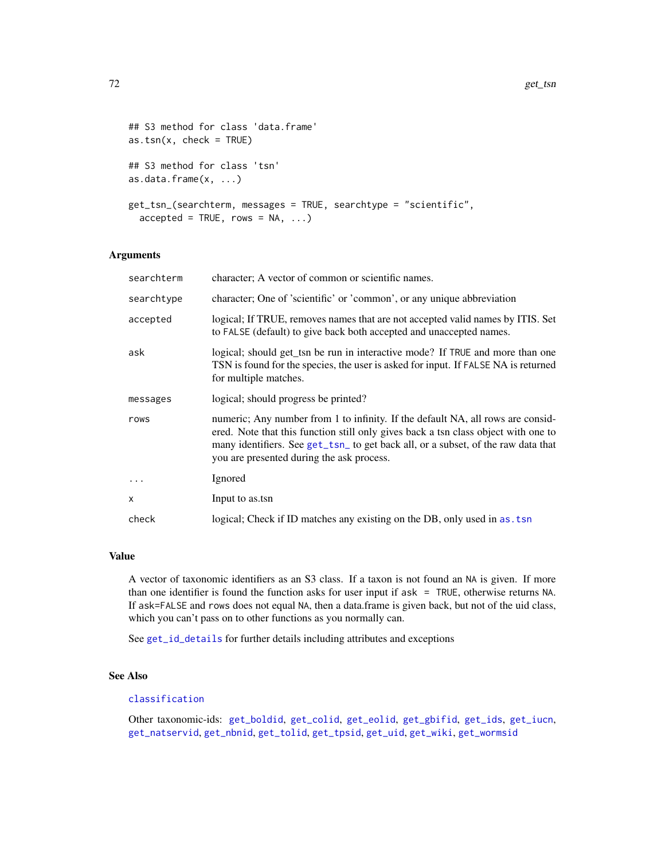```
## S3 method for class 'data.frame'
as.tsn(x, check = TRUE)## S3 method for class 'tsn'
as.data.frame(x, \ldots)get_tsn_(searchterm, messages = TRUE, searchtype = "scientific",
  accelted = TRUE, rows = NA, ...)
```
### Arguments

| searchterm | character; A vector of common or scientific names.                                                                                                                                                                                                                                                      |
|------------|---------------------------------------------------------------------------------------------------------------------------------------------------------------------------------------------------------------------------------------------------------------------------------------------------------|
| searchtype | character; One of 'scientific' or 'common', or any unique abbreviation                                                                                                                                                                                                                                  |
| accepted   | logical; If TRUE, removes names that are not accepted valid names by ITIS. Set<br>to FALSE (default) to give back both accepted and unaccepted names.                                                                                                                                                   |
| ask        | logical; should get_tsn be run in interactive mode? If TRUE and more than one<br>TSN is found for the species, the user is asked for input. If FALSE NA is returned<br>for multiple matches.                                                                                                            |
| messages   | logical; should progress be printed?                                                                                                                                                                                                                                                                    |
| rows       | numeric; Any number from 1 to infinity. If the default NA, all rows are consid-<br>ered. Note that this function still only gives back a tsn class object with one to<br>many identifiers. See get_tsn_ to get back all, or a subset, of the raw data that<br>you are presented during the ask process. |
|            | Ignored                                                                                                                                                                                                                                                                                                 |
| X          | Input to as.tsn                                                                                                                                                                                                                                                                                         |
| check      | logical; Check if ID matches any existing on the DB, only used in as. tsn                                                                                                                                                                                                                               |

## Value

A vector of taxonomic identifiers as an S3 class. If a taxon is not found an NA is given. If more than one identifier is found the function asks for user input if ask = TRUE, otherwise returns NA. If ask=FALSE and rows does not equal NA, then a data.frame is given back, but not of the uid class, which you can't pass on to other functions as you normally can.

See [get\\_id\\_details](#page-56-0) for further details including attributes and exceptions

## See Also

# [classification](#page-13-0)

Other taxonomic-ids: [get\\_boldid](#page-42-1), [get\\_colid](#page-45-0), [get\\_eolid](#page-48-0), [get\\_gbifid](#page-51-0), [get\\_ids](#page-54-0), [get\\_iucn](#page-57-0), [get\\_natservid](#page-59-0), [get\\_nbnid](#page-62-0), [get\\_tolid](#page-65-0), [get\\_tpsid](#page-67-0), [get\\_uid](#page-74-0), [get\\_wiki](#page-78-0), [get\\_wormsid](#page-80-0)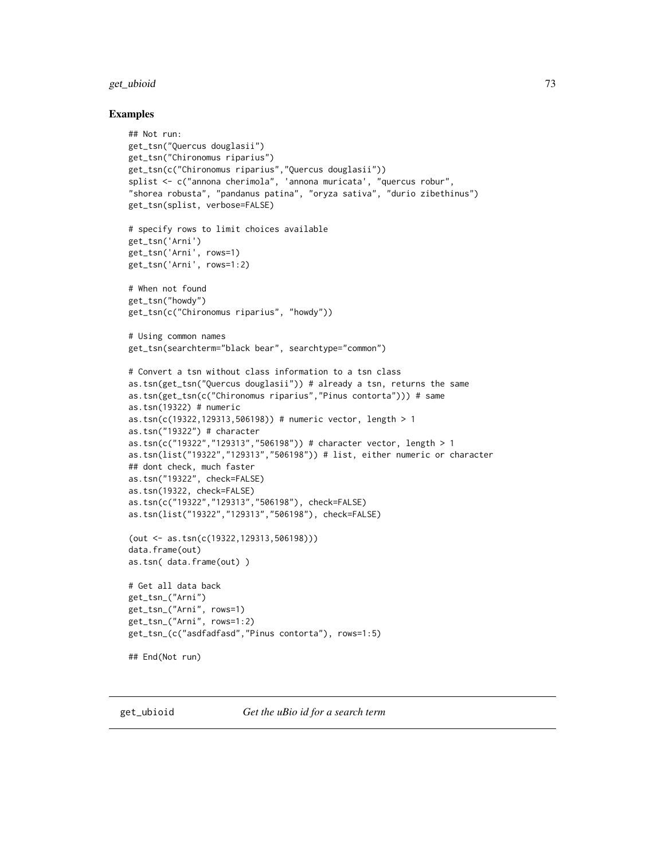#### get\_ubioid 73

### Examples

```
## Not run:
get_tsn("Quercus douglasii")
get_tsn("Chironomus riparius")
get_tsn(c("Chironomus riparius","Quercus douglasii"))
splist <- c("annona cherimola", 'annona muricata', "quercus robur",
"shorea robusta", "pandanus patina", "oryza sativa", "durio zibethinus")
get_tsn(splist, verbose=FALSE)
# specify rows to limit choices available
get_tsn('Arni')
get_tsn('Arni', rows=1)
get_tsn('Arni', rows=1:2)
# When not found
get_tsn("howdy")
get_tsn(c("Chironomus riparius", "howdy"))
# Using common names
get_tsn(searchterm="black bear", searchtype="common")
# Convert a tsn without class information to a tsn class
as.tsn(get_tsn("Quercus douglasii")) # already a tsn, returns the same
as.tsn(get_tsn(c("Chironomus riparius","Pinus contorta"))) # same
as.tsn(19322) # numeric
as.tsn(c(19322,129313,506198)) # numeric vector, length > 1
as.tsn("19322") # character
as.tsn(c("19322","129313","506198")) # character vector, length > 1
as.tsn(list("19322","129313","506198")) # list, either numeric or character
## dont check, much faster
as.tsn("19322", check=FALSE)
as.tsn(19322, check=FALSE)
as.tsn(c("19322","129313","506198"), check=FALSE)
as.tsn(list("19322","129313","506198"), check=FALSE)
(out <- as.tsn(c(19322,129313,506198)))
data.frame(out)
as.tsn( data.frame(out) )
# Get all data back
get_tsn_("Arni")
get_tsn_("Arni", rows=1)
get_tsn_("Arni", rows=1:2)
get_tsn_(c("asdfadfasd","Pinus contorta"), rows=1:5)
## End(Not run)
```
<span id="page-72-0"></span>

get\_ubioid *Get the uBio id for a search term*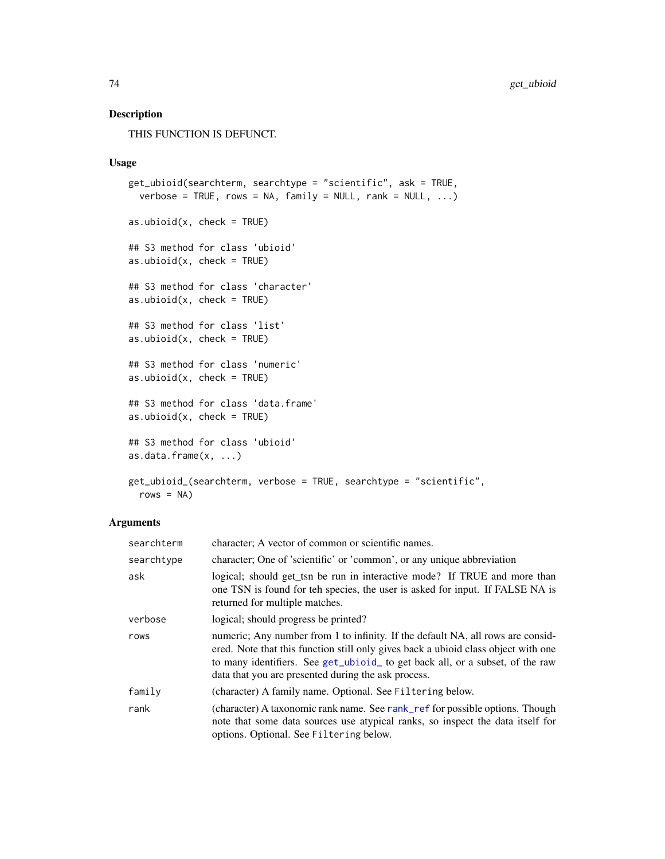THIS FUNCTION IS DEFUNCT.

### Usage

```
get_ubioid(searchterm, searchtype = "scientific", ask = TRUE,
 verbose = TRUE, rows = NA, family = NULL, rank = NULL, ...)as.ubioid(x, check = TRUE)
## S3 method for class 'ubioid'
as.ubioid(x, check = TRUE)
## S3 method for class 'character'
as.ubioid(x, check = TRUE)
## S3 method for class 'list'
as.ubiod(x, check = TRUE)## S3 method for class 'numeric'
as.ubioid(x, check = TRUE)
## S3 method for class 'data.frame'
as.ubiod(x, check = TRUE)## S3 method for class 'ubioid'
as.data.frame(x, ...)
get_ubioid_(searchterm, verbose = TRUE, searchtype = "scientific",
 rows = NA)
```
### Arguments

| searchterm | character; A vector of common or scientific names.                                                                                                                                                                                                                                                            |
|------------|---------------------------------------------------------------------------------------------------------------------------------------------------------------------------------------------------------------------------------------------------------------------------------------------------------------|
| searchtype | character; One of 'scientific' or 'common', or any unique abbreviation                                                                                                                                                                                                                                        |
| ask        | logical; should get_tsn be run in interactive mode? If TRUE and more than<br>one TSN is found for teh species, the user is asked for input. If FALSE NA is<br>returned for multiple matches.                                                                                                                  |
| verbose    | logical; should progress be printed?                                                                                                                                                                                                                                                                          |
| rows       | numeric; Any number from 1 to infinity. If the default NA, all rows are consid-<br>ered. Note that this function still only gives back a ubioid class object with one<br>to many identifiers. See get_ubioid_ to get back all, or a subset, of the raw<br>data that you are presented during the ask process. |
| family     | (character) A family name. Optional. See Filtering below.                                                                                                                                                                                                                                                     |
| rank       | (character) A taxonomic rank name. See rank_ref for possible options. Though<br>note that some data sources use atypical ranks, so inspect the data itself for<br>options. Optional. See Filtering below.                                                                                                     |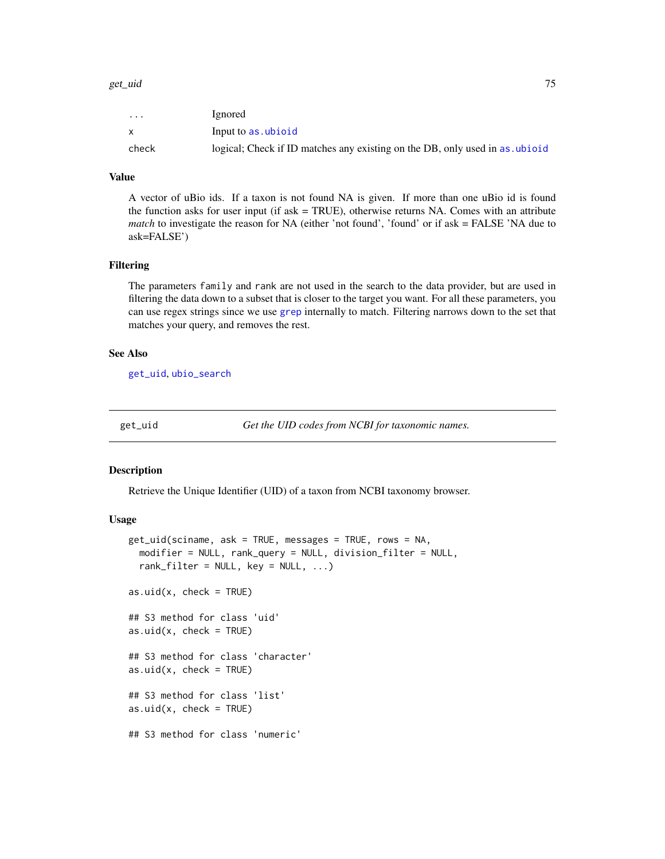#### get\_uid 75

| $\cdot$ $\cdot$ $\cdot$ | <i>l</i> gnored                                                             |
|-------------------------|-----------------------------------------------------------------------------|
|                         | Input to as ubioid                                                          |
| check                   | logical; Check if ID matches any existing on the DB, only used in as ubioid |

### Value

A vector of uBio ids. If a taxon is not found NA is given. If more than one uBio id is found the function asks for user input (if ask  $= TRUE$ ), otherwise returns NA. Comes with an attribute *match* to investigate the reason for NA (either 'not found', 'found' or if ask = FALSE 'NA due to ask=FALSE')

#### Filtering

The parameters family and rank are not used in the search to the data provider, but are used in filtering the data down to a subset that is closer to the target you want. For all these parameters, you can use regex strings since we use [grep](#page-0-0) internally to match. Filtering narrows down to the set that matches your query, and removes the rest.

# See Also

[get\\_uid](#page-74-0), [ubio\\_search](#page-153-0)

<span id="page-74-0"></span>get\_uid *Get the UID codes from NCBI for taxonomic names.*

### <span id="page-74-1"></span>Description

Retrieve the Unique Identifier (UID) of a taxon from NCBI taxonomy browser.

### Usage

```
get_uid(sciname, ask = TRUE, messages = TRUE, rows = NA,
 modifier = NULL, rank_query = NULL, division_filter = NULL,
  rank_filter = NULL, key = NULL, ...)
as.uid(x, check = TRUE)## S3 method for class 'uid'
as.uid(x, check = TRUE)## S3 method for class 'character'
as.uid(x, check = TRUE)## S3 method for class 'list'
as.uid(x, check = TRUE)## S3 method for class 'numeric'
```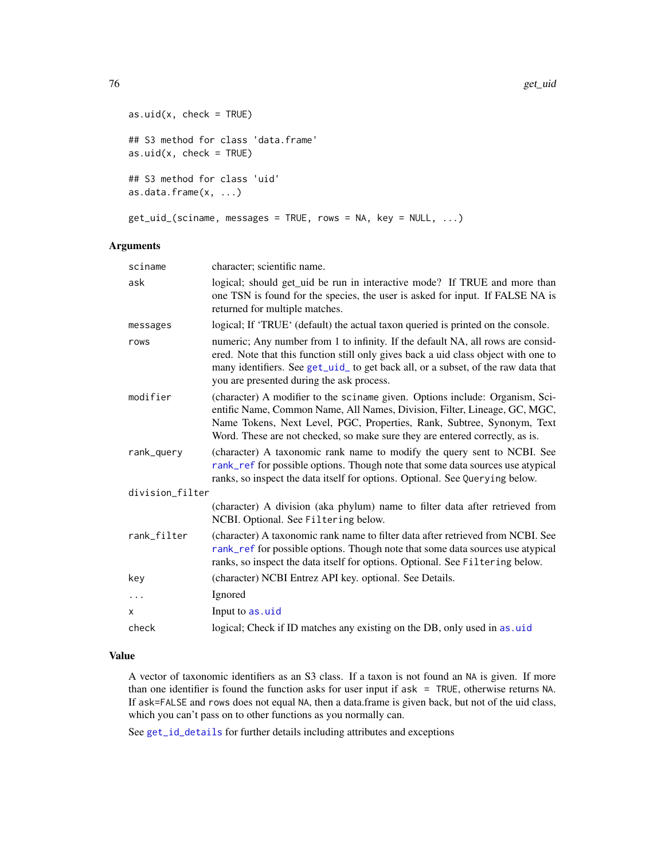#### 76 get\_uid

```
as.uid(x, check = TRUE)## S3 method for class 'data.frame'
as.uid(x, check = TRUE)## S3 method for class 'uid'
as.data.frame(x, ...)
get_uid_(sciname, messages = TRUE, rows = NA, key = NULL, ...)
```
### Arguments

| sciname         | character; scientific name.                                                                                                                                                                                                                                                                                         |
|-----------------|---------------------------------------------------------------------------------------------------------------------------------------------------------------------------------------------------------------------------------------------------------------------------------------------------------------------|
| ask             | logical; should get_uid be run in interactive mode? If TRUE and more than<br>one TSN is found for the species, the user is asked for input. If FALSE NA is<br>returned for multiple matches.                                                                                                                        |
| messages        | logical; If 'TRUE' (default) the actual taxon queried is printed on the console.                                                                                                                                                                                                                                    |
| rows            | numeric; Any number from 1 to infinity. If the default NA, all rows are consid-<br>ered. Note that this function still only gives back a uid class object with one to<br>many identifiers. See get_uid_ to get back all, or a subset, of the raw data that<br>you are presented during the ask process.             |
| modifier        | (character) A modifier to the sciname given. Options include: Organism, Sci-<br>entific Name, Common Name, All Names, Division, Filter, Lineage, GC, MGC,<br>Name Tokens, Next Level, PGC, Properties, Rank, Subtree, Synonym, Text<br>Word. These are not checked, so make sure they are entered correctly, as is. |
| rank_query      | (character) A taxonomic rank name to modify the query sent to NCBI. See<br>rank_ref for possible options. Though note that some data sources use atypical<br>ranks, so inspect the data itself for options. Optional. See Querying below.                                                                           |
| division_filter |                                                                                                                                                                                                                                                                                                                     |
|                 | (character) A division (aka phylum) name to filter data after retrieved from<br>NCBI. Optional. See Filtering below.                                                                                                                                                                                                |
| rank_filter     | (character) A taxonomic rank name to filter data after retrieved from NCBI. See<br>rank_ref for possible options. Though note that some data sources use atypical<br>ranks, so inspect the data itself for options. Optional. See Filtering below.                                                                  |
| key             | (character) NCBI Entrez API key. optional. See Details.                                                                                                                                                                                                                                                             |
| $\cdots$        | Ignored                                                                                                                                                                                                                                                                                                             |
| X               | Input to as.uid                                                                                                                                                                                                                                                                                                     |
| check           | logical; Check if ID matches any existing on the DB, only used in as. uid                                                                                                                                                                                                                                           |
|                 |                                                                                                                                                                                                                                                                                                                     |

### Value

A vector of taxonomic identifiers as an S3 class. If a taxon is not found an NA is given. If more than one identifier is found the function asks for user input if ask = TRUE, otherwise returns NA. If ask=FALSE and rows does not equal NA, then a data.frame is given back, but not of the uid class, which you can't pass on to other functions as you normally can.

See [get\\_id\\_details](#page-56-0) for further details including attributes and exceptions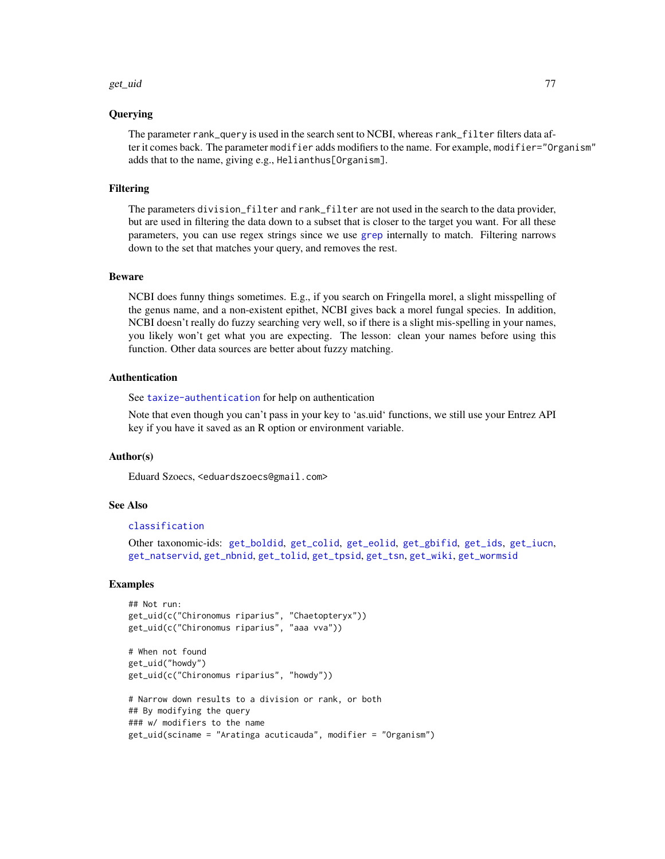#### get\_uid 77

#### Querying

The parameter rank\_query is used in the search sent to NCBI, whereas rank\_filter filters data after it comes back. The parameter modifier adds modifiers to the name. For example, modifier="Organism" adds that to the name, giving e.g., Helianthus[Organism].

#### Filtering

The parameters division\_filter and rank\_filter are not used in the search to the data provider, but are used in filtering the data down to a subset that is closer to the target you want. For all these parameters, you can use regex strings since we use [grep](#page-0-0) internally to match. Filtering narrows down to the set that matches your query, and removes the rest.

### Beware

NCBI does funny things sometimes. E.g., if you search on Fringella morel, a slight misspelling of the genus name, and a non-existent epithet, NCBI gives back a morel fungal species. In addition, NCBI doesn't really do fuzzy searching very well, so if there is a slight mis-spelling in your names, you likely won't get what you are expecting. The lesson: clean your names before using this function. Other data sources are better about fuzzy matching.

### Authentication

See [taxize-authentication](#page-41-0) for help on authentication

Note that even though you can't pass in your key to 'as.uid' functions, we still use your Entrez API key if you have it saved as an R option or environment variable.

### Author(s)

Eduard Szoecs, <eduardszoecs@gmail.com>

### See Also

#### [classification](#page-13-0)

Other taxonomic-ids: [get\\_boldid](#page-42-0), [get\\_colid](#page-45-0), [get\\_eolid](#page-48-0), [get\\_gbifid](#page-51-0), [get\\_ids](#page-54-0), [get\\_iucn](#page-57-0), [get\\_natservid](#page-59-0), [get\\_nbnid](#page-62-0), [get\\_tolid](#page-65-0), [get\\_tpsid](#page-67-0), [get\\_tsn](#page-70-0), [get\\_wiki](#page-78-0), [get\\_wormsid](#page-80-0)

```
## Not run:
get_uid(c("Chironomus riparius", "Chaetopteryx"))
get_uid(c("Chironomus riparius", "aaa vva"))
```

```
# When not found
get_uid("howdy")
get_uid(c("Chironomus riparius", "howdy"))
```

```
# Narrow down results to a division or rank, or both
## By modifying the query
### w/ modifiers to the name
get_uid(sciname = "Aratinga acuticauda", modifier = "Organism")
```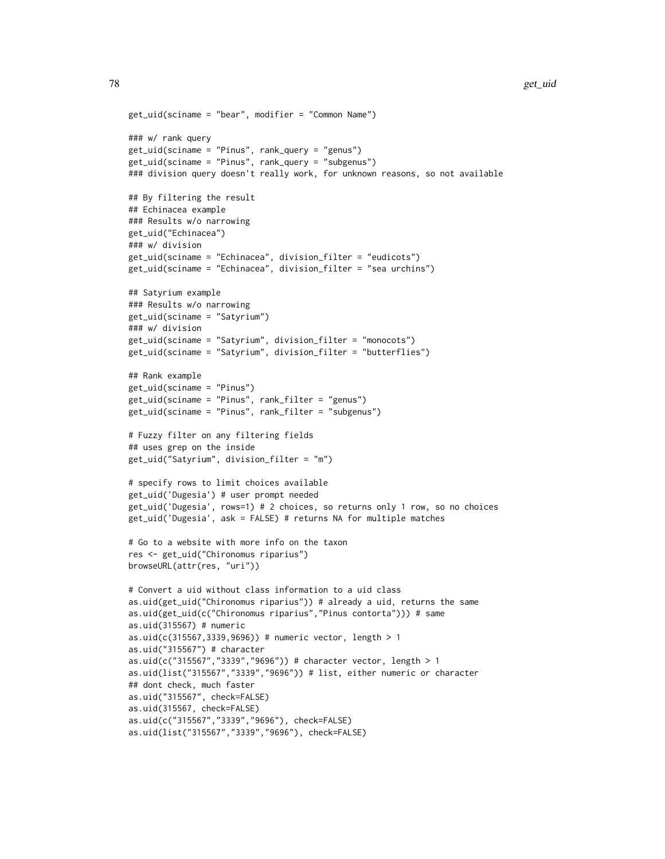```
get_uid(sciname = "bear", modifier = "Common Name")
### w/ rank query
get_uid(sciname = "Pinus", rank_query = "genus")
get_uid(sciname = "Pinus", rank_query = "subgenus")
### division query doesn't really work, for unknown reasons, so not available
## By filtering the result
## Echinacea example
### Results w/o narrowing
get_uid("Echinacea")
### w/ division
get_uid(sciname = "Echinacea", division_filter = "eudicots")
get_uid(sciname = "Echinacea", division_filter = "sea urchins")
## Satyrium example
### Results w/o narrowing
get_uid(sciname = "Satyrium")
### w/ division
get_uid(sciname = "Satyrium", division_filter = "monocots")
get_uid(sciname = "Satyrium", division_filter = "butterflies")
## Rank example
get_uid(sciname = "Pinus")
get_uid(sciname = "Pinus", rank_filter = "genus")
get_uid(sciname = "Pinus", rank_filter = "subgenus")
# Fuzzy filter on any filtering fields
## uses grep on the inside
get_uid("Satyrium", division_filter = "m")
# specify rows to limit choices available
get_uid('Dugesia') # user prompt needed
get_uid('Dugesia', rows=1) # 2 choices, so returns only 1 row, so no choices
get_uid('Dugesia', ask = FALSE) # returns NA for multiple matches
# Go to a website with more info on the taxon
res <- get_uid("Chironomus riparius")
browseURL(attr(res, "uri"))
# Convert a uid without class information to a uid class
as.uid(get_uid("Chironomus riparius")) # already a uid, returns the same
as.uid(get_uid(c("Chironomus riparius","Pinus contorta"))) # same
as.uid(315567) # numeric
as.uid(c(315567,3339,9696)) # numeric vector, length > 1as.uid("315567") # character
as.uid(c("315567","3339","9696")) # character vector, length > 1
as.uid(list("315567","3339","9696")) # list, either numeric or character
## dont check, much faster
as.uid("315567", check=FALSE)
as.uid(315567, check=FALSE)
as.uid(c("315567","3339","9696"), check=FALSE)
as.uid(list("315567","3339","9696"), check=FALSE)
```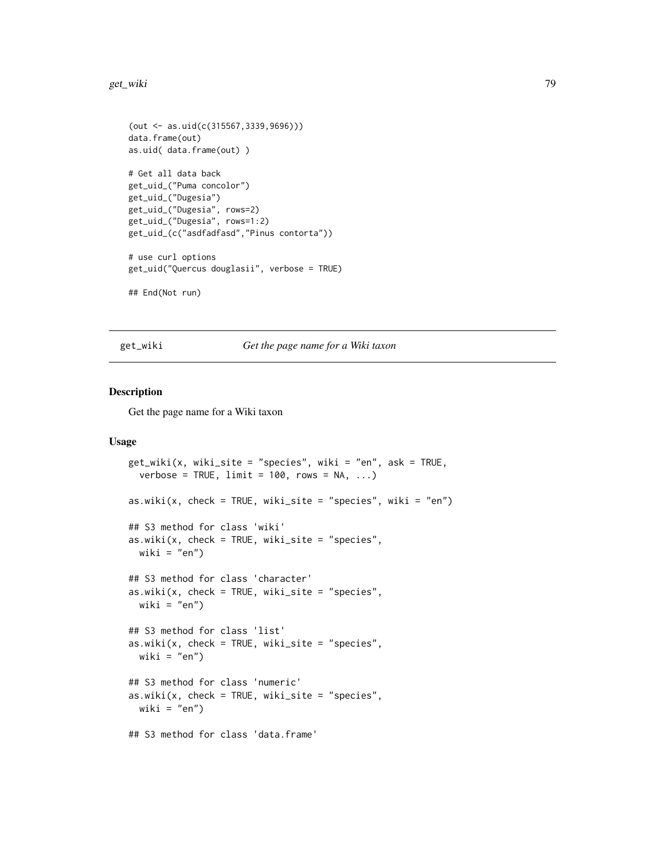#### get\_wiki 79

```
(out <- as.uid(c(315567,3339,9696)))
data.frame(out)
as.uid( data.frame(out) )
# Get all data back
get_uid_("Puma concolor")
get_uid_("Dugesia")
get_uid_("Dugesia", rows=2)
get_uid_("Dugesia", rows=1:2)
get_uid_(c("asdfadfasd","Pinus contorta"))
# use curl options
get_uid("Quercus douglasii", verbose = TRUE)
## End(Not run)
```
<span id="page-78-0"></span>get\_wiki *Get the page name for a Wiki taxon*

### <span id="page-78-1"></span>Description

Get the page name for a Wiki taxon

### Usage

```
get_wiki(x, wiki_site = "species", wiki = "en", ask = TRUE,
  verbose = TRUE, limit = 100, rows = NA, ...)
as.wiki(x, check = TRUE, wiki\_site = "species", wiki = "en")## S3 method for class 'wiki'
as.wiki(x, check = TRUE, wiki\_site = "species",wiki = "en")## S3 method for class 'character'
as.wiki(x, check = TRUE, wiki_site = "species",
 wiki = "en")
## S3 method for class 'list'
as.wiki(x, check = TRUE, wiki\_site = "species",wiki = "en")## S3 method for class 'numeric'
as.wiki(x, check = TRUE, wiki_site = "species",
 wiki = "en")## S3 method for class 'data.frame'
```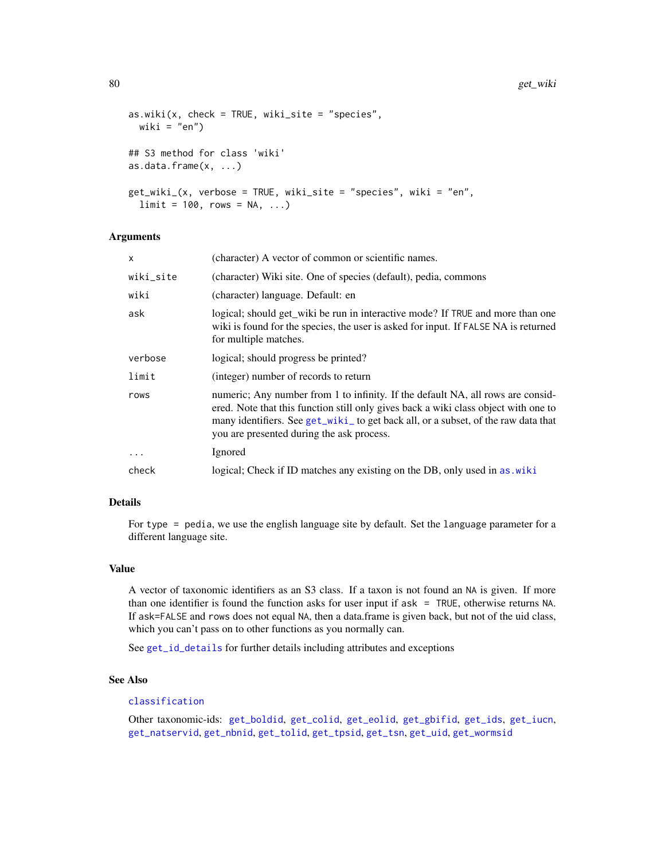```
as.wiki(x, check = TRUE, wiki\_site = "species",wiki = "en")## S3 method for class 'wiki'
as.data.frame(x, ...)
get_wiki_(x, verbose = TRUE, wiki_site = "species", wiki = "en",
  limit = 100, rows = NA, ...)
```
### Arguments

| x         | (character) A vector of common or scientific names.                                                                                                                                                                                                                                                       |
|-----------|-----------------------------------------------------------------------------------------------------------------------------------------------------------------------------------------------------------------------------------------------------------------------------------------------------------|
| wiki_site | (character) Wiki site. One of species (default), pedia, commons                                                                                                                                                                                                                                           |
| wiki      | (character) language. Default: en                                                                                                                                                                                                                                                                         |
| ask       | logical; should get_wiki be run in interactive mode? If TRUE and more than one<br>wiki is found for the species, the user is asked for input. If FALSE NA is returned<br>for multiple matches.                                                                                                            |
| verbose   | logical; should progress be printed?                                                                                                                                                                                                                                                                      |
| limit     | (integer) number of records to return                                                                                                                                                                                                                                                                     |
| rows      | numeric; Any number from 1 to infinity. If the default NA, all rows are consid-<br>ered. Note that this function still only gives back a wiki class object with one to<br>many identifiers. See get_wiki_ to get back all, or a subset, of the raw data that<br>you are presented during the ask process. |
| $\ddots$  | Ignored                                                                                                                                                                                                                                                                                                   |
| check     | logical; Check if ID matches any existing on the DB, only used in as. wiki                                                                                                                                                                                                                                |

# Details

For type = pedia, we use the english language site by default. Set the language parameter for a different language site.

#### Value

A vector of taxonomic identifiers as an S3 class. If a taxon is not found an NA is given. If more than one identifier is found the function asks for user input if ask = TRUE, otherwise returns NA. If ask=FALSE and rows does not equal NA, then a data.frame is given back, but not of the uid class, which you can't pass on to other functions as you normally can.

See [get\\_id\\_details](#page-56-0) for further details including attributes and exceptions

# See Also

### [classification](#page-13-0)

Other taxonomic-ids: [get\\_boldid](#page-42-0), [get\\_colid](#page-45-0), [get\\_eolid](#page-48-0), [get\\_gbifid](#page-51-0), [get\\_ids](#page-54-0), [get\\_iucn](#page-57-0), [get\\_natservid](#page-59-0), [get\\_nbnid](#page-62-0), [get\\_tolid](#page-65-0), [get\\_tpsid](#page-67-0), [get\\_tsn](#page-70-0), [get\\_uid](#page-74-0), [get\\_wormsid](#page-80-0)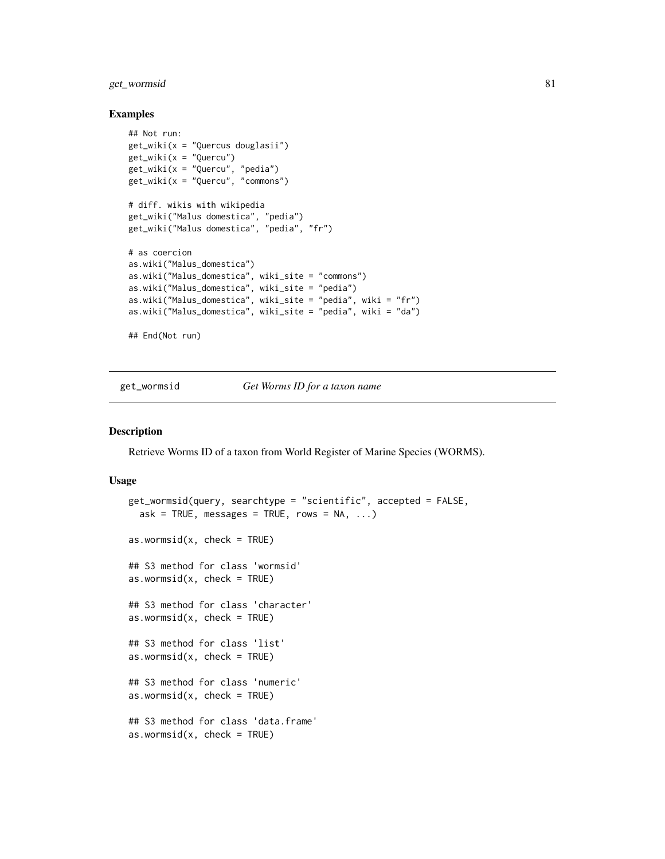# get\_wormsid 81

#### Examples

```
## Not run:
get_wiki(x = "Quercus douglasii")
get_wiki(x = "Quercu")get_wiki(x = "Quercu", "pedia")
get_wiki(x = "Quercu", "commons")
# diff. wikis with wikipedia
get_wiki("Malus domestica", "pedia")
get_wiki("Malus domestica", "pedia", "fr")
# as coercion
as.wiki("Malus_domestica")
as.wiki("Malus_domestica", wiki_site = "commons")
as.wiki("Malus_domestica", wiki_site = "pedia")
as.wiki("Malus_domestica", wiki_site = "pedia", wiki = "fr")
as.wiki("Malus_domestica", wiki_site = "pedia", wiki = "da")
## End(Not run)
```
<span id="page-80-0"></span>

get\_wormsid *Get Worms ID for a taxon name*

### <span id="page-80-1"></span>**Description**

Retrieve Worms ID of a taxon from World Register of Marine Species (WORMS).

### Usage

```
get_wormsid(query, searchtype = "scientific", accepted = FALSE,
  ask = TRUE, message = TRUE, rows = NA, ...)as.wormsid(x, check = TRUE)## S3 method for class 'wormsid'
as.wormsid(x, check = TRUE)## S3 method for class 'character'
as.wormsid(x, check = TRUE)
## S3 method for class 'list'
as.wormsid(x, check = TRUE)## S3 method for class 'numeric'
as.wormsid(x, check = TRUE)## S3 method for class 'data.frame'
as.wormsid(x, check = TRUE)
```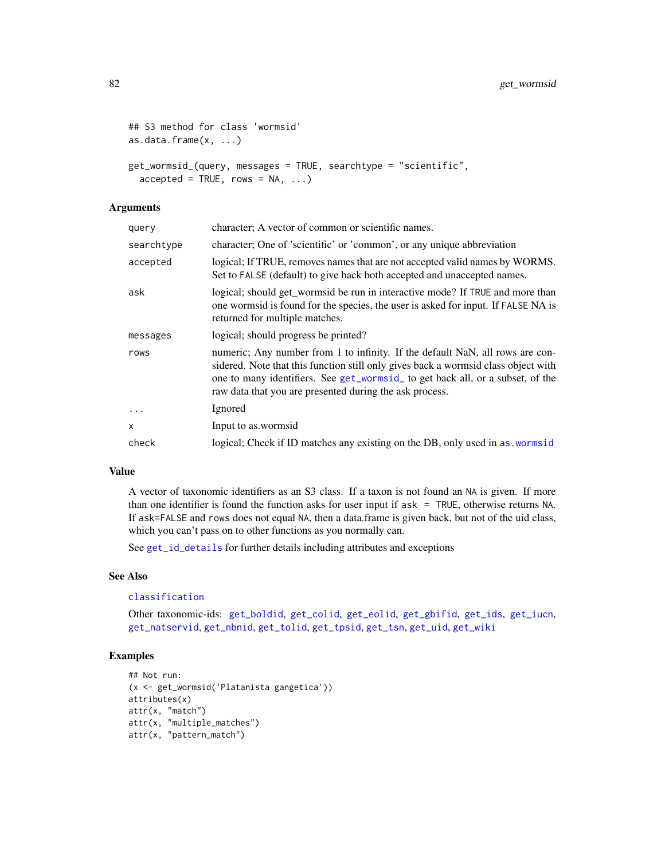```
## S3 method for class 'wormsid'
as.data.frame(x, ...)
get_wormsid_(query, messages = TRUE, searchtype = "scientific",
  accepted = TRUE, rows = NA, ...)
```
### Arguments

| query      | character; A vector of common or scientific names.                                                                                                                                                                                                                                                               |
|------------|------------------------------------------------------------------------------------------------------------------------------------------------------------------------------------------------------------------------------------------------------------------------------------------------------------------|
| searchtype | character; One of 'scientific' or 'common', or any unique abbreviation                                                                                                                                                                                                                                           |
| accepted   | logical; If TRUE, removes names that are not accepted valid names by WORMS.<br>Set to FALSE (default) to give back both accepted and unaccepted names.                                                                                                                                                           |
| ask        | logical; should get_wormsid be run in interactive mode? If TRUE and more than<br>one wormsid is found for the species, the user is asked for input. If FALSE NA is<br>returned for multiple matches.                                                                                                             |
| messages   | logical; should progress be printed?                                                                                                                                                                                                                                                                             |
| rows       | numeric; Any number from 1 to infinity. If the default NaN, all rows are con-<br>sidered. Note that this function still only gives back a wormsid class object with<br>one to many identifiers. See get_wormsid_ to get back all, or a subset, of the<br>raw data that you are presented during the ask process. |
| .          | Ignored                                                                                                                                                                                                                                                                                                          |
| x          | Input to as wormsid                                                                                                                                                                                                                                                                                              |
| check      | logical; Check if ID matches any existing on the DB, only used in as wormsid                                                                                                                                                                                                                                     |

# Value

A vector of taxonomic identifiers as an S3 class. If a taxon is not found an NA is given. If more than one identifier is found the function asks for user input if ask = TRUE, otherwise returns NA. If ask=FALSE and rows does not equal NA, then a data.frame is given back, but not of the uid class, which you can't pass on to other functions as you normally can.

See [get\\_id\\_details](#page-56-0) for further details including attributes and exceptions

### See Also

# [classification](#page-13-0)

Other taxonomic-ids: [get\\_boldid](#page-42-0), [get\\_colid](#page-45-0), [get\\_eolid](#page-48-0), [get\\_gbifid](#page-51-0), [get\\_ids](#page-54-0), [get\\_iucn](#page-57-0), [get\\_natservid](#page-59-0), [get\\_nbnid](#page-62-0), [get\\_tolid](#page-65-0), [get\\_tpsid](#page-67-0), [get\\_tsn](#page-70-0), [get\\_uid](#page-74-0), [get\\_wiki](#page-78-0)

```
## Not run:
(x <- get_wormsid('Platanista gangetica'))
attributes(x)
attr(x, "match")
attr(x, "multiple_matches")
attr(x, "pattern_match")
```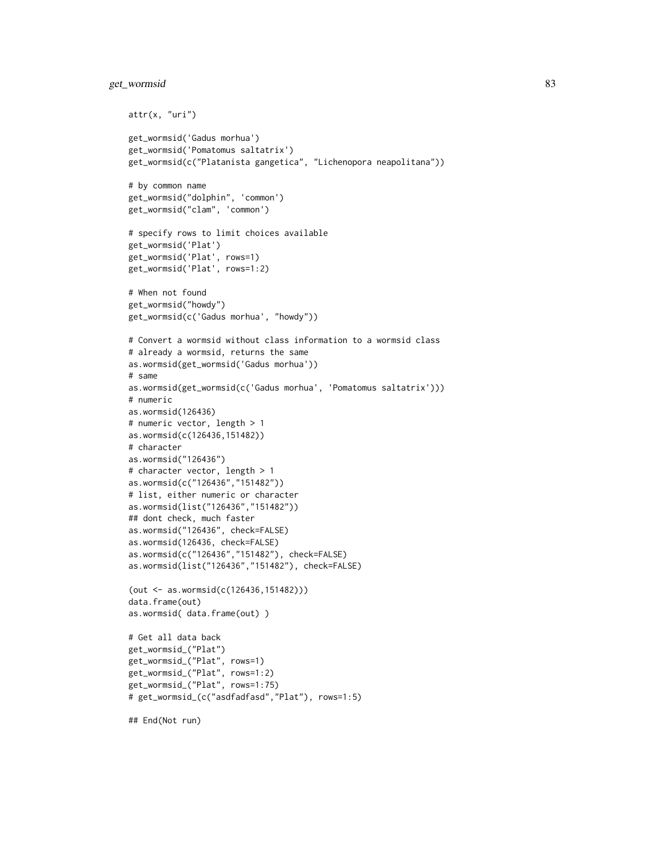# get\_wormsid 83

```
attr(x, "uri")
get_wormsid('Gadus morhua')
get_wormsid('Pomatomus saltatrix')
get_wormsid(c("Platanista gangetica", "Lichenopora neapolitana"))
# by common name
get_wormsid("dolphin", 'common')
get_wormsid("clam", 'common')
# specify rows to limit choices available
get_wormsid('Plat')
get_wormsid('Plat', rows=1)
get_wormsid('Plat', rows=1:2)
# When not found
get_wormsid("howdy")
get_wormsid(c('Gadus morhua', "howdy"))
# Convert a wormsid without class information to a wormsid class
# already a wormsid, returns the same
as.wormsid(get_wormsid('Gadus morhua'))
# same
as.wormsid(get_wormsid(c('Gadus morhua', 'Pomatomus saltatrix')))
# numeric
as.wormsid(126436)
# numeric vector, length > 1
as.wormsid(c(126436,151482))
# character
as.wormsid("126436")
# character vector, length > 1
as.wormsid(c("126436","151482"))
# list, either numeric or character
as.wormsid(list("126436","151482"))
## dont check, much faster
as.wormsid("126436", check=FALSE)
as.wormsid(126436, check=FALSE)
as.wormsid(c("126436","151482"), check=FALSE)
as.wormsid(list("126436","151482"), check=FALSE)
(out <- as.wormsid(c(126436,151482)))
data.frame(out)
as.wormsid( data.frame(out) )
# Get all data back
get_wormsid_("Plat")
get_wormsid_("Plat", rows=1)
get_wormsid_("Plat", rows=1:2)
get_wormsid_("Plat", rows=1:75)
# get_wormsid_(c("asdfadfasd","Plat"), rows=1:5)
```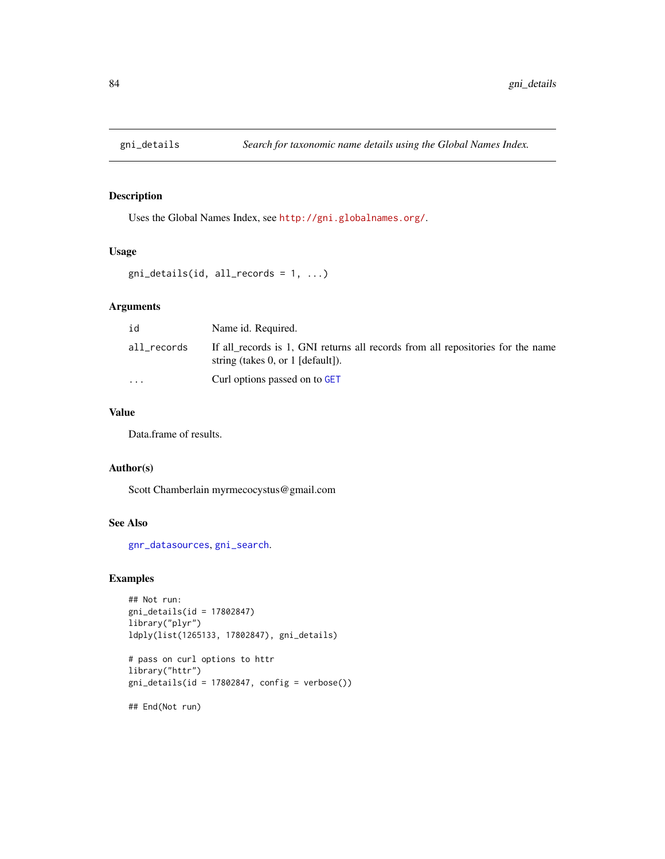Uses the Global Names Index, see <http://gni.globalnames.org/>.

# Usage

```
gni\_details(id, all\_records = 1, ...)
```
### Arguments

| id                      | Name id. Required.                                                                                                        |
|-------------------------|---------------------------------------------------------------------------------------------------------------------------|
| all_records             | If all records is 1, GNI returns all records from all repositories for the name<br>string (takes $0$ , or $1$ [default]). |
| $\cdot$ $\cdot$ $\cdot$ | Curl options passed on to GET                                                                                             |

### Value

Data.frame of results.

### Author(s)

Scott Chamberlain myrmecocystus@gmail.com

### See Also

[gnr\\_datasources](#page-86-0), [gni\\_search](#page-85-0).

```
## Not run:
gni_details(id = 17802847)
library("plyr")
ldply(list(1265133, 17802847), gni_details)
```

```
# pass on curl options to httr
library("httr")
gni\_details(id = 17802847, config = verbose())## End(Not run)
```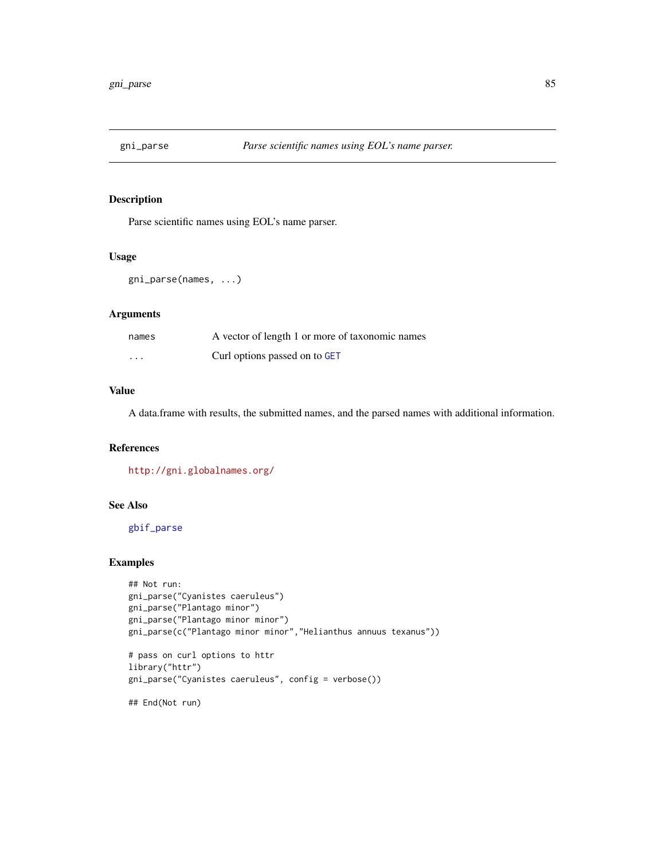<span id="page-84-0"></span>

Parse scientific names using EOL's name parser.

### Usage

```
gni_parse(names, ...)
```
# Arguments

| names    | A vector of length 1 or more of taxonomic names |
|----------|-------------------------------------------------|
| $\cdots$ | Curl options passed on to GET                   |

### Value

A data.frame with results, the submitted names, and the parsed names with additional information.

# References

<http://gni.globalnames.org/>

### See Also

[gbif\\_parse](#page-39-0)

### Examples

```
## Not run:
gni_parse("Cyanistes caeruleus")
gni_parse("Plantago minor")
gni_parse("Plantago minor minor")
gni_parse(c("Plantago minor minor","Helianthus annuus texanus"))
# pass on curl options to httr
library("httr")
gni_parse("Cyanistes caeruleus", config = verbose())
```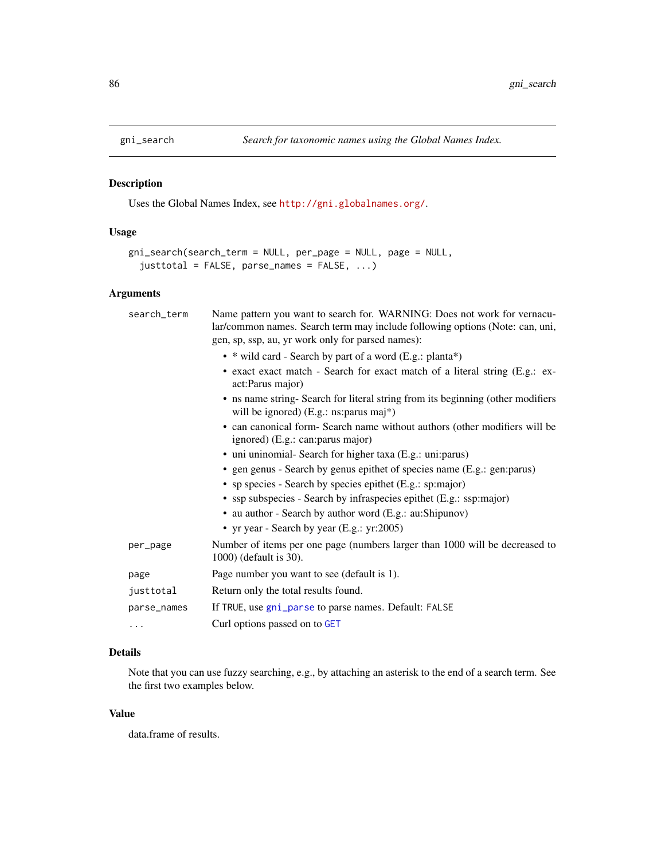<span id="page-85-0"></span>

Uses the Global Names Index, see <http://gni.globalnames.org/>.

# Usage

```
gni_search(search_term = NULL, per_page = NULL, page = NULL,
  justtotal = FALSE, parse\_names = FALSE, ...)
```
# Arguments

| search_term | Name pattern you want to search for. WARNING: Does not work for vernacu-<br>lar/common names. Search term may include following options (Note: can, uni,<br>gen, sp, ssp, au, yr work only for parsed names): |
|-------------|---------------------------------------------------------------------------------------------------------------------------------------------------------------------------------------------------------------|
|             | • * wild card - Search by part of a word (E.g.: planta*)                                                                                                                                                      |
|             | • exact exact match - Search for exact match of a literal string (E.g.: ex-<br>act:Parus major)                                                                                                               |
|             | • ns name string-Search for literal string from its beginning (other modifiers<br>will be ignored) (E.g.: ns: parus maj*)                                                                                     |
|             | • can canonical form- Search name without authors (other modifiers will be<br>ignored) (E.g.: can: parus major)                                                                                               |
|             | • uni uninomial- Search for higher taxa (E.g.: uni: parus)                                                                                                                                                    |
|             | • gen genus - Search by genus epithet of species name (E.g.: gen: parus)                                                                                                                                      |
|             | • sp species - Search by species epithet (E.g.: sp:major)                                                                                                                                                     |
|             | • ssp subspecies - Search by infraspecies epithet (E.g.: ssp:major)                                                                                                                                           |
|             | • au author - Search by author word (E.g.: au:Shipunov)                                                                                                                                                       |
|             | • yr year - Search by year (E.g.: yr:2005)                                                                                                                                                                    |
| per_page    | Number of items per one page (numbers larger than 1000 will be decreased to<br>1000) (default is 30).                                                                                                         |
| page        | Page number you want to see (default is 1).                                                                                                                                                                   |
| justtotal   | Return only the total results found.                                                                                                                                                                          |
| parse_names | If TRUE, use gni_parse to parse names. Default: FALSE                                                                                                                                                         |
| $\cdots$    | Curl options passed on to GET                                                                                                                                                                                 |

# Details

Note that you can use fuzzy searching, e.g., by attaching an asterisk to the end of a search term. See the first two examples below.

### Value

data.frame of results.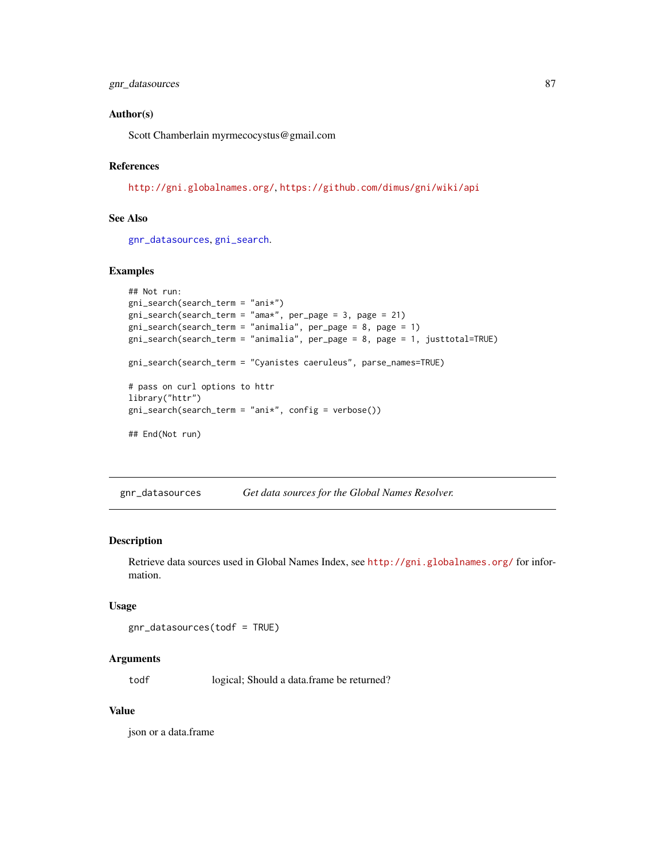### Author(s)

Scott Chamberlain myrmecocystus@gmail.com

### References

<http://gni.globalnames.org/>, <https://github.com/dimus/gni/wiki/api>

### See Also

[gnr\\_datasources](#page-86-0), [gni\\_search](#page-85-0).

# Examples

```
## Not run:
gni_search(search_term = "ani*")
gni_search(search_term = "ama*", per_page = 3, page = 21)
gni_search(search_term = "animalia", per_page = 8, page = 1)
gni_search(search_term = "animalia", per_page = 8, page = 1, justtotal=TRUE)
gni_search(search_term = "Cyanistes caeruleus", parse_names=TRUE)
# pass on curl options to httr
library("httr")
gni_search(search_term = "ani*", config = verbose())
## End(Not run)
```
<span id="page-86-0"></span>gnr\_datasources *Get data sources for the Global Names Resolver.*

#### Description

Retrieve data sources used in Global Names Index, see <http://gni.globalnames.org/> for information.

### Usage

```
gnr_datasources(todf = TRUE)
```
#### Arguments

todf logical; Should a data.frame be returned?

### Value

json or a data.frame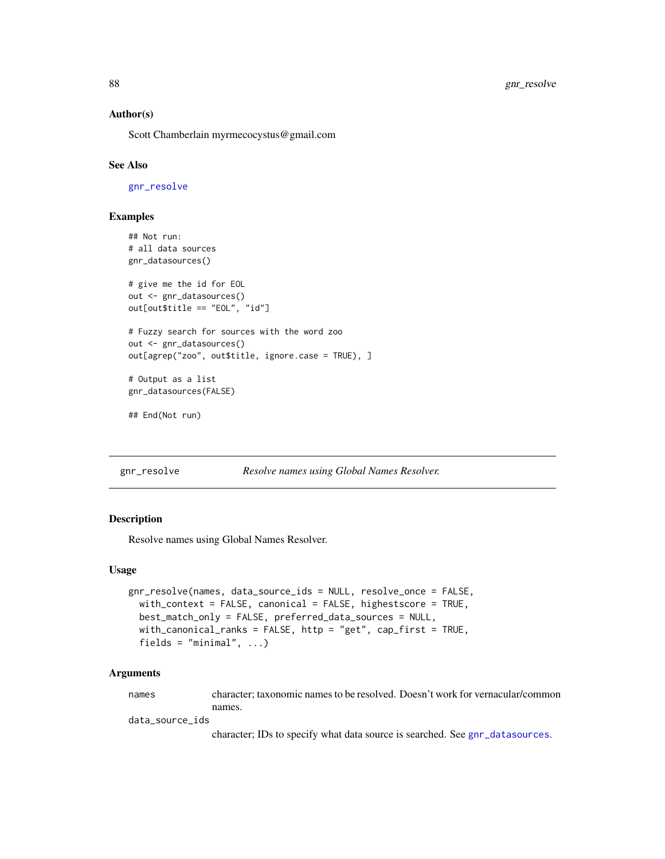### Author(s)

Scott Chamberlain myrmecocystus@gmail.com

### See Also

[gnr\\_resolve](#page-87-0)

### Examples

```
## Not run:
# all data sources
gnr_datasources()
# give me the id for EOL
out <- gnr_datasources()
out[out$title == "EOL", "id"]
# Fuzzy search for sources with the word zoo
out <- gnr_datasources()
out[agrep("zoo", out$title, ignore.case = TRUE), ]
# Output as a list
gnr_datasources(FALSE)
```

```
## End(Not run)
```
<span id="page-87-0"></span>gnr\_resolve *Resolve names using Global Names Resolver.*

### Description

Resolve names using Global Names Resolver.

#### Usage

```
gnr_resolve(names, data_source_ids = NULL, resolve_once = FALSE,
 with_context = FALSE, canonical = FALSE, highestscore = TRUE,
 best_match_only = FALSE, preferred_data_sources = NULL,
 with_canonical_ranks = FALSE, http = "get", cap_first = TRUE,
 fields = "minimal", \ldots)
```
### Arguments

names character; taxonomic names to be resolved. Doesn't work for vernacular/common names.

data\_source\_ids

character; IDs to specify what data source is searched. See [gnr\\_datasources](#page-86-0).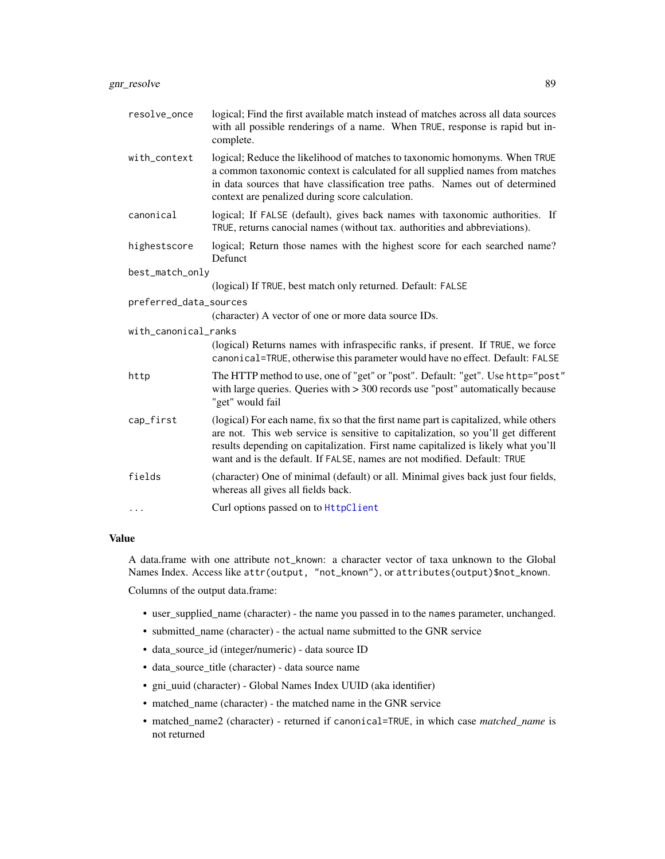| resolve_once           | logical; Find the first available match instead of matches across all data sources<br>with all possible renderings of a name. When TRUE, response is rapid but in-<br>complete.                                                                                                                                                             |
|------------------------|---------------------------------------------------------------------------------------------------------------------------------------------------------------------------------------------------------------------------------------------------------------------------------------------------------------------------------------------|
| with_context           | logical; Reduce the likelihood of matches to taxonomic homonyms. When TRUE<br>a common taxonomic context is calculated for all supplied names from matches<br>in data sources that have classification tree paths. Names out of determined<br>context are penalized during score calculation.                                               |
| canonical              | logical; If FALSE (default), gives back names with taxonomic authorities. If<br>TRUE, returns canocial names (without tax. authorities and abbreviations).                                                                                                                                                                                  |
| highestscore           | logical; Return those names with the highest score for each searched name?<br>Defunct                                                                                                                                                                                                                                                       |
| best_match_only        |                                                                                                                                                                                                                                                                                                                                             |
|                        | (logical) If TRUE, best match only returned. Default: FALSE                                                                                                                                                                                                                                                                                 |
| preferred_data_sources |                                                                                                                                                                                                                                                                                                                                             |
|                        | (character) A vector of one or more data source IDs.                                                                                                                                                                                                                                                                                        |
| with_canonical_ranks   |                                                                                                                                                                                                                                                                                                                                             |
|                        | (logical) Returns names with infraspecific ranks, if present. If TRUE, we force<br>canonical=TRUE, otherwise this parameter would have no effect. Default: FALSE                                                                                                                                                                            |
| http                   | The HTTP method to use, one of "get" or "post". Default: "get". Use http="post"<br>with large queries. Queries with $> 300$ records use "post" automatically because<br>"get" would fail                                                                                                                                                    |
| cap_first              | (logical) For each name, fix so that the first name part is capitalized, while others<br>are not. This web service is sensitive to capitalization, so you'll get different<br>results depending on capitalization. First name capitalized is likely what you'll<br>want and is the default. If FALSE, names are not modified. Default: TRUE |
| fields                 | (character) One of minimal (default) or all. Minimal gives back just four fields,<br>whereas all gives all fields back.                                                                                                                                                                                                                     |
| .                      | Curl options passed on to HttpClient                                                                                                                                                                                                                                                                                                        |

### Value

A data.frame with one attribute not\_known: a character vector of taxa unknown to the Global Names Index. Access like attr(output, "not\_known"), or attributes(output)\$not\_known. Columns of the output data.frame:

- user\_supplied\_name (character) the name you passed in to the names parameter, unchanged.
- submitted\_name (character) the actual name submitted to the GNR service
- data\_source\_id (integer/numeric) data source ID
- data\_source\_title (character) data source name
- gni\_uuid (character) Global Names Index UUID (aka identifier)
- matched\_name (character) the matched name in the GNR service
- matched\_name2 (character) returned if canonical=TRUE, in which case *matched\_name* is not returned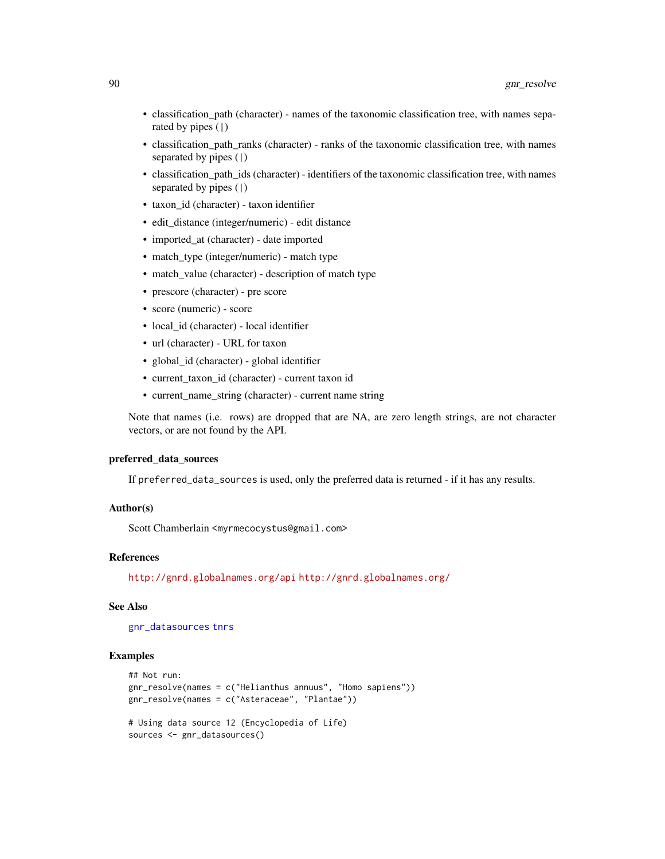- classification\_path (character) names of the taxonomic classification tree, with names separated by pipes (|)
- classification\_path\_ranks (character) ranks of the taxonomic classification tree, with names separated by pipes (|)
- classification path ids (character) identifiers of the taxonomic classification tree, with names separated by pipes (|)
- taxon\_id (character) taxon identifier
- edit\_distance (integer/numeric) edit distance
- imported at (character) date imported
- match\_type (integer/numeric) match type
- match\_value (character) description of match type
- prescore (character) pre score
- score (numeric) score
- local\_id (character) local identifier
- url (character) URL for taxon
- global\_id (character) global identifier
- current\_taxon\_id (character) current taxon id
- current name string (character) current name string

Note that names (i.e. rows) are dropped that are NA, are zero length strings, are not character vectors, or are not found by the API.

### preferred\_data\_sources

If preferred\_data\_sources is used, only the preferred data is returned - if it has any results.

# Author(s)

Scott Chamberlain <myrmecocystus@gmail.com>

### References

<http://gnrd.globalnames.org/api> <http://gnrd.globalnames.org/>

### See Also

[gnr\\_datasources](#page-86-0) [tnrs](#page-141-0)

```
## Not run:
gnr_resolve(names = c("Helianthus annuus", "Homo sapiens"))
gnr_resolve(names = c("Asteraceae", "Plantae"))
# Using data source 12 (Encyclopedia of Life)
sources <- gnr_datasources()
```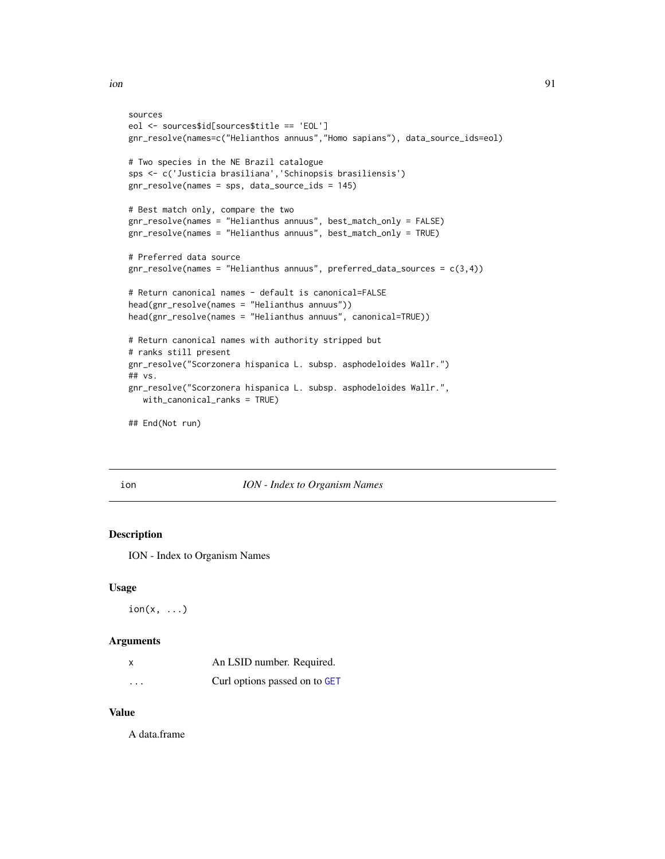```
sources
eol <- sources$id[sources$title == 'EOL']
gnr_resolve(names=c("Helianthos annuus","Homo sapians"), data_source_ids=eol)
# Two species in the NE Brazil catalogue
sps <- c('Justicia brasiliana','Schinopsis brasiliensis')
gnr_resolve(names = sps, data_source_ids = 145)
# Best match only, compare the two
gnr_resolve(names = "Helianthus annuus", best_match_only = FALSE)
gnr_resolve(names = "Helianthus annuus", best_match_only = TRUE)
# Preferred data source
gnr_resolve(names = "Helianthus annuus", preferred_data_sources = c(3,4))
# Return canonical names - default is canonical=FALSE
head(gnr_resolve(names = "Helianthus annuus"))
head(gnr_resolve(names = "Helianthus annuus", canonical=TRUE))
# Return canonical names with authority stripped but
# ranks still present
gnr_resolve("Scorzonera hispanica L. subsp. asphodeloides Wallr.")
## vs.
gnr_resolve("Scorzonera hispanica L. subsp. asphodeloides Wallr.",
   with_canonical_ranks = TRUE)
## End(Not run)
```
# ion *ION - Index to Organism Names*

# Description

ION - Index to Organism Names

### Usage

 $ion(x, \ldots)$ 

### Arguments

|          | An LSID number. Required.     |
|----------|-------------------------------|
| $\cdots$ | Curl options passed on to GET |

### Value

A data.frame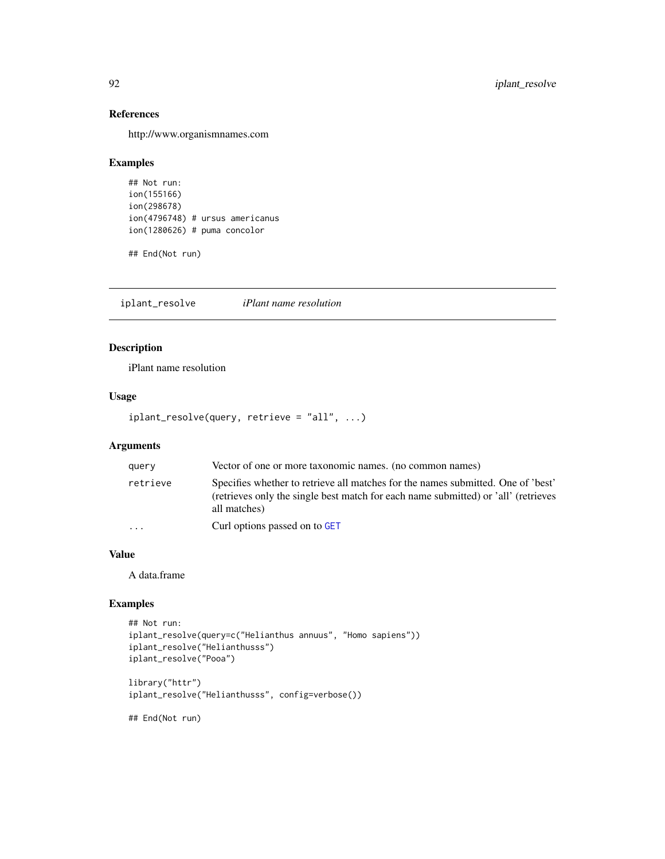# References

http://www.organismnames.com

# Examples

```
## Not run:
ion(155166)
ion(298678)
ion(4796748) # ursus americanus
ion(1280626) # puma concolor
```
## End(Not run)

iplant\_resolve *iPlant name resolution*

# Description

iPlant name resolution

### Usage

```
iplant_resolve(query, retrieve = "all", ...)
```
# Arguments

| query                   | Vector of one or more taxonomic names. (no common names)                                                                                                                               |
|-------------------------|----------------------------------------------------------------------------------------------------------------------------------------------------------------------------------------|
| retrieve                | Specifies whether to retrieve all matches for the names submitted. One of 'best'<br>(retrieves only the single best match for each name submitted) or 'all' (retrieves<br>all matches) |
| $\cdot$ $\cdot$ $\cdot$ | Curl options passed on to GET                                                                                                                                                          |

# Value

A data.frame

# Examples

```
## Not run:
iplant_resolve(query=c("Helianthus annuus", "Homo sapiens"))
iplant_resolve("Helianthusss")
iplant_resolve("Pooa")
library("httr")
```

```
iplant_resolve("Helianthusss", config=verbose())
```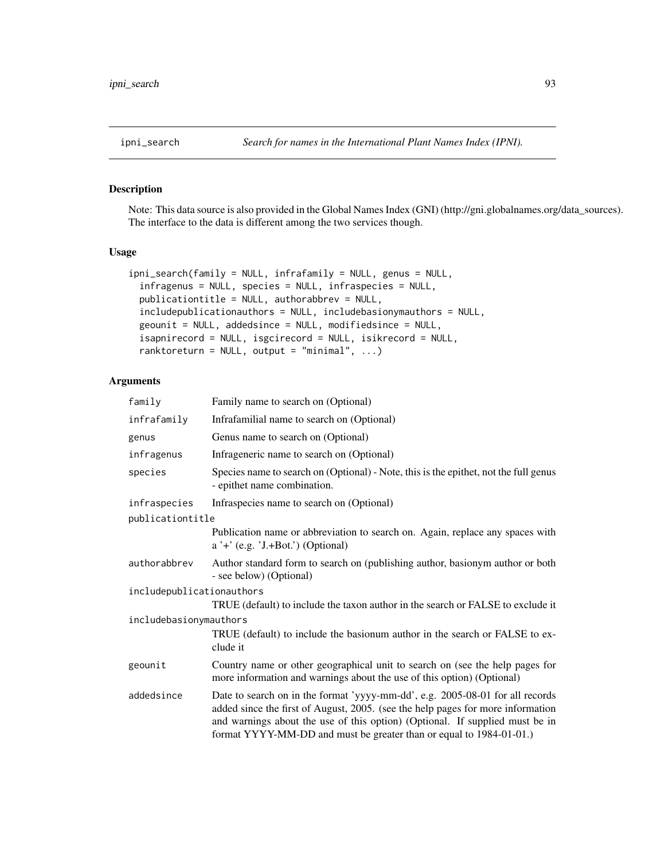Note: This data source is also provided in the Global Names Index (GNI) (http://gni.globalnames.org/data\_sources). The interface to the data is different among the two services though.

# Usage

```
ipni_search(family = NULL, infrafamily = NULL, genus = NULL,
  infragenus = NULL, species = NULL, infraspecies = NULL,
  publicationtitle = NULL, authorabbrev = NULL,
  includepublicationauthors = NULL, includebasionymauthors = NULL,
  geounit = NULL, addedsince = NULL, modifiedsince = NULL,
  isapnirecord = NULL, isgcirecord = NULL, isikrecord = NULL,
  ranktoreturn = NULL, output = "minimal", \ldots)
```
### Arguments

| family                    | Family name to search on (Optional)                                                                                                                                                                                                                                                                                     |  |
|---------------------------|-------------------------------------------------------------------------------------------------------------------------------------------------------------------------------------------------------------------------------------------------------------------------------------------------------------------------|--|
| infrafamily               | Infrafamilial name to search on (Optional)                                                                                                                                                                                                                                                                              |  |
| genus                     | Genus name to search on (Optional)                                                                                                                                                                                                                                                                                      |  |
| infragenus                | Infrageneric name to search on (Optional)                                                                                                                                                                                                                                                                               |  |
| species                   | Species name to search on (Optional) - Note, this is the epithet, not the full genus<br>- epithet name combination.                                                                                                                                                                                                     |  |
| infraspecies              | Infraspecies name to search on (Optional)                                                                                                                                                                                                                                                                               |  |
| publicationtitle          |                                                                                                                                                                                                                                                                                                                         |  |
|                           | Publication name or abbreviation to search on. Again, replace any spaces with<br>$a' +' (e.g. 'J.+Bot.'')$ (Optional)                                                                                                                                                                                                   |  |
| authorabbrev              | Author standard form to search on (publishing author, basionym author or both<br>- see below) (Optional)                                                                                                                                                                                                                |  |
| includepublicationauthors |                                                                                                                                                                                                                                                                                                                         |  |
|                           | TRUE (default) to include the taxon author in the search or FALSE to exclude it                                                                                                                                                                                                                                         |  |
| includebasionymauthors    |                                                                                                                                                                                                                                                                                                                         |  |
|                           | TRUE (default) to include the basionum author in the search or FALSE to ex-<br>clude it                                                                                                                                                                                                                                 |  |
| geounit                   | Country name or other geographical unit to search on (see the help pages for<br>more information and warnings about the use of this option) (Optional)                                                                                                                                                                  |  |
| addedsince                | Date to search on in the format 'yyyy-mm-dd', e.g. 2005-08-01 for all records<br>added since the first of August, 2005. (see the help pages for more information<br>and warnings about the use of this option) (Optional. If supplied must be in<br>format YYYY-MM-DD and must be greater than or equal to 1984-01-01.) |  |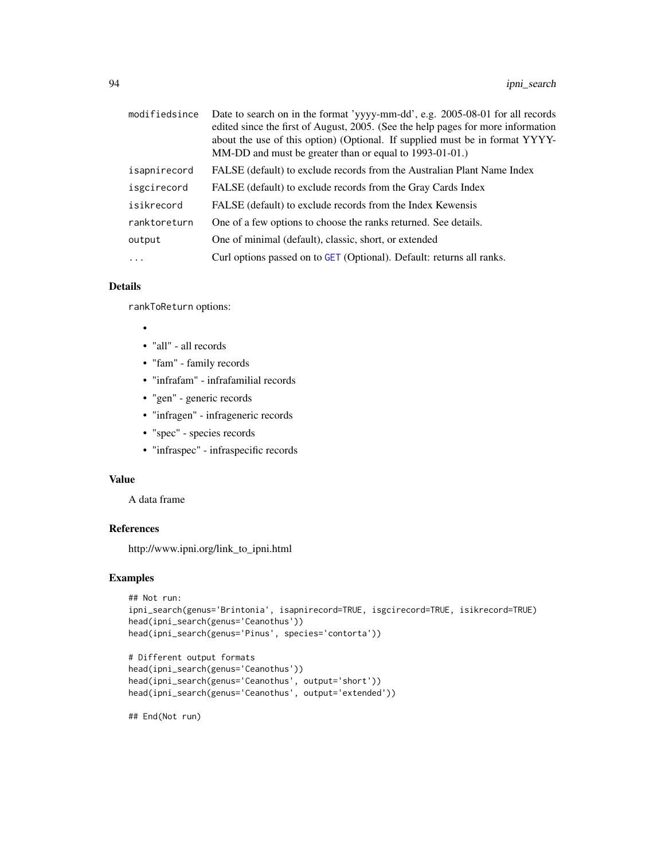| modifiedsince | Date to search on in the format 'yyyy-mm-dd', e.g. 2005-08-01 for all records<br>edited since the first of August, 2005. (See the help pages for more information<br>about the use of this option) (Optional. If supplied must be in format YYYY-<br>MM-DD and must be greater than or equal to 1993-01-01.) |
|---------------|--------------------------------------------------------------------------------------------------------------------------------------------------------------------------------------------------------------------------------------------------------------------------------------------------------------|
| isapnirecord  | FALSE (default) to exclude records from the Australian Plant Name Index                                                                                                                                                                                                                                      |
| isgcirecord   | FALSE (default) to exclude records from the Gray Cards Index                                                                                                                                                                                                                                                 |
| isikrecord    | FALSE (default) to exclude records from the Index Kewensis                                                                                                                                                                                                                                                   |
| ranktoreturn  | One of a few options to choose the ranks returned. See details.                                                                                                                                                                                                                                              |
| output        | One of minimal (default), classic, short, or extended                                                                                                                                                                                                                                                        |
| $\ddots$ .    | Curl options passed on to GET (Optional). Default: returns all ranks.                                                                                                                                                                                                                                        |

# Details

rankToReturn options:

- •
- "all" all records
- "fam" family records
- "infrafam" infrafamilial records
- "gen" generic records
- "infragen" infrageneric records
- "spec" species records
- "infraspec" infraspecific records

### Value

A data frame

### References

http://www.ipni.org/link\_to\_ipni.html

### Examples

```
## Not run:
ipni_search(genus='Brintonia', isapnirecord=TRUE, isgcirecord=TRUE, isikrecord=TRUE)
head(ipni_search(genus='Ceanothus'))
head(ipni_search(genus='Pinus', species='contorta'))
```

```
# Different output formats
head(ipni_search(genus='Ceanothus'))
head(ipni_search(genus='Ceanothus', output='short'))
head(ipni_search(genus='Ceanothus', output='extended'))
```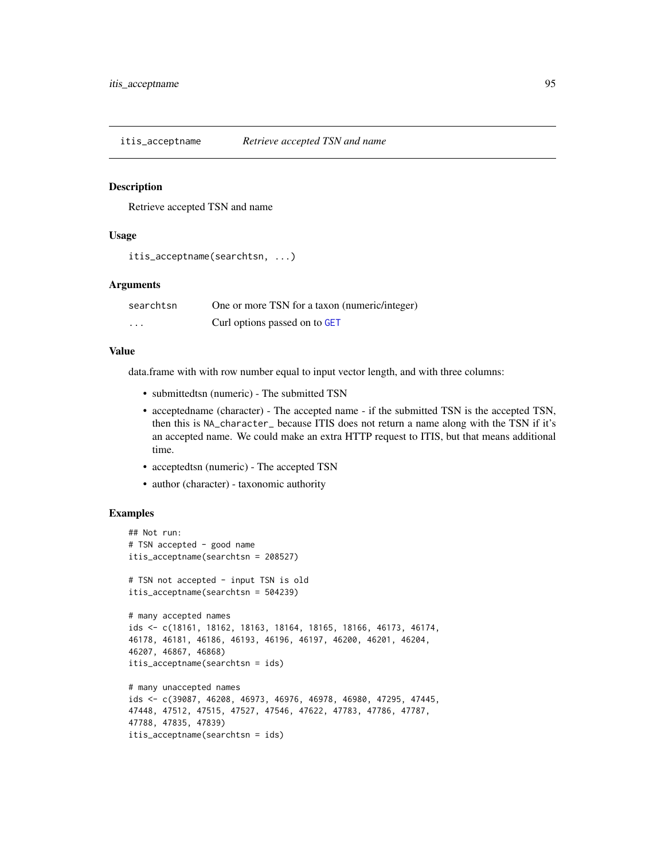Retrieve accepted TSN and name

### Usage

```
itis_acceptname(searchtsn, ...)
```
# Arguments

| searchtsn | One or more TSN for a taxon (numeric/integer) |
|-----------|-----------------------------------------------|
| $\cdot$   | Curl options passed on to GET                 |

### Value

data.frame with with row number equal to input vector length, and with three columns:

- submittedtsn (numeric) The submitted TSN
- acceptedname (character) The accepted name if the submitted TSN is the accepted TSN, then this is NA\_character\_ because ITIS does not return a name along with the TSN if it's an accepted name. We could make an extra HTTP request to ITIS, but that means additional time.
- acceptedtsn (numeric) The accepted TSN
- author (character) taxonomic authority

```
## Not run:
# TSN accepted - good name
itis_acceptname(searchtsn = 208527)
# TSN not accepted - input TSN is old
itis_acceptname(searchtsn = 504239)
# many accepted names
ids <- c(18161, 18162, 18163, 18164, 18165, 18166, 46173, 46174,
46178, 46181, 46186, 46193, 46196, 46197, 46200, 46201, 46204,
46207, 46867, 46868)
itis_acceptname(searchtsn = ids)
# many unaccepted names
ids <- c(39087, 46208, 46973, 46976, 46978, 46980, 47295, 47445,
47448, 47512, 47515, 47527, 47546, 47622, 47783, 47786, 47787,
47788, 47835, 47839)
itis_acceptname(searchtsn = ids)
```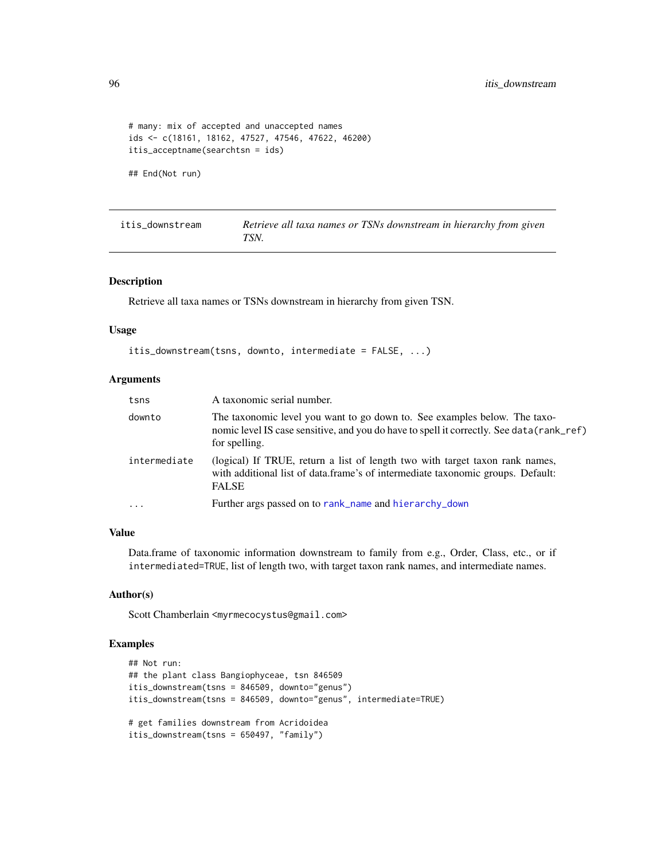```
# many: mix of accepted and unaccepted names
ids <- c(18161, 18162, 47527, 47546, 47622, 46200)
itis_acceptname(searchtsn = ids)
```
## End(Not run)

<span id="page-95-0"></span>

| itis downstream | Retrieve all taxa names or TSNs downstream in hierarchy from given |
|-----------------|--------------------------------------------------------------------|
|                 | TSN.                                                               |

### Description

Retrieve all taxa names or TSNs downstream in hierarchy from given TSN.

### Usage

```
itis_downstream(tsns, downto, intermediate = FALSE, ...)
```
### Arguments

| tsns         | A taxonomic serial number.                                                                                                                                                              |
|--------------|-----------------------------------------------------------------------------------------------------------------------------------------------------------------------------------------|
| downto       | The taxonomic level you want to go down to. See examples below. The taxo-<br>nomic level IS case sensitive, and you do have to spell it correctly. See data (rank_ref)<br>for spelling. |
| intermediate | (logical) If TRUE, return a list of length two with target taxon rank names,<br>with additional list of data.frame's of intermediate taxonomic groups. Default:<br><b>FALSE</b>         |
| $\ddotsc$    | Further args passed on to rank_name and hierarchy_down                                                                                                                                  |

### Value

Data.frame of taxonomic information downstream to family from e.g., Order, Class, etc., or if intermediated=TRUE, list of length two, with target taxon rank names, and intermediate names.

#### Author(s)

Scott Chamberlain <myrmecocystus@gmail.com>

```
## Not run:
## the plant class Bangiophyceae, tsn 846509
itis_downstream(tsns = 846509, downto="genus")
itis_downstream(tsns = 846509, downto="genus", intermediate=TRUE)
# get families downstream from Acridoidea
itis_downstream(tsns = 650497, "family")
```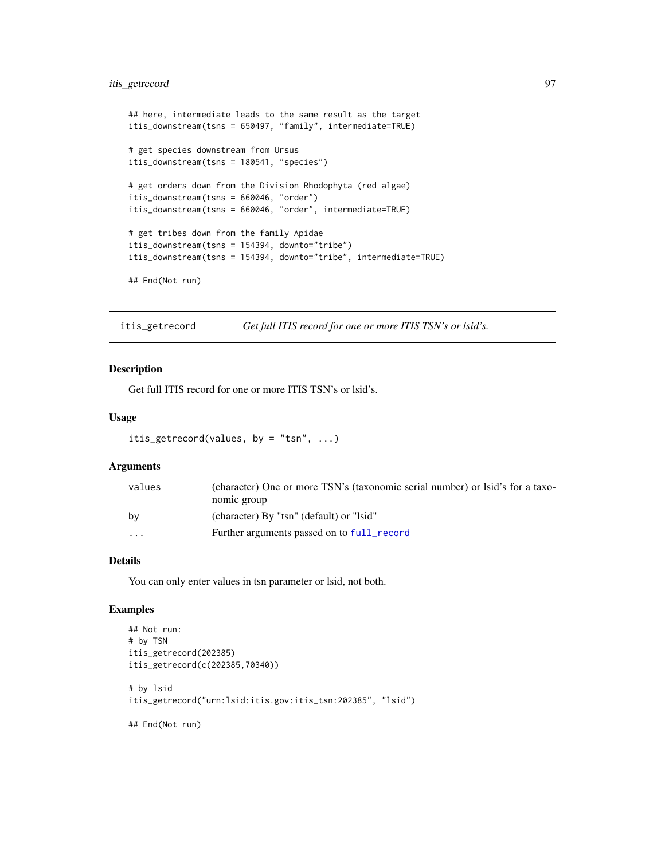# itis\_getrecord 97

```
## here, intermediate leads to the same result as the target
itis_downstream(tsns = 650497, "family", intermediate=TRUE)
# get species downstream from Ursus
itis_downstream(tsns = 180541, "species")
# get orders down from the Division Rhodophyta (red algae)
itis_downstream(tsns = 660046, "order")
itis_downstream(tsns = 660046, "order", intermediate=TRUE)
# get tribes down from the family Apidae
itis_downstream(tsns = 154394, downto="tribe")
itis_downstream(tsns = 154394, downto="tribe", intermediate=TRUE)
## End(Not run)
```
itis\_getrecord *Get full ITIS record for one or more ITIS TSN's or lsid's.*

### Description

Get full ITIS record for one or more ITIS TSN's or lsid's.

### Usage

```
itis_getrecord(values, by = "tsn", \ldots)
```
### Arguments

| values   | (character) One or more TSN's (taxonomic serial number) or lsid's for a taxo- |
|----------|-------------------------------------------------------------------------------|
|          | nomic group                                                                   |
| bv       | (character) By "tsn" (default) or "lsid"                                      |
| $\cdots$ | Further arguments passed on to full_record                                    |

# Details

You can only enter values in tsn parameter or lsid, not both.

```
## Not run:
# by TSN
itis_getrecord(202385)
itis_getrecord(c(202385,70340))
# by lsid
itis_getrecord("urn:lsid:itis.gov:itis_tsn:202385", "lsid")
```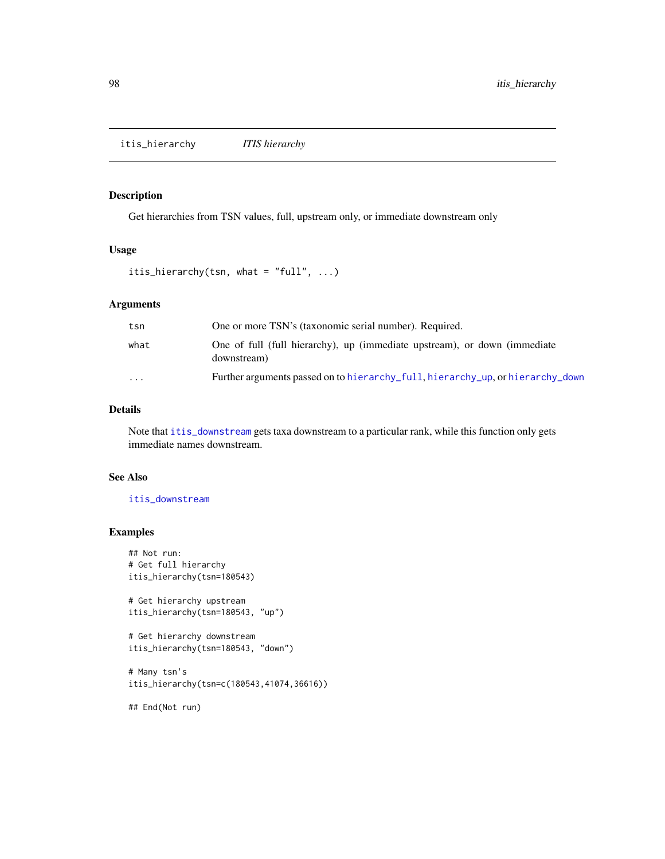itis\_hierarchy *ITIS hierarchy*

# Description

Get hierarchies from TSN values, full, upstream only, or immediate downstream only

# Usage

```
itis_hierarchy(tsn, what = "full", ...)
```
# Arguments

| tsn     | One or more TSN's (taxonomic serial number). Required.                                   |
|---------|------------------------------------------------------------------------------------------|
| what    | One of full (full hierarchy), up (immediate upstream), or down (immediate<br>downstream) |
| $\cdot$ | Further arguments passed on to hierarchy_full, hierarchy_up, or hierarchy_down           |

### Details

Note that [itis\\_downstream](#page-95-0) gets taxa downstream to a particular rank, while this function only gets immediate names downstream.

# See Also

[itis\\_downstream](#page-95-0)

### Examples

```
## Not run:
# Get full hierarchy
itis_hierarchy(tsn=180543)
```

```
# Get hierarchy upstream
itis_hierarchy(tsn=180543, "up")
```

```
# Get hierarchy downstream
itis_hierarchy(tsn=180543, "down")
```

```
# Many tsn's
itis_hierarchy(tsn=c(180543,41074,36616))
```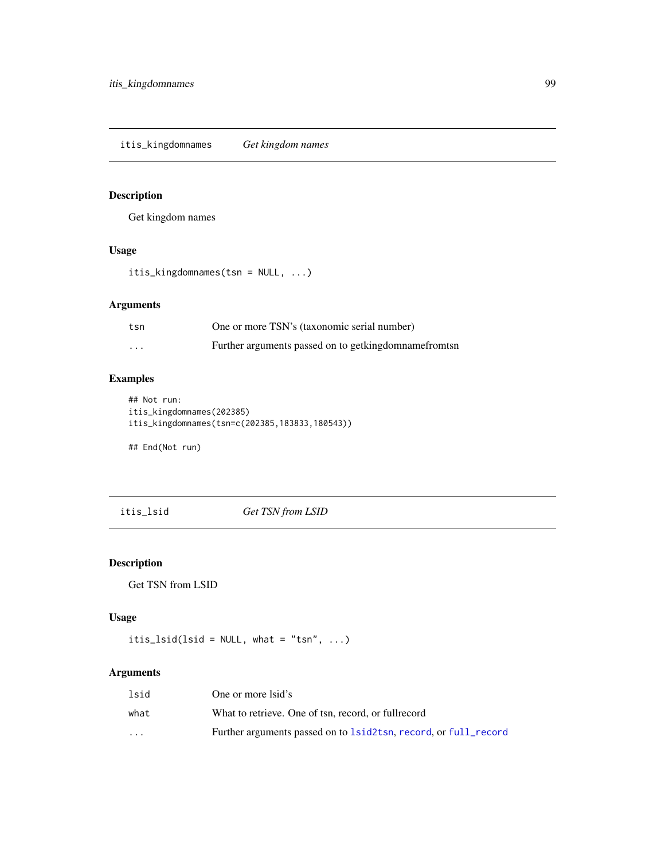Get kingdom names

# Usage

itis\_kingdomnames(tsn = NULL, ...)

# Arguments

| tsn | One or more TSN's (taxonomic serial number)             |
|-----|---------------------------------------------------------|
| .   | Further arguments passed on to getking domname from tsn |

# Examples

```
## Not run:
itis_kingdomnames(202385)
itis_kingdomnames(tsn=c(202385,183833,180543))
```
## End(Not run)

itis\_lsid *Get TSN from LSID*

# Description

Get TSN from LSID

# Usage

```
itis_lsid(lsid = NULL, what = "tsn", ...)
```
# Arguments

| lsid                    | One or more lsid's                                              |
|-------------------------|-----------------------------------------------------------------|
| what                    | What to retrieve. One of tsn. record, or fullrecord             |
| $\cdot$ $\cdot$ $\cdot$ | Further arguments passed on to 1sid2tsn, record, or full_record |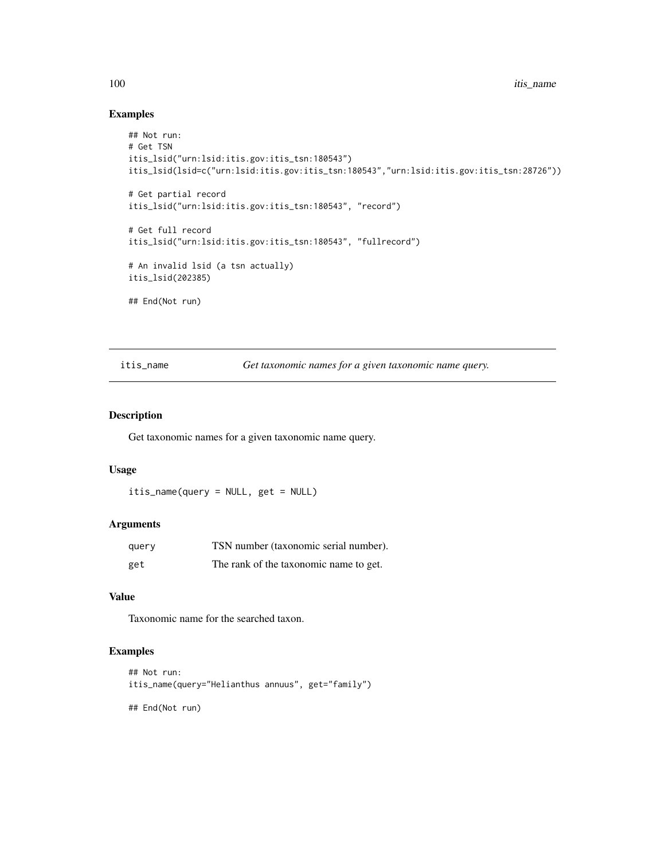# Examples

```
## Not run:
# Get TSN
itis_lsid("urn:lsid:itis.gov:itis_tsn:180543")
itis_lsid(lsid=c("urn:lsid:itis.gov:itis_tsn:180543","urn:lsid:itis.gov:itis_tsn:28726"))
# Get partial record
itis_lsid("urn:lsid:itis.gov:itis_tsn:180543", "record")
# Get full record
itis_lsid("urn:lsid:itis.gov:itis_tsn:180543", "fullrecord")
# An invalid lsid (a tsn actually)
itis_lsid(202385)
## End(Not run)
```
itis\_name *Get taxonomic names for a given taxonomic name query.*

### Description

Get taxonomic names for a given taxonomic name query.

# Usage

itis\_name(query = NULL, get = NULL)

# Arguments

| query | TSN number (taxonomic serial number).  |
|-------|----------------------------------------|
| get   | The rank of the taxonomic name to get. |

# Value

Taxonomic name for the searched taxon.

# Examples

```
## Not run:
itis_name(query="Helianthus annuus", get="family")
```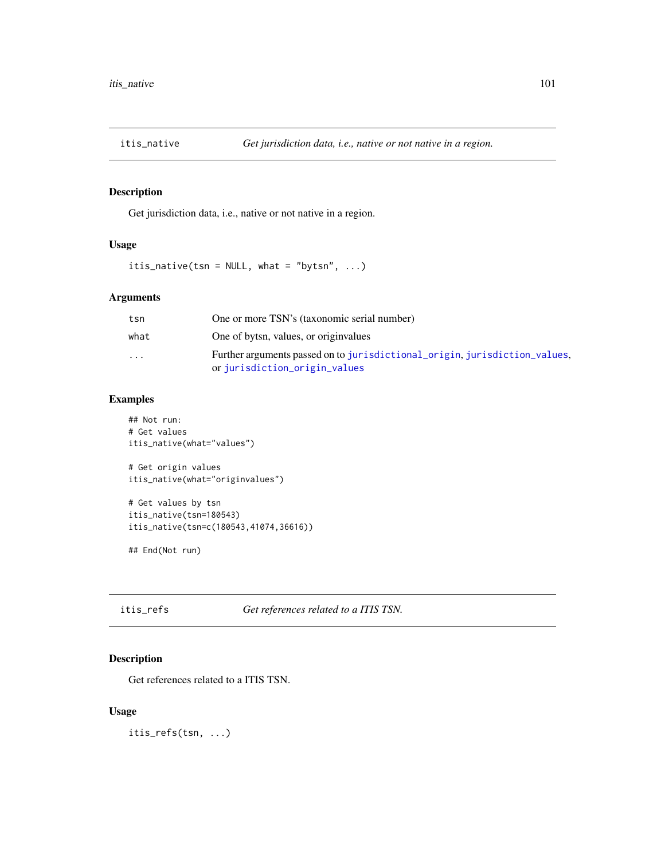Get jurisdiction data, i.e., native or not native in a region.

# Usage

itis\_native(tsn = NULL, what = "bytsn", ...)

# Arguments

| tsn      | One or more TSN's (taxonomic serial number)                                                                 |
|----------|-------------------------------------------------------------------------------------------------------------|
| what     | One of bytsn, values, or originvalues                                                                       |
| $\cdots$ | Further arguments passed on to jurisdictional_origin, jurisdiction_values,<br>or jurisdiction_origin_values |

# Examples

```
## Not run:
# Get values
itis_native(what="values")
# Get origin values
itis_native(what="originvalues")
# Get values by tsn
itis_native(tsn=180543)
itis_native(tsn=c(180543,41074,36616))
## End(Not run)
```
itis\_refs *Get references related to a ITIS TSN.*

# Description

Get references related to a ITIS TSN.

### Usage

itis\_refs(tsn, ...)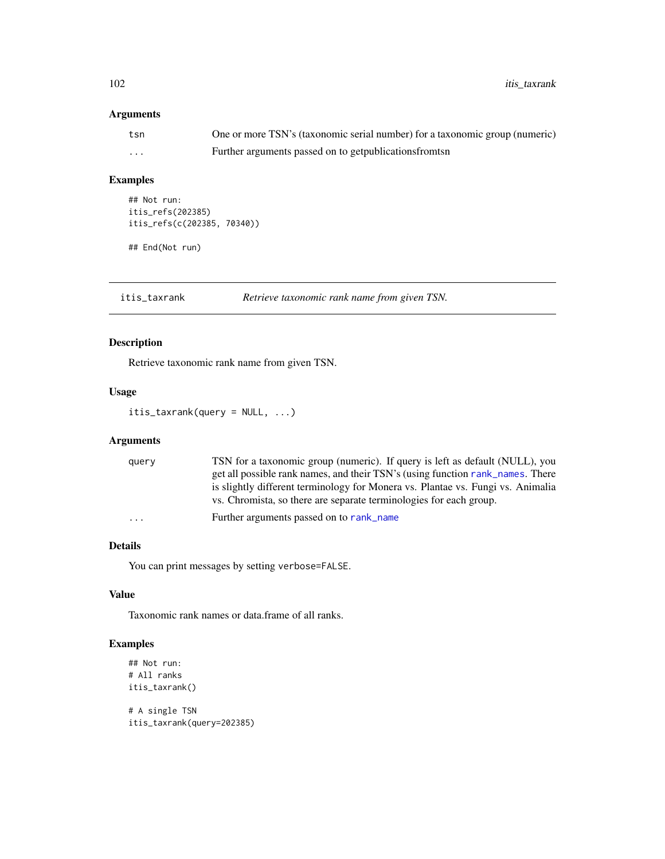102 itis\_taxrank

# Arguments

| tsn      | One or more TSN's (taxonomic serial number) for a taxonomic group (numeric) |
|----------|-----------------------------------------------------------------------------|
| $\cdots$ | Further arguments passed on to get publications from the s                  |

### Examples

```
## Not run:
itis_refs(202385)
itis_refs(c(202385, 70340))
```
## End(Not run)

itis\_taxrank *Retrieve taxonomic rank name from given TSN.*

# Description

Retrieve taxonomic rank name from given TSN.

### Usage

itis\_taxrank(query = NULL, ...)

# Arguments

| query                   | TSN for a taxonomic group (numeric). If query is left as default (NULL), you    |
|-------------------------|---------------------------------------------------------------------------------|
|                         | get all possible rank names, and their TSN's (using function rank names. There  |
|                         | is slightly different terminology for Monera vs. Plantae vs. Fungi vs. Animalia |
|                         | vs. Chromista, so there are separate terminologies for each group.              |
| $\cdot$ $\cdot$ $\cdot$ | Further arguments passed on to rank_name                                        |

# Details

You can print messages by setting verbose=FALSE.

### Value

Taxonomic rank names or data.frame of all ranks.

# Examples

```
## Not run:
# All ranks
itis_taxrank()
```
# A single TSN itis\_taxrank(query=202385)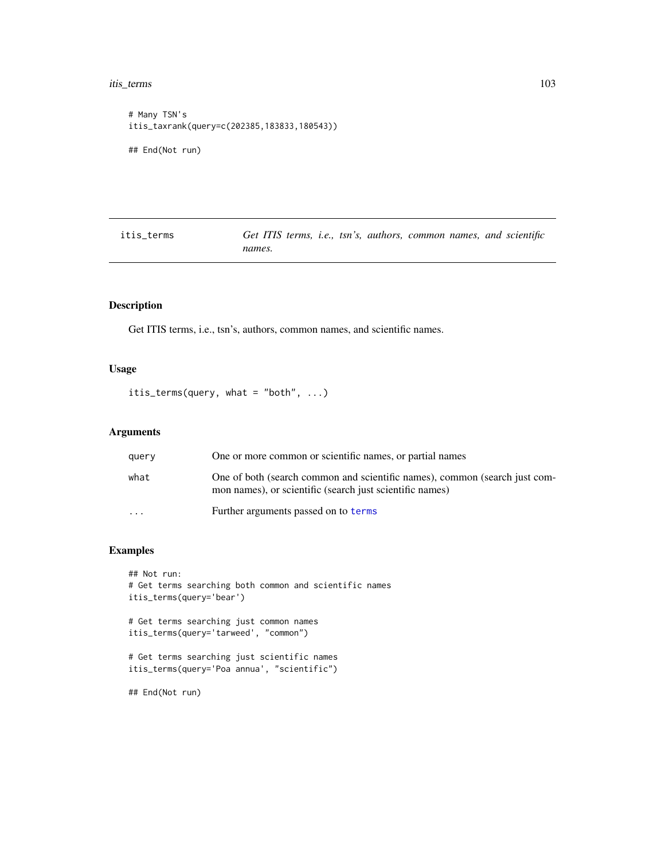#### itis\_terms 103

```
# Many TSN's
itis_taxrank(query=c(202385,183833,180543))
## End(Not run)
```

| itis terms | Get ITIS terms, i.e., tsn's, authors, common names, and scientific |  |  |  |  |
|------------|--------------------------------------------------------------------|--|--|--|--|
|            | names.                                                             |  |  |  |  |

# Description

Get ITIS terms, i.e., tsn's, authors, common names, and scientific names.

# Usage

```
itis_terms(query, what = "both", ...)
```
### Arguments

| query     | One or more common or scientific names, or partial names                                                                               |
|-----------|----------------------------------------------------------------------------------------------------------------------------------------|
| what      | One of both (search common and scientific names), common (search just com-<br>mon names), or scientific (search just scientific names) |
| $\ddotsc$ | Further arguments passed on to terms                                                                                                   |

# Examples

```
## Not run:
# Get terms searching both common and scientific names
itis_terms(query='bear')
# Get terms searching just common names
itis_terms(query='tarweed', "common")
# Get terms searching just scientific names
itis_terms(query='Poa annua', "scientific")
```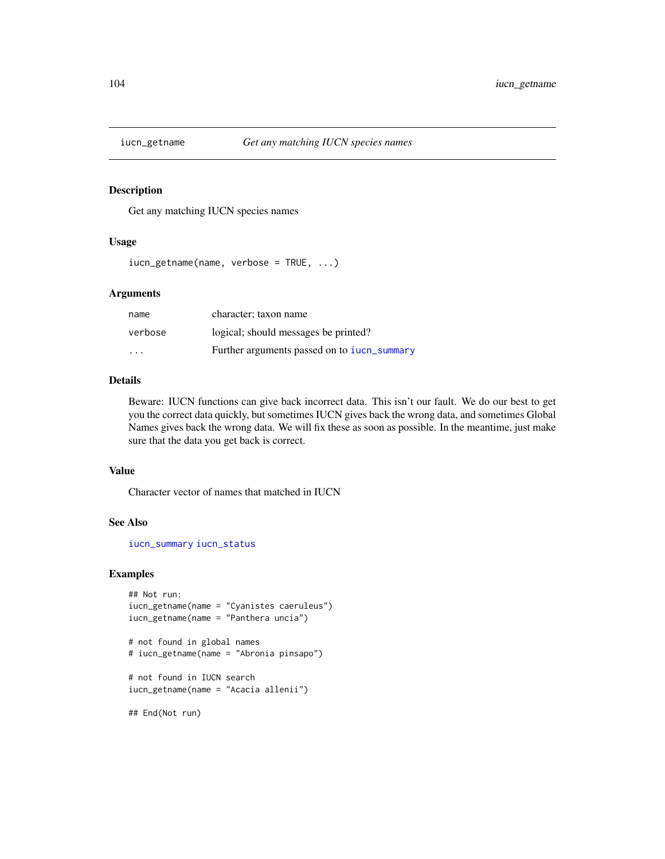Get any matching IUCN species names

#### Usage

iucn\_getname(name, verbose = TRUE, ...)

# Arguments

| name                    | character; taxon name                       |
|-------------------------|---------------------------------------------|
| verbose                 | logical; should messages be printed?        |
| $\cdot$ $\cdot$ $\cdot$ | Further arguments passed on to iucn_summary |

### Details

Beware: IUCN functions can give back incorrect data. This isn't our fault. We do our best to get you the correct data quickly, but sometimes IUCN gives back the wrong data, and sometimes Global Names gives back the wrong data. We will fix these as soon as possible. In the meantime, just make sure that the data you get back is correct.

### Value

Character vector of names that matched in IUCN

### See Also

[iucn\\_summary](#page-105-0) [iucn\\_status](#page-105-1)

```
## Not run:
iucn_getname(name = "Cyanistes caeruleus")
iucn_getname(name = "Panthera uncia")
# not found in global names
# iucn_getname(name = "Abronia pinsapo")
# not found in IUCN search
iucn_getname(name = "Acacia allenii")
## End(Not run)
```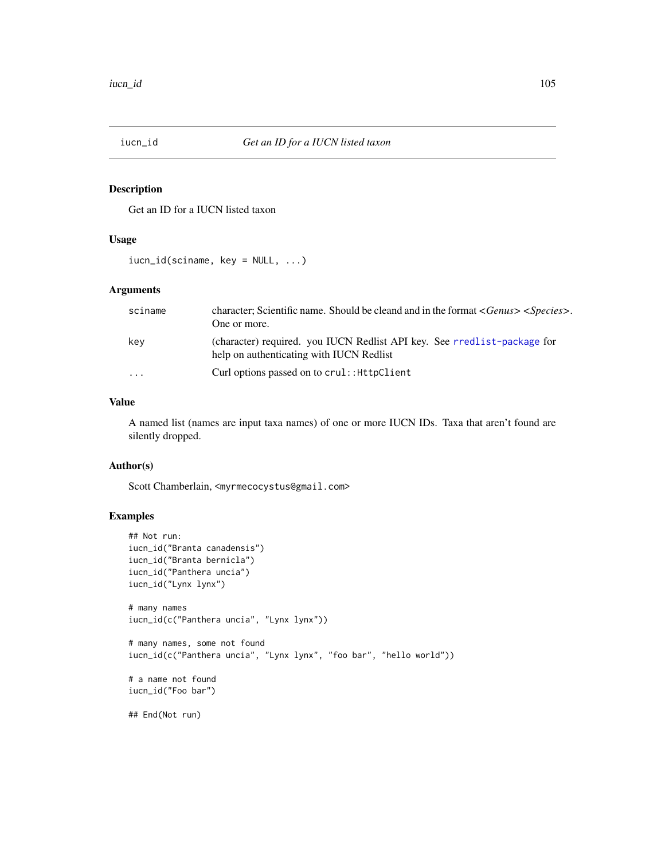Get an ID for a IUCN listed taxon

# Usage

iucn\_id(sciname, key = NULL, ...)

# Arguments

| sciname                 | character; Scientific name. Should be cleand and in the format < Genus> < Species >.<br>One or more.                 |
|-------------------------|----------------------------------------------------------------------------------------------------------------------|
| kev                     | (character) required. you IUCN Redlist API key. See rredlist-package for<br>help on authenticating with IUCN Redlist |
| $\cdot$ $\cdot$ $\cdot$ | Curl options passed on to crul:: HttpClient                                                                          |

# Value

A named list (names are input taxa names) of one or more IUCN IDs. Taxa that aren't found are silently dropped.

### Author(s)

Scott Chamberlain, <myrmecocystus@gmail.com>

```
## Not run:
iucn_id("Branta canadensis")
iucn_id("Branta bernicla")
iucn_id("Panthera uncia")
iucn_id("Lynx lynx")
# many names
iucn_id(c("Panthera uncia", "Lynx lynx"))
# many names, some not found
iucn_id(c("Panthera uncia", "Lynx lynx", "foo bar", "hello world"))
# a name not found
iucn_id("Foo bar")
## End(Not run)
```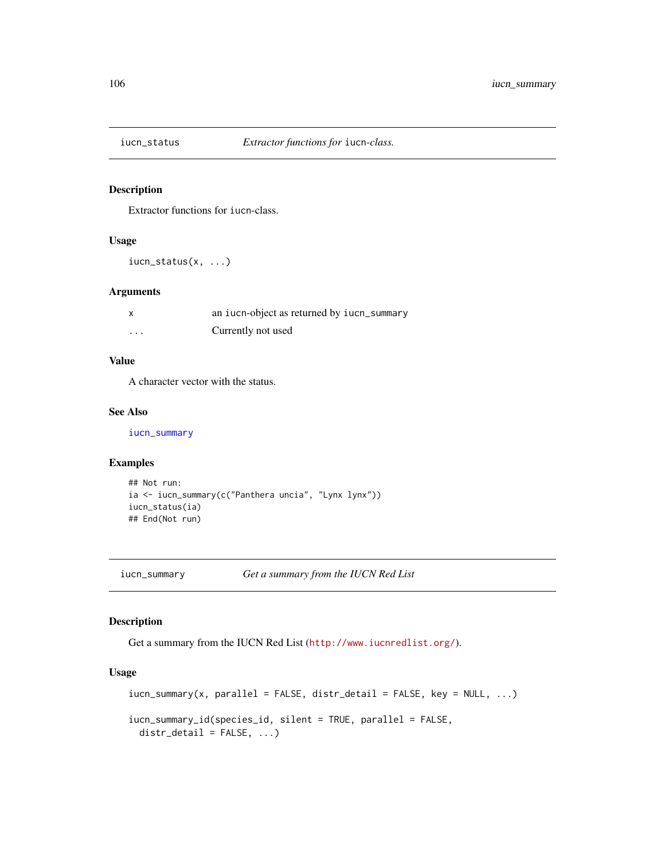<span id="page-105-1"></span>

Extractor functions for iucn-class.

### Usage

iucn\_status(x, ...)

### Arguments

| $\boldsymbol{\mathsf{x}}$ | an iucn-object as returned by iucn_summary |
|---------------------------|--------------------------------------------|
| $\cdots$                  | Currently not used                         |

### Value

A character vector with the status.

### See Also

[iucn\\_summary](#page-105-0)

# Examples

```
## Not run:
ia <- iucn_summary(c("Panthera uncia", "Lynx lynx"))
iucn_status(ia)
## End(Not run)
```
<span id="page-105-0"></span>iucn\_summary *Get a summary from the IUCN Red List*

### Description

Get a summary from the IUCN Red List (<http://www.iucnredlist.org/>).

#### Usage

```
iucn\_summary(x, parallel = FALSE, distr\_detail = FALSE, key = NULL, ...)iucn_summary_id(species_id, silent = TRUE, parallel = FALSE,
 distr\_detail = FALSE, ...)
```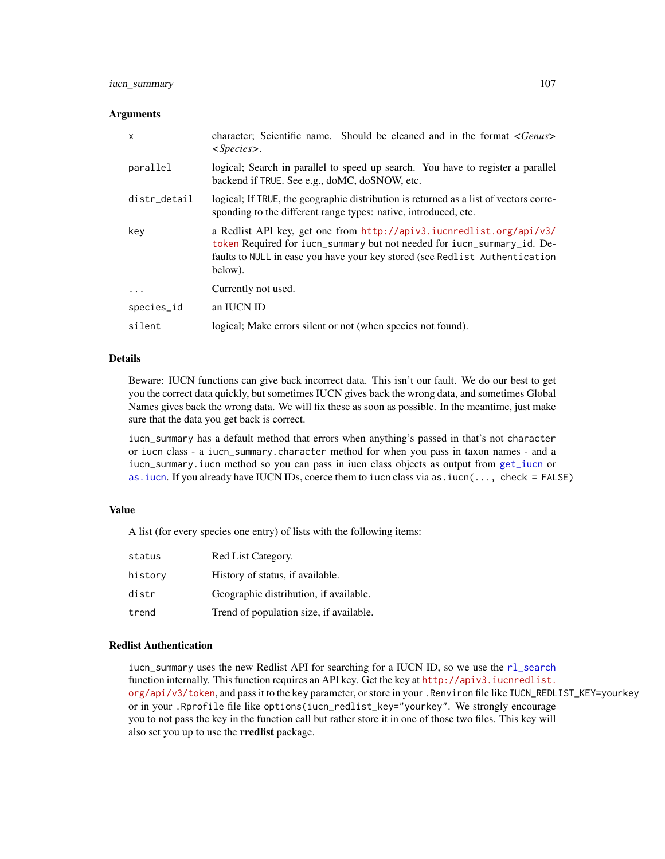# iucn\_summary 107

#### **Arguments**

| $\mathsf{x}$ | character; Scientific name. Should be cleaned and in the format < <i>Genus</i> ><br>$<\!\!Species\!\!>.$                                                                                                                                  |
|--------------|-------------------------------------------------------------------------------------------------------------------------------------------------------------------------------------------------------------------------------------------|
| parallel     | logical; Search in parallel to speed up search. You have to register a parallel<br>backend if TRUE. See e.g., doMC, doSNOW, etc.                                                                                                          |
| distr_detail | logical; If TRUE, the geographic distribution is returned as a list of vectors corre-<br>sponding to the different range types: native, introduced, etc.                                                                                  |
| key          | a Redlist API key, get one from http://apiv3.iucnredlist.org/api/v3/<br>token Required for iucn_summary but not needed for iucn_summary_id. De-<br>faults to NULL in case you have your key stored (see Redlist Authentication<br>below). |
| .            | Currently not used.                                                                                                                                                                                                                       |
| species_id   | an IUCN ID                                                                                                                                                                                                                                |
| silent       | logical; Make errors silent or not (when species not found).                                                                                                                                                                              |

# Details

Beware: IUCN functions can give back incorrect data. This isn't our fault. We do our best to get you the correct data quickly, but sometimes IUCN gives back the wrong data, and sometimes Global Names gives back the wrong data. We will fix these as soon as possible. In the meantime, just make sure that the data you get back is correct.

iucn\_summary has a default method that errors when anything's passed in that's not character or iucn class - a iucn\_summary.character method for when you pass in taxon names - and a iucn\_summary.iucn method so you can pass in iucn class objects as output from [get\\_iucn](#page-57-0) or [as.iucn](#page-57-1). If you already have IUCN IDs, coerce them to iucn class via as.iucn(..., check = FALSE)

#### Value

A list (for every species one entry) of lists with the following items:

| status  | Red List Category.                      |
|---------|-----------------------------------------|
| history | History of status, if available.        |
| distr   | Geographic distribution, if available.  |
| trend   | Trend of population size, if available. |

### Redlist Authentication

iucn\_summary uses the new Redlist API for searching for a IUCN ID, so we use the [rl\\_search](#page-0-0) function internally. This function requires an API key. Get the key at [http://apiv3.iucnredlist.](http://apiv3.iucnredlist.org/api/v3/token) [org/api/v3/token](http://apiv3.iucnredlist.org/api/v3/token), and pass it to the key parameter, or store in your .Renviron file like IUCN\_REDLIST\_KEY=yourkey or in your .Rprofile file like options(iucn\_redlist\_key="yourkey". We strongly encourage you to not pass the key in the function call but rather store it in one of those two files. This key will also set you up to use the **rredlist** package.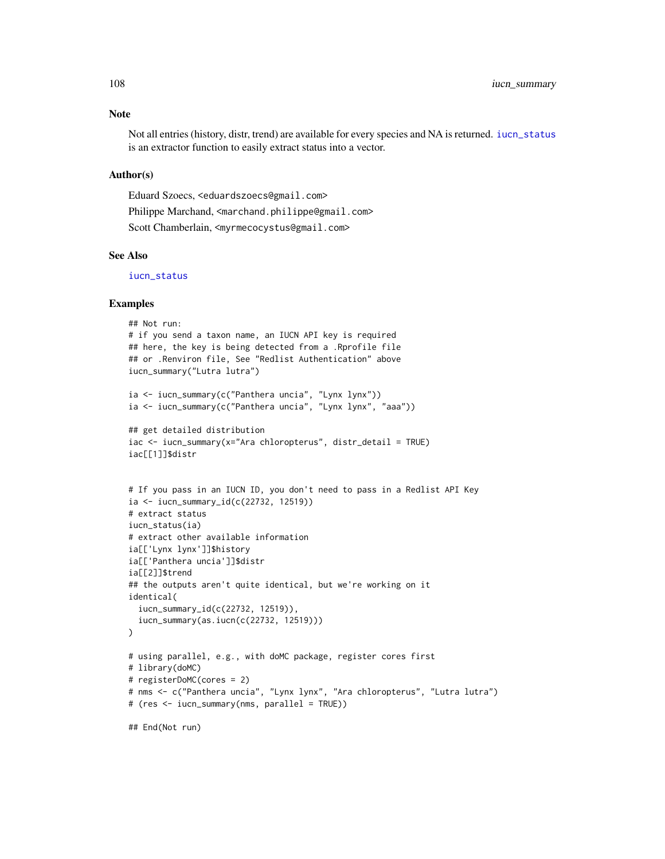Not all entries (history, distr, trend) are available for every species and NA is returned. [iucn\\_status](#page-105-1) is an extractor function to easily extract status into a vector.

### Author(s)

Eduard Szoecs, <eduardszoecs@gmail.com> Philippe Marchand, <marchand.philippe@gmail.com> Scott Chamberlain, <myrmecocystus@gmail.com>

# See Also

[iucn\\_status](#page-105-1)

# Examples

```
## Not run:
# if you send a taxon name, an IUCN API key is required
## here, the key is being detected from a .Rprofile file
## or .Renviron file, See "Redlist Authentication" above
iucn_summary("Lutra lutra")
ia <- iucn_summary(c("Panthera uncia", "Lynx lynx"))
ia <- iucn_summary(c("Panthera uncia", "Lynx lynx", "aaa"))
## get detailed distribution
iac <- iucn_summary(x="Ara chloropterus", distr_detail = TRUE)
iac[[1]]$distr
# If you pass in an IUCN ID, you don't need to pass in a Redlist API Key
ia <- iucn_summary_id(c(22732, 12519))
# extract status
iucn_status(ia)
# extract other available information
ia[['Lynx lynx']]$history
ia[['Panthera uncia']]$distr
ia[[2]]$trend
## the outputs aren't quite identical, but we're working on it
identical(
  iucn_summary_id(c(22732, 12519)),
  iucn_summary(as.iucn(c(22732, 12519)))
\lambda# using parallel, e.g., with doMC package, register cores first
# library(doMC)
# registerDoMC(cores = 2)
# nms <- c("Panthera uncia", "Lynx lynx", "Ara chloropterus", "Lutra lutra")
# (res <- iucn_summary(nms, parallel = TRUE))
```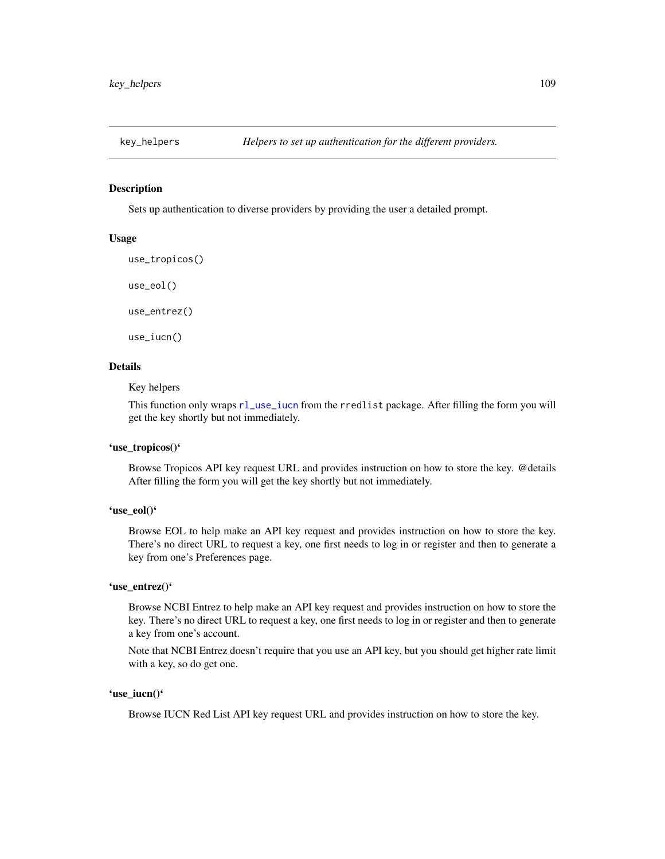Sets up authentication to diverse providers by providing the user a detailed prompt.

# Usage

```
use_tropicos()
use_eol()
use_entrez()
```
use\_iucn()

#### Details

Key helpers

This function only wraps [rl\\_use\\_iucn](#page-0-0) from the rredlist package. After filling the form you will get the key shortly but not immediately.

### 'use\_tropicos()'

Browse Tropicos API key request URL and provides instruction on how to store the key. @details After filling the form you will get the key shortly but not immediately.

# 'use\_eol()'

Browse EOL to help make an API key request and provides instruction on how to store the key. There's no direct URL to request a key, one first needs to log in or register and then to generate a key from one's Preferences page.

#### 'use\_entrez()'

Browse NCBI Entrez to help make an API key request and provides instruction on how to store the key. There's no direct URL to request a key, one first needs to log in or register and then to generate a key from one's account.

Note that NCBI Entrez doesn't require that you use an API key, but you should get higher rate limit with a key, so do get one.

### 'use\_iucn()'

Browse IUCN Red List API key request URL and provides instruction on how to store the key.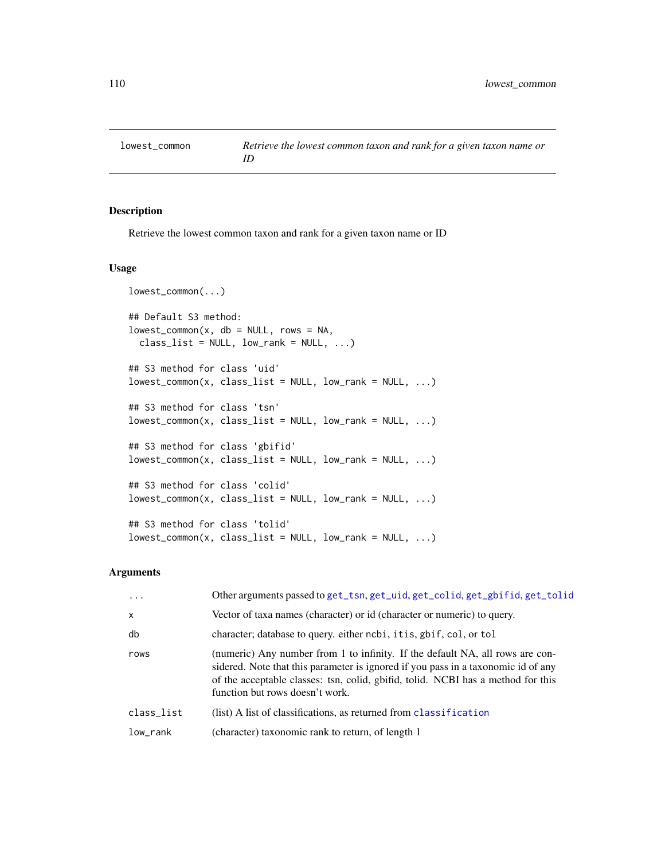Retrieve the lowest common taxon and rank for a given taxon name or ID

### Usage

```
lowest_common(...)
## Default S3 method:
lowest\_common(x, db = NULL, rows = NA,class\_list = NULL, low\_rank = NULL, ...## S3 method for class 'uid'
lowest\_common(x, class_list = NULL, low\_rank = NULL, ...)## S3 method for class 'tsn'
lowest\_common(x, class_list = NULL, low\_rank = NULL, ...)## S3 method for class 'gbifid'
lowest_{common}(x, class_{list} = NULL, low_{rank} = NULL, ...)## S3 method for class 'colid'
lowest_{common}(x, class_{list} = NULL, low_{rank} = NULL, ...)## S3 method for class 'tolid'
lowest_{common}(x, class_{list} = NULL, low_{rank} = NULL, ...)
```
### Arguments

| $\ddots$     | Other arguments passed to get_tsn, get_uid, get_colid, get_gbifid, get_tolid                                                                                                                                                                                                              |
|--------------|-------------------------------------------------------------------------------------------------------------------------------------------------------------------------------------------------------------------------------------------------------------------------------------------|
| $\mathsf{x}$ | Vector of taxa names (character) or id (character or numeric) to query.                                                                                                                                                                                                                   |
| db           | character; database to query. either ncbi, it is, gbif, col, or tol                                                                                                                                                                                                                       |
| rows         | (numeric) Any number from 1 to infinity. If the default NA, all rows are con-<br>sidered. Note that this parameter is ignored if you pass in a taxonomic id of any<br>of the acceptable classes: tsn, colid, gbifid, tolid. NCBI has a method for this<br>function but rows doesn't work. |
| class_list   | (list) A list of classifications, as returned from classification                                                                                                                                                                                                                         |
| low_rank     | (character) taxonomic rank to return, of length 1                                                                                                                                                                                                                                         |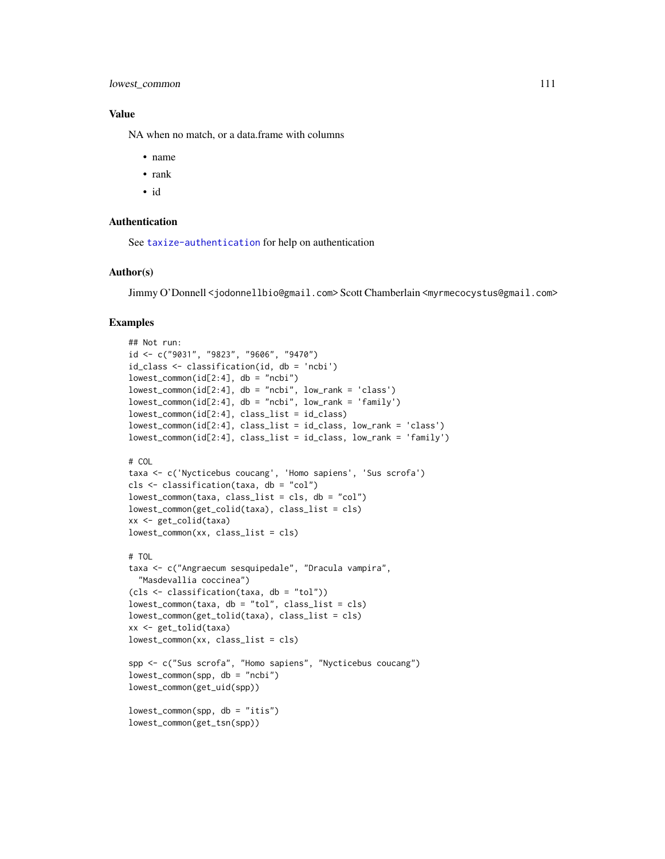### Value

NA when no match, or a data.frame with columns

- name
- rank
- id

#### Authentication

See [taxize-authentication](#page-41-0) for help on authentication

#### Author(s)

Jimmy O'Donnell <jodonnellbio@gmail.com> Scott Chamberlain <myrmecocystus@gmail.com>

#### Examples

```
## Not run:
id <- c("9031", "9823", "9606", "9470")
id_class <- classification(id, db = 'ncbi')
lowest_{common(id[2:4], db = "ncbi")lowest\_common(id[2:4], db = "ncbi", low\_rank = 'class')lowest_common(id[2:4], db = "ncbi", low_rank = 'family')
lowest_common(id[2:4], class_list = id_class)
lowest_common(id[2:4], class_list = id_class, low_rank = 'class')
lowest_common(id[2:4], class_list = id_class, low_rank = 'family')
# COL
taxa <- c('Nycticebus coucang', 'Homo sapiens', 'Sus scrofa')
cls <- classification(taxa, db = "col")
lowest_common(taxa, class_list = cls, db = "col")
lowest_common(get_colid(taxa), class_list = cls)
xx <- get_colid(taxa)
lowest_common(xx, class_list = cls)
# TOL
taxa <- c("Angraecum sesquipedale", "Dracula vampira",
  "Masdevallia coccinea")
(cls <- classification(taxa, db = "tol"))
lowest\_common(taxa, db = "tol", class_list = cls)lowest_common(get_tolid(taxa), class_list = cls)
xx <- get_tolid(taxa)
lowest_common(xx, class_list = cls)
spp <- c("Sus scrofa", "Homo sapiens", "Nycticebus coucang")
lowest_common(spp, db = "ncbi")
lowest_common(get_uid(spp))
lowest_common(spp, db = "itis")
lowest_common(get_tsn(spp))
```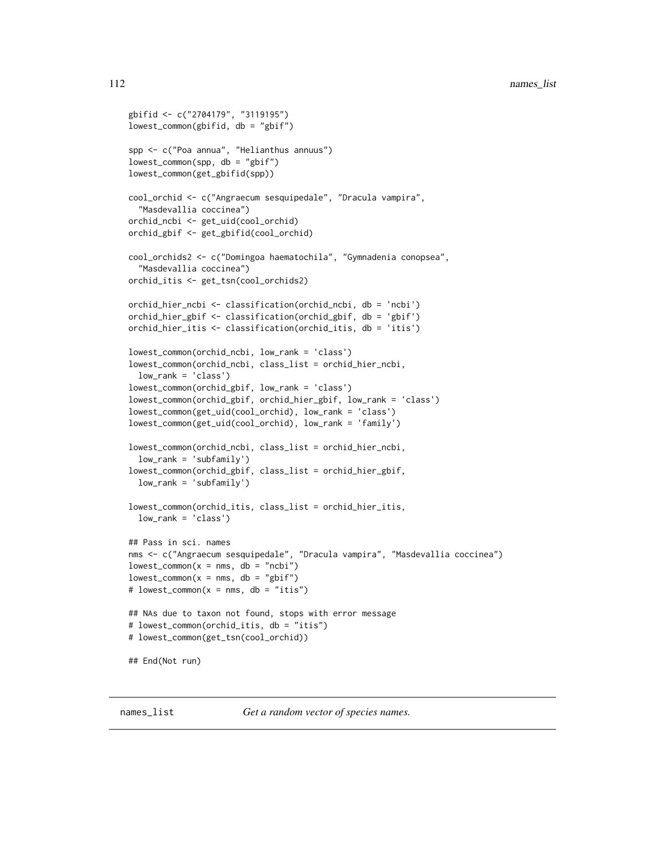```
gbifid <- c("2704179", "3119195")
lowest_common(gbifid, db = "gbif")
spp <- c("Poa annua", "Helianthus annuus")
lowest\_common(spp, db = "gbir")lowest_common(get_gbifid(spp))
cool_orchid <- c("Angraecum sesquipedale", "Dracula vampira",
  "Masdevallia coccinea")
orchid_ncbi <- get_uid(cool_orchid)
orchid_gbif <- get_gbifid(cool_orchid)
cool_orchids2 <- c("Domingoa haematochila", "Gymnadenia conopsea",
  "Masdevallia coccinea")
orchid_itis <- get_tsn(cool_orchids2)
orchid_hier_ncbi <- classification(orchid_ncbi, db = 'ncbi')
orchid_hier_gbif <- classification(orchid_gbif, db = 'gbif')
orchid_hier_itis <- classification(orchid_itis, db = 'itis')
lowest_common(orchid_ncbi, low_rank = 'class')
lowest_common(orchid_ncbi, class_list = orchid_hier_ncbi,
 low_rank = 'class')
lowest_common(orchid_gbif, low_rank = 'class')
lowest_common(orchid_gbif, orchid_hier_gbif, low_rank = 'class')
lowest_common(get_uid(cool_orchid), low_rank = 'class')
lowest_common(get_uid(cool_orchid), low_rank = 'family')
lowest_common(orchid_ncbi, class_list = orchid_hier_ncbi,
 low_rank = 'subfamily')
lowest_common(orchid_gbif, class_list = orchid_hier_gbif,
 low_rank = 'subfamily')
lowest_common(orchid_itis, class_list = orchid_hier_itis,
 low_rank = 'class')
## Pass in sci. names
nms <- c("Angraecum sesquipedale", "Dracula vampira", "Masdevallia coccinea")
lowest\_common(x = nms, db = "ncbi")lowest\_common(x = nms, db = "gbi f")# lowest_common(x = nms, db = "itis")
## NAs due to taxon not found, stops with error message
# lowest_common(orchid_itis, db = "itis")
# lowest_common(get_tsn(cool_orchid))
## End(Not run)
```
<span id="page-111-0"></span>names\_list *Get a random vector of species names.*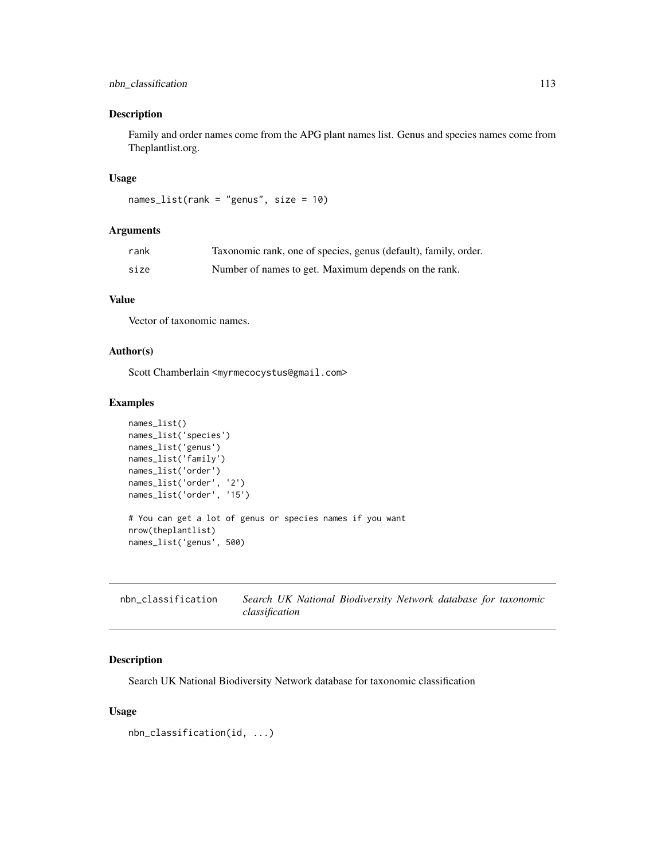# nbn\_classification 113

### Description

Family and order names come from the APG plant names list. Genus and species names come from Theplantlist.org.

# Usage

```
names_list(rank = "genus", size = 10)
```
### Arguments

| rank | Taxonomic rank, one of species, genus (default), family, order. |
|------|-----------------------------------------------------------------|
| size | Number of names to get. Maximum depends on the rank.            |

### Value

Vector of taxonomic names.

# Author(s)

Scott Chamberlain <myrmecocystus@gmail.com>

#### Examples

```
names_list()
names_list('species')
names_list('genus')
names_list('family')
names_list('order')
names_list('order', '2')
names_list('order', '15')
# You can get a lot of genus or species names if you want
nrow(theplantlist)
names_list('genus', 500)
```
<span id="page-112-0"></span>

| nbn classification |                |  | Search UK National Biodiversity Network database for taxonomic |  |  |
|--------------------|----------------|--|----------------------------------------------------------------|--|--|
|                    | classification |  |                                                                |  |  |

# Description

Search UK National Biodiversity Network database for taxonomic classification

### Usage

nbn\_classification(id, ...)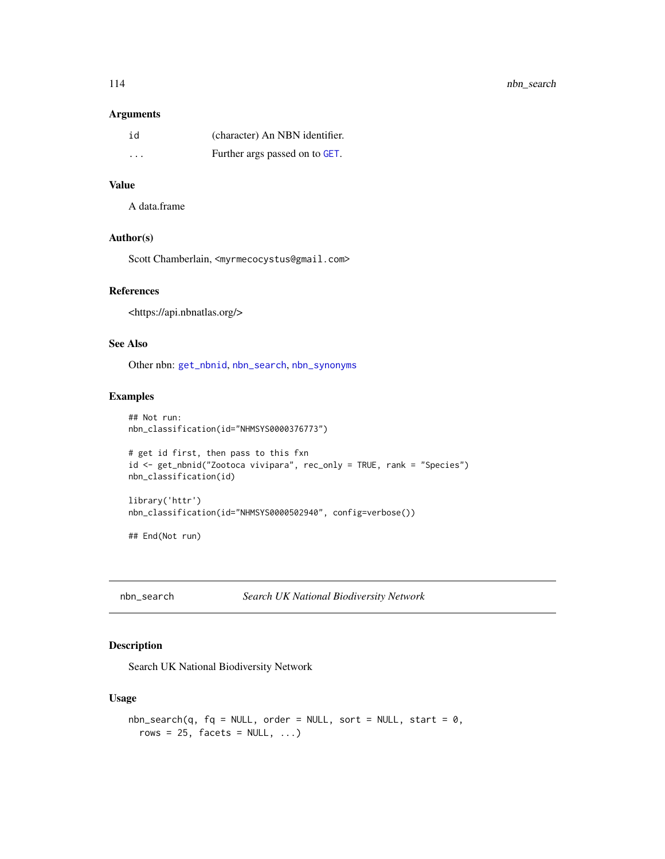### Arguments

| id       | (character) An NBN identifier. |
|----------|--------------------------------|
| $\cdots$ | Further args passed on to GET. |

# Value

A data.frame

# Author(s)

Scott Chamberlain, <myrmecocystus@gmail.com>

# References

<https://api.nbnatlas.org/>

#### See Also

Other nbn: [get\\_nbnid](#page-62-0), [nbn\\_search](#page-113-0), [nbn\\_synonyms](#page-115-0)

### Examples

```
## Not run:
nbn_classification(id="NHMSYS0000376773")
```

```
# get id first, then pass to this fxn
id <- get_nbnid("Zootoca vivipara", rec_only = TRUE, rank = "Species")
nbn_classification(id)
```
library('httr') nbn\_classification(id="NHMSYS0000502940", config=verbose())

## End(Not run)

<span id="page-113-0"></span>nbn\_search *Search UK National Biodiversity Network*

# Description

Search UK National Biodiversity Network

### Usage

```
nbn\_search(q, fq = NULL, order = NULL, sort = NULL, start = 0,rows = 25, facets = NULL, ...)
```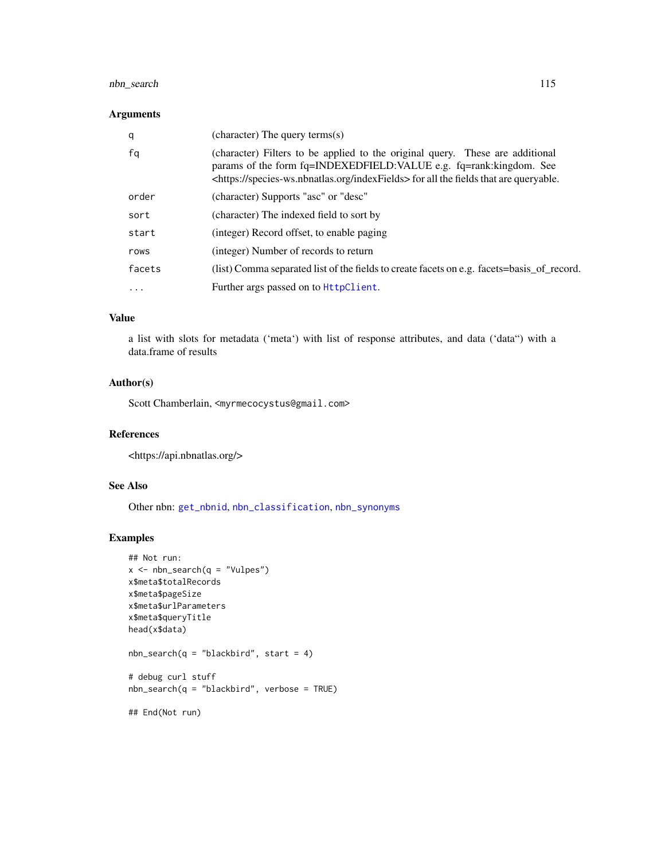# nbn\_search 115

### Arguments

| q      | (character) The query terms(s)                                                                                                                                                                                                                              |
|--------|-------------------------------------------------------------------------------------------------------------------------------------------------------------------------------------------------------------------------------------------------------------|
| fq     | (character) Filters to be applied to the original query. These are additional<br>params of the form fq=INDEXEDFIELD: VALUE e.g. fq=rank: kingdom. See<br><https: indexfields="" species-ws.nbnatlas.org=""> for all the fields that are queryable.</https:> |
| order  | (character) Supports "asc" or "desc"                                                                                                                                                                                                                        |
| sort   | (character) The indexed field to sort by                                                                                                                                                                                                                    |
| start  | (integer) Record offset, to enable paging                                                                                                                                                                                                                   |
| rows   | (integer) Number of records to return                                                                                                                                                                                                                       |
| facets | (list) Comma separated list of the fields to create facets on e.g. facets=basis_of_record.                                                                                                                                                                  |
| .      | Further args passed on to $HttpClient$ .                                                                                                                                                                                                                    |

### Value

a list with slots for metadata ('meta') with list of response attributes, and data ('data") with a data.frame of results

#### Author(s)

Scott Chamberlain, <myrmecocystus@gmail.com>

### References

<https://api.nbnatlas.org/>

### See Also

Other nbn: [get\\_nbnid](#page-62-0), [nbn\\_classification](#page-112-0), [nbn\\_synonyms](#page-115-0)

### Examples

```
## Not run:
x \leftarrow nbn\_search(q = "Vulpes")x$meta$totalRecords
x$meta$pageSize
x$meta$urlParameters
x$meta$queryTitle
head(x$data)
nbn_search(q = "blackbird", start = 4)
# debug curl stuff
nbn\_search(q = "blackbird", verbose = TRUE)## End(Not run)
```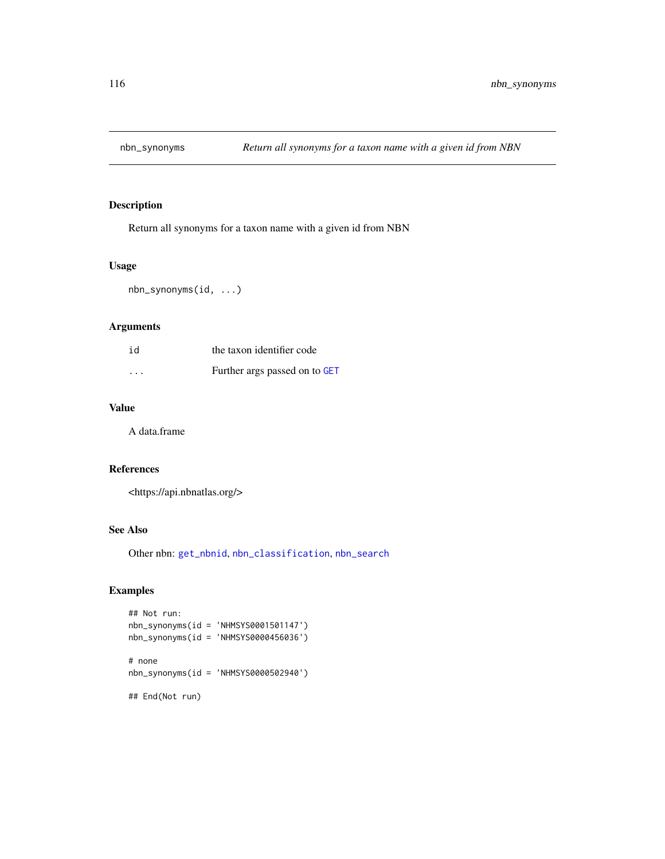<span id="page-115-0"></span>

Return all synonyms for a taxon name with a given id from NBN

# Usage

nbn\_synonyms(id, ...)

# Arguments

| id                | the taxon identifier code     |
|-------------------|-------------------------------|
| $\cdot\cdot\cdot$ | Further args passed on to GET |

# Value

A data.frame

### References

<https://api.nbnatlas.org/>

# See Also

Other nbn: [get\\_nbnid](#page-62-0), [nbn\\_classification](#page-112-0), [nbn\\_search](#page-113-0)

# Examples

```
## Not run:
nbn_synonyms(id = 'NHMSYS0001501147')
nbn_synonyms(id = 'NHMSYS0000456036')
```
# none nbn\_synonyms(id = 'NHMSYS0000502940')

## End(Not run)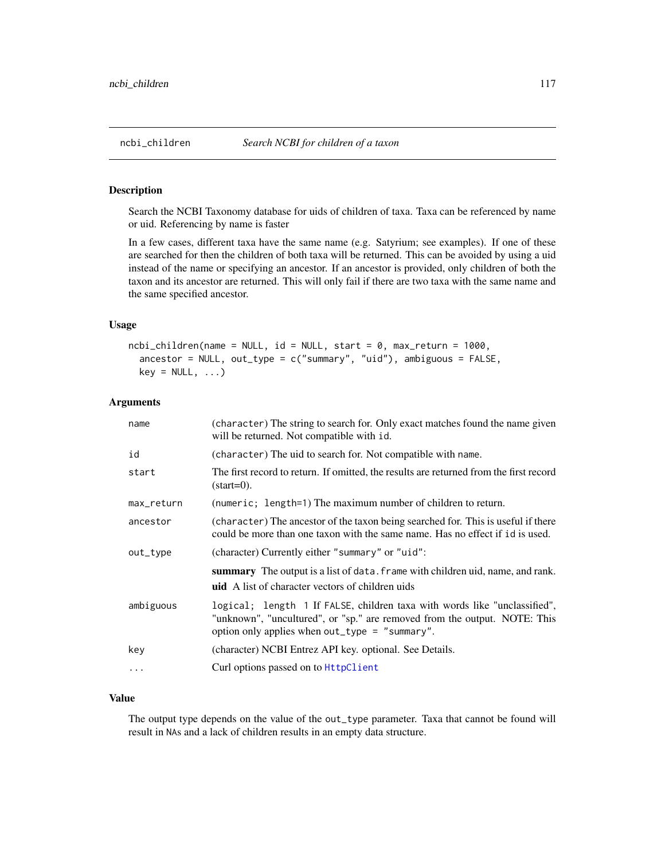Search the NCBI Taxonomy database for uids of children of taxa. Taxa can be referenced by name or uid. Referencing by name is faster

In a few cases, different taxa have the same name (e.g. Satyrium; see examples). If one of these are searched for then the children of both taxa will be returned. This can be avoided by using a uid instead of the name or specifying an ancestor. If an ancestor is provided, only children of both the taxon and its ancestor are returned. This will only fail if there are two taxa with the same name and the same specified ancestor.

#### Usage

```
ncbi_clidren(name = NULL, id = NULL, start = 0, max_return = 1000,ancestor = NULL, out_type = c("summary", "uid"), ambiguous = FALSE,
  key = NULL, ...
```
# Arguments

| name       | (character) The string to search for. Only exact matches found the name given<br>will be returned. Not compatible with id.                                                                               |
|------------|----------------------------------------------------------------------------------------------------------------------------------------------------------------------------------------------------------|
| id         | (character) The uid to search for. Not compatible with name.                                                                                                                                             |
| start      | The first record to return. If omitted, the results are returned from the first record<br>$(\text{start}=0)$ .                                                                                           |
| max_return | (numeric; length=1) The maximum number of children to return.                                                                                                                                            |
| ancestor   | (character) The ancestor of the taxon being searched for. This is useful if there<br>could be more than one taxon with the same name. Has no effect if id is used.                                       |
| out_type   | (character) Currently either "summary" or "uid":                                                                                                                                                         |
|            | summary The output is a list of data. frame with children uid, name, and rank.<br><b>uid</b> A list of character vectors of children uids                                                                |
| ambiguous  | logical; length 1 If FALSE, children taxa with words like "unclassified",<br>"unknown", "uncultured", or "sp." are removed from the output. NOTE: This<br>option only applies when out_type = "summary". |
| key        | (character) NCBI Entrez API key. optional. See Details.                                                                                                                                                  |
| .          | Curl options passed on to HttpClient                                                                                                                                                                     |

### Value

The output type depends on the value of the out\_type parameter. Taxa that cannot be found will result in NAs and a lack of children results in an empty data structure.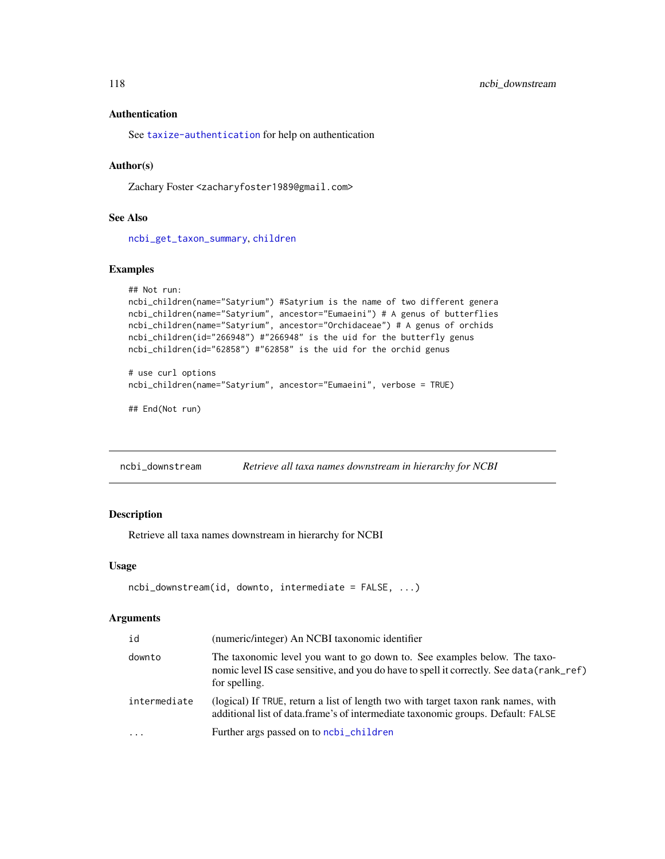### Authentication

See [taxize-authentication](#page-41-0) for help on authentication

### Author(s)

Zachary Foster <zacharyfoster1989@gmail.com>

#### See Also

[ncbi\\_get\\_taxon\\_summary](#page-118-0), [children](#page-9-0)

### Examples

```
## Not run:
ncbi_children(name="Satyrium") #Satyrium is the name of two different genera
ncbi_children(name="Satyrium", ancestor="Eumaeini") # A genus of butterflies
ncbi_children(name="Satyrium", ancestor="Orchidaceae") # A genus of orchids
ncbi_children(id="266948") #"266948" is the uid for the butterfly genus
ncbi_children(id="62858") #"62858" is the uid for the orchid genus
```

```
# use curl options
ncbi_children(name="Satyrium", ancestor="Eumaeini", verbose = TRUE)
```

```
## End(Not run)
```
ncbi\_downstream *Retrieve all taxa names downstream in hierarchy for NCBI*

### Description

Retrieve all taxa names downstream in hierarchy for NCBI

#### Usage

```
ncbi_downstream(id, downto, intermediate = FALSE, ...)
```
#### Arguments

| id           | (numeric/integer) An NCBI taxonomic identifier                                                                                                                                          |
|--------------|-----------------------------------------------------------------------------------------------------------------------------------------------------------------------------------------|
| downto       | The taxonomic level you want to go down to. See examples below. The taxo-<br>nomic level IS case sensitive, and you do have to spell it correctly. See data (rank_ref)<br>for spelling. |
| intermediate | (logical) If TRUE, return a list of length two with target taxon rank names, with<br>additional list of data.frame's of intermediate taxonomic groups. Default: FALSE                   |
| $\ddotsc$    | Further args passed on to ncbi_children                                                                                                                                                 |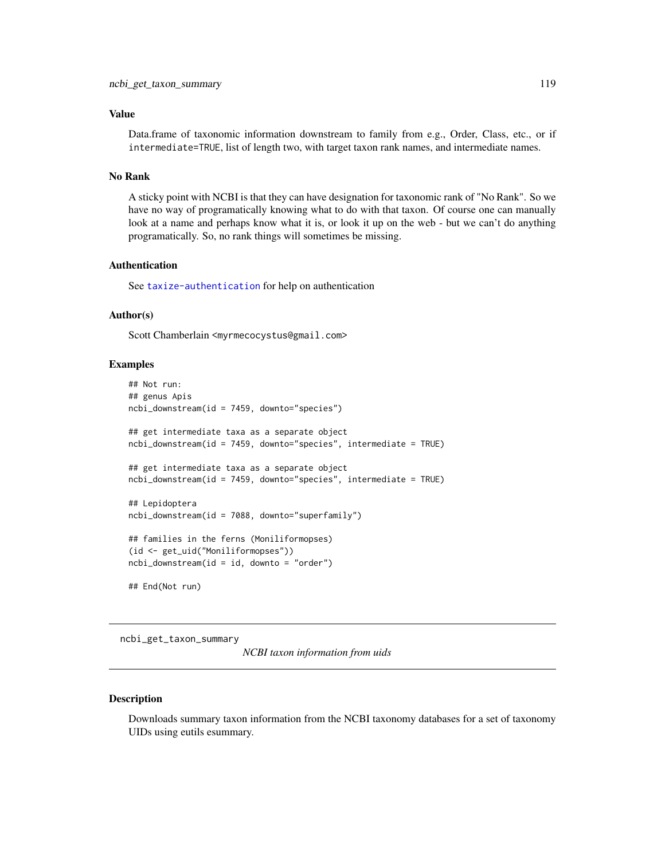#### Value

Data.frame of taxonomic information downstream to family from e.g., Order, Class, etc., or if intermediate=TRUE, list of length two, with target taxon rank names, and intermediate names.

#### No Rank

A sticky point with NCBI is that they can have designation for taxonomic rank of "No Rank". So we have no way of programatically knowing what to do with that taxon. Of course one can manually look at a name and perhaps know what it is, or look it up on the web - but we can't do anything programatically. So, no rank things will sometimes be missing.

### Authentication

See [taxize-authentication](#page-41-0) for help on authentication

### Author(s)

Scott Chamberlain <myrmecocystus@gmail.com>

#### Examples

```
## Not run:
## genus Apis
ncbi_downstream(id = 7459, downto="species")
## get intermediate taxa as a separate object
ncbi_downstream(id = 7459, downto="species", intermediate = TRUE)
## get intermediate taxa as a separate object
ncbi_downstream(id = 7459, downto="species", intermediate = TRUE)
## Lepidoptera
ncbi_downstream(id = 7088, downto="superfamily")## families in the ferns (Moniliformopses)
(id <- get_uid("Moniliformopses"))
ncbi_downstream(id = id, downto = "order")## End(Not run)
```
<span id="page-118-0"></span>ncbi\_get\_taxon\_summary

*NCBI taxon information from uids*

### Description

Downloads summary taxon information from the NCBI taxonomy databases for a set of taxonomy UIDs using eutils esummary.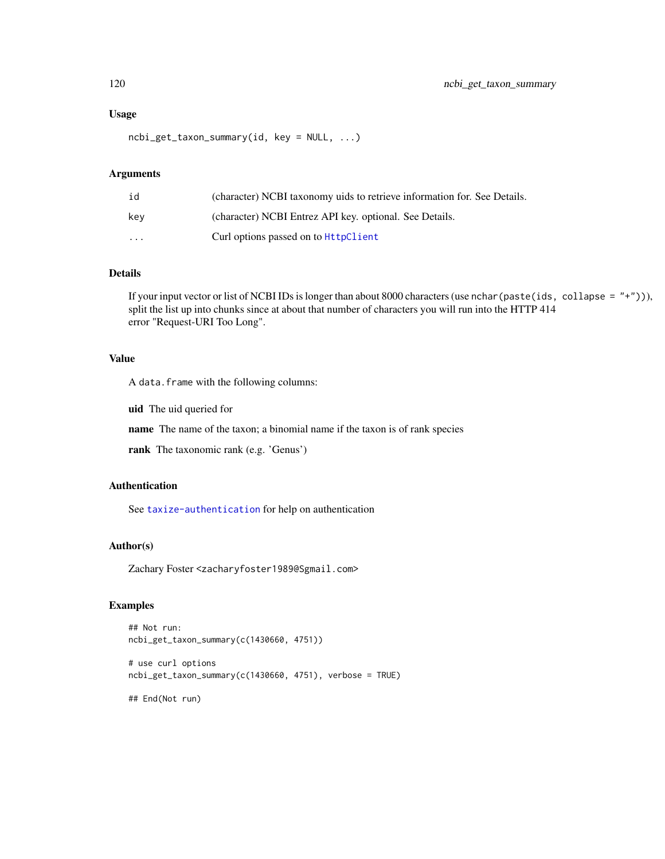#### Usage

ncbi\_get\_taxon\_summary(id, key = NULL, ...)

#### Arguments

| id       | (character) NCBI taxonomy uids to retrieve information for. See Details. |
|----------|--------------------------------------------------------------------------|
| kev      | (character) NCBI Entrez API key. optional. See Details.                  |
| $\cdots$ | Curl options passed on to <b>HttpClient</b>                              |

### Details

If your input vector or list of NCBI IDs is longer than about 8000 characters (use nchar(paste(ids, collapse = "+"))), split the list up into chunks since at about that number of characters you will run into the HTTP 414 error "Request-URI Too Long".

### Value

A data.frame with the following columns:

uid The uid queried for

name The name of the taxon; a binomial name if the taxon is of rank species

rank The taxonomic rank (e.g. 'Genus')

### Authentication

See [taxize-authentication](#page-41-0) for help on authentication

### Author(s)

Zachary Foster <zacharyfoster1989@Sgmail.com>

### Examples

```
## Not run:
ncbi_get_taxon_summary(c(1430660, 4751))
# use curl options
ncbi_get_taxon_summary(c(1430660, 4751), verbose = TRUE)
```
## End(Not run)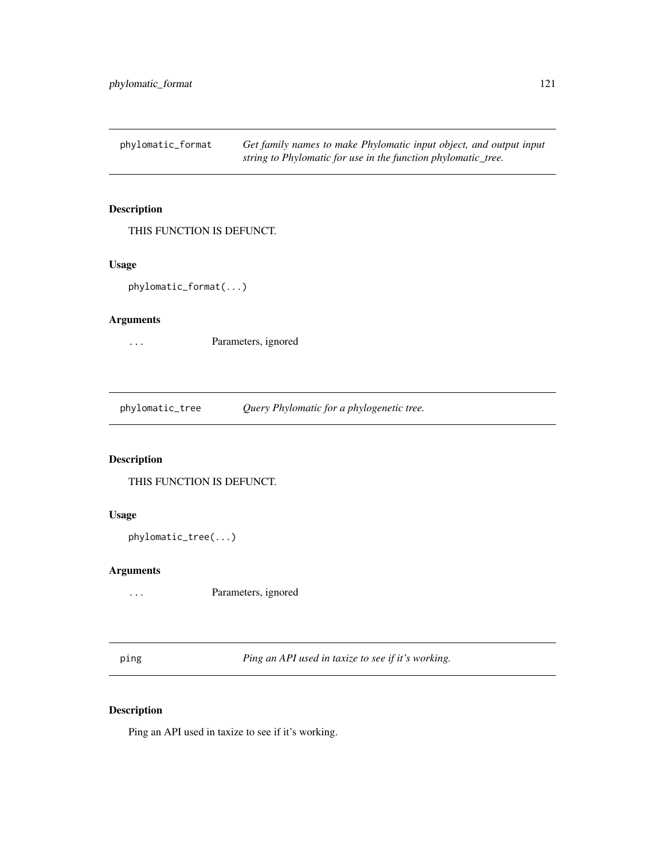<span id="page-120-2"></span>phylomatic\_format *Get family names to make Phylomatic input object, and output input string to Phylomatic for use in the function phylomatic\_tree.*

# Description

THIS FUNCTION IS DEFUNCT.

### Usage

phylomatic\_format(...)

#### Arguments

... Parameters, ignored

<span id="page-120-1"></span>phylomatic\_tree *Query Phylomatic for a phylogenetic tree.*

# Description

THIS FUNCTION IS DEFUNCT.

# Usage

```
phylomatic_tree(...)
```
# Arguments

... Parameters, ignored

<span id="page-120-0"></span>ping *Ping an API used in taxize to see if it's working.*

# Description

Ping an API used in taxize to see if it's working.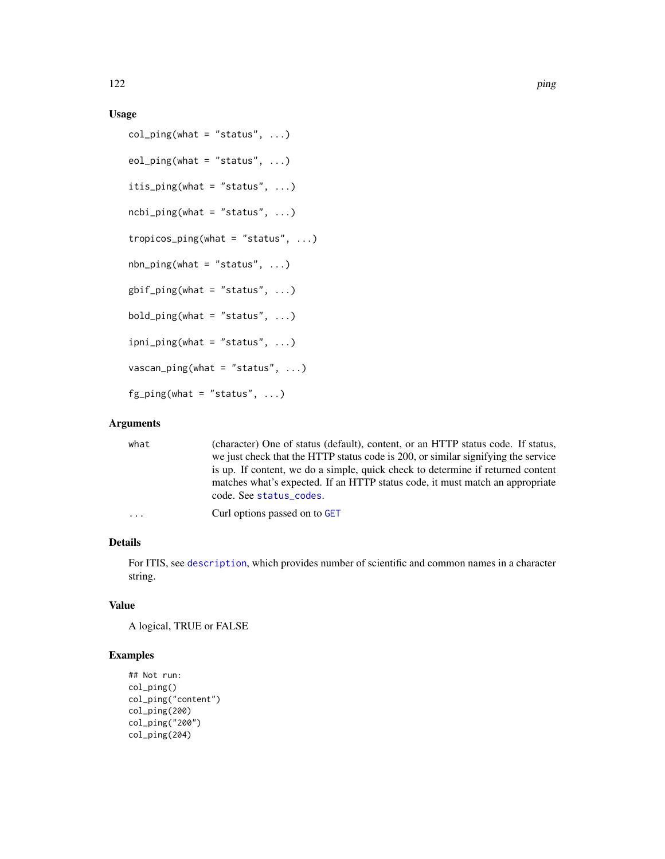# Usage

```
col\_ping(what = "status", ...)eol\_ping(what = "status", ...)itis_ping(what = "status", \ldots)
ncbi\_ping(what = "status", ...)tropicos_ping(what = "status", ...)
nbn\_ping(what = "status", ...)g\text{bif\_ping}(\text{what} = "status", ...)bold\_ping(\text{what} = "status", ...)ipni_ping(what = "status", ...)
vascan\_ping(what = "status", ...)fg\_ping(what = "status", ...)
```
# Arguments

| what     | (character) One of status (default), content, or an HTTP status code. If status,<br>we just check that the HTTP status code is 200, or similar signifying the service                       |
|----------|---------------------------------------------------------------------------------------------------------------------------------------------------------------------------------------------|
|          | is up. If content, we do a simple, quick check to determine if returned content<br>matches what's expected. If an HTTP status code, it must match an appropriate<br>code. See status_codes. |
| $\cdots$ | Curl options passed on to GET                                                                                                                                                               |

# Details

For ITIS, see [description](#page-0-0), which provides number of scientific and common names in a character string.

### Value

A logical, TRUE or FALSE

### Examples

```
## Not run:
col_ping()
col_ping("content")
col_ping(200)
col_ping("200")
col_ping(204)
```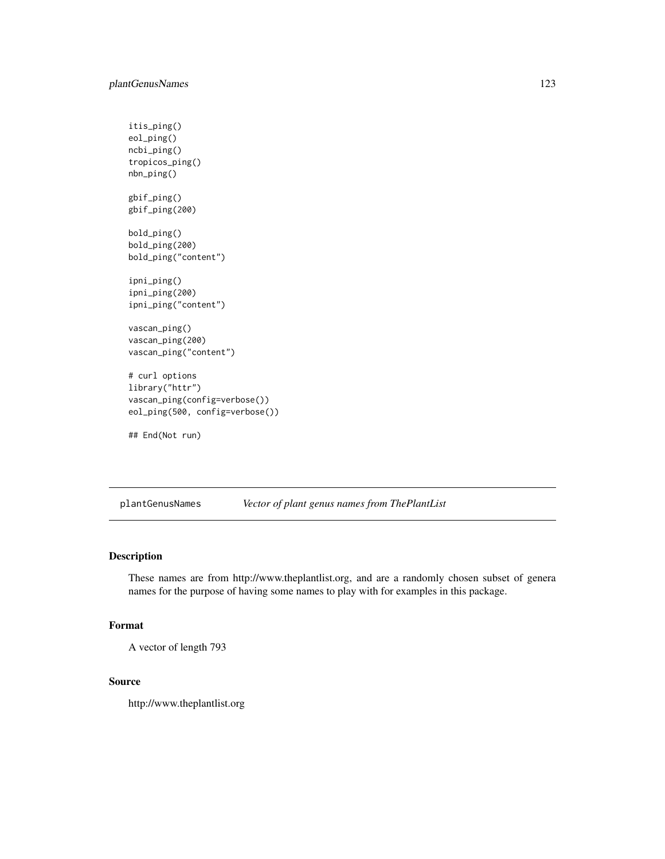```
itis_ping()
eol_ping()
ncbi_ping()
tropicos_ping()
nbn_ping()
gbif_ping()
gbif_ping(200)
bold_ping()
bold_ping(200)
bold_ping("content")
ipni_ping()
ipni_ping(200)
ipni_ping("content")
vascan_ping()
vascan_ping(200)
vascan_ping("content")
# curl options
library("httr")
vascan_ping(config=verbose())
eol_ping(500, config=verbose())
## End(Not run)
```
plantGenusNames *Vector of plant genus names from ThePlantList*

# Description

These names are from http://www.theplantlist.org, and are a randomly chosen subset of genera names for the purpose of having some names to play with for examples in this package.

### Format

```
A vector of length 793
```
#### Source

http://www.theplantlist.org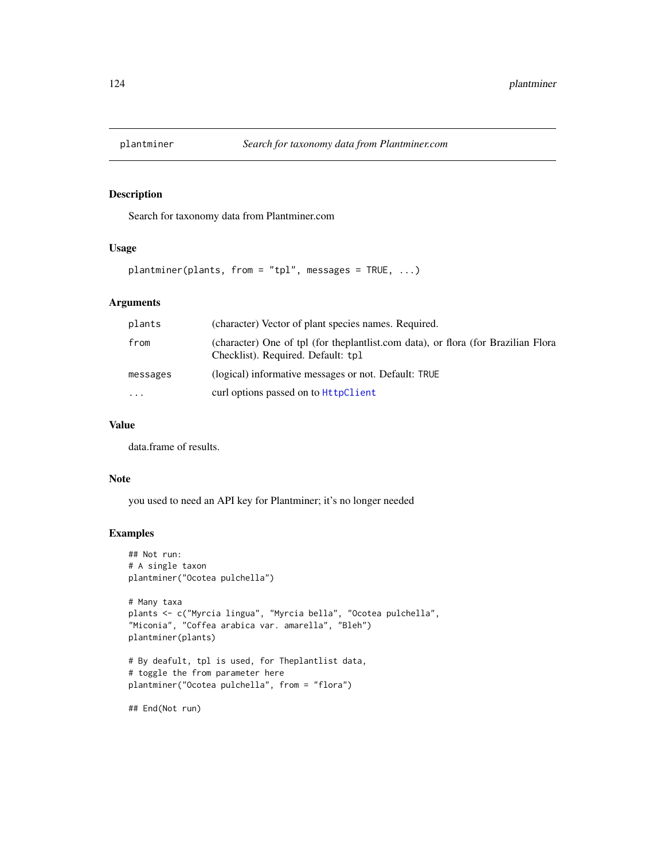Search for taxonomy data from Plantminer.com

#### Usage

plantminer(plants, from = "tpl", messages = TRUE, ...)

#### Arguments

| plants   | (character) Vector of plant species names. Required.                                                                        |
|----------|-----------------------------------------------------------------------------------------------------------------------------|
| from     | (character) One of tpl (for the plant list.com data), or flora (for Brazilian Flora)<br>Checklist). Required. Default: tpl. |
| messages | (logical) informative messages or not. Default: TRUE                                                                        |
| $\cdots$ | curl options passed on to <b>HttpClient</b>                                                                                 |

# Value

data.frame of results.

#### Note

you used to need an API key for Plantminer; it's no longer needed

### Examples

```
## Not run:
# A single taxon
plantminer("Ocotea pulchella")
# Many taxa
plants <- c("Myrcia lingua", "Myrcia bella", "Ocotea pulchella",
"Miconia", "Coffea arabica var. amarella", "Bleh")
plantminer(plants)
# By deafult, tpl is used, for Theplantlist data,
# toggle the from parameter here
plantminer("Ocotea pulchella", from = "flora")
```
## End(Not run)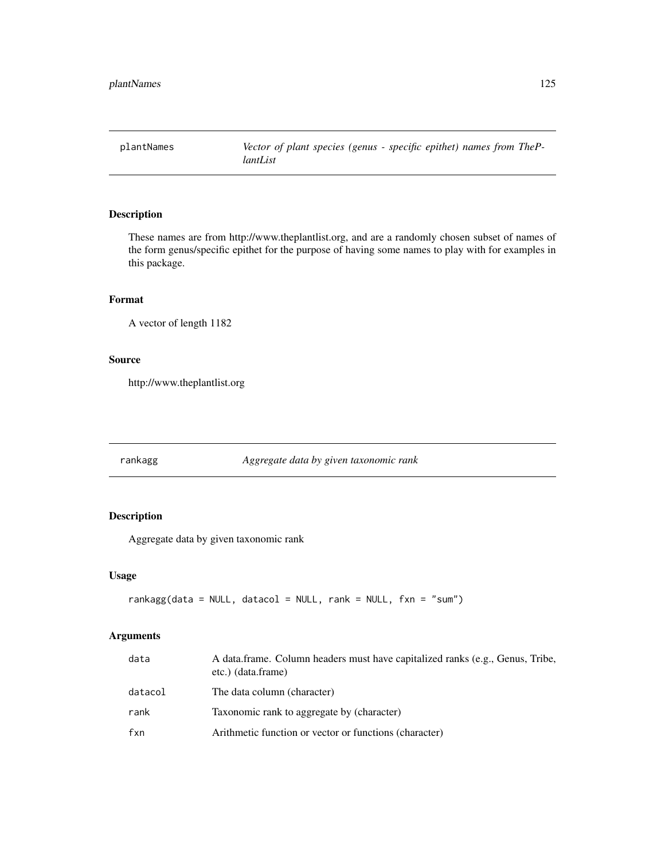plantNames *Vector of plant species (genus - specific epithet) names from ThePlantList*

# Description

These names are from http://www.theplantlist.org, and are a randomly chosen subset of names of the form genus/specific epithet for the purpose of having some names to play with for examples in this package.

### Format

A vector of length 1182

#### Source

http://www.theplantlist.org

rankagg *Aggregate data by given taxonomic rank*

# Description

Aggregate data by given taxonomic rank

# Usage

```
rankagg(data = NULL, datacol = NULL, rank = NULL, fxn = "sum")
```
# Arguments

| data    | A data frame. Column headers must have capitalized ranks (e.g., Genus, Tribe,<br>etc.) (data.frame) |
|---------|-----------------------------------------------------------------------------------------------------|
| datacol | The data column (character)                                                                         |
| rank    | Taxonomic rank to aggregate by (character)                                                          |
| fxn     | Arithmetic function or vector or functions (character)                                              |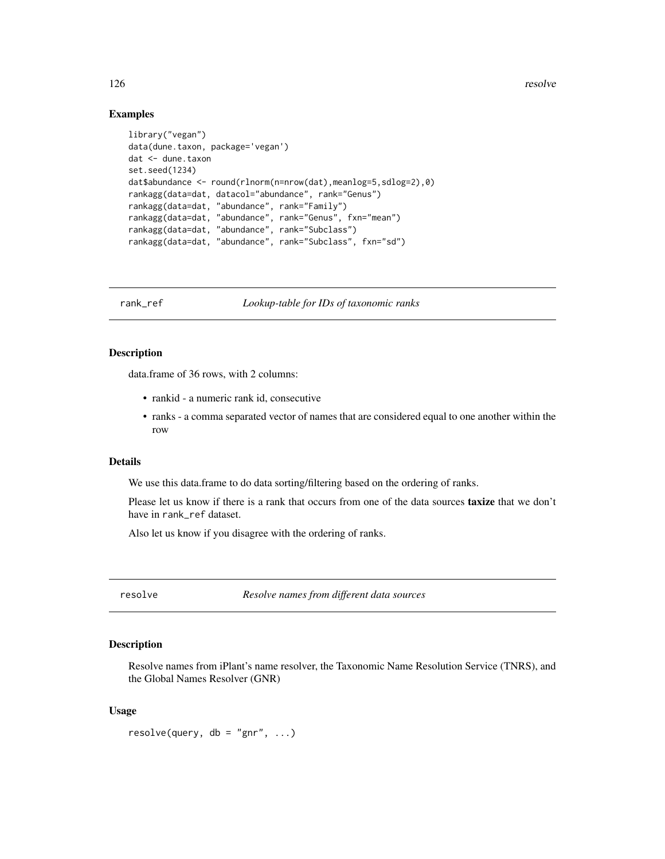126 resolve

#### Examples

```
library("vegan")
data(dune.taxon, package='vegan')
dat <- dune.taxon
set.seed(1234)
dat$abundance <- round(rlnorm(n=nrow(dat),meanlog=5,sdlog=2),0)
rankagg(data=dat, datacol="abundance", rank="Genus")
rankagg(data=dat, "abundance", rank="Family")
rankagg(data=dat, "abundance", rank="Genus", fxn="mean")
rankagg(data=dat, "abundance", rank="Subclass")
rankagg(data=dat, "abundance", rank="Subclass", fxn="sd")
```
<span id="page-125-0"></span>rank\_ref *Lookup-table for IDs of taxonomic ranks*

# Description

data.frame of 36 rows, with 2 columns:

- rankid a numeric rank id, consecutive
- ranks a comma separated vector of names that are considered equal to one another within the row

### Details

We use this data.frame to do data sorting/filtering based on the ordering of ranks.

Please let us know if there is a rank that occurs from one of the data sources **taxize** that we don't have in rank\_ref dataset.

Also let us know if you disagree with the ordering of ranks.

resolve *Resolve names from different data sources*

### Description

Resolve names from iPlant's name resolver, the Taxonomic Name Resolution Service (TNRS), and the Global Names Resolver (GNR)

### Usage

 $resolve(query, db = "gnr", ...)$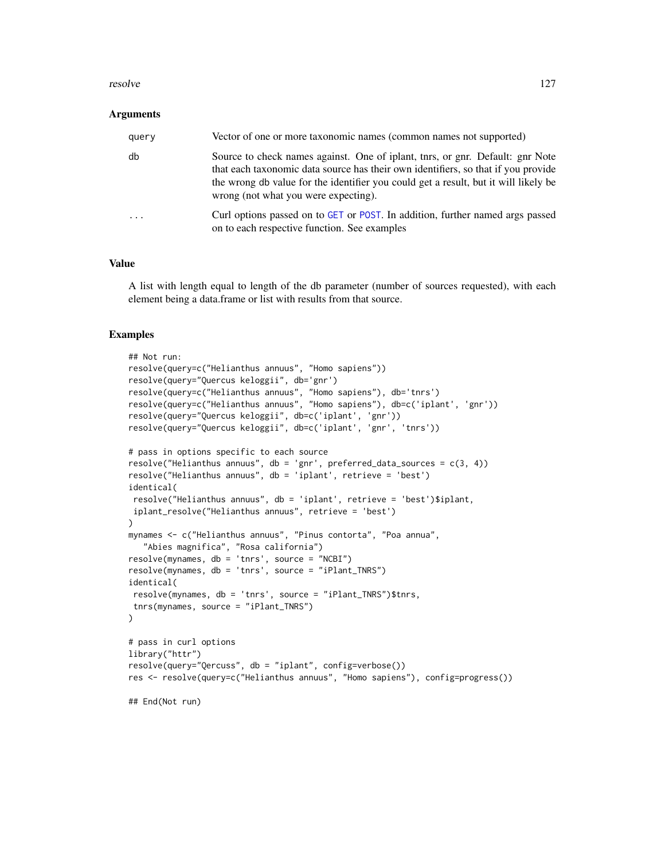#### resolve the state of the state of the state of the state of the state of the state of the state of the state of the state of the state of the state of the state of the state of the state of the state of the state of the st

#### Arguments

| query | Vector of one or more taxonomic names (common names not supported)                                                                                                                                                                                                                                  |
|-------|-----------------------------------------------------------------------------------------------------------------------------------------------------------------------------------------------------------------------------------------------------------------------------------------------------|
| db    | Source to check names against. One of iplant, the star print. Default: ghr Note<br>that each taxonomic data source has their own identifiers, so that if you provide<br>the wrong db value for the identifier you could get a result, but it will likely be<br>wrong (not what you were expecting). |
|       | Curl options passed on to GET or POST. In addition, further named args passed<br>on to each respective function. See examples                                                                                                                                                                       |

# Value

A list with length equal to length of the db parameter (number of sources requested), with each element being a data.frame or list with results from that source.

#### Examples

```
## Not run:
resolve(query=c("Helianthus annuus", "Homo sapiens"))
resolve(query="Quercus keloggii", db='gnr')
resolve(query=c("Helianthus annuus", "Homo sapiens"), db='tnrs')
resolve(query=c("Helianthus annuus", "Homo sapiens"), db=c('iplant', 'gnr'))
resolve(query="Quercus keloggii", db=c('iplant', 'gnr'))
resolve(query="Quercus keloggii", db=c('iplant', 'gnr', 'tnrs'))
# pass in options specific to each source
resolve("Helianthus annuus", db = 'gnr', preferred_data_sources = c(3, 4))
resolve("Helianthus annuus", db = 'iplant', retrieve = 'best')
identical(
resolve("Helianthus annuus", db = 'iplant', retrieve = 'best')$iplant,
iplant_resolve("Helianthus annuus", retrieve = 'best')
\lambdamynames <- c("Helianthus annuus", "Pinus contorta", "Poa annua",
   "Abies magnifica", "Rosa california")
resolve(mynames, db = 'tnrs', source = "NCBI")
resolve(mynames, db = 'tnrs', source = "iPlant_TNRS")
identical(
resolve(mynames, db = 'tnrs', source = "iPlant_TNRS")$tnrs,
tnrs(mynames, source = "iPlant_TNRS")
\mathcal{L}# pass in curl options
library("httr")
resolve(query="Qercuss", db = "iplant", config=verbose())
res <- resolve(query=c("Helianthus annuus", "Homo sapiens"), config=progress())
## End(Not run)
```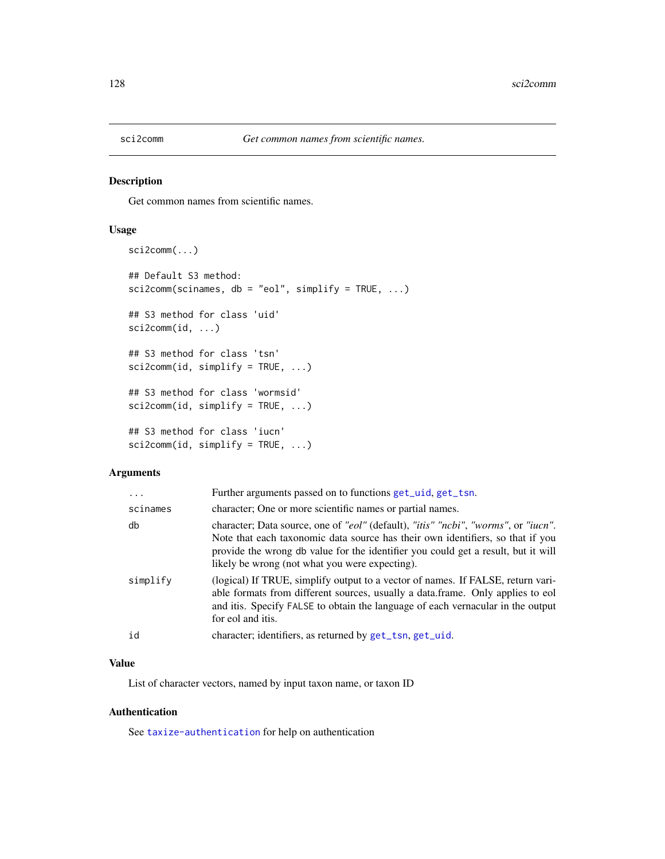Get common names from scientific names.

#### Usage

```
sci2comm(...)
## Default S3 method:
sci2comm(scinames, db = "eol", simplify = TRUE, ...)## S3 method for class 'uid'
sci2comm(id, ...)
## S3 method for class 'tsn'
sci2comm(id, simplify = TRUE, ...)
## S3 method for class 'wormsid'
sci2comm(id, simplify = TRUE, ...)
## S3 method for class 'iucn'
sci2comm(id, simplify = TRUE, ...)
```
### Arguments

| $\ddots$ | Further arguments passed on to functions get_uid, get_tsn.                                                                                                                                                                                                                                                  |
|----------|-------------------------------------------------------------------------------------------------------------------------------------------------------------------------------------------------------------------------------------------------------------------------------------------------------------|
| scinames | character; One or more scientific names or partial names.                                                                                                                                                                                                                                                   |
| db       | character; Data source, one of "eol" (default), "itis" "ncbi", "worms", or "iucn".<br>Note that each taxonomic data source has their own identifiers, so that if you<br>provide the wrong db value for the identifier you could get a result, but it will<br>likely be wrong (not what you were expecting). |
| simplify | (logical) If TRUE, simplify output to a vector of names. If FALSE, return vari-<br>able formats from different sources, usually a data.frame. Only applies to eol<br>and it is. Specify FALSE to obtain the language of each vernacular in the output<br>for eol and itis.                                  |
| id       | character; identifiers, as returned by get_tsn, get_uid.                                                                                                                                                                                                                                                    |
|          |                                                                                                                                                                                                                                                                                                             |

# Value

List of character vectors, named by input taxon name, or taxon ID

# Authentication

See [taxize-authentication](#page-41-0) for help on authentication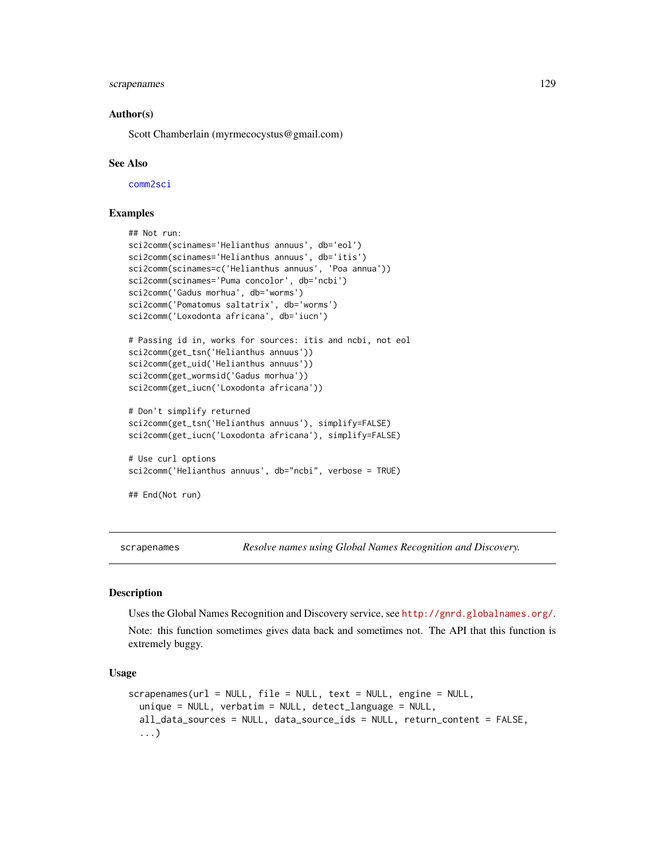# scrapenames 129

#### Author(s)

Scott Chamberlain (myrmecocystus@gmail.com)

#### See Also

[comm2sci](#page-23-0)

# Examples

```
## Not run:
sci2comm(scinames='Helianthus annuus', db='eol')
sci2comm(scinames='Helianthus annuus', db='itis')
sci2comm(scinames=c('Helianthus annuus', 'Poa annua'))
sci2comm(scinames='Puma concolor', db='ncbi')
sci2comm('Gadus morhua', db='worms')
sci2comm('Pomatomus saltatrix', db='worms')
sci2comm('Loxodonta africana', db='iucn')
# Passing id in, works for sources: itis and ncbi, not eol
sci2comm(get_tsn('Helianthus annuus'))
sci2comm(get_uid('Helianthus annuus'))
sci2comm(get_wormsid('Gadus morhua'))
sci2comm(get_iucn('Loxodonta africana'))
# Don't simplify returned
sci2comm(get_tsn('Helianthus annuus'), simplify=FALSE)
sci2comm(get_iucn('Loxodonta africana'), simplify=FALSE)
# Use curl options
sci2comm('Helianthus annuus', db="ncbi", verbose = TRUE)
## End(Not run)
```
scrapenames *Resolve names using Global Names Recognition and Discovery.*

#### **Description**

Uses the Global Names Recognition and Discovery service, see <http://gnrd.globalnames.org/>.

Note: this function sometimes gives data back and sometimes not. The API that this function is extremely buggy.

### Usage

```
scrapenames(url = NULL, file = NULL, text = NULL, engine = NULL,
  unique = NULL, verbatim = NULL, detect_language = NULL,
  all_data_sources = NULL, data_source_ids = NULL, return_content = FALSE,
  ...)
```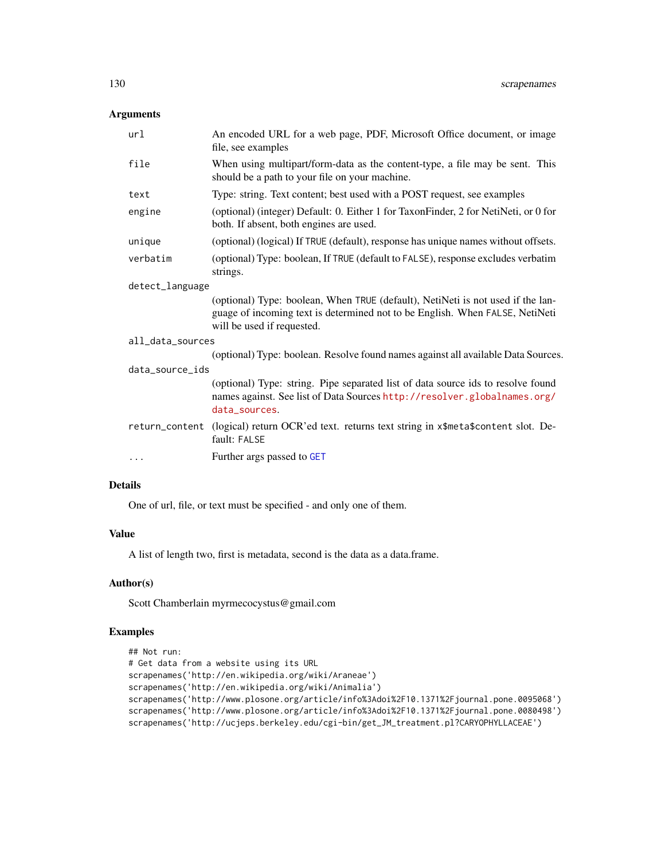# Arguments

| url              | An encoded URL for a web page, PDF, Microsoft Office document, or image<br>file, see examples                                                                                                 |  |
|------------------|-----------------------------------------------------------------------------------------------------------------------------------------------------------------------------------------------|--|
| file             | When using multipart/form-data as the content-type, a file may be sent. This<br>should be a path to your file on your machine.                                                                |  |
| text             | Type: string. Text content; best used with a POST request, see examples                                                                                                                       |  |
| engine           | (optional) (integer) Default: 0. Either 1 for TaxonFinder, 2 for NetiNeti, or 0 for<br>both. If absent, both engines are used.                                                                |  |
| unique           | (optional) (logical) If TRUE (default), response has unique names without offsets.                                                                                                            |  |
| verbatim         | (optional) Type: boolean, If TRUE (default to FALSE), response excludes verbatim<br>strings.                                                                                                  |  |
| detect_language  |                                                                                                                                                                                               |  |
|                  | (optional) Type: boolean, When TRUE (default), NetiNeti is not used if the lan-<br>guage of incoming text is determined not to be English. When FALSE, NetiNeti<br>will be used if requested. |  |
| all_data_sources |                                                                                                                                                                                               |  |
|                  | (optional) Type: boolean. Resolve found names against all available Data Sources.                                                                                                             |  |
| data_source_ids  |                                                                                                                                                                                               |  |
|                  | (optional) Type: string. Pipe separated list of data source ids to resolve found<br>names against. See list of Data Sources http://resolver.globalnames.org/<br>data_sources.                 |  |
|                  | return_content (logical) return OCR'ed text. returns text string in x\$meta\$content slot. De-<br>fault: FALSE                                                                                |  |
| $\cdots$         | Further args passed to GET                                                                                                                                                                    |  |
|                  |                                                                                                                                                                                               |  |

# Details

One of url, file, or text must be specified - and only one of them.

# Value

A list of length two, first is metadata, second is the data as a data.frame.

### Author(s)

Scott Chamberlain myrmecocystus@gmail.com

# Examples

```
## Not run:
# Get data from a website using its URL
scrapenames('http://en.wikipedia.org/wiki/Araneae')
scrapenames('http://en.wikipedia.org/wiki/Animalia')
scrapenames('http://www.plosone.org/article/info%3Adoi%2F10.1371%2Fjournal.pone.0095068')
scrapenames('http://www.plosone.org/article/info%3Adoi%2F10.1371%2Fjournal.pone.0080498')
scrapenames('http://ucjeps.berkeley.edu/cgi-bin/get_JM_treatment.pl?CARYOPHYLLACEAE')
```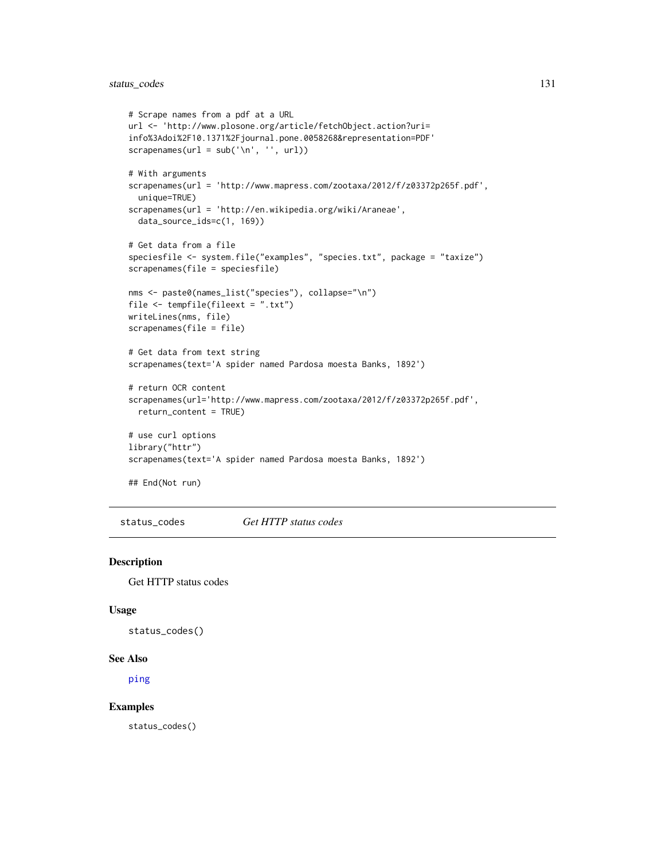```
# Scrape names from a pdf at a URL
url <- 'http://www.plosone.org/article/fetchObject.action?uri=
info%3Adoi%2F10.1371%2Fjournal.pone.0058268&representation=PDF'
scrapenames(url = sub('n', '', url))# With arguments
scrapenames(url = 'http://www.mapress.com/zootaxa/2012/f/z03372p265f.pdf',
  unique=TRUE)
scrapenames(url = 'http://en.wikipedia.org/wiki/Araneae',
  data_source_ids=c(1, 169))
# Get data from a file
speciesfile <- system.file("examples", "species.txt", package = "taxize")
scrapenames(file = speciesfile)
nms <- paste0(names_list("species"), collapse="\n")
file <- tempfile(fileext = ".txt")
writeLines(nms, file)
scrapenames(file = file)
# Get data from text string
scrapenames(text='A spider named Pardosa moesta Banks, 1892')
# return OCR content
scrapenames(url='http://www.mapress.com/zootaxa/2012/f/z03372p265f.pdf',
  return_content = TRUE)
# use curl options
library("httr")
scrapenames(text='A spider named Pardosa moesta Banks, 1892')
## End(Not run)
```
<span id="page-130-0"></span>status\_codes *Get HTTP status codes*

### Description

Get HTTP status codes

#### Usage

```
status_codes()
```
#### See Also

[ping](#page-120-0)

#### Examples

status\_codes()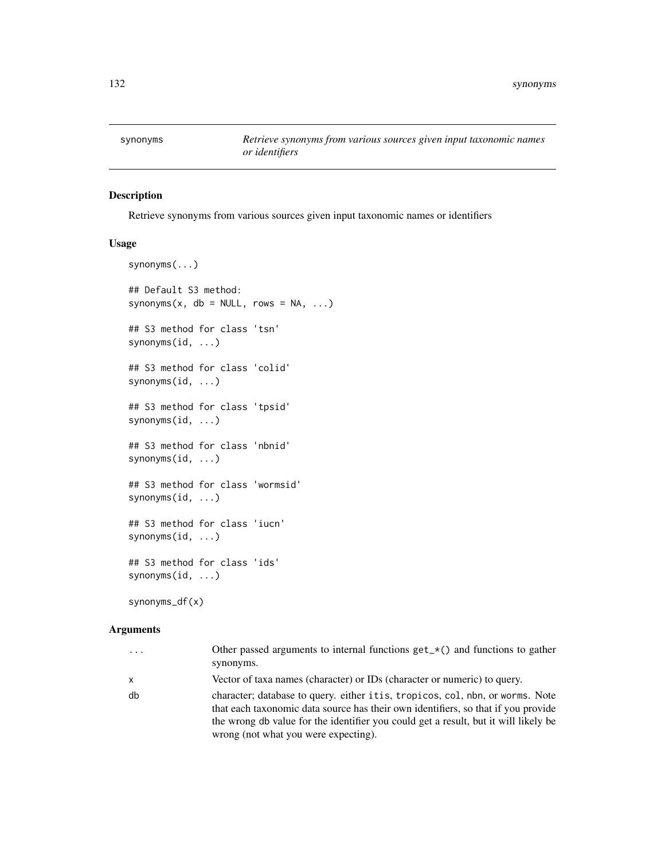Retrieve synonyms from various sources given input taxonomic names or identifiers

### Usage

```
synonyms(...)
## Default S3 method:
synonyms(x, db = NULL, rows = NA, ...)
## S3 method for class 'tsn'
synonyms(id, ...)
## S3 method for class 'colid'
synonyms(id, ...)
## S3 method for class 'tpsid'
synonyms(id, ...)
## S3 method for class 'nbnid'
synonyms(id, ...)
## S3 method for class 'wormsid'
synonyms(id, ...)
## S3 method for class 'iucn'
synonyms(id, ...)
## S3 method for class 'ids'
synonyms(id, ...)
synonyms_df(x)
```
### Arguments

| $\ddots$ . | Other passed arguments to internal functions $get_{\mathcal{A}}()$ and functions to gather                                                                                                                                                                                                        |
|------------|---------------------------------------------------------------------------------------------------------------------------------------------------------------------------------------------------------------------------------------------------------------------------------------------------|
|            | synonyms.                                                                                                                                                                                                                                                                                         |
| x          | Vector of taxa names (character) or IDs (character or numeric) to query.                                                                                                                                                                                                                          |
| db         | character; database to query. either itis, tropicos, col, nbn, or worms. Note<br>that each taxonomic data source has their own identifiers, so that if you provide<br>the wrong db value for the identifier you could get a result, but it will likely be<br>wrong (not what you were expecting). |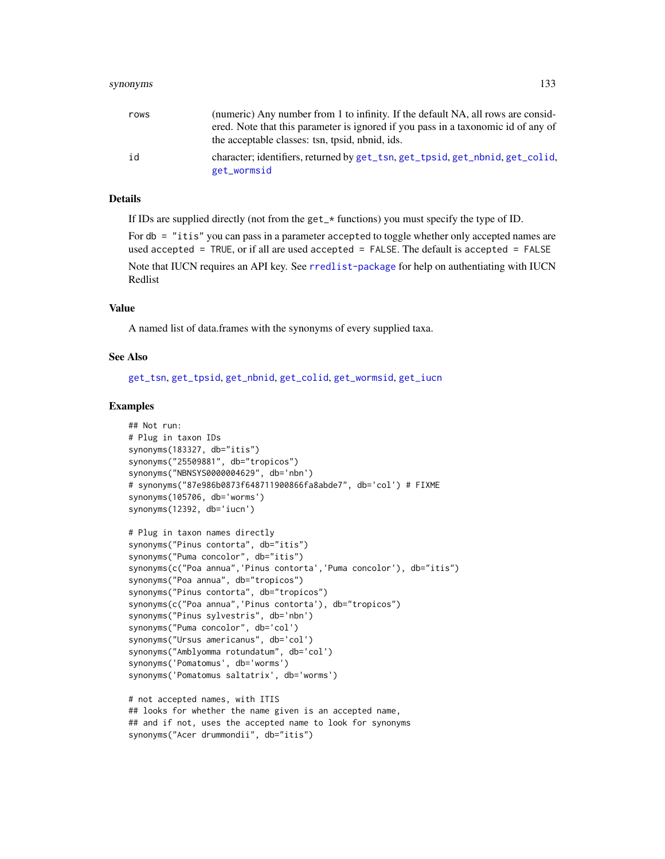#### synonyms 133

| rows | (numeric) Any number from 1 to infinity. If the default NA, all rows are consid-                                                     |
|------|--------------------------------------------------------------------------------------------------------------------------------------|
|      | ered. Note that this parameter is ignored if you pass in a taxonomic id of any of<br>the acceptable classes: tsn, tpsid, nbnid, ids. |
| id   | character; identifiers, returned by get_tsn, get_tpsid, get_nbnid, get_colid,                                                        |
|      | get_wormsid                                                                                                                          |

### Details

If IDs are supplied directly (not from the get\_\* functions) you must specify the type of ID.

For db = "itis" you can pass in a parameter accepted to toggle whether only accepted names are used accepted = TRUE, or if all are used accepted = FALSE. The default is accepted = FALSE Note that IUCN requires an API key. See [rredlist-package](#page-0-0) for help on authentiating with IUCN Redlist

# Value

A named list of data.frames with the synonyms of every supplied taxa.

#### See Also

[get\\_tsn](#page-70-0), [get\\_tpsid](#page-67-0), [get\\_nbnid](#page-62-0), [get\\_colid](#page-45-0), [get\\_wormsid](#page-80-0), [get\\_iucn](#page-57-0)

#### Examples

```
## Not run:
# Plug in taxon IDs
synonyms(183327, db="itis")
synonyms("25509881", db="tropicos")
synonyms("NBNSYS0000004629", db='nbn')
# synonyms("87e986b0873f648711900866fa8abde7", db='col') # FIXME
synonyms(105706, db='worms')
synonyms(12392, db='iucn')
# Plug in taxon names directly
synonyms("Pinus contorta", db="itis")
synonyms("Puma concolor", db="itis")
synonyms(c("Poa annua", 'Pinus contorta', 'Puma concolor'), db="itis")
synonyms("Poa annua", db="tropicos")
synonyms("Pinus contorta", db="tropicos")
synonyms(c("Poa annua", 'Pinus contorta'), db="tropicos")
synonyms("Pinus sylvestris", db='nbn')
synonyms("Puma concolor", db='col')
synonyms("Ursus americanus", db='col')
synonyms("Amblyomma rotundatum", db='col')
synonyms('Pomatomus', db='worms')
synonyms('Pomatomus saltatrix', db='worms')
# not accepted names, with ITIS
## looks for whether the name given is an accepted name,
## and if not, uses the accepted name to look for synonyms
```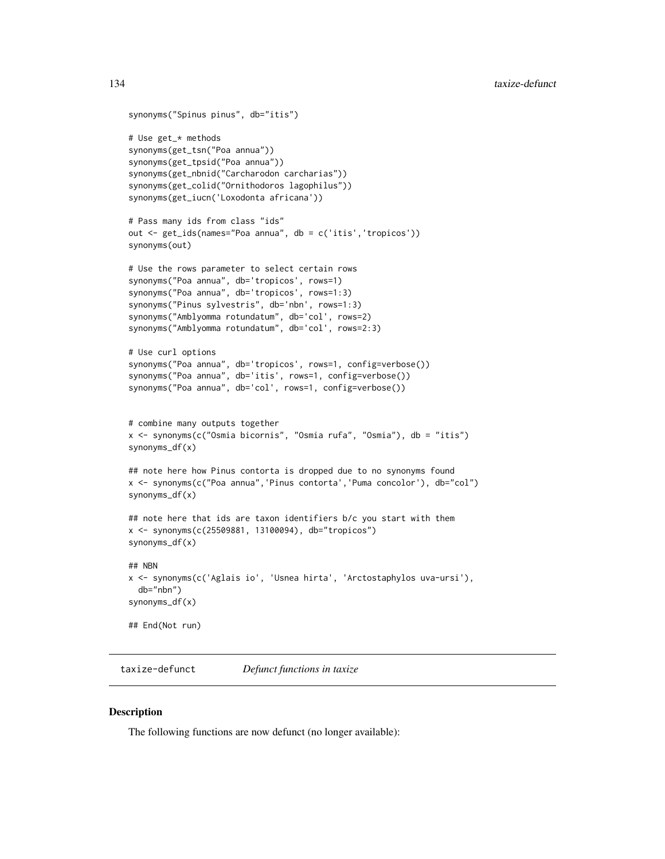```
synonyms("Spinus pinus", db="itis")
# Use get_* methods
synonyms(get_tsn("Poa annua"))
synonyms(get_tpsid("Poa annua"))
synonyms(get_nbnid("Carcharodon carcharias"))
synonyms(get_colid("Ornithodoros lagophilus"))
synonyms(get_iucn('Loxodonta africana'))
# Pass many ids from class "ids"
out <- get_ids(names="Poa annua", db = c('itis','tropicos'))
synonyms(out)
# Use the rows parameter to select certain rows
synonyms("Poa annua", db='tropicos', rows=1)
synonyms("Poa annua", db='tropicos', rows=1:3)
synonyms("Pinus sylvestris", db='nbn', rows=1:3)
synonyms("Amblyomma rotundatum", db='col', rows=2)
synonyms("Amblyomma rotundatum", db='col', rows=2:3)
# Use curl options
synonyms("Poa annua", db='tropicos', rows=1, config=verbose())
synonyms("Poa annua", db='itis', rows=1, config=verbose())
synonyms("Poa annua", db='col', rows=1, config=verbose())
# combine many outputs together
x <- synonyms(c("Osmia bicornis", "Osmia rufa", "Osmia"), db = "itis")
synonyms_df(x)
## note here how Pinus contorta is dropped due to no synonyms found
x <- synonyms(c("Poa annua",'Pinus contorta','Puma concolor'), db="col")
synonyms_df(x)
## note here that ids are taxon identifiers b/c you start with them
x <- synonyms(c(25509881, 13100094), db="tropicos")
synonyms_df(x)
## NBN
x <- synonyms(c('Aglais io', 'Usnea hirta', 'Arctostaphylos uva-ursi'),
 db="nbn")
synonyms_df(x)
## End(Not run)
```
taxize-defunct *Defunct functions in taxize*

#### Description

The following functions are now defunct (no longer available):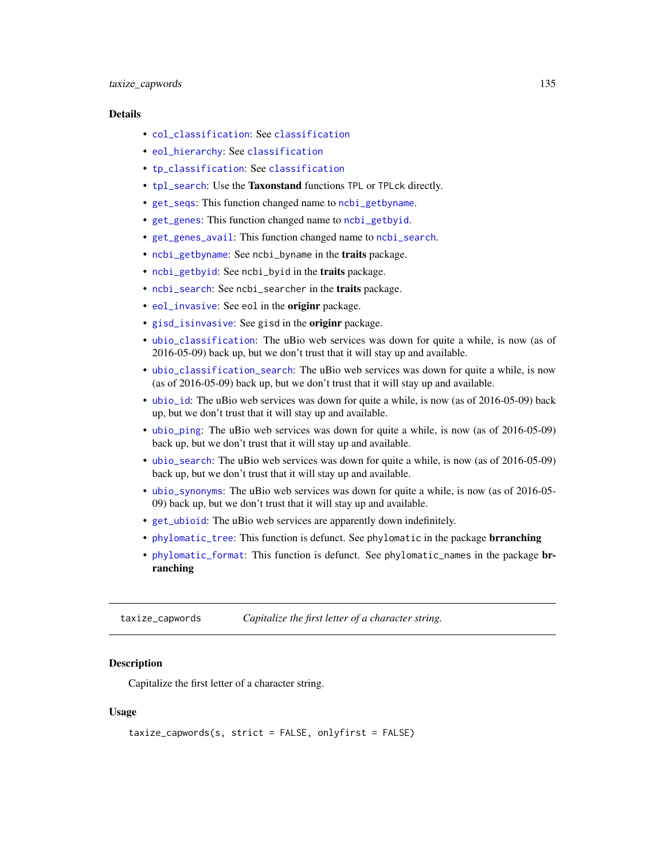### Details

- [col\\_classification](#page-0-0): See [classification](#page-13-0)
- eol hierarchy: See [classification](#page-13-0)
- [tp\\_classification](#page-0-0): See [classification](#page-13-0)
- [tpl\\_search](#page-147-0): Use the Taxonstand functions TPL or TPLck directly.
- [get\\_seqs](#page-0-0): This function changed name to [ncbi\\_getbyname](#page-0-0).
- [get\\_genes](#page-0-0): This function changed name to [ncbi\\_getbyid](#page-0-0).
- [get\\_genes\\_avail](#page-0-0): This function changed name to [ncbi\\_search](#page-0-0).
- [ncbi\\_getbyname](#page-0-0): See ncbi\_byname in the traits package.
- [ncbi\\_getbyid](#page-0-0): See ncbi\_byid in the traits package.
- [ncbi\\_search](#page-0-0): See ncbi\_searcher in the traits package.
- [eol\\_invasive](#page-0-0): See eol in the **originr** package.
- [gisd\\_isinvasive](#page-0-0): See gisd in the originr package.
- [ubio\\_classification](#page-152-0): The uBio web services was down for quite a while, is now (as of 2016-05-09) back up, but we don't trust that it will stay up and available.
- [ubio\\_classification\\_search](#page-152-1): The uBio web services was down for quite a while, is now (as of 2016-05-09) back up, but we don't trust that it will stay up and available.
- [ubio\\_id](#page-153-0): The uBio web services was down for quite a while, is now (as of 2016-05-09) back up, but we don't trust that it will stay up and available.
- [ubio\\_ping](#page-153-1): The uBio web services was down for quite a while, is now (as of 2016-05-09) back up, but we don't trust that it will stay up and available.
- [ubio\\_search](#page-153-2): The uBio web services was down for quite a while, is now (as of 2016-05-09) back up, but we don't trust that it will stay up and available.
- [ubio\\_synonyms](#page-154-0): The uBio web services was down for quite a while, is now (as of 2016-05- 09) back up, but we don't trust that it will stay up and available.
- [get\\_ubioid](#page-72-0): The uBio web services are apparently down indefinitely.
- [phylomatic\\_tree](#page-120-1): This function is defunct. See phylomatic in the package **brranching**
- [phylomatic\\_format](#page-120-2): This function is defunct. See phylomatic\_names in the package brranching

taxize\_capwords *Capitalize the first letter of a character string.*

#### Description

Capitalize the first letter of a character string.

#### Usage

```
taxize_capwords(s, strict = FALSE, onlyfirst = FALSE)
```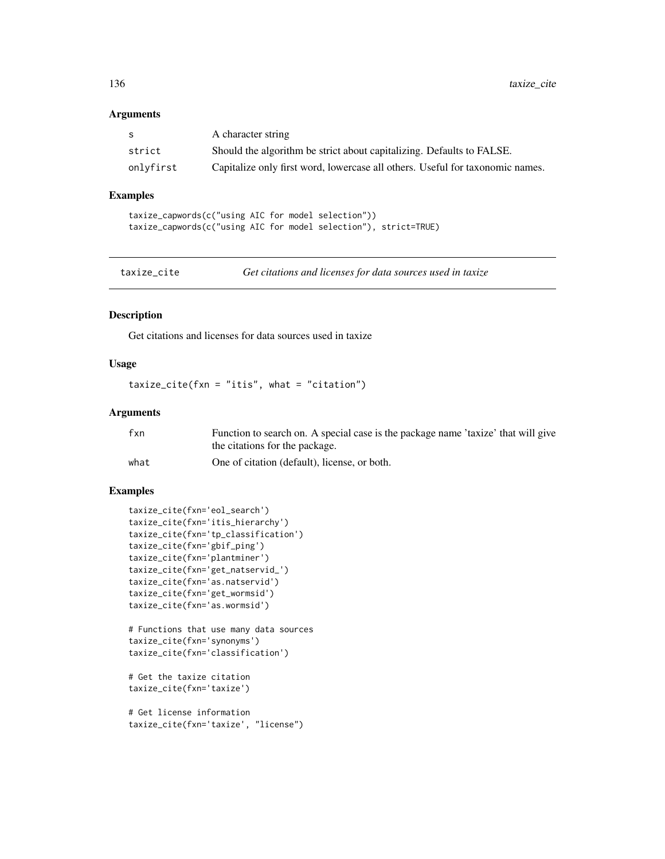### Arguments

| -S        | A character string                                                            |
|-----------|-------------------------------------------------------------------------------|
| strict    | Should the algorithm be strict about capitalizing. Defaults to FALSE.         |
| onlyfirst | Capitalize only first word, lowercase all others. Useful for taxonomic names. |

### Examples

```
taxize_capwords(c("using AIC for model selection"))
taxize_capwords(c("using AIC for model selection"), strict=TRUE)
```
taxize\_cite *Get citations and licenses for data sources used in taxize*

### Description

Get citations and licenses for data sources used in taxize

# Usage

taxize\_cite(fxn = "itis", what = "citation")

### Arguments

| fxn  | Function to search on. A special case is the package name 'taxize' that will give |
|------|-----------------------------------------------------------------------------------|
|      | the citations for the package.                                                    |
| what | One of citation (default), license, or both.                                      |

### Examples

```
taxize_cite(fxn='eol_search')
taxize_cite(fxn='itis_hierarchy')
taxize_cite(fxn='tp_classification')
taxize_cite(fxn='gbif_ping')
taxize_cite(fxn='plantminer')
taxize_cite(fxn='get_natservid_')
taxize_cite(fxn='as.natservid')
taxize_cite(fxn='get_wormsid')
taxize_cite(fxn='as.wormsid')
```
# Functions that use many data sources taxize\_cite(fxn='synonyms') taxize\_cite(fxn='classification')

```
# Get the taxize citation
taxize_cite(fxn='taxize')
```

```
# Get license information
taxize_cite(fxn='taxize', "license")
```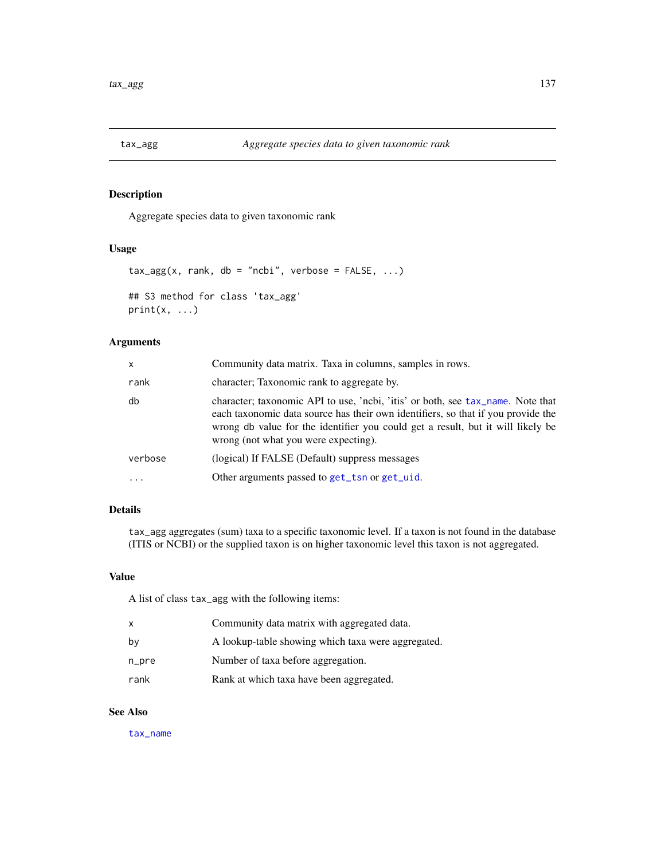Aggregate species data to given taxonomic rank

#### Usage

```
tax\_{agg}(x, rank, db = "ncbi", verbose = FALSE, ...)## S3 method for class 'tax_agg'
print(x, \ldots)
```
# Arguments

| X.      | Community data matrix. Taxa in columns, samples in rows.                                                                                                                                                                                                                                       |
|---------|------------------------------------------------------------------------------------------------------------------------------------------------------------------------------------------------------------------------------------------------------------------------------------------------|
| rank    | character; Taxonomic rank to aggregate by.                                                                                                                                                                                                                                                     |
| db      | character; taxonomic API to use, 'ncbi, 'itis' or both, see tax_name. Note that<br>each taxonomic data source has their own identifiers, so that if you provide the<br>wrong db value for the identifier you could get a result, but it will likely be<br>wrong (not what you were expecting). |
| verbose | (logical) If FALSE (Default) suppress messages                                                                                                                                                                                                                                                 |
| .       | Other arguments passed to get_tsn or get_uid.                                                                                                                                                                                                                                                  |

# Details

tax\_agg aggregates (sum) taxa to a specific taxonomic level. If a taxon is not found in the database (ITIS or NCBI) or the supplied taxon is on higher taxonomic level this taxon is not aggregated.

### Value

A list of class tax\_agg with the following items:

| x     | Community data matrix with aggregated data.        |
|-------|----------------------------------------------------|
| by    | A lookup-table showing which taxa were aggregated. |
| n_pre | Number of taxa before aggregation.                 |
| rank  | Rank at which taxa have been aggregated.           |

# See Also

[tax\\_name](#page-137-0)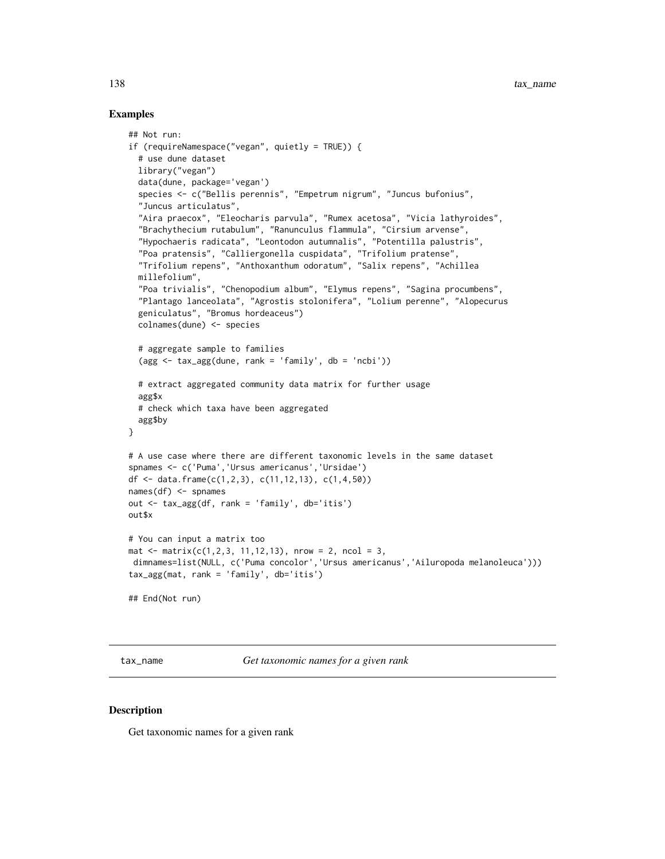### Examples

```
## Not run:
if (requireNamespace("vegan", quietly = TRUE)) {
  # use dune dataset
  library("vegan")
  data(dune, package='vegan')
  species <- c("Bellis perennis", "Empetrum nigrum", "Juncus bufonius",
  "Juncus articulatus",
  "Aira praecox", "Eleocharis parvula", "Rumex acetosa", "Vicia lathyroides",
  "Brachythecium rutabulum", "Ranunculus flammula", "Cirsium arvense",
  "Hypochaeris radicata", "Leontodon autumnalis", "Potentilla palustris",
  "Poa pratensis", "Calliergonella cuspidata", "Trifolium pratense",
  "Trifolium repens", "Anthoxanthum odoratum", "Salix repens", "Achillea
  millefolium",
  "Poa trivialis", "Chenopodium album", "Elymus repens", "Sagina procumbens",
  "Plantago lanceolata", "Agrostis stolonifera", "Lolium perenne", "Alopecurus
  geniculatus", "Bromus hordeaceus")
  colnames(dune) <- species
  # aggregate sample to families
  (\text{agg} \leq \text{tax\_agg}(\text{dune}, \text{rank} = 'family', \text{ db} = 'ncbi'))# extract aggregated community data matrix for further usage
  agg$x
  # check which taxa have been aggregated
  agg$by
}
# A use case where there are different taxonomic levels in the same dataset
spnames <- c('Puma','Ursus americanus','Ursidae')
df <- data.frame(c(1,2,3), c(11,12,13), c(1,4,50))
names(df) <- spnames
out <- tax_agg(df, rank = 'family', db='itis')
out$x
# You can input a matrix too
mat \le matrix(c(1,2,3, 11,12,13), nrow = 2, ncol = 3,
dimnames=list(NULL, c('Puma concolor','Ursus americanus','Ailuropoda melanoleuca')))
tax_agg(mat, rank = 'family', db='itis')
## End(Not run)
```
<span id="page-137-0"></span>tax\_name *Get taxonomic names for a given rank*

### **Description**

Get taxonomic names for a given rank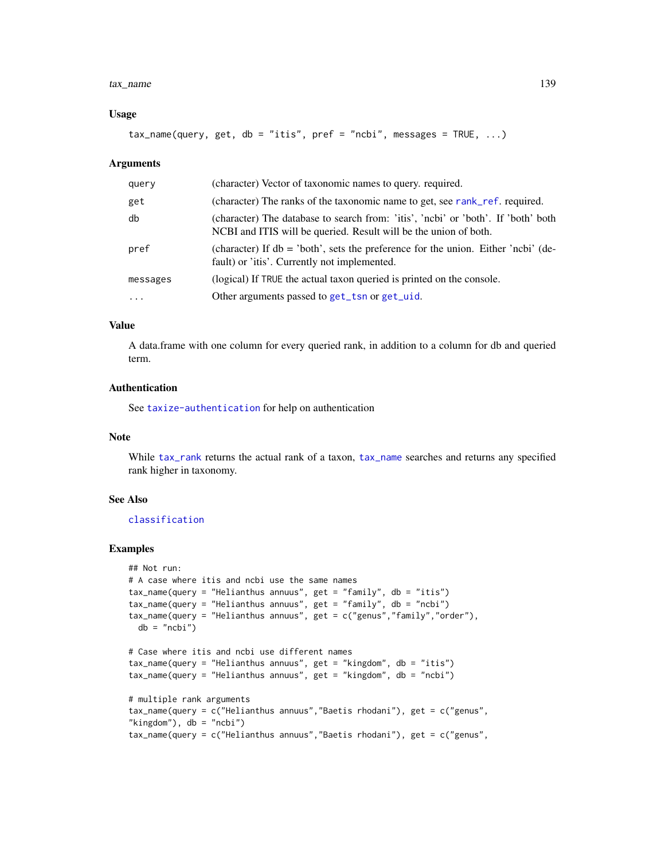#### tax\_name 139

#### Usage

```
tax_name(query, get, db = "itis", pref = "ncbi", message = TRUE, ...)
```
#### Arguments

| query     | (character) Vector of taxonomic names to query. required.                                                                                             |
|-----------|-------------------------------------------------------------------------------------------------------------------------------------------------------|
| get       | (character) The ranks of the taxonomic name to get, see rank_ref. required.                                                                           |
| db        | (character) The database to search from: 'itis', 'ncbi' or 'both'. If 'both' both<br>NCBI and ITIS will be queried. Result will be the union of both. |
| pref      | (character) If $db = 'both'$ , sets the preference for the union. Either 'ncbi' (de-<br>fault) or 'itis'. Currently not implemented.                  |
| messages  | (logical) If TRUE the actual taxon queried is printed on the console.                                                                                 |
| $\ddotsc$ | Other arguments passed to get_tsn or get_uid.                                                                                                         |

### Value

A data.frame with one column for every queried rank, in addition to a column for db and queried term.

# Authentication

See [taxize-authentication](#page-41-0) for help on authentication

#### Note

While [tax\\_rank](#page-139-0) returns the actual rank of a taxon, [tax\\_name](#page-137-0) searches and returns any specified rank higher in taxonomy.

#### See Also

### [classification](#page-13-0)

### Examples

```
## Not run:
# A case where itis and ncbi use the same names
tax_name(query = "Helianthus annuus", get = "family", db = "itis")
tax_name(query = "Helianthus annuus", get = "family", db = "ncbi")
tax_name(query = "Helianthus annuus", get = c("genus","family","order"),
 db = "ncbi")# Case where itis and ncbi use different names
tax_name(query = "Helianthus annuus", get = "kingdom", db = "itis")
tax_name(query = "Helianthus annuus", get = "kingdom", db = "ncbi")
# multiple rank arguments
tax_name(query = c("Helianthus annuus","Baetis rhodani"), get = c("genus",
"kingdom"), db = "ncbi")tax_name(query = c("Helianthus annuus","Baetis rhodani"), get = c("genus",
```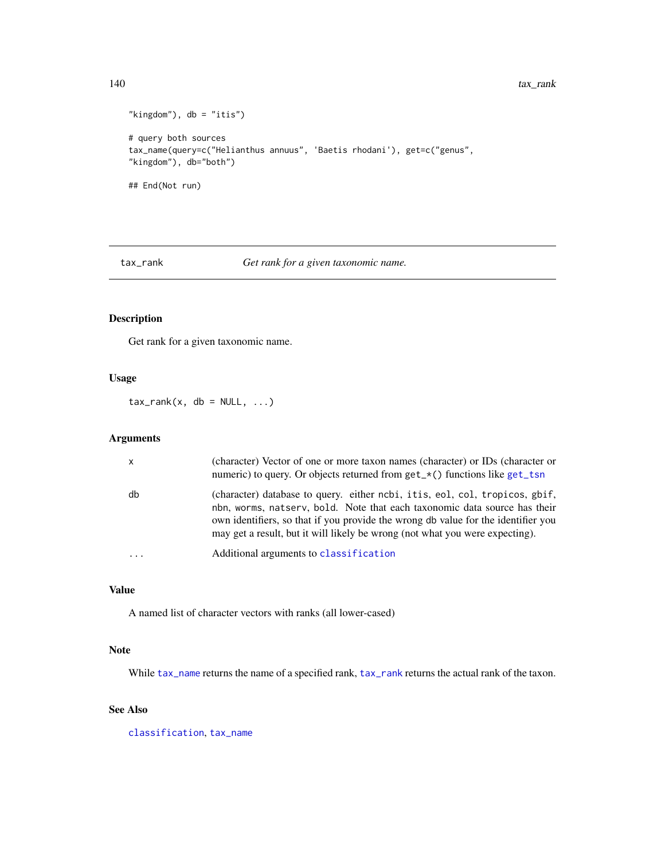```
"kingdom"), db = "itis")# query both sources
tax_name(query=c("Helianthus annuus", 'Baetis rhodani'), get=c("genus",
"kingdom"), db="both")
## End(Not run)
```
<span id="page-139-0"></span>tax\_rank *Get rank for a given taxonomic name.*

# Description

Get rank for a given taxonomic name.

### Usage

 $tax\_rank(x, db = NULL, ...)$ 

# Arguments

| X        | (character) Vector of one or more taxon names (character) or IDs (character or<br>numeric) to query. Or objects returned from $get_{\star}()$ functions like $get_{\star}t$                                                                                                                                                   |
|----------|-------------------------------------------------------------------------------------------------------------------------------------------------------------------------------------------------------------------------------------------------------------------------------------------------------------------------------|
| db       | (character) database to query. either ncbi, itis, eol, col, tropicos, gbif,<br>nbn, worms, natsery, bold. Note that each taxonomic data source has their<br>own identifiers, so that if you provide the wrong db value for the identifier you<br>may get a result, but it will likely be wrong (not what you were expecting). |
| $\cdots$ | Additional arguments to classification                                                                                                                                                                                                                                                                                        |

### Value

A named list of character vectors with ranks (all lower-cased)

### Note

While [tax\\_name](#page-137-0) returns the name of a specified rank, [tax\\_rank](#page-139-0) returns the actual rank of the taxon.

### See Also

[classification](#page-13-0), [tax\\_name](#page-137-0)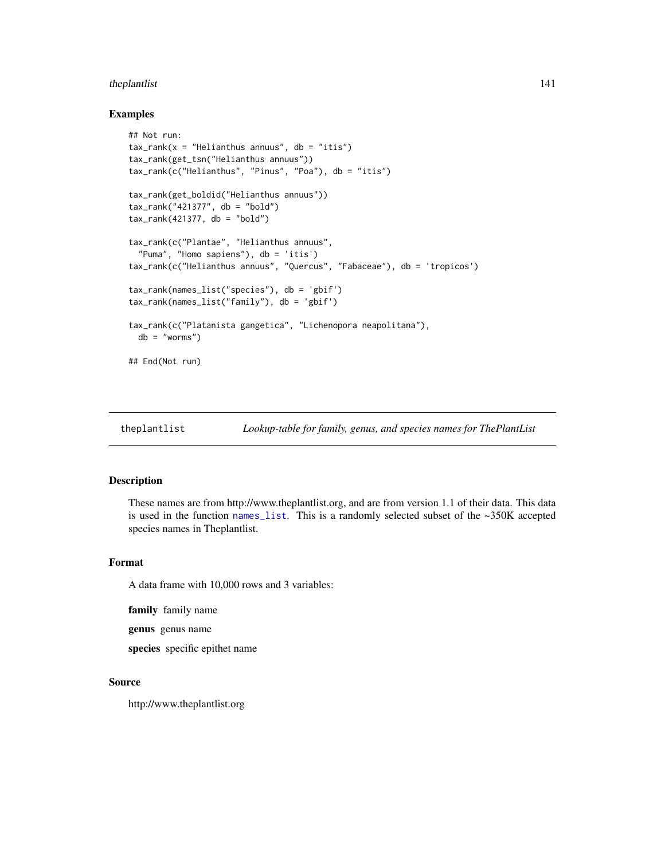# theplantlist 141

#### Examples

```
## Not run:
tax\_rank(x = "Helianthus annuus", db = "itis")tax_rank(get_tsn("Helianthus annuus"))
tax_rank(c("Helianthus", "Pinus", "Poa"), db = "itis")
tax_rank(get_boldid("Helianthus annuus"))
tax_rank("421377", db = "bold")
tax\_rank(421377, db = "bold")tax_rank(c("Plantae", "Helianthus annuus",
  "Puma", "Homo sapiens"), db = 'itis')
tax_rank(c("Helianthus annuus", "Quercus", "Fabaceae"), db = 'tropicos')
tax_rank(names_list("species"), db = 'gbif')
tax_rank(names_list("family"), db = 'gbif')
tax_rank(c("Platanista gangetica", "Lichenopora neapolitana"),
 db = "worms")## End(Not run)
```
theplantlist *Lookup-table for family, genus, and species names for ThePlantList*

#### Description

These names are from http://www.theplantlist.org, and are from version 1.1 of their data. This data is used in the function [names\\_list](#page-111-0). This is a randomly selected subset of the ~350K accepted species names in Theplantlist.

#### Format

A data frame with 10,000 rows and 3 variables:

family family name

genus genus name

species specific epithet name

#### Source

http://www.theplantlist.org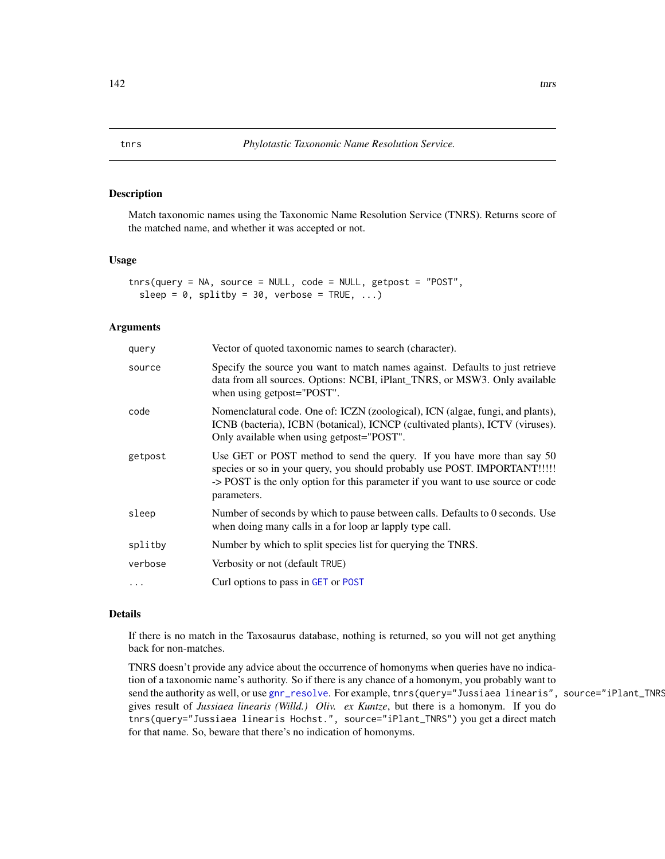Match taxonomic names using the Taxonomic Name Resolution Service (TNRS). Returns score of the matched name, and whether it was accepted or not.

#### Usage

tnrs(query = NA, source = NULL, code = NULL, getpost = "POST", sleep =  $0$ , splitby =  $30$ , verbose = TRUE, ...)

#### Arguments

| query   | Vector of quoted taxonomic names to search (character).                                                                                                                                                                                               |
|---------|-------------------------------------------------------------------------------------------------------------------------------------------------------------------------------------------------------------------------------------------------------|
| source  | Specify the source you want to match names against. Defaults to just retrieve<br>data from all sources. Options: NCBI, iPlant_TNRS, or MSW3. Only available<br>when using getpost="POST".                                                             |
| code    | Nomenclatural code. One of: ICZN (zoological), ICN (algae, fungi, and plants),<br>ICNB (bacteria), ICBN (botanical), ICNCP (cultivated plants), ICTV (viruses).<br>Only available when using getpost="POST".                                          |
| getpost | Use GET or POST method to send the query. If you have more than say 50<br>species or so in your query, you should probably use POST. IMPORTANT!!!!!<br>-> POST is the only option for this parameter if you want to use source or code<br>parameters. |
| sleep   | Number of seconds by which to pause between calls. Defaults to 0 seconds. Use<br>when doing many calls in a for loop ar lapply type call.                                                                                                             |
| splitby | Number by which to split species list for querying the TNRS.                                                                                                                                                                                          |
| verbose | Verbosity or not (default TRUE)                                                                                                                                                                                                                       |
|         | Curl options to pass in GET or POST                                                                                                                                                                                                                   |
|         |                                                                                                                                                                                                                                                       |

# Details

If there is no match in the Taxosaurus database, nothing is returned, so you will not get anything back for non-matches.

TNRS doesn't provide any advice about the occurrence of homonyms when queries have no indication of a taxonomic name's authority. So if there is any chance of a homonym, you probably want to send the authority as well, or use [gnr\\_resolve](#page-87-0). For example, tnrs(query="Jussiaea linearis", source="iPlant\_TNRS gives result of *Jussiaea linearis (Willd.) Oliv. ex Kuntze*, but there is a homonym. If you do tnrs(query="Jussiaea linearis Hochst.", source="iPlant\_TNRS") you get a direct match for that name. So, beware that there's no indication of homonyms.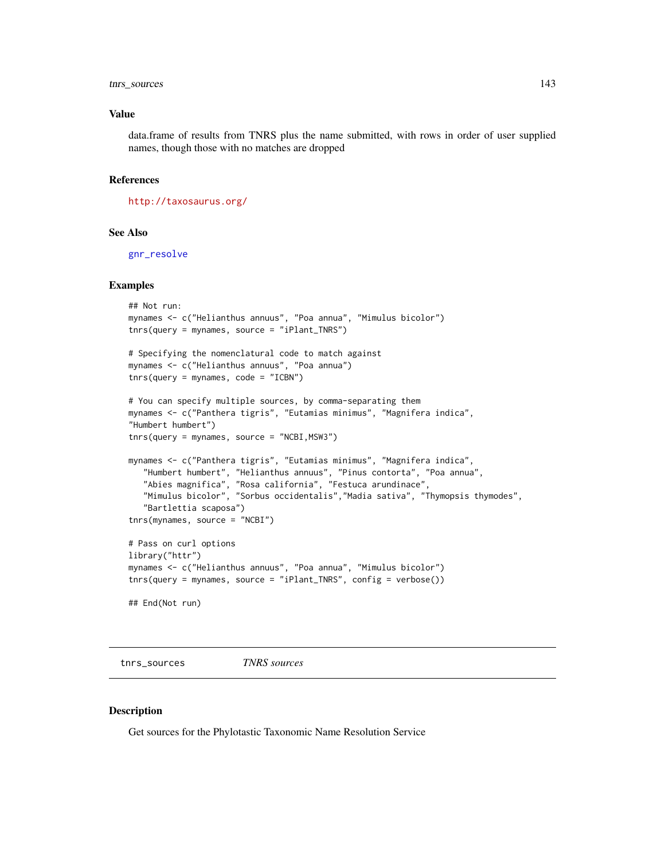# tnrs\_sources 143

#### Value

data.frame of results from TNRS plus the name submitted, with rows in order of user supplied names, though those with no matches are dropped

#### References

<http://taxosaurus.org/>

# See Also

[gnr\\_resolve](#page-87-0)

#### Examples

```
## Not run:
mynames <- c("Helianthus annuus", "Poa annua", "Mimulus bicolor")
tnrs(query = mynames, source = "iPlant_TNRS")
# Specifying the nomenclatural code to match against
mynames <- c("Helianthus annuus", "Poa annua")
tnrs(query = mynames, code = "ICBN")# You can specify multiple sources, by comma-separating them
mynames <- c("Panthera tigris", "Eutamias minimus", "Magnifera indica",
"Humbert humbert")
tnrs(query = mynames, source = "NCBI,MSW3")
mynames <- c("Panthera tigris", "Eutamias minimus", "Magnifera indica",
   "Humbert humbert", "Helianthus annuus", "Pinus contorta", "Poa annua",
   "Abies magnifica", "Rosa california", "Festuca arundinace",
   "Mimulus bicolor", "Sorbus occidentalis","Madia sativa", "Thymopsis thymodes",
   "Bartlettia scaposa")
tnrs(mynames, source = "NCBI")
# Pass on curl options
library("httr")
mynames <- c("Helianthus annuus", "Poa annua", "Mimulus bicolor")
tnrs(query = mynames, source = "iPlant_TNRS", config = verbose())
## End(Not run)
```
tnrs\_sources *TNRS sources*

### Description

Get sources for the Phylotastic Taxonomic Name Resolution Service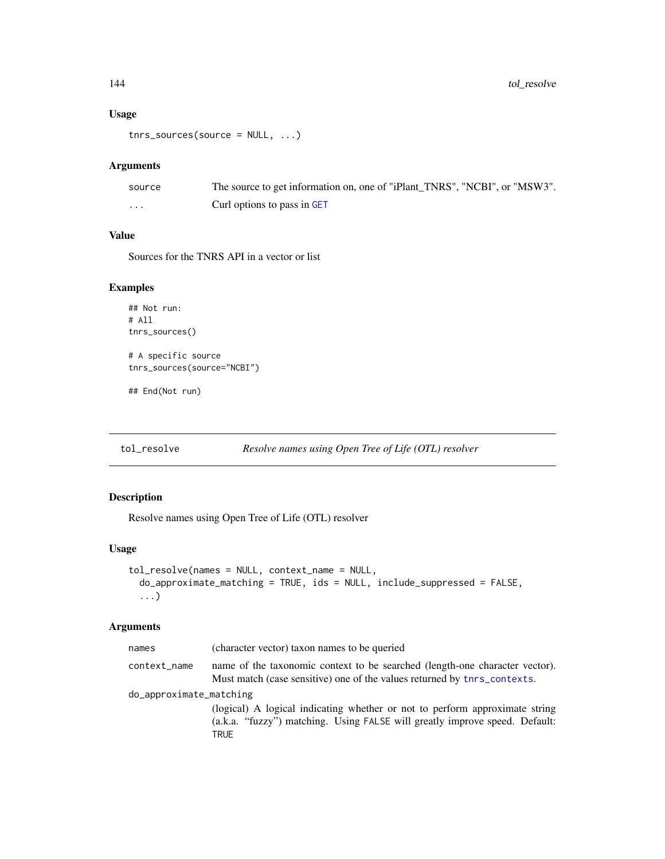### Usage

tnrs\_sources(source = NULL, ...)

#### Arguments

| source | The source to get information on, one of "iPlant TNRS", "NCBI", or "MSW3". |
|--------|----------------------------------------------------------------------------|
| .      | Curl options to pass in GET                                                |

# Value

Sources for the TNRS API in a vector or list

### Examples

```
## Not run:
# All
tnrs_sources()
# A specific source
tnrs_sources(source="NCBI")
```
## End(Not run)

tol\_resolve *Resolve names using Open Tree of Life (OTL) resolver*

### Description

Resolve names using Open Tree of Life (OTL) resolver

# Usage

```
tol_resolve(names = NULL, context_name = NULL,
 do_approximate_matching = TRUE, ids = NULL, include_suppressed = FALSE,
  ...)
```
# Arguments

| names                   | (character vector) taxon names to be queried                                                                                                                       |  |
|-------------------------|--------------------------------------------------------------------------------------------------------------------------------------------------------------------|--|
| context_name            | name of the taxonomic context to be searched (length-one character vector).<br>Must match (case sensitive) one of the values returned by the contexts.             |  |
| do_approximate_matching |                                                                                                                                                                    |  |
|                         | (logical) A logical indicating whether or not to perform approximate string<br>(a.k.a. "fuzzy") matching. Using FALSE will greatly improve speed. Default:<br>TRUE |  |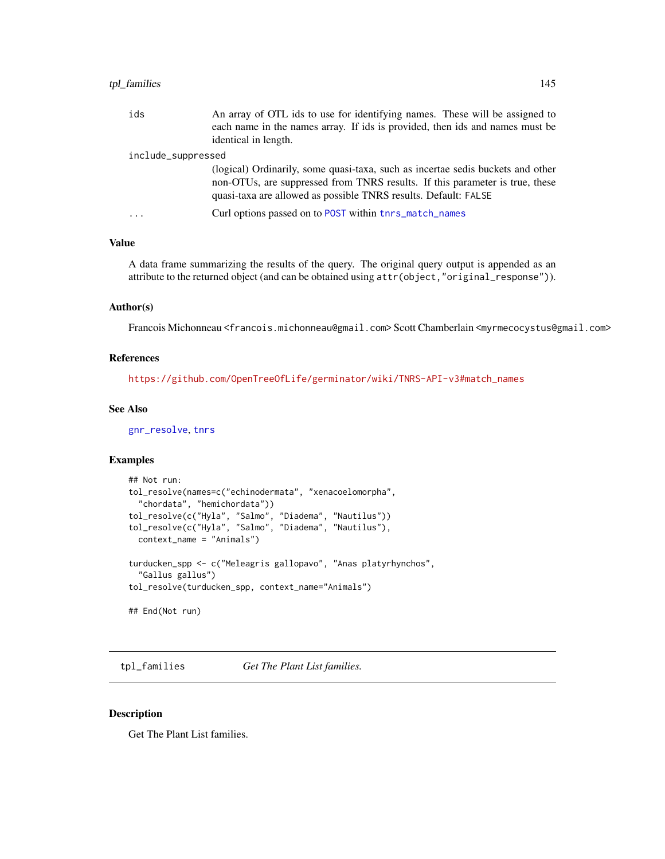### <span id="page-144-1"></span>tpl\_families 145

| ids                | An array of OTL ids to use for identifying names. These will be assigned to<br>each name in the names array. If ids is provided, then ids and names must be<br>identical in length.                                                |
|--------------------|------------------------------------------------------------------------------------------------------------------------------------------------------------------------------------------------------------------------------------|
| include_suppressed |                                                                                                                                                                                                                                    |
|                    | (logical) Ordinarily, some quasi-taxa, such as incertae sedis buckets and other<br>non-OTUs, are suppressed from TNRS results. If this parameter is true, these<br>quasi-taxa are allowed as possible TNRS results. Default: FALSE |
| $\cdot$            | Curl options passed on to POST within thrs_match_names                                                                                                                                                                             |

#### Value

A data frame summarizing the results of the query. The original query output is appended as an attribute to the returned object (and can be obtained using attr(object,"original\_response")).

#### Author(s)

Francois Michonneau <francois.michonneau@gmail.com> Scott Chamberlain <myrmecocystus@gmail.com>

# References

[https://github.com/OpenTreeOfLife/germinator/wiki/TNRS-API-v3#match\\_names](https://github.com/OpenTreeOfLife/germinator/wiki/TNRS-API-v3#match_names)

#### See Also

[gnr\\_resolve](#page-87-0), [tnrs](#page-141-0)

#### Examples

```
## Not run:
tol_resolve(names=c("echinodermata", "xenacoelomorpha",
  "chordata", "hemichordata"))
tol_resolve(c("Hyla", "Salmo", "Diadema", "Nautilus"))
tol_resolve(c("Hyla", "Salmo", "Diadema", "Nautilus"),
  context_name = "Animals")
turducken_spp <- c("Meleagris gallopavo", "Anas platyrhynchos",
  "Gallus gallus")
tol_resolve(turducken_spp, context_name="Animals")
## End(Not run)
```
<span id="page-144-0"></span>tpl\_families *Get The Plant List families.*

#### Description

Get The Plant List families.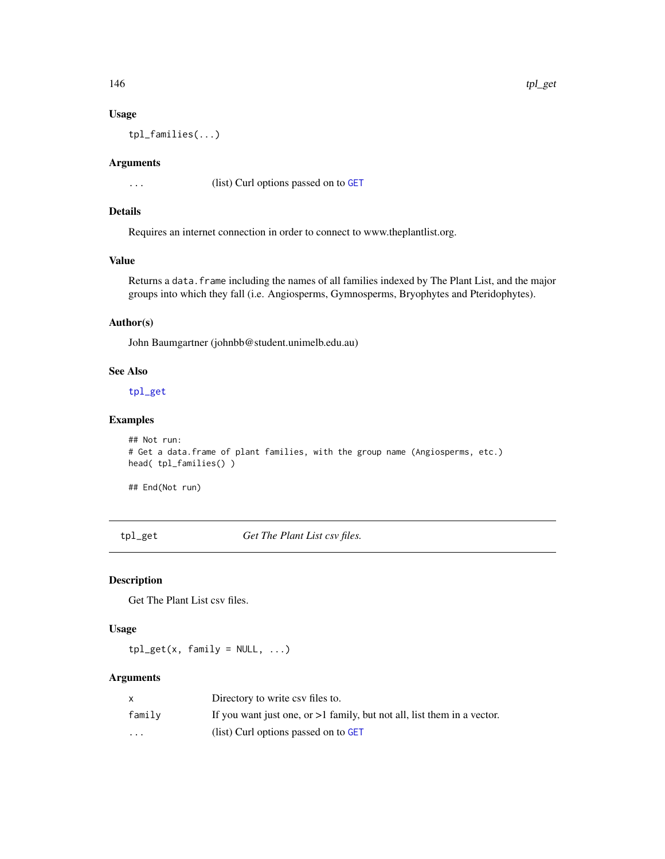<span id="page-145-1"></span>

# Usage

tpl\_families(...)

#### Arguments

... (list) Curl options passed on to [GET](#page-0-0)

# Details

Requires an internet connection in order to connect to www.theplantlist.org.

# Value

Returns a data.frame including the names of all families indexed by The Plant List, and the major groups into which they fall (i.e. Angiosperms, Gymnosperms, Bryophytes and Pteridophytes).

# Author(s)

John Baumgartner (johnbb@student.unimelb.edu.au)

# See Also

[tpl\\_get](#page-145-0)

# Examples

```
## Not run:
# Get a data.frame of plant families, with the group name (Angiosperms, etc.)
head( tpl_families() )
```
## End(Not run)

<span id="page-145-0"></span>tpl\_get *Get The Plant List csv files.*

# Description

Get The Plant List csv files.

#### Usage

 $tpl\_get(x, family = NULL, ...)$ 

#### Arguments

|          | Directory to write csy files to.                                          |
|----------|---------------------------------------------------------------------------|
| family   | If you want just one, or $>1$ family, but not all, list them in a vector. |
| $\cdots$ | (list) Curl options passed on to GET                                      |

146 tpl\_get tpl and the control of the control of the control of the control of the control of the control of the control of the control of the control of the control of the control of the control of the control of the con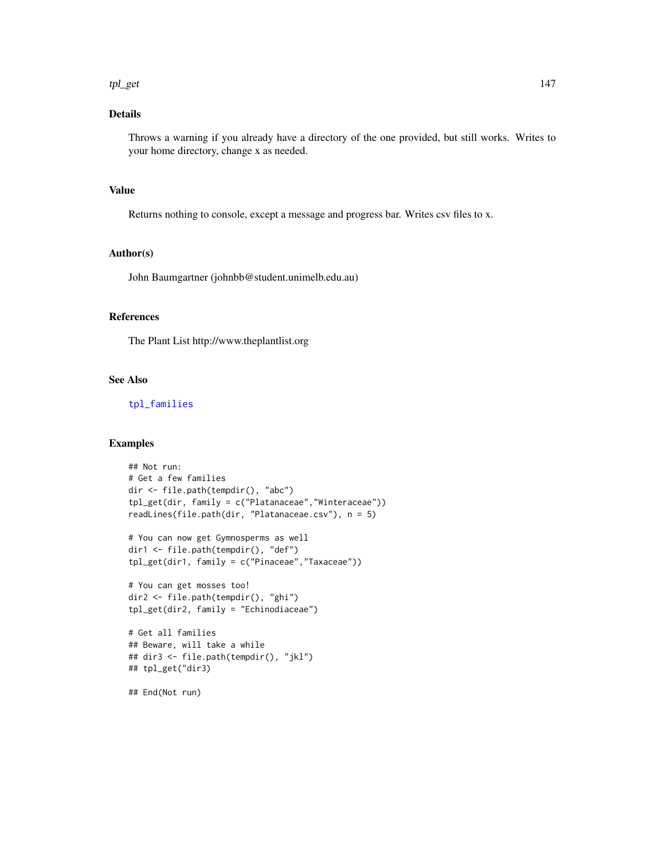#### <span id="page-146-0"></span>tpl\_get the state of the state of the state of the state of the state of the state of the state of the state of the state of the state of the state of the state of the state of the state of the state of the state of the st

# Details

Throws a warning if you already have a directory of the one provided, but still works. Writes to your home directory, change x as needed.

# Value

Returns nothing to console, except a message and progress bar. Writes csv files to x.

#### Author(s)

John Baumgartner (johnbb@student.unimelb.edu.au)

# References

The Plant List http://www.theplantlist.org

#### See Also

[tpl\\_families](#page-144-0)

```
## Not run:
# Get a few families
dir <- file.path(tempdir(), "abc")
tpl_get(dir, family = c("Platanaceae","Winteraceae"))
readLines(file.path(dir, "Platanaceae.csv"), n = 5)
# You can now get Gymnosperms as well
dir1 <- file.path(tempdir(), "def")
tpl_get(dir1, family = c("Pinaceae","Taxaceae"))
# You can get mosses too!
dir2 <- file.path(tempdir(), "ghi")
tpl_get(dir2, family = "Echinodiaceae")
# Get all families
## Beware, will take a while
## dir3 <- file.path(tempdir(), "jkl")
## tpl_get("dir3)
## End(Not run)
```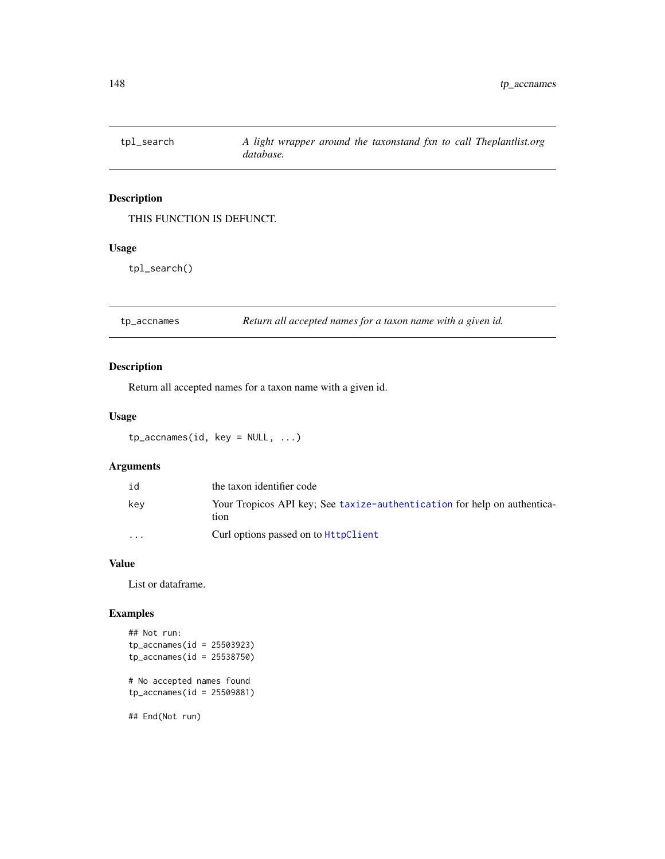<span id="page-147-0"></span>

THIS FUNCTION IS DEFUNCT.

# Usage

tpl\_search()

tp\_accnames *Return all accepted names for a taxon name with a given id.*

# Description

Return all accepted names for a taxon name with a given id.

# Usage

 $tp_3$ ccnames(id, key = NULL, ...)

# Arguments

| id                      | the taxon identifier code                                                        |
|-------------------------|----------------------------------------------------------------------------------|
| kev                     | Your Tropicos API key: See taxize-authentication for help on authentica-<br>tion |
| $\cdot$ $\cdot$ $\cdot$ | Curl options passed on to <b>HttpClient</b>                                      |

#### Value

List or dataframe.

```
## Not run:
tp_accnames(id = 25503923)
tp_accnames(id = 25538750)
# No accepted names found
tp_accnames(id = 25509881)
## End(Not run)
```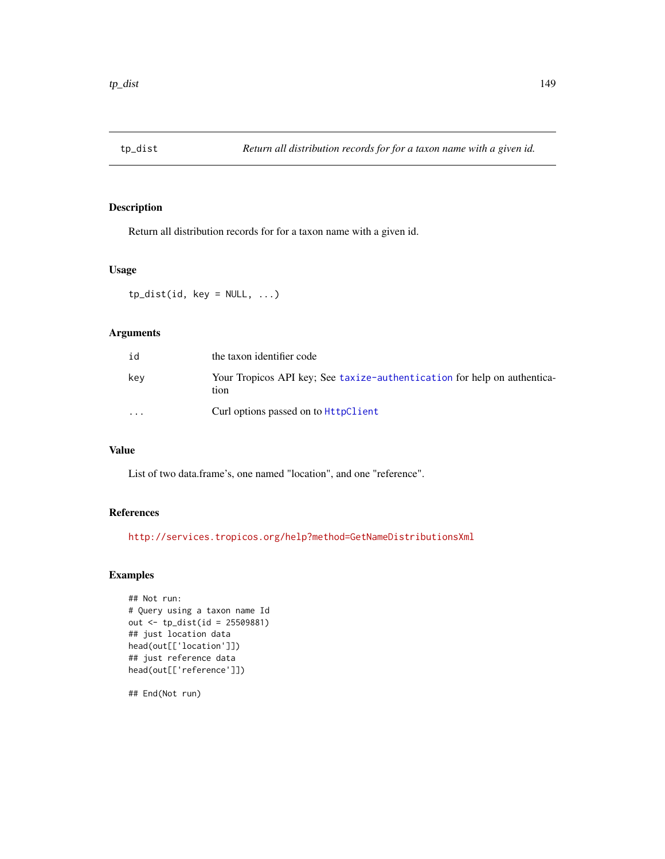<span id="page-148-0"></span>

Return all distribution records for for a taxon name with a given id.

#### Usage

 $tp\_dist(id, key = NULL, ...)$ 

# Arguments

| id                      | the taxon identifier code                                                        |
|-------------------------|----------------------------------------------------------------------------------|
| kev                     | Your Tropicos API key: See taxize-authentication for help on authentica-<br>tion |
| $\cdot$ $\cdot$ $\cdot$ | Curl options passed on to HttpClient                                             |

# Value

List of two data.frame's, one named "location", and one "reference".

# References

<http://services.tropicos.org/help?method=GetNameDistributionsXml>

# Examples

```
## Not run:
# Query using a taxon name Id
out <- tp_dist(id = 25509881)
## just location data
head(out[['location']])
## just reference data
head(out[['reference']])
```
## End(Not run)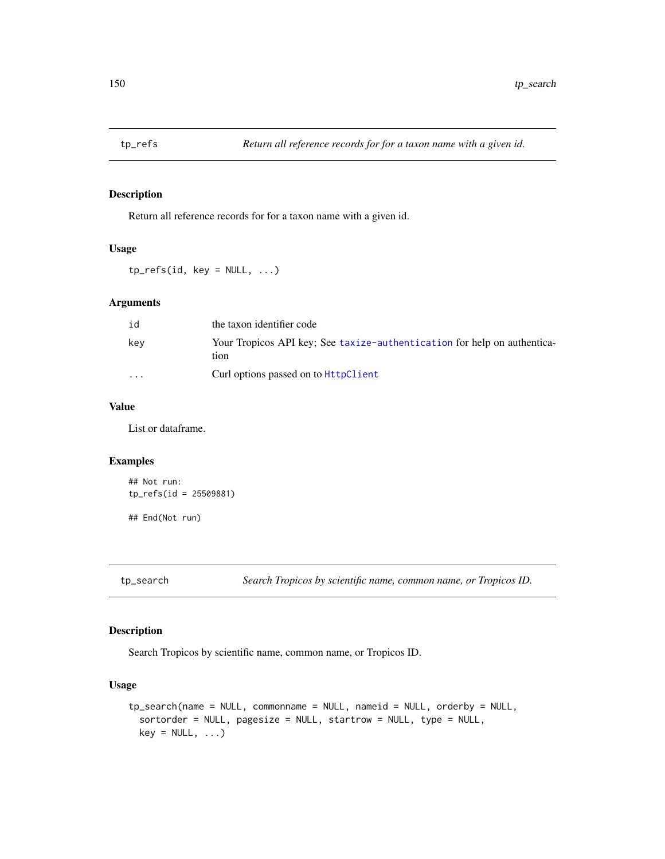<span id="page-149-0"></span>

Return all reference records for for a taxon name with a given id.

#### Usage

 $tp_refs(id, key = NULL, ...)$ 

# Arguments

| id                      | the taxon identifier code                                                        |
|-------------------------|----------------------------------------------------------------------------------|
| kev                     | Your Tropicos API key: See taxize-authentication for help on authentica-<br>tion |
| $\cdot$ $\cdot$ $\cdot$ | Curl options passed on to <b>HttpClient</b>                                      |

# Value

List or dataframe.

#### Examples

## Not run: tp\_refs(id = 25509881) ## End(Not run)

tp\_search *Search Tropicos by scientific name, common name, or Tropicos ID.*

# Description

Search Tropicos by scientific name, common name, or Tropicos ID.

#### Usage

```
tp_search(name = NULL, commonname = NULL, nameid = NULL, orderby = NULL,
 sortorder = NULL, pagesize = NULL, startrow = NULL, type = NULL,
 key = NULL, ...)
```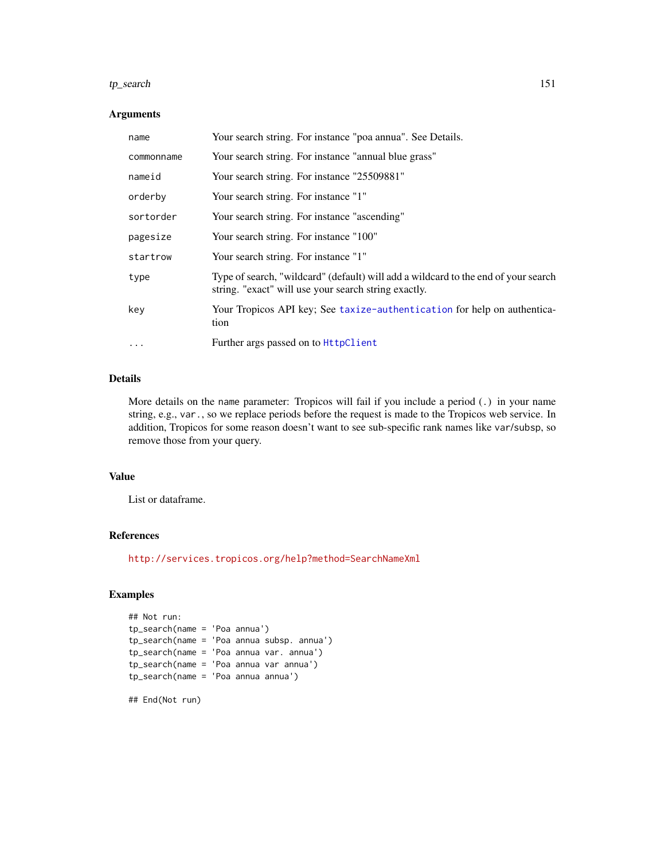#### $tp\_search$  151

#### Arguments

| name       | Your search string. For instance "poa annua". See Details.                                                                                 |
|------------|--------------------------------------------------------------------------------------------------------------------------------------------|
| commonname | Your search string. For instance "annual blue grass"                                                                                       |
| nameid     | Your search string. For instance "25509881"                                                                                                |
| orderby    | Your search string. For instance "1"                                                                                                       |
| sortorder  | Your search string. For instance "ascending"                                                                                               |
| pagesize   | Your search string. For instance "100"                                                                                                     |
| startrow   | Your search string. For instance "1"                                                                                                       |
| type       | Type of search, "wildcard" (default) will add a wildcard to the end of your search<br>string. "exact" will use your search string exactly. |
| key        | Your Tropicos API key; See taxize-authentication for help on authentica-<br>tion                                                           |
| $\ddotsc$  | Further args passed on to HttpClient                                                                                                       |

# Details

More details on the name parameter: Tropicos will fail if you include a period (.) in your name string, e.g., var., so we replace periods before the request is made to the Tropicos web service. In addition, Tropicos for some reason doesn't want to see sub-specific rank names like var/subsp, so remove those from your query.

#### Value

List or dataframe.

#### References

<http://services.tropicos.org/help?method=SearchNameXml>

```
## Not run:
tp_search(name = 'Poa annua')
tp_search(name = 'Poa annua subsp. annua')
tp_search(name = 'Poa annua var. annua')
tp_search(name = 'Poa annua var annua')
tp_search(name = 'Poa annua annua')
## End(Not run)
```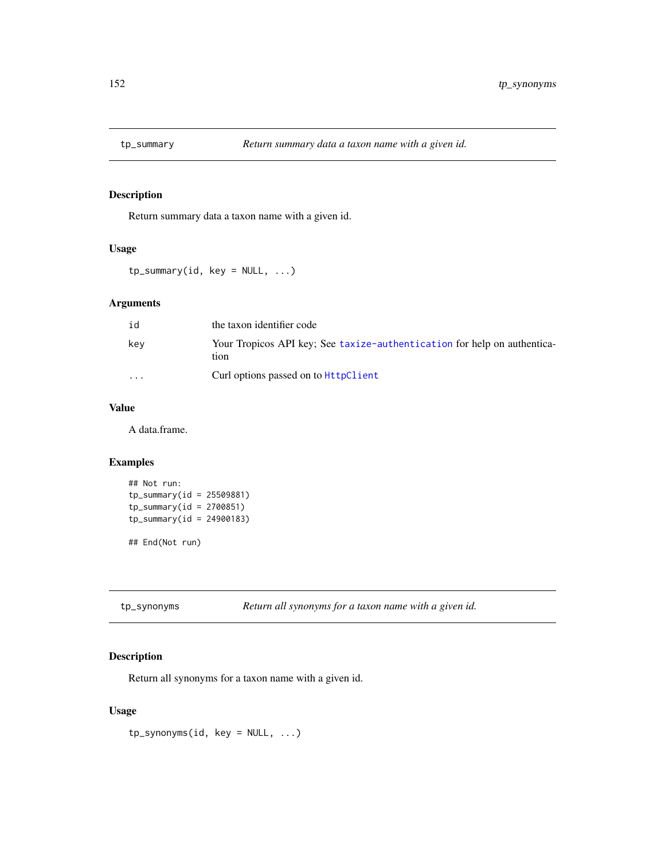<span id="page-151-0"></span>

Return summary data a taxon name with a given id.

#### Usage

 $tp\_summary(id, key = NULL, ...)$ 

# Arguments

| id                      | the taxon identifier code                                                        |
|-------------------------|----------------------------------------------------------------------------------|
| kev                     | Your Tropicos API key: See taxize-authentication for help on authentica-<br>tion |
| $\cdot$ $\cdot$ $\cdot$ | Curl options passed on to <b>HttpClient</b>                                      |

# Value

A data.frame.

# Examples

```
## Not run:
tp\_summary(id = 25509881)tp\_summary(id = 2700851)tp_summary(id = 24900183)
```
## End(Not run)

tp\_synonyms *Return all synonyms for a taxon name with a given id.*

# Description

Return all synonyms for a taxon name with a given id.

# Usage

tp\_synonyms(id, key = NULL, ...)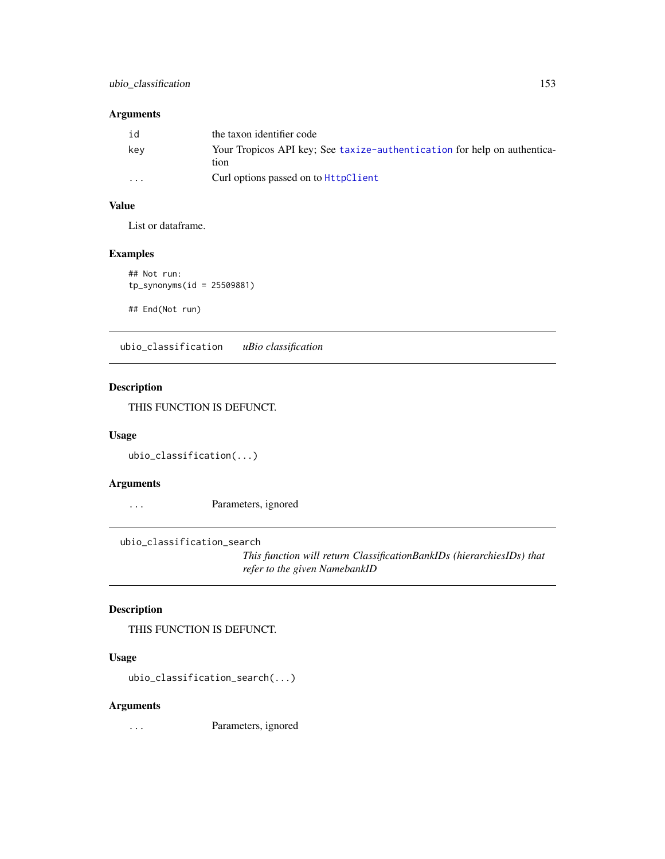# <span id="page-152-0"></span>Arguments

| id       | the taxon identifier code                                                        |
|----------|----------------------------------------------------------------------------------|
| kev      | Your Tropicos API key: See taxize-authentication for help on authentica-<br>tion |
| $\cdots$ | Curl options passed on to <b>HttpClient</b>                                      |

# Value

List or dataframe.

# Examples

```
## Not run:
tp_synonyms(id = 25509881)
```
## End(Not run)

ubio\_classification *uBio classification*

# Description

THIS FUNCTION IS DEFUNCT.

#### Usage

```
ubio_classification(...)
```
# Arguments

... Parameters, ignored

ubio\_classification\_search

*This function will return ClassificationBankIDs (hierarchiesIDs) that refer to the given NamebankID*

# Description

THIS FUNCTION IS DEFUNCT.

# Usage

ubio\_classification\_search(...)

#### Arguments

... Parameters, ignored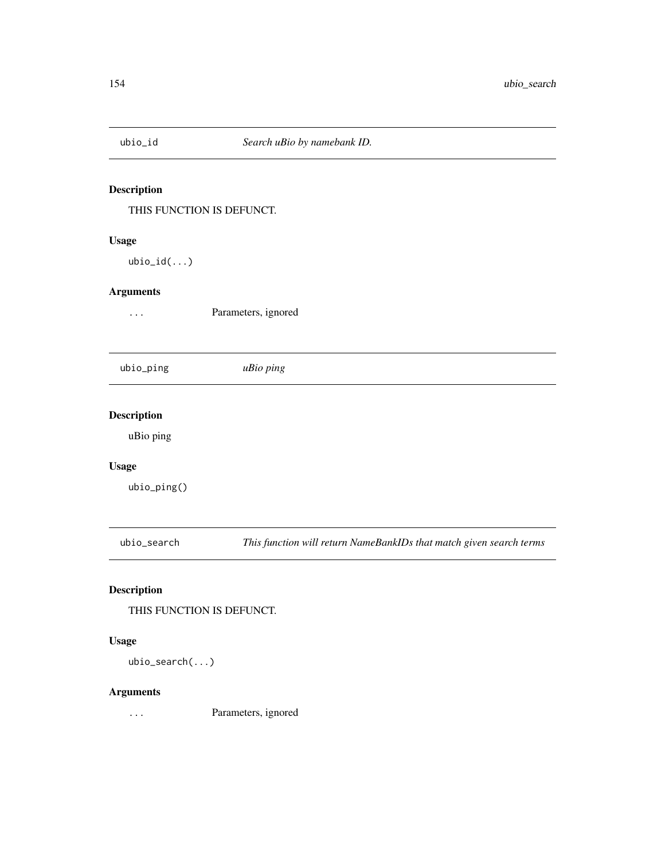<span id="page-153-0"></span>

THIS FUNCTION IS DEFUNCT.

# Usage

ubio\_id(...)

#### Arguments

... Parameters, ignored

ubio\_ping *uBio ping*

# Description

uBio ping

# Usage

ubio\_ping()

ubio\_search *This function will return NameBankIDs that match given search terms*

# Description

THIS FUNCTION IS DEFUNCT.

# Usage

ubio\_search(...)

# Arguments

... Parameters, ignored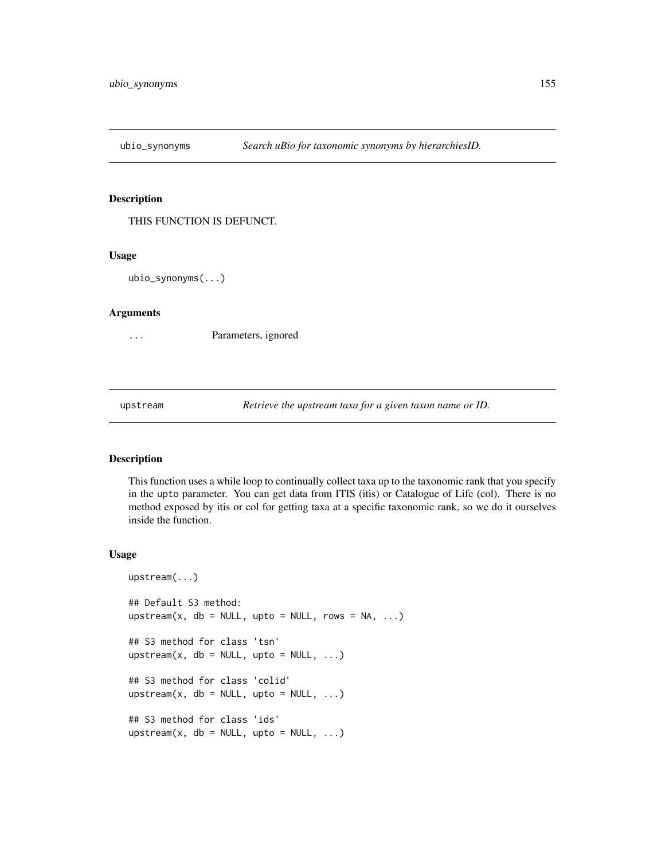<span id="page-154-0"></span>

THIS FUNCTION IS DEFUNCT.

#### Usage

ubio\_synonyms(...)

#### Arguments

... Parameters, ignored

upstream *Retrieve the upstream taxa for a given taxon name or ID.*

# Description

This function uses a while loop to continually collect taxa up to the taxonomic rank that you specify in the upto parameter. You can get data from ITIS (itis) or Catalogue of Life (col). There is no method exposed by itis or col for getting taxa at a specific taxonomic rank, so we do it ourselves inside the function.

#### Usage

```
upstream(...)
## Default S3 method:
upstream(x, db = NULL, upto = NULL, rows = NA, ...)
## S3 method for class 'tsn'
upstream(x, db = NULL, upto = NULL, ...)
## S3 method for class 'colid'
upstream(x, db = NULL, upto = NULL, ...)
## S3 method for class 'ids'
upstream(x, db = NULL, upto = NULL, ...)
```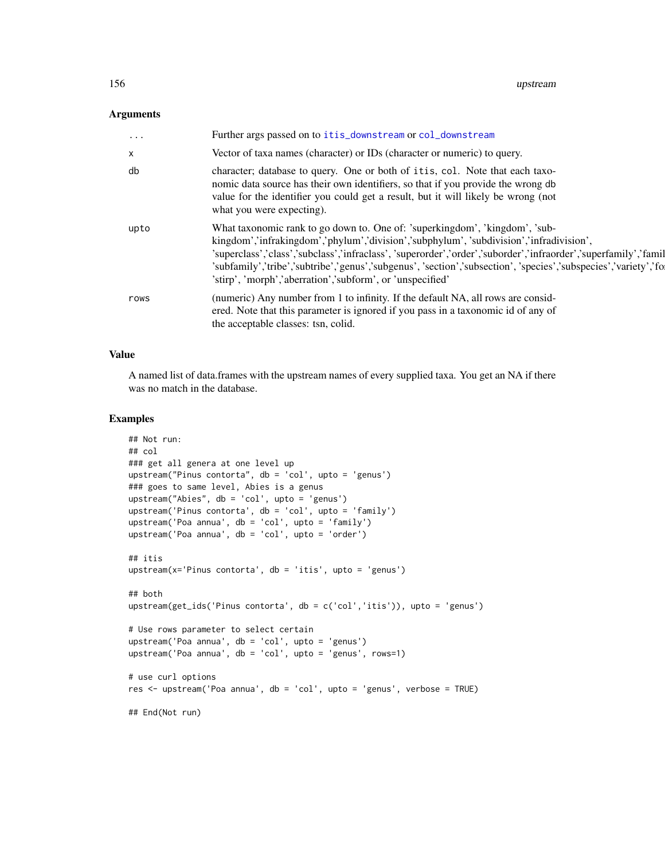# <span id="page-155-0"></span>Arguments

| $\cdots$ | Further args passed on to itis_downstream or col_downstream                                                                                                                                                                                                                                                                                                                                                                                                               |
|----------|---------------------------------------------------------------------------------------------------------------------------------------------------------------------------------------------------------------------------------------------------------------------------------------------------------------------------------------------------------------------------------------------------------------------------------------------------------------------------|
| $\times$ | Vector of taxa names (character) or IDs (character or numeric) to query.                                                                                                                                                                                                                                                                                                                                                                                                  |
| db       | character; database to query. One or both of itis, col. Note that each taxo-<br>nomic data source has their own identifiers, so that if you provide the wrong db<br>value for the identifier you could get a result, but it will likely be wrong (not<br>what you were expecting).                                                                                                                                                                                        |
| upto     | What taxonomic rank to go down to. One of: 'superkingdom', 'kingdom', 'sub-<br>kingdom','infrakingdom','phylum','division','subphylum', 'subdivision','infradivision',<br>'superclass','class','subclass','infraclass', 'superorder','order','suborder','infraorder','superfamily','famil<br>'subfamily','tribe','subtribe','genus','subgenus', 'section','subsection', 'species','subspecies','variety','fo<br>'stirp', 'morph','aberration','subform', or 'unspecified' |
| rows     | (numeric) Any number from 1 to infinity. If the default NA, all rows are consid-<br>ered. Note that this parameter is ignored if you pass in a taxonomic id of any of<br>the acceptable classes: tsn, colid.                                                                                                                                                                                                                                                              |

# Value

A named list of data.frames with the upstream names of every supplied taxa. You get an NA if there was no match in the database.

```
## Not run:
## col
### get all genera at one level up
upstream("Pinus contorta", db = 'col', upto = 'genus')
### goes to same level, Abies is a genus
upstream("Abies", db = 'col', upto = 'genus')
upstream('Pinus contorta', db = 'col', upto = 'family')
upstream('Poa annua', db = 'col', upto = 'family')
upstream('Poa annua', db = 'col', upto = 'order')
## itis
upstream(x='Pinus contorta', db = 'itis', upto = 'genus')
## both
upstream(get_ids('Pinus contorta', db = c('col','itis')), upto = 'genus')
# Use rows parameter to select certain
upstream('Poa annua', db = 'col', upto = 'genus')
upstream('Poa annua', db = 'col', upto = 'genus', rows=1)
# use curl options
res <- upstream('Poa annua', db = 'col', upto = 'genus', verbose = TRUE)
## End(Not run)
```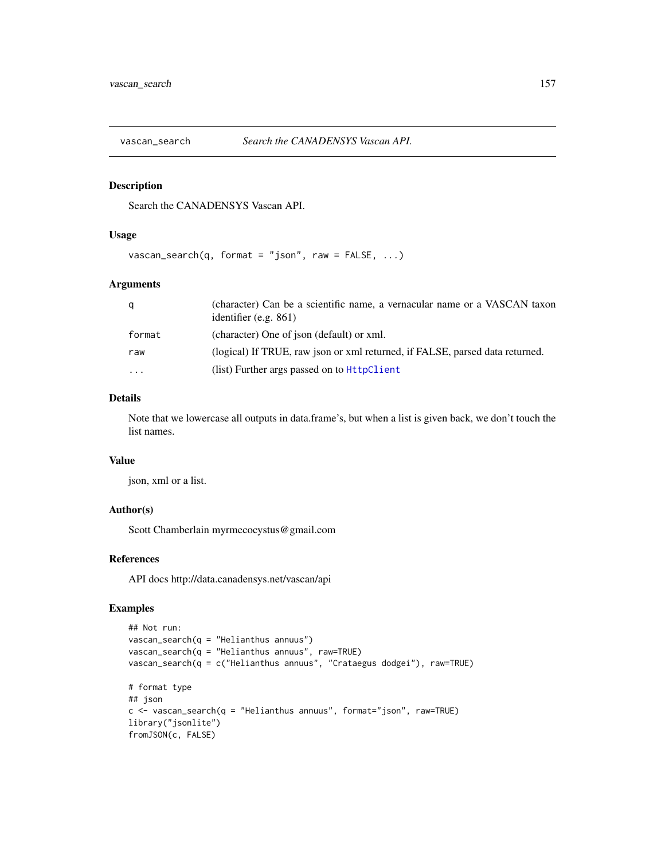<span id="page-156-0"></span>

Search the CANADENSYS Vascan API.

#### Usage

```
vascan_search(q, format = "json", raw = FALSE, ...)
```
#### Arguments

| q        | (character) Can be a scientific name, a vernacular name or a VASCAN taxon<br>identifier $(e.g. 861)$ |
|----------|------------------------------------------------------------------------------------------------------|
| format   | (character) One of json (default) or xml.                                                            |
| raw      | (logical) If TRUE, raw json or xml returned, if FALSE, parsed data returned.                         |
| $\cdots$ | (list) Further args passed on to HttpClient                                                          |

#### Details

Note that we lowercase all outputs in data.frame's, but when a list is given back, we don't touch the list names.

#### Value

json, xml or a list.

#### Author(s)

Scott Chamberlain myrmecocystus@gmail.com

#### References

API docs http://data.canadensys.net/vascan/api

```
## Not run:
vascan_search(q = "Helianthus annuus")
vascan_search(q = "Helianthus annuus", raw=TRUE)
vascan_search(q = c("Helianthus annuus", "Crataegus dodgei"), raw=TRUE)
# format type
## json
c <- vascan_search(q = "Helianthus annuus", format="json", raw=TRUE)
library("jsonlite")
fromJSON(c, FALSE)
```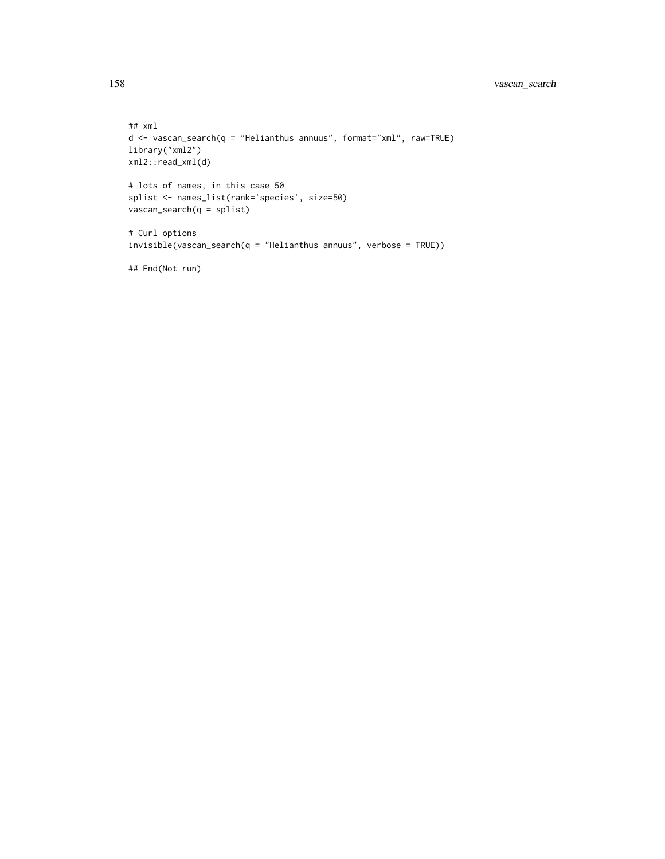```
## xml
d <- vascan_search(q = "Helianthus annuus", format="xml", raw=TRUE)
library("xml2")
xml2::read_xml(d)
# lots of names, in this case 50
splist <- names_list(rank='species', size=50)
vascan_search(q = splist)
# Curl options
invisible(vascan_search(q = "Helianthus annuus", verbose = TRUE))
```
## End(Not run)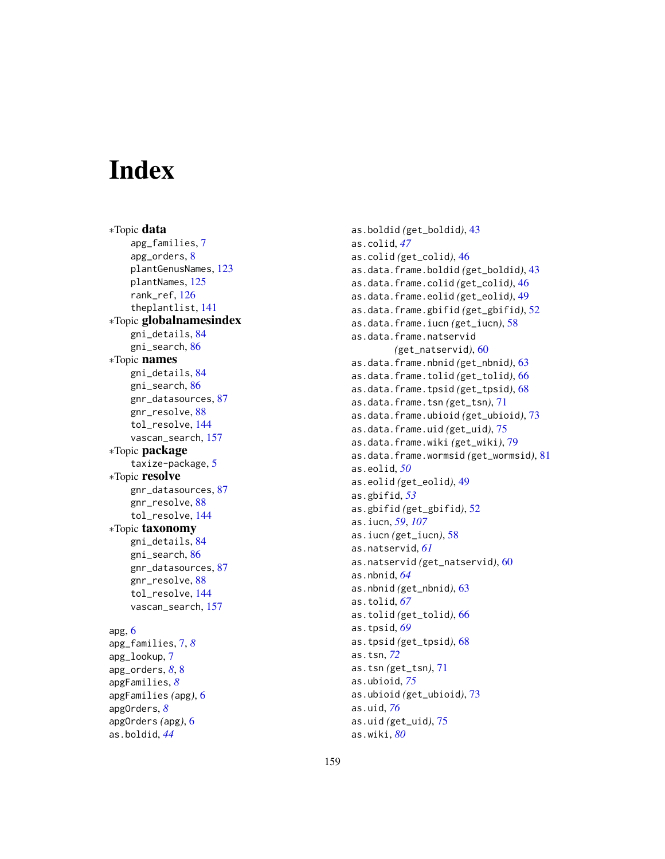# **Index**

∗Topic data apg\_families , [7](#page-6-0) apg\_orders , [8](#page-7-0) plantGenusNames , [123](#page-122-0) plantNames , [125](#page-124-0) rank\_ref , [126](#page-125-0) theplantlist , [141](#page-140-0) ∗Topic globalnamesindex gni\_details , [84](#page-83-0) gni\_search , [86](#page-85-0) ∗Topic names gni\_details , [84](#page-83-0) gni\_search , [86](#page-85-0) gnr\_datasources , [87](#page-86-0) gnr\_resolve , [88](#page-87-1) tol\_resolve , [144](#page-143-0) vascan\_search , [157](#page-156-0) ∗Topic package taxize-package , [5](#page-4-0) ∗Topic resolve gnr\_datasources , [87](#page-86-0) gnr\_resolve, [88](#page-87-1) tol\_resolve , [144](#page-143-0) ∗Topic taxonomy gni\_details , [84](#page-83-0) gni\_search , [86](#page-85-0) gnr\_datasources , [87](#page-86-0) gnr\_resolve , [88](#page-87-1) tol\_resolve , [144](#page-143-0) vascan\_search , [157](#page-156-0) apg , [6](#page-5-0) apg\_families , [7](#page-6-0) , *[8](#page-7-0)* apg\_lookup , [7](#page-6-0)

apg\_orders , *[8](#page-7-0)* , [8](#page-7-0) apgFamilies , *[8](#page-7-0)* apgFamilies *(*apg *)* , [6](#page-5-0) apgOrders , *[8](#page-7-0)* apgOrders *(*apg *)* , [6](#page-5-0) as.boldid , *[44](#page-43-0)*

as.boldid *(*get\_boldid *)* , [43](#page-42-0) as.colid , *[47](#page-46-0)* as.colid *(*get\_colid *)* , [46](#page-45-0) as.data.frame.boldid *(*get\_boldid *)* , [43](#page-42-0) as.data.frame.colid *(*get\_colid *)* , [46](#page-45-0) as.data.frame.eolid *(*get\_eolid *)* , [49](#page-48-0) as.data.frame.gbifid *(*get\_gbifid *)* , [52](#page-51-0) as.data.frame.iucn *(*get\_iucn *)* , [58](#page-57-0) as.data.frame.natservid *(*get\_natservid*)*, [60](#page-59-0) as.data.frame.nbnid *(*get\_nbnid *)* , [63](#page-62-0) as.data.frame.tolid *(*get\_tolid *)* , [66](#page-65-0) as.data.frame.tpsid *(*get\_tpsid *)* , [68](#page-67-0) as.data.frame.tsn *(*get\_tsn *)* , [71](#page-70-0) as.data.frame.ubioid *(*get\_ubioid *)* , [73](#page-72-0) as.data.frame.uid *(*get\_uid *)* , [75](#page-74-0) as.data.frame.wiki *(*get\_wiki *)* , [79](#page-78-0) as.data.frame.wormsid *(*get\_wormsid *)* , [81](#page-80-0) as.eolid , *[50](#page-49-0)* as.eolid *(*get\_eolid *)* , [49](#page-48-0) as.gbifid , *[53](#page-52-0)* as.gbifid *(*get\_gbifid *)* , [52](#page-51-0) as.iucn , *[59](#page-58-0)* , *[107](#page-106-0)* as.iucn *(*get\_iucn *)* , [58](#page-57-0) as.natservid , *[61](#page-60-0)* as.natservid *(*get\_natservid *)* , [60](#page-59-0) as.nbnid , *[64](#page-63-0)* as.nbnid *(*get\_nbnid *)* , [63](#page-62-0) as.tolid , *[67](#page-66-0)* as.tolid *(*get\_tolid *)* , [66](#page-65-0) as.tpsid , *[69](#page-68-0)* as.tpsid *(*get\_tpsid *)* , [68](#page-67-0) as.tsn , *[72](#page-71-0)* as.tsn *(*get\_tsn *)* , [71](#page-70-0) as.ubioid , *[75](#page-74-0)* as.ubioid *(*get\_ubioid *)* , [73](#page-72-0) as.uid , *[76](#page-75-0)* as.uid *(*get\_uid *)* , [75](#page-74-0)

as.wiki , *[80](#page-79-0)*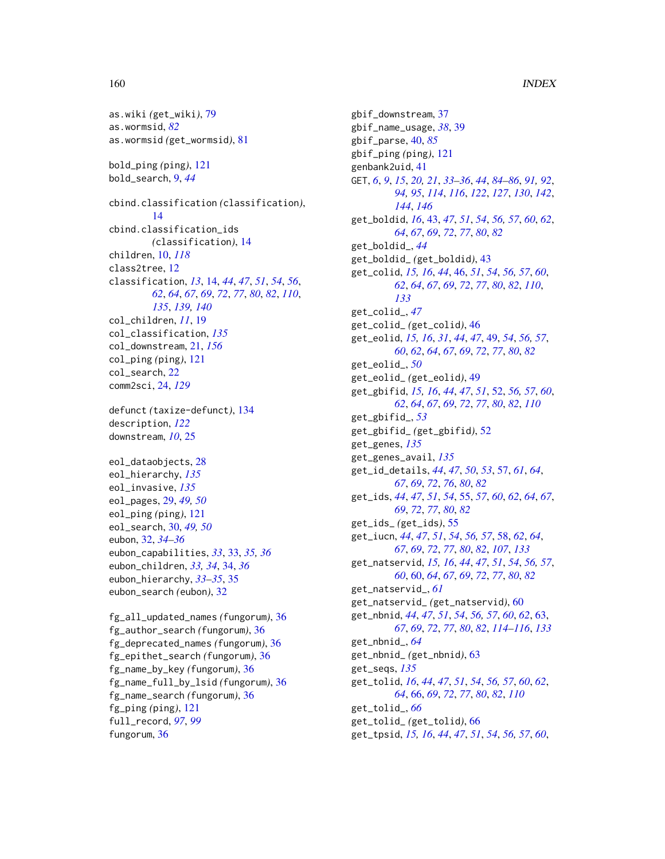```
as.wiki (get_wiki), 79
as.wormsid, 82
as.wormsid (get_wormsid), 81
bold_ping (ping), 121
bold_search, 9, 44
cbind.classification (classification),
         14
cbind.classification_ids
        (classification), 14
children, 10, 118
class2tree, 12
classification, 13, 14, 44, 47, 51, 54, 56,
        62, 64, 67, 69, 72, 77, 80, 82, 110,
        135, 139, 140
col_children, 11, 19
col_classification, 135
col_downstream, 21, 156
col_ping (ping), 121
col_search, 22
comm2sci, 24, 129
defunct (taxize-defunct), 134
description, 122
downstream, 10, 25
eol_dataobjects, 28
eol_hierarchy, 135
eol_invasive, 135
eol_pages, 29, 49, 50
eol_ping (ping), 121
eol_search, 30, 49, 50
eubon, 32, 34–36
eubon_capabilities, 33, 33, 35, 36
eubon_children, 33, 34, 34, 36
eubon_hierarchy, 33–35, 35
eubon_search (eubon), 32
```
fg\_all\_updated\_names *(*fungorum*)*, [36](#page-35-0) fg\_author\_search *(*fungorum*)*, [36](#page-35-0) fg\_deprecated\_names *(*fungorum*)*, [36](#page-35-0) fg\_epithet\_search *(*fungorum*)*, [36](#page-35-0) fg\_name\_by\_key *(*fungorum*)*, [36](#page-35-0) fg\_name\_full\_by\_lsid *(*fungorum*)*, [36](#page-35-0) fg\_name\_search *(*fungorum*)*, [36](#page-35-0) fg\_ping *(*ping*)*, [121](#page-120-0) full\_record, *[97](#page-96-0)*, *[99](#page-98-0)* fungorum, [36](#page-35-0)

gbif\_downstream, [37](#page-36-0) gbif\_name\_usage, *[38](#page-37-0)*, [39](#page-38-0) gbif\_parse, [40,](#page-39-0) *[85](#page-84-0)* gbif\_ping *(*ping*)*, [121](#page-120-0) genbank2uid, [41](#page-40-0) GET, *[6](#page-5-0)*, *[9](#page-8-0)*, *[15](#page-14-0)*, *[20,](#page-19-0) [21](#page-20-1)*, *[33](#page-32-0)[–36](#page-35-0)*, *[44](#page-43-0)*, *[84](#page-83-0)[–86](#page-85-0)*, *[91,](#page-90-0) [92](#page-91-0)*, *[94,](#page-93-0) [95](#page-94-0)*, *[114](#page-113-0)*, *[116](#page-115-0)*, *[122](#page-121-0)*, *[127](#page-126-0)*, *[130](#page-129-0)*, *[142](#page-141-1)*, *[144](#page-143-0)*, *[146](#page-145-1)* get\_boldid, *[16](#page-15-0)*, [43,](#page-42-0) *[47](#page-46-0)*, *[51](#page-50-0)*, *[54](#page-53-0)*, *[56,](#page-55-0) [57](#page-56-0)*, *[60](#page-59-0)*, *[62](#page-61-0)*, *[64](#page-63-0)*, *[67](#page-66-0)*, *[69](#page-68-0)*, *[72](#page-71-0)*, *[77](#page-76-0)*, *[80](#page-79-0)*, *[82](#page-81-0)* get\_boldid\_, *[44](#page-43-0)* get\_boldid\_ *(*get\_boldid*)*, [43](#page-42-0) get\_colid, *[15,](#page-14-0) [16](#page-15-0)*, *[44](#page-43-0)*, [46,](#page-45-0) *[51](#page-50-0)*, *[54](#page-53-0)*, *[56,](#page-55-0) [57](#page-56-0)*, *[60](#page-59-0)*, *[62](#page-61-0)*, *[64](#page-63-0)*, *[67](#page-66-0)*, *[69](#page-68-0)*, *[72](#page-71-0)*, *[77](#page-76-0)*, *[80](#page-79-0)*, *[82](#page-81-0)*, *[110](#page-109-0)*, *[133](#page-132-0)* get\_colid\_, *[47](#page-46-0)* get\_colid\_ *(*get\_colid*)*, [46](#page-45-0) get\_eolid, *[15,](#page-14-0) [16](#page-15-0)*, *[31](#page-30-0)*, *[44](#page-43-0)*, *[47](#page-46-0)*, [49,](#page-48-0) *[54](#page-53-0)*, *[56,](#page-55-0) [57](#page-56-0)*, *[60](#page-59-0)*, *[62](#page-61-0)*, *[64](#page-63-0)*, *[67](#page-66-0)*, *[69](#page-68-0)*, *[72](#page-71-0)*, *[77](#page-76-0)*, *[80](#page-79-0)*, *[82](#page-81-0)* get\_eolid\_, *[50](#page-49-0)* get\_eolid\_ *(*get\_eolid*)*, [49](#page-48-0) get\_gbifid, *[15,](#page-14-0) [16](#page-15-0)*, *[44](#page-43-0)*, *[47](#page-46-0)*, *[51](#page-50-0)*, [52,](#page-51-0) *[56,](#page-55-0) [57](#page-56-0)*, *[60](#page-59-0)*, *[62](#page-61-0)*, *[64](#page-63-0)*, *[67](#page-66-0)*, *[69](#page-68-0)*, *[72](#page-71-0)*, *[77](#page-76-0)*, *[80](#page-79-0)*, *[82](#page-81-0)*, *[110](#page-109-0)* get\_gbifid\_, *[53](#page-52-0)* get\_gbifid\_ *(*get\_gbifid*)*, [52](#page-51-0) get\_genes, *[135](#page-134-0)* get\_genes\_avail, *[135](#page-134-0)* get\_id\_details, *[44](#page-43-0)*, *[47](#page-46-0)*, *[50](#page-49-0)*, *[53](#page-52-0)*, [57,](#page-56-0) *[61](#page-60-0)*, *[64](#page-63-0)*, *[67](#page-66-0)*, *[69](#page-68-0)*, *[72](#page-71-0)*, *[76](#page-75-0)*, *[80](#page-79-0)*, *[82](#page-81-0)* get\_ids, *[44](#page-43-0)*, *[47](#page-46-0)*, *[51](#page-50-0)*, *[54](#page-53-0)*, [55,](#page-54-0) *[57](#page-56-0)*, *[60](#page-59-0)*, *[62](#page-61-0)*, *[64](#page-63-0)*, *[67](#page-66-0)*, *[69](#page-68-0)*, *[72](#page-71-0)*, *[77](#page-76-0)*, *[80](#page-79-0)*, *[82](#page-81-0)* get\_ids\_ *(*get\_ids*)*, [55](#page-54-0) get\_iucn, *[44](#page-43-0)*, *[47](#page-46-0)*, *[51](#page-50-0)*, *[54](#page-53-0)*, *[56,](#page-55-0) [57](#page-56-0)*, [58,](#page-57-0) *[62](#page-61-0)*, *[64](#page-63-0)*, *[67](#page-66-0)*, *[69](#page-68-0)*, *[72](#page-71-0)*, *[77](#page-76-0)*, *[80](#page-79-0)*, *[82](#page-81-0)*, *[107](#page-106-0)*, *[133](#page-132-0)* get\_natservid, *[15,](#page-14-0) [16](#page-15-0)*, *[44](#page-43-0)*, *[47](#page-46-0)*, *[51](#page-50-0)*, *[54](#page-53-0)*, *[56,](#page-55-0) [57](#page-56-0)*, *[60](#page-59-0)*, [60,](#page-59-0) *[64](#page-63-0)*, *[67](#page-66-0)*, *[69](#page-68-0)*, *[72](#page-71-0)*, *[77](#page-76-0)*, *[80](#page-79-0)*, *[82](#page-81-0)* get\_natservid\_, *[61](#page-60-0)* get\_natservid\_ *(*get\_natservid*)*, [60](#page-59-0) get\_nbnid, *[44](#page-43-0)*, *[47](#page-46-0)*, *[51](#page-50-0)*, *[54](#page-53-0)*, *[56,](#page-55-0) [57](#page-56-0)*, *[60](#page-59-0)*, *[62](#page-61-0)*, [63,](#page-62-0) *[67](#page-66-0)*, *[69](#page-68-0)*, *[72](#page-71-0)*, *[77](#page-76-0)*, *[80](#page-79-0)*, *[82](#page-81-0)*, *[114](#page-113-0)[–116](#page-115-0)*, *[133](#page-132-0)* get\_nbnid\_, *[64](#page-63-0)* get\_nbnid\_ *(*get\_nbnid*)*, [63](#page-62-0) get\_seqs, *[135](#page-134-0)* get\_tolid, *[16](#page-15-0)*, *[44](#page-43-0)*, *[47](#page-46-0)*, *[51](#page-50-0)*, *[54](#page-53-0)*, *[56,](#page-55-0) [57](#page-56-0)*, *[60](#page-59-0)*, *[62](#page-61-0)*, *[64](#page-63-0)*, [66,](#page-65-0) *[69](#page-68-0)*, *[72](#page-71-0)*, *[77](#page-76-0)*, *[80](#page-79-0)*, *[82](#page-81-0)*, *[110](#page-109-0)* get\_tolid\_, *[66](#page-65-0)* get\_tolid\_ *(*get\_tolid*)*, [66](#page-65-0) get\_tpsid, *[15,](#page-14-0) [16](#page-15-0)*, *[44](#page-43-0)*, *[47](#page-46-0)*, *[51](#page-50-0)*, *[54](#page-53-0)*, *[56,](#page-55-0) [57](#page-56-0)*, *[60](#page-59-0)*,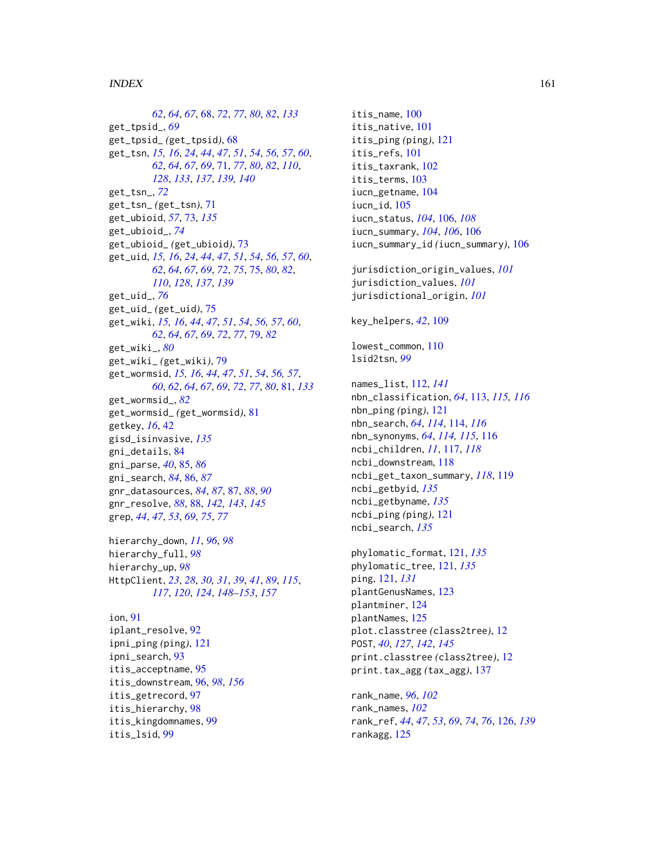#### $I$ NDEX  $161$

*[62](#page-61-0)*, *[64](#page-63-0)*, *[67](#page-66-0)*, [68,](#page-67-0) *[72](#page-71-0)*, *[77](#page-76-0)*, *[80](#page-79-0)*, *[82](#page-81-0)*, *[133](#page-132-0)* get\_tpsid\_, *[69](#page-68-0)* get\_tpsid\_ *(*get\_tpsid*)*, [68](#page-67-0) get\_tsn, *[15,](#page-14-0) [16](#page-15-0)*, *[24](#page-23-0)*, *[44](#page-43-0)*, *[47](#page-46-0)*, *[51](#page-50-0)*, *[54](#page-53-0)*, *[56,](#page-55-0) [57](#page-56-0)*, *[60](#page-59-0)*, *[62](#page-61-0)*, *[64](#page-63-0)*, *[67](#page-66-0)*, *[69](#page-68-0)*, [71,](#page-70-0) *[77](#page-76-0)*, *[80](#page-79-0)*, *[82](#page-81-0)*, *[110](#page-109-0)*, *[128](#page-127-0)*, *[133](#page-132-0)*, *[137](#page-136-0)*, *[139,](#page-138-0) [140](#page-139-0)* get\_tsn\_, *[72](#page-71-0)* get\_tsn\_ *(*get\_tsn*)*, [71](#page-70-0) get\_ubioid, *[57](#page-56-0)*, [73,](#page-72-0) *[135](#page-134-0)* get\_ubioid\_, *[74](#page-73-0)* get\_ubioid\_ *(*get\_ubioid*)*, [73](#page-72-0) get\_uid, *[15,](#page-14-0) [16](#page-15-0)*, *[24](#page-23-0)*, *[44](#page-43-0)*, *[47](#page-46-0)*, *[51](#page-50-0)*, *[54](#page-53-0)*, *[56,](#page-55-0) [57](#page-56-0)*, *[60](#page-59-0)*, *[62](#page-61-0)*, *[64](#page-63-0)*, *[67](#page-66-0)*, *[69](#page-68-0)*, *[72](#page-71-0)*, *[75](#page-74-0)*, [75,](#page-74-0) *[80](#page-79-0)*, *[82](#page-81-0)*, *[110](#page-109-0)*, *[128](#page-127-0)*, *[137](#page-136-0)*, *[139](#page-138-0)* get\_uid\_, *[76](#page-75-0)* get\_uid\_ *(*get\_uid*)*, [75](#page-74-0) get\_wiki, *[15,](#page-14-0) [16](#page-15-0)*, *[44](#page-43-0)*, *[47](#page-46-0)*, *[51](#page-50-0)*, *[54](#page-53-0)*, *[56,](#page-55-0) [57](#page-56-0)*, *[60](#page-59-0)*, *[62](#page-61-0)*, *[64](#page-63-0)*, *[67](#page-66-0)*, *[69](#page-68-0)*, *[72](#page-71-0)*, *[77](#page-76-0)*, [79,](#page-78-0) *[82](#page-81-0)* get\_wiki\_, *[80](#page-79-0)* get\_wiki\_ *(*get\_wiki*)*, [79](#page-78-0) get\_wormsid, *[15,](#page-14-0) [16](#page-15-0)*, *[44](#page-43-0)*, *[47](#page-46-0)*, *[51](#page-50-0)*, *[54](#page-53-0)*, *[56,](#page-55-0) [57](#page-56-0)*, *[60](#page-59-0)*, *[62](#page-61-0)*, *[64](#page-63-0)*, *[67](#page-66-0)*, *[69](#page-68-0)*, *[72](#page-71-0)*, *[77](#page-76-0)*, *[80](#page-79-0)*, [81,](#page-80-0) *[133](#page-132-0)* get\_wormsid\_, *[82](#page-81-0)* get\_wormsid\_ *(*get\_wormsid*)*, [81](#page-80-0) getkey, *[16](#page-15-0)*, [42](#page-41-1) gisd\_isinvasive, *[135](#page-134-0)* gni\_details, [84](#page-83-0) gni\_parse, *[40](#page-39-0)*, [85,](#page-84-0) *[86](#page-85-0)* gni\_search, *[84](#page-83-0)*, [86,](#page-85-0) *[87](#page-86-0)* gnr\_datasources, *[84](#page-83-0)*, *[87](#page-86-0)*, [87,](#page-86-0) *[88](#page-87-1)*, *[90](#page-89-0)* gnr\_resolve, *[88](#page-87-1)*, [88,](#page-87-1) *[142,](#page-141-1) [143](#page-142-0)*, *[145](#page-144-1)* grep, *[44](#page-43-0)*, *[47](#page-46-0)*, *[53](#page-52-0)*, *[69](#page-68-0)*, *[75](#page-74-0)*, *[77](#page-76-0)*

hierarchy\_down, *[11](#page-10-0)*, *[96](#page-95-1)*, *[98](#page-97-0)* hierarchy\_full, *[98](#page-97-0)* hierarchy\_up, *[98](#page-97-0)* HttpClient, *[23](#page-22-0)*, *[28](#page-27-0)*, *[30,](#page-29-0) [31](#page-30-0)*, *[39](#page-38-0)*, *[41](#page-40-0)*, *[89](#page-88-0)*, *[115](#page-114-0)*, *[117](#page-116-0)*, *[120](#page-119-0)*, *[124](#page-123-0)*, *[148–](#page-147-0)[153](#page-152-0)*, *[157](#page-156-0)*

ion, [91](#page-90-0) iplant\_resolve, [92](#page-91-0) ipni\_ping *(*ping*)*, [121](#page-120-0) ipni\_search, [93](#page-92-0) itis\_acceptname, [95](#page-94-0) itis\_downstream, [96,](#page-95-1) *[98](#page-97-0)*, *[156](#page-155-0)* itis\_getrecord, [97](#page-96-0) itis\_hierarchy, [98](#page-97-0) itis\_kingdomnames, [99](#page-98-0) itis\_lsid, [99](#page-98-0)

itis\_name, [100](#page-99-0) itis\_native, [101](#page-100-0) itis\_ping *(*ping*)*, [121](#page-120-0) itis\_refs, [101](#page-100-0) itis\_taxrank, [102](#page-101-0) itis\_terms, [103](#page-102-0) iucn\_getname, [104](#page-103-0) iucn\_id, [105](#page-104-0) iucn\_status, *[104](#page-103-0)*, [106,](#page-105-0) *[108](#page-107-0)* iucn\_summary, *[104](#page-103-0)*, *[106](#page-105-0)*, [106](#page-105-0) iucn\_summary\_id *(*iucn\_summary*)*, [106](#page-105-0) jurisdiction\_origin\_values, *[101](#page-100-0)* jurisdiction\_values, *[101](#page-100-0)* jurisdictional\_origin, *[101](#page-100-0)* key\_helpers, *[42](#page-41-1)*, [109](#page-108-0) lowest\_common, [110](#page-109-0) lsid2tsn, *[99](#page-98-0)* names\_list, [112,](#page-111-0) *[141](#page-140-0)* nbn\_classification, *[64](#page-63-0)*, [113,](#page-112-0) *[115,](#page-114-0) [116](#page-115-0)* nbn\_ping *(*ping*)*, [121](#page-120-0) nbn\_search, *[64](#page-63-0)*, *[114](#page-113-0)*, [114,](#page-113-0) *[116](#page-115-0)* nbn\_synonyms, *[64](#page-63-0)*, *[114,](#page-113-0) [115](#page-114-0)*, [116](#page-115-0) ncbi\_children, *[11](#page-10-0)*, [117,](#page-116-0) *[118](#page-117-0)* ncbi\_downstream, [118](#page-117-0) ncbi\_get\_taxon\_summary, *[118](#page-117-0)*, [119](#page-118-0) ncbi\_getbyid, *[135](#page-134-0)* ncbi\_getbyname, *[135](#page-134-0)* ncbi\_ping *(*ping*)*, [121](#page-120-0) ncbi\_search, *[135](#page-134-0)* phylomatic\_format, [121,](#page-120-0) *[135](#page-134-0)* phylomatic\_tree, [121,](#page-120-0) *[135](#page-134-0)* ping, [121,](#page-120-0) *[131](#page-130-0)* plantGenusNames, [123](#page-122-0) plantminer, [124](#page-123-0) plantNames, [125](#page-124-0) plot.classtree *(*class2tree*)*, [12](#page-11-0) POST, *[40](#page-39-0)*, *[127](#page-126-0)*, *[142](#page-141-1)*, *[145](#page-144-1)* print.classtree *(*class2tree*)*, [12](#page-11-0) print.tax\_agg *(*tax\_agg*)*, [137](#page-136-0)

rank\_name, *[96](#page-95-1)*, *[102](#page-101-0)* rank\_names, *[102](#page-101-0)* rank\_ref, *[44](#page-43-0)*, *[47](#page-46-0)*, *[53](#page-52-0)*, *[69](#page-68-0)*, *[74](#page-73-0)*, *[76](#page-75-0)*, [126,](#page-125-0) *[139](#page-138-0)* rankagg, [125](#page-124-0)